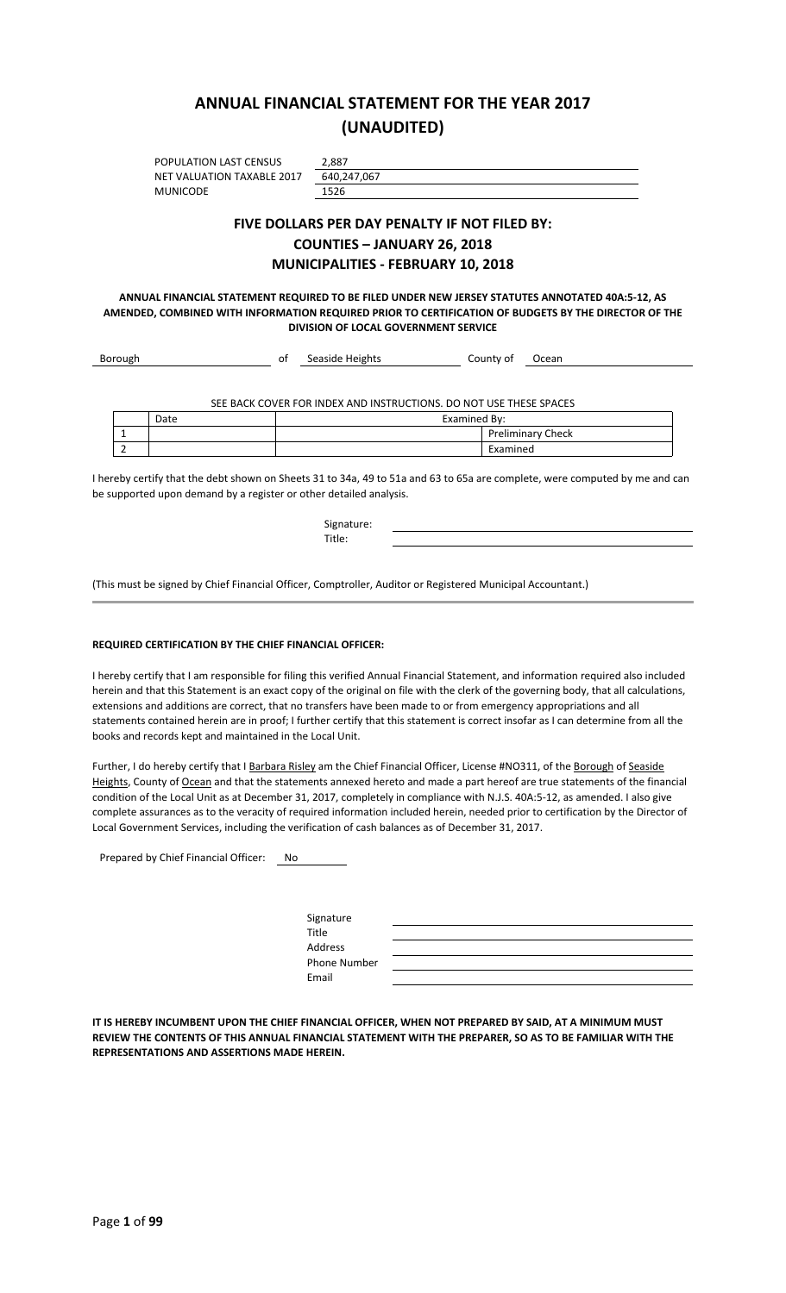## **ANNUAL FINANCIAL STATEMENT FOR THE YEAR 2017 (UNAUDITED)**

POPULATION LAST CENSUS 2,887<br>NET VALUATION TAXABLE 2017 640,247,067 NET VALUATION TAXABLE 2017 MUNICODE 1526

#### **FIVE DOLLARS PER DAY PENALTY IF NOT FILED BY: COUNTIES – JANUARY 26, 2018 MUNICIPALITIES - FEBRUARY 10, 2018**

**ANNUAL FINANCIAL STATEMENT REQUIRED TO BE FILED UNDER NEW JERSEY STATUTES ANNOTATED 40A:5-12, AS AMENDED, COMBINED WITH INFORMATION REQUIRED PRIOR TO CERTIFICATION OF BUDGETS BY THE DIRECTOR OF THE DIVISION OF LOCAL GOVERNMENT SERVICE**

|      | οt | Seaside Heights | County of    | Ocean                                                              |
|------|----|-----------------|--------------|--------------------------------------------------------------------|
|      |    |                 |              |                                                                    |
|      |    |                 |              |                                                                    |
| Date |    |                 | Examined By: |                                                                    |
|      |    |                 |              | <b>Preliminary Check</b>                                           |
|      |    |                 | Examined     |                                                                    |
|      |    |                 |              | SEE BACK COVER FOR INDEX AND INSTRUCTIONS. DO NOT USE THESE SPACES |

I hereby certify that the debt shown on Sheets 31 to 34a, 49 to 51a and 63 to 65a are complete, were computed by me and can be supported upon demand by a register or other detailed analysis.

| Signature:<br>Title:                                                                                       |  |
|------------------------------------------------------------------------------------------------------------|--|
| (This must be signed by Chief Financial Officer, Comptroller, Auditor or Registered Municipal Accountant.) |  |
|                                                                                                            |  |

#### **REQUIRED CERTIFICATION BY THE CHIEF FINANCIAL OFFICER:**

I hereby certify that I am responsible for filing this verified Annual Financial Statement, and information required also included herein and that this Statement is an exact copy of the original on file with the clerk of the governing body, that all calculations, extensions and additions are correct, that no transfers have been made to or from emergency appropriations and all statements contained herein are in proof; I further certify that this statement is correct insofar as I can determine from all the books and records kept and maintained in the Local Unit.

Further, I do hereby certify that I Barbara Risley am the Chief Financial Officer, License #NO311, of the Borough of Seaside Heights, County of Ocean and that the statements annexed hereto and made a part hereof are true statements of the financial condition of the Local Unit as at December 31, 2017, completely in compliance with N.J.S. 40A:5-12, as amended. I also give complete assurances as to the veracity of required information included herein, needed prior to certification by the Director of Local Government Services, including the verification of cash balances as of December 31, 2017.

Prepared by Chief Financial Officer: No

| Signature<br><b>Title</b> |  |
|---------------------------|--|
| Address                   |  |
| <b>Phone Number</b>       |  |
| Email                     |  |

**IT IS HEREBY INCUMBENT UPON THE CHIEF FINANCIAL OFFICER, WHEN NOT PREPARED BY SAID, AT A MINIMUM MUST REVIEW THE CONTENTS OF THIS ANNUAL FINANCIAL STATEMENT WITH THE PREPARER, SO AS TO BE FAMILIAR WITH THE REPRESENTATIONS AND ASSERTIONS MADE HEREIN.**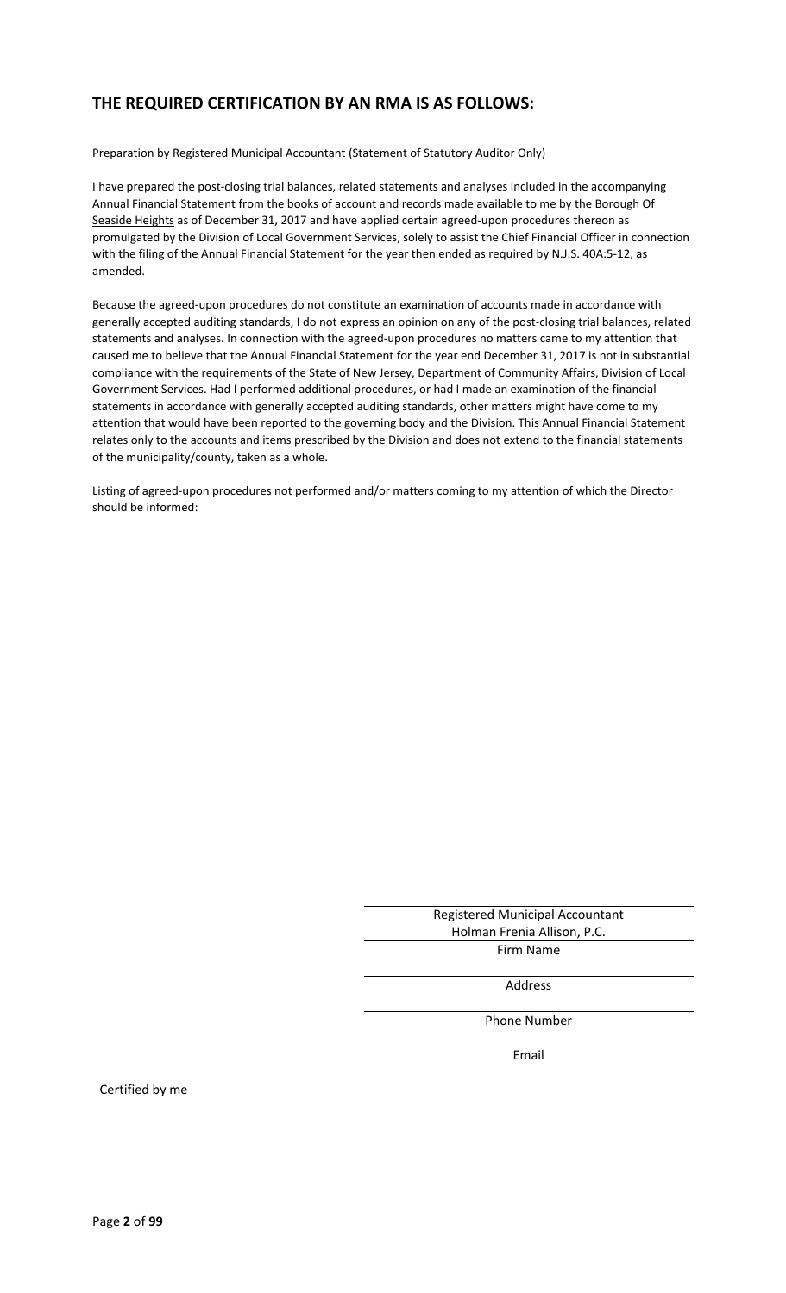## **THE REQUIRED CERTIFICATION BY AN RMA IS AS FOLLOWS:**

#### Preparation by Registered Municipal Accountant (Statement of Statutory Auditor Only)

I have prepared the post-closing trial balances, related statements and analyses included in the accompanying Annual Financial Statement from the books of account and records made available to me by the Borough Of Seaside Heights as of December 31, 2017 and have applied certain agreed-upon procedures thereon as promulgated by the Division of Local Government Services, solely to assist the Chief Financial Officer in connection with the filing of the Annual Financial Statement for the year then ended as required by N.J.S. 40A:5-12, as amended.

Because the agreed-upon procedures do not constitute an examination of accounts made in accordance with generally accepted auditing standards, I do not express an opinion on any of the post-closing trial balances, related statements and analyses. In connection with the agreed-upon procedures no matters came to my attention that caused me to believe that the Annual Financial Statement for the year end December 31, 2017 is not in substantial compliance with the requirements of the State of New Jersey, Department of Community Affairs, Division of Local Government Services. Had I performed additional procedures, or had I made an examination of the financial statements in accordance with generally accepted auditing standards, other matters might have come to my attention that would have been reported to the governing body and the Division. This Annual Financial Statement relates only to the accounts and items prescribed by the Division and does not extend to the financial statements of the municipality/county, taken as a whole.

Listing of agreed-upon procedures not performed and/or matters coming to my attention of which the Director should be informed:

> Registered Municipal Accountant Holman Frenia Allison, P.C. Firm Name

> > Address

Phone Number

Email

Certified by me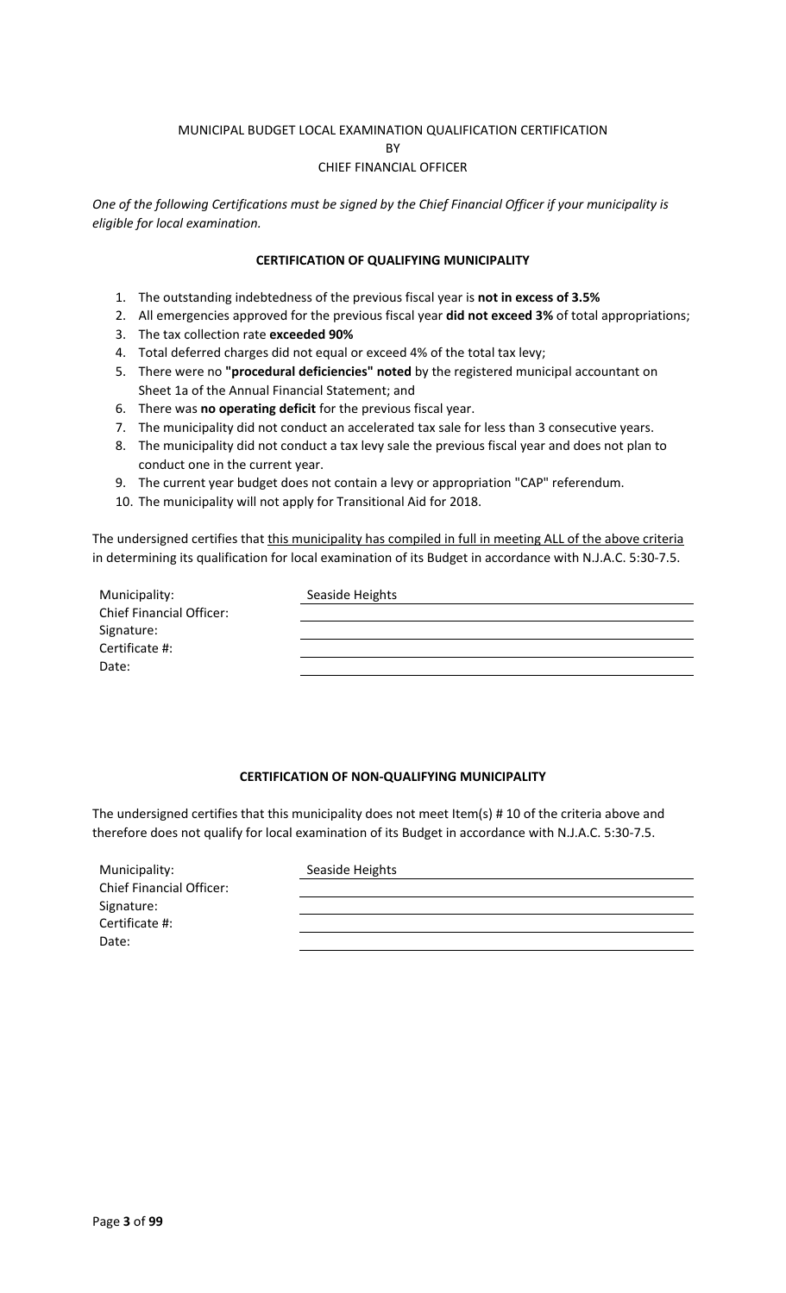#### MUNICIPAL BUDGET LOCAL EXAMINATION QUALIFICATION CERTIFICATION

**RV** 

#### CHIEF FINANCIAL OFFICER

*One of the following Certifications must be signed by the Chief Financial Officer if your municipality is eligible for local examination.*

#### **CERTIFICATION OF QUALIFYING MUNICIPALITY**

- 1. The outstanding indebtedness of the previous fiscal year is **not in excess of 3.5%**
- 2. All emergencies approved for the previous fiscal year **did not exceed 3%** of total appropriations;
- 3. The tax collection rate **exceeded 90%**
- 4. Total deferred charges did not equal or exceed 4% of the total tax levy;
- 5. There were no **"procedural deficiencies" noted** by the registered municipal accountant on Sheet 1a of the Annual Financial Statement; and
- 6. There was **no operating deficit** for the previous fiscal year.
- 7. The municipality did not conduct an accelerated tax sale for less than 3 consecutive years.
- 8. The municipality did not conduct a tax levy sale the previous fiscal year and does not plan to conduct one in the current year.
- 9. The current year budget does not contain a levy or appropriation "CAP" referendum.
- 10. The municipality will not apply for Transitional Aid for 2018.

The undersigned certifies that this municipality has compiled in full in meeting ALL of the above criteria in determining its qualification for local examination of its Budget in accordance with N.J.A.C. 5:30-7.5.

| Municipality:                   | Seaside Heights |
|---------------------------------|-----------------|
| <b>Chief Financial Officer:</b> |                 |
| Signature:                      |                 |
| Certificate #:                  |                 |
| Date:                           |                 |

#### **CERTIFICATION OF NON-QUALIFYING MUNICIPALITY**

The undersigned certifies that this municipality does not meet Item(s) # 10 of the criteria above and therefore does not qualify for local examination of its Budget in accordance with N.J.A.C. 5:30-7.5.

| Municipality:                   | Seaside Heights |
|---------------------------------|-----------------|
| <b>Chief Financial Officer:</b> |                 |
| Signature:                      |                 |
| Certificate #:                  |                 |
| Date:                           |                 |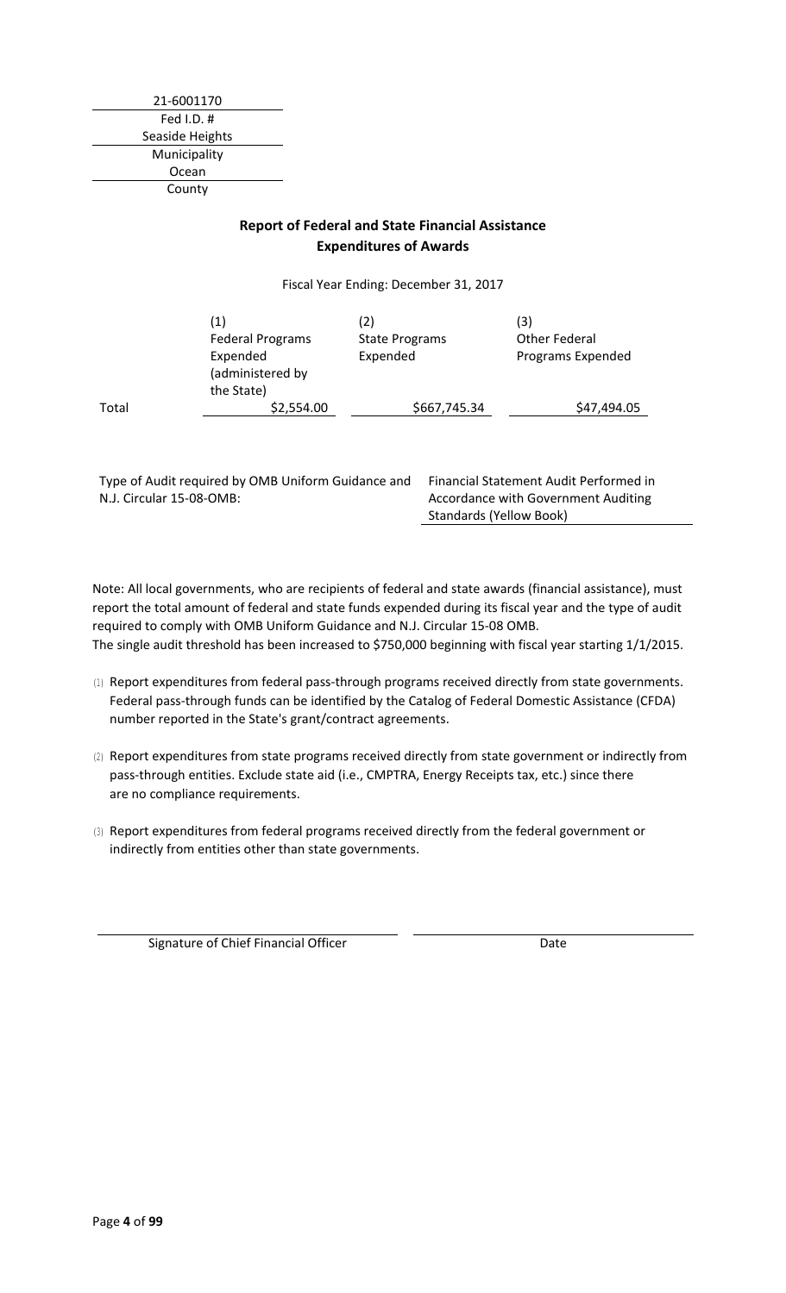21-6001170 Fed I.D. # Seaside Heights Municipality Ocean County

#### **Report of Federal and State Financial Assistance Expenditures of Awards**

Fiscal Year Ending: December 31, 2017

|       | (1)<br><b>Federal Programs</b><br>Expended<br>(administered by<br>the State) | (2)<br><b>State Programs</b><br>Expended | (3)<br>Other Federal<br>Programs Expended |
|-------|------------------------------------------------------------------------------|------------------------------------------|-------------------------------------------|
| Total | \$2,554.00                                                                   | \$667,745.34                             | \$47,494.05                               |

Type of Audit required by OMB Uniform Guidance and Financial Statement Audit Performed in N.J. Circular 15-08-OMB:

Accordance with Government Auditing Standards (Yellow Book)

Note: All local governments, who are recipients of federal and state awards (financial assistance), must report the total amount of federal and state funds expended during its fiscal year and the type of audit required to comply with OMB Uniform Guidance and N.J. Circular 15-08 OMB. The single audit threshold has been increased to \$750,000 beginning with fiscal year starting 1/1/2015.

- (1) Report expenditures from federal pass-through programs received directly from state governments. Federal pass-through funds can be identified by the Catalog of Federal Domestic Assistance (CFDA) number reported in the State's grant/contract agreements.
- (2) Report expenditures from state programs received directly from state government or indirectly from pass-through entities. Exclude state aid (i.e., CMPTRA, Energy Receipts tax, etc.) since there are no compliance requirements.
- (3) Report expenditures from federal programs received directly from the federal government or indirectly from entities other than state governments.

Signature of Chief Financial Officer **Date** Date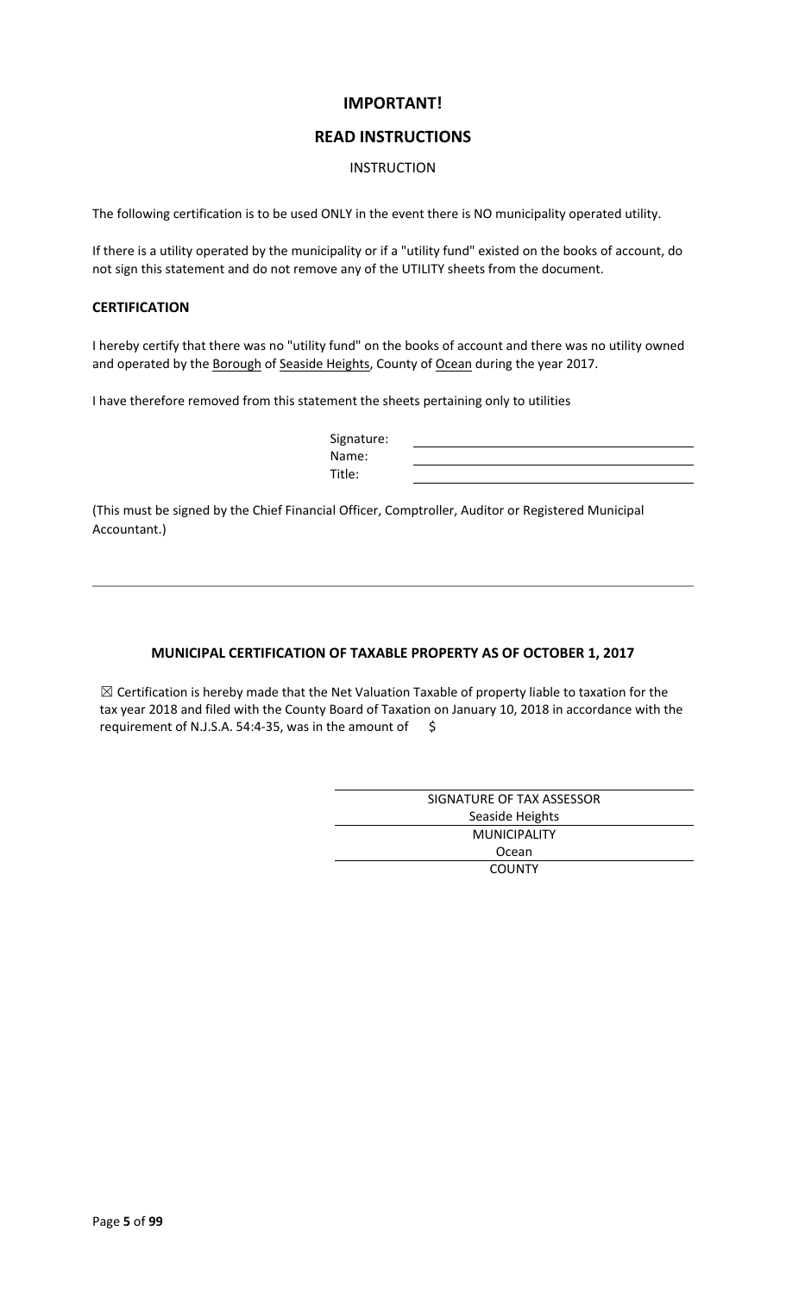#### **IMPORTANT!**

#### **READ INSTRUCTIONS**

#### INSTRUCTION

The following certification is to be used ONLY in the event there is NO municipality operated utility.

If there is a utility operated by the municipality or if a "utility fund" existed on the books of account, do not sign this statement and do not remove any of the UTILITY sheets from the document.

#### **CERTIFICATION**

I hereby certify that there was no "utility fund" on the books of account and there was no utility owned and operated by the Borough of Seaside Heights, County of Ocean during the year 2017.

I have therefore removed from this statement the sheets pertaining only to utilities

| Signature: |  |
|------------|--|
| Name:      |  |
| Title:     |  |

(This must be signed by the Chief Financial Officer, Comptroller, Auditor or Registered Municipal Accountant.)

#### **MUNICIPAL CERTIFICATION OF TAXABLE PROPERTY AS OF OCTOBER 1, 2017**

 $\boxtimes$  Certification is hereby made that the Net Valuation Taxable of property liable to taxation for the tax year 2018 and filed with the County Board of Taxation on January 10, 2018 in accordance with the requirement of N.J.S.A. 54:4-35, was in the amount of  $\Diamond$ 

| SIGNATURE OF TAX ASSESSOR |
|---------------------------|
| Seaside Heights           |
| <b>MUNICIPALITY</b>       |
| Ocean                     |
| <b>COUNTY</b>             |
|                           |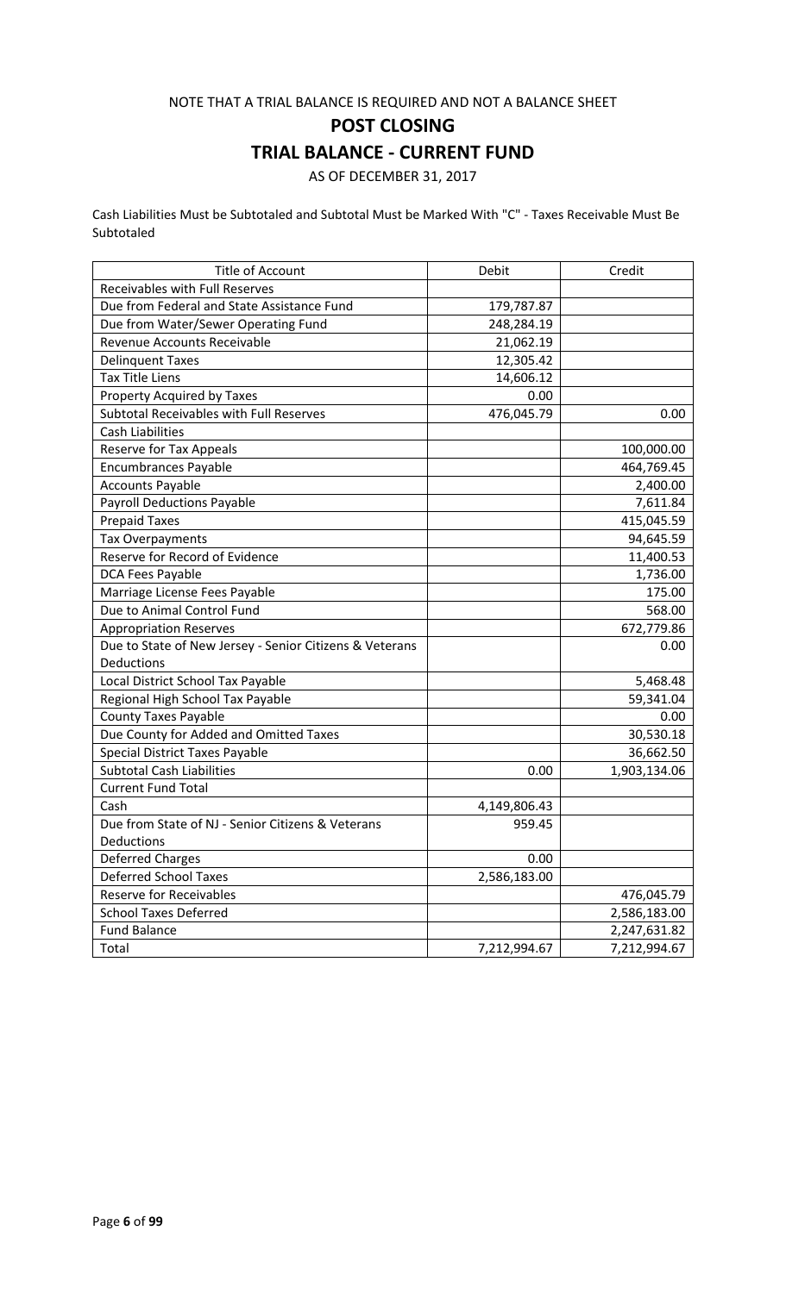#### NOTE THAT A TRIAL BALANCE IS REQUIRED AND NOT A BALANCE SHEET

**POST CLOSING**

## **TRIAL BALANCE - CURRENT FUND**

AS OF DECEMBER 31, 2017

Cash Liabilities Must be Subtotaled and Subtotal Must be Marked With "C" - Taxes Receivable Must Be Subtotaled

| <b>Title of Account</b>                                 | Debit        | Credit       |
|---------------------------------------------------------|--------------|--------------|
| Receivables with Full Reserves                          |              |              |
| Due from Federal and State Assistance Fund              | 179,787.87   |              |
| Due from Water/Sewer Operating Fund                     | 248,284.19   |              |
| Revenue Accounts Receivable                             | 21,062.19    |              |
| <b>Delinquent Taxes</b>                                 | 12,305.42    |              |
| <b>Tax Title Liens</b>                                  | 14,606.12    |              |
| Property Acquired by Taxes                              | 0.00         |              |
| Subtotal Receivables with Full Reserves                 | 476,045.79   | 0.00         |
| <b>Cash Liabilities</b>                                 |              |              |
| Reserve for Tax Appeals                                 |              | 100,000.00   |
| <b>Encumbrances Payable</b>                             |              | 464,769.45   |
| <b>Accounts Payable</b>                                 |              | 2,400.00     |
| <b>Payroll Deductions Payable</b>                       |              | 7,611.84     |
| <b>Prepaid Taxes</b>                                    |              | 415,045.59   |
| Tax Overpayments                                        |              | 94,645.59    |
| Reserve for Record of Evidence                          |              | 11,400.53    |
| DCA Fees Payable                                        |              | 1,736.00     |
| Marriage License Fees Payable                           |              | 175.00       |
| Due to Animal Control Fund                              |              | 568.00       |
| <b>Appropriation Reserves</b>                           |              | 672,779.86   |
| Due to State of New Jersey - Senior Citizens & Veterans |              | 0.00         |
| Deductions                                              |              |              |
| Local District School Tax Payable                       |              | 5,468.48     |
| Regional High School Tax Payable                        |              | 59,341.04    |
| <b>County Taxes Payable</b>                             |              | 0.00         |
| Due County for Added and Omitted Taxes                  |              | 30,530.18    |
| <b>Special District Taxes Payable</b>                   |              | 36,662.50    |
| <b>Subtotal Cash Liabilities</b>                        | 0.00         | 1,903,134.06 |
| <b>Current Fund Total</b>                               |              |              |
| Cash                                                    | 4,149,806.43 |              |
| Due from State of NJ - Senior Citizens & Veterans       | 959.45       |              |
| Deductions                                              |              |              |
| <b>Deferred Charges</b>                                 | 0.00         |              |
| <b>Deferred School Taxes</b>                            | 2,586,183.00 |              |
| <b>Reserve for Receivables</b>                          |              | 476,045.79   |
| <b>School Taxes Deferred</b>                            |              | 2,586,183.00 |
| <b>Fund Balance</b>                                     |              | 2,247,631.82 |
| Total                                                   | 7,212,994.67 | 7,212,994.67 |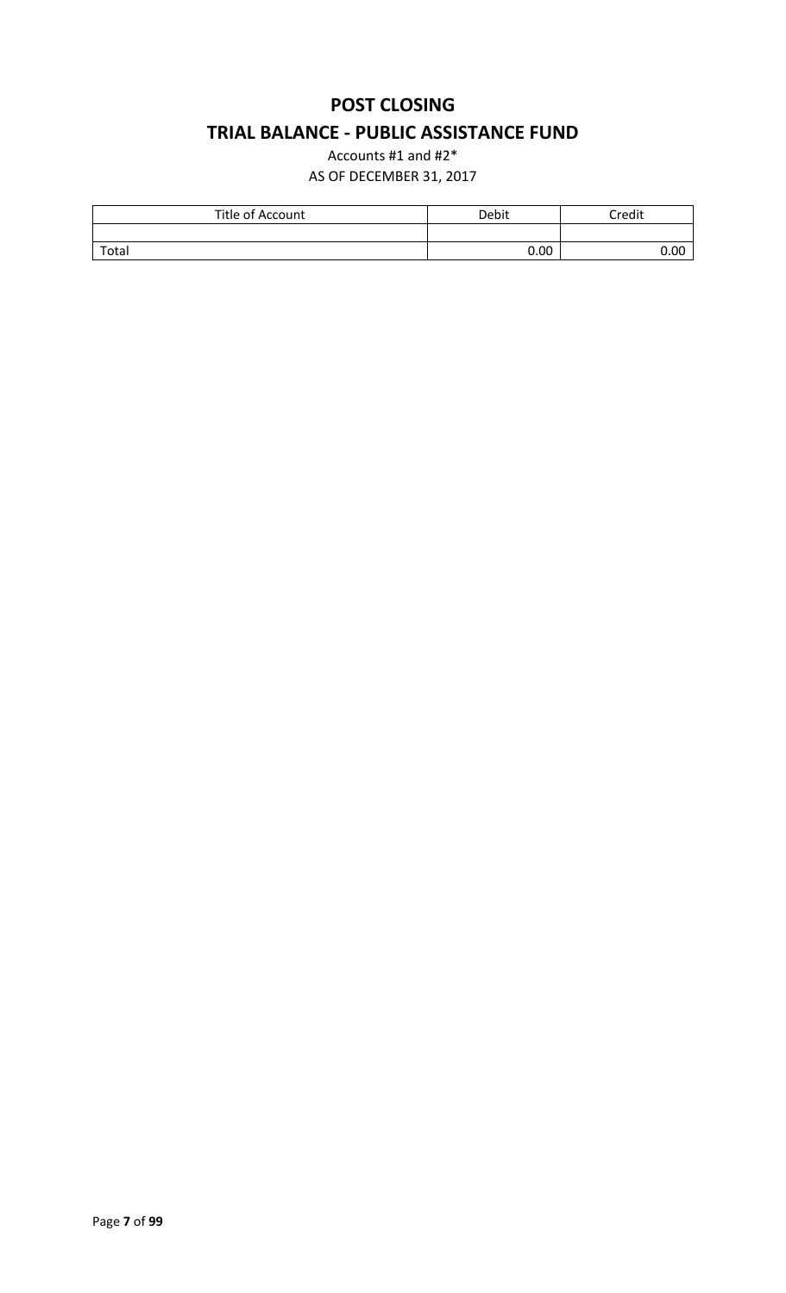# **POST CLOSING TRIAL BALANCE - PUBLIC ASSISTANCE FUND**

Accounts #1 and #2\* AS OF DECEMBER 31, 2017

| Title of Account | Debit | Credit |
|------------------|-------|--------|
|                  |       |        |
| Total            | 0.00  | 0.00   |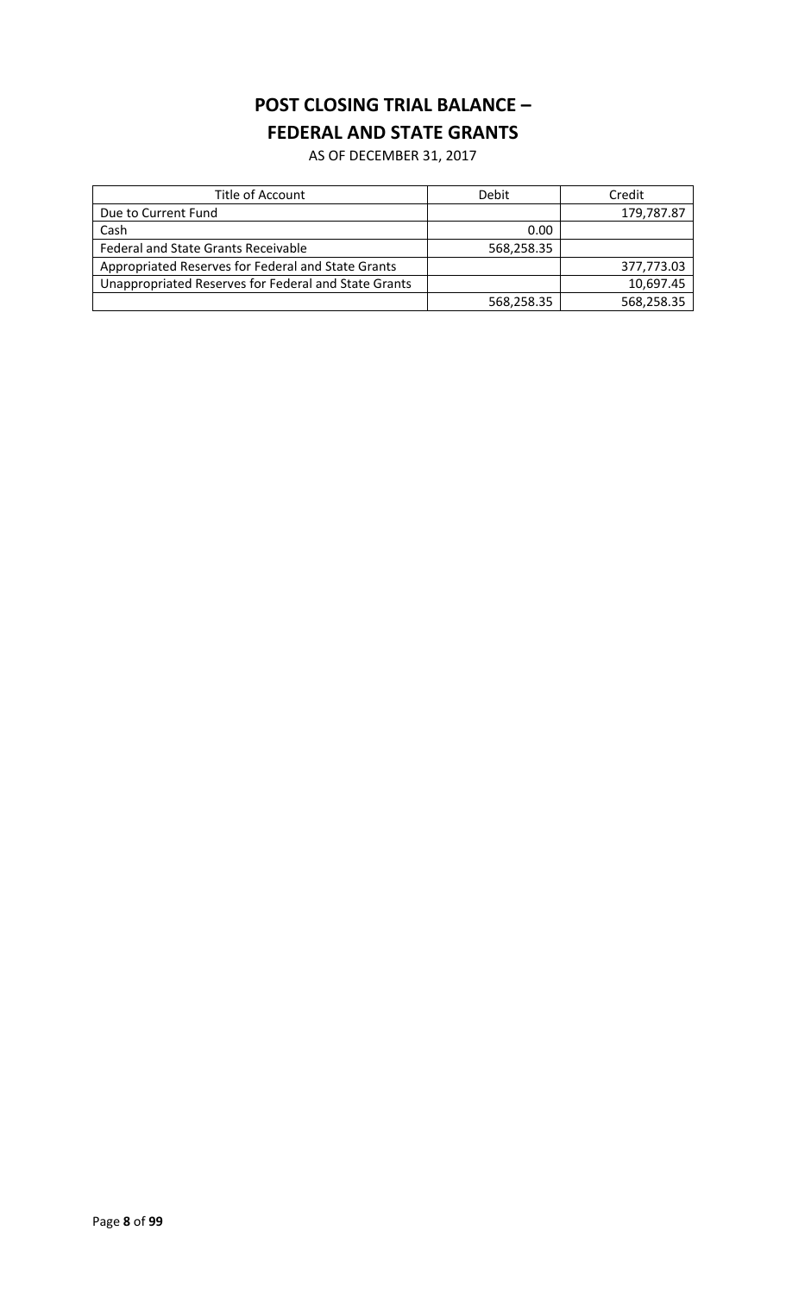# **POST CLOSING TRIAL BALANCE – FEDERAL AND STATE GRANTS**

AS OF DECEMBER 31, 2017

| Title of Account                                     | Debit      | Credit     |
|------------------------------------------------------|------------|------------|
| Due to Current Fund                                  |            | 179,787.87 |
| Cash                                                 | 0.00       |            |
| Federal and State Grants Receivable                  | 568,258.35 |            |
| Appropriated Reserves for Federal and State Grants   |            | 377,773.03 |
| Unappropriated Reserves for Federal and State Grants |            | 10,697.45  |
|                                                      | 568,258.35 | 568,258.35 |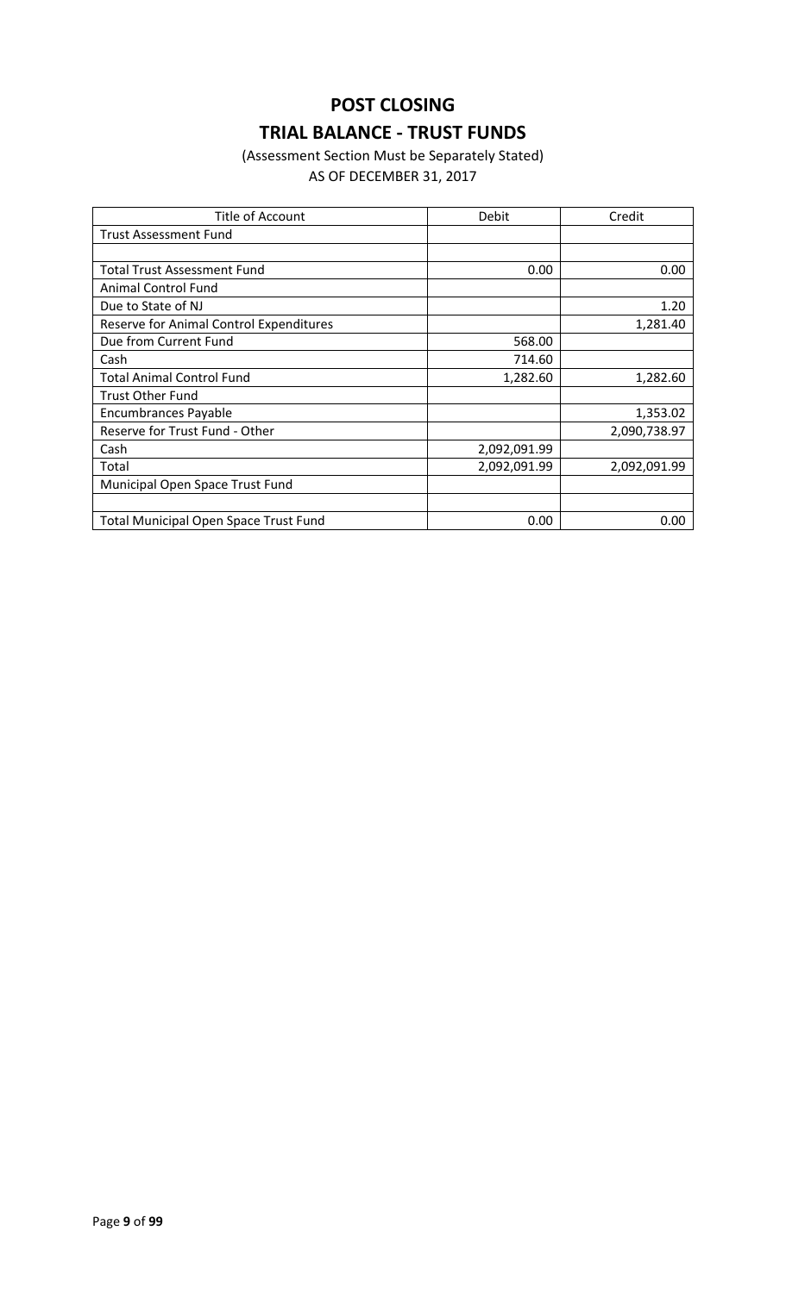# **POST CLOSING TRIAL BALANCE - TRUST FUNDS**

### (Assessment Section Must be Separately Stated) AS OF DECEMBER 31, 2017

| Title of Account                             | Debit        | Credit       |
|----------------------------------------------|--------------|--------------|
| <b>Trust Assessment Fund</b>                 |              |              |
|                                              |              |              |
| <b>Total Trust Assessment Fund</b>           | 0.00         | 0.00         |
| <b>Animal Control Fund</b>                   |              |              |
| Due to State of NJ                           |              | 1.20         |
| Reserve for Animal Control Expenditures      |              | 1,281.40     |
| Due from Current Fund                        | 568.00       |              |
| Cash                                         | 714.60       |              |
| <b>Total Animal Control Fund</b>             | 1,282.60     | 1,282.60     |
| <b>Trust Other Fund</b>                      |              |              |
| <b>Encumbrances Payable</b>                  |              | 1,353.02     |
| Reserve for Trust Fund - Other               |              | 2,090,738.97 |
| Cash                                         | 2,092,091.99 |              |
| Total                                        | 2,092,091.99 | 2,092,091.99 |
| Municipal Open Space Trust Fund              |              |              |
|                                              |              |              |
| <b>Total Municipal Open Space Trust Fund</b> | 0.00         | 0.00         |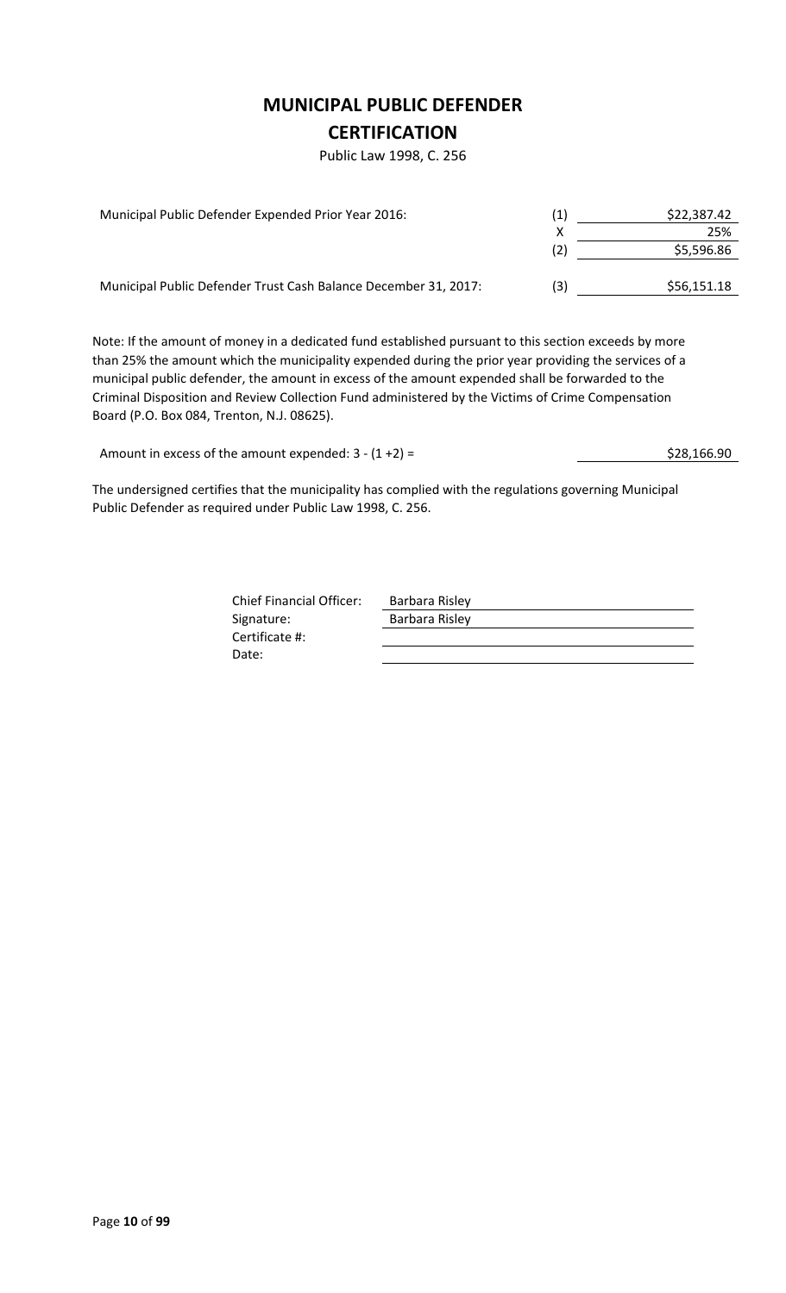## **MUNICIPAL PUBLIC DEFENDER**

### **CERTIFICATION**

Public Law 1998, C. 256

| Municipal Public Defender Expended Prior Year 2016:             | (1) | \$22,387.42 |
|-----------------------------------------------------------------|-----|-------------|
|                                                                 |     | 25%         |
|                                                                 | (2) | \$5,596.86  |
|                                                                 |     |             |
| Municipal Public Defender Trust Cash Balance December 31, 2017: | (3) | \$56,151.18 |

Note: If the amount of money in a dedicated fund established pursuant to this section exceeds by more than 25% the amount which the municipality expended during the prior year providing the services of a municipal public defender, the amount in excess of the amount expended shall be forwarded to the Criminal Disposition and Review Collection Fund administered by the Victims of Crime Compensation Board (P.O. Box 084, Trenton, N.J. 08625).

Amount in excess of the amount expended:  $3 - (1 + 2) =$ <br>\$28,166.90

The undersigned certifies that the municipality has complied with the regulations governing Municipal Public Defender as required under Public Law 1998, C. 256.

> Chief Financial Officer: Barbara Risley Signature: Barbara Risley Certificate #: Date: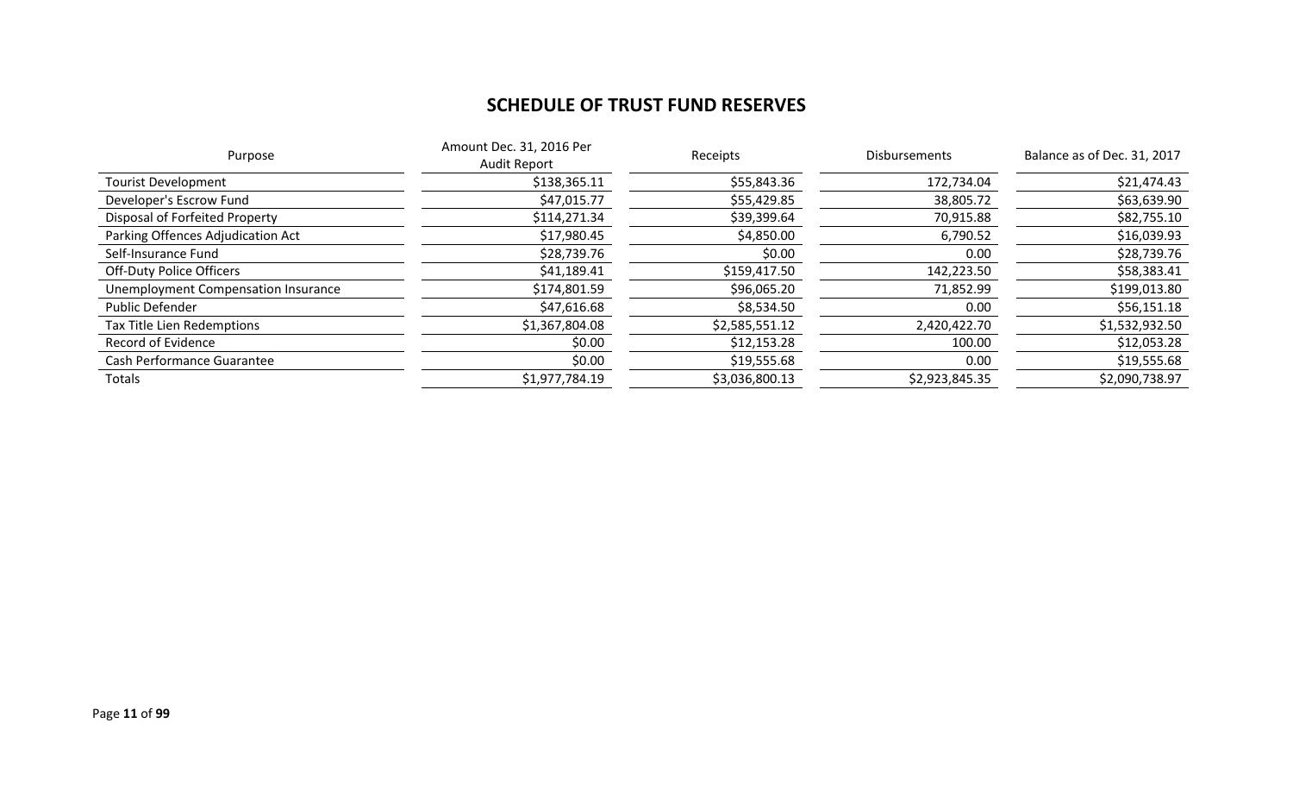# **SCHEDULE OF TRUST FUND RESERVES**

| Amount Dec. 31, 2016 Per<br>Purpose<br><b>Audit Report</b> |                | Receipts       | Disbursements  | Balance as of Dec. 31, 2017 |
|------------------------------------------------------------|----------------|----------------|----------------|-----------------------------|
| <b>Tourist Development</b>                                 | \$138,365.11   | \$55,843.36    | 172,734.04     | \$21,474.43                 |
| Developer's Escrow Fund                                    | \$47,015.77    | \$55,429.85    | 38,805.72      | \$63,639.90                 |
| Disposal of Forfeited Property                             | \$114,271.34   | \$39,399.64    | 70,915.88      | \$82,755.10                 |
| Parking Offences Adjudication Act                          | \$17,980.45    | \$4,850.00     | 6,790.52       | \$16,039.93                 |
| Self-Insurance Fund                                        | \$28,739.76    | \$0.00         | 0.00           | \$28,739.76                 |
| <b>Off-Duty Police Officers</b>                            | \$41,189.41    | \$159,417.50   | 142,223.50     | \$58,383.41                 |
| <b>Unemployment Compensation Insurance</b>                 | \$174,801.59   | \$96,065.20    | 71,852.99      | \$199,013.80                |
| <b>Public Defender</b>                                     | \$47,616.68    | \$8,534.50     | 0.00           | \$56,151.18                 |
| <b>Tax Title Lien Redemptions</b>                          | \$1,367,804.08 | \$2,585,551.12 | 2,420,422.70   | \$1,532,932.50              |
| Record of Evidence                                         | \$0.00         | \$12,153.28    | 100.00         | \$12,053.28                 |
| <b>Cash Performance Guarantee</b>                          | \$0.00         | \$19,555.68    | 0.00           | \$19,555.68                 |
| Totals                                                     | \$1,977,784.19 | \$3,036,800.13 | \$2,923,845.35 | \$2,090,738.97              |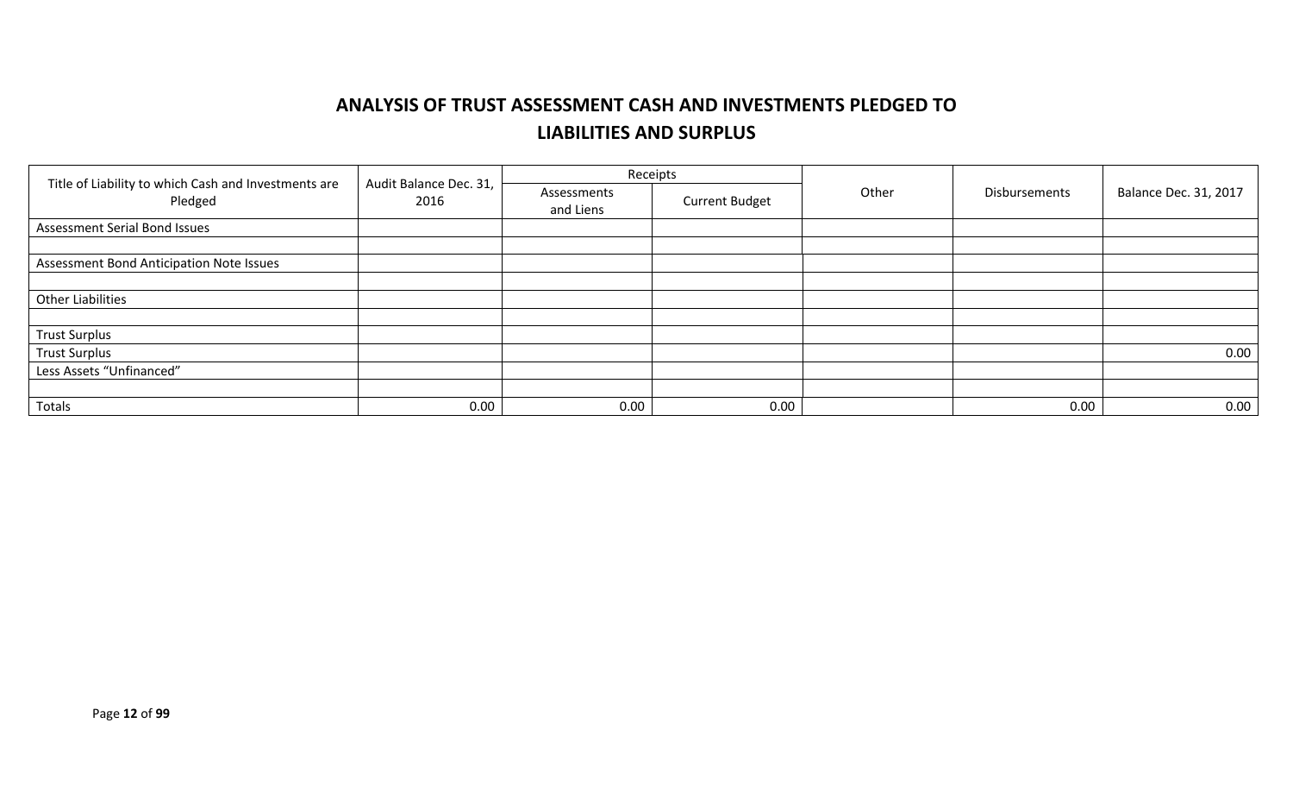# **ANALYSIS OF TRUST ASSESSMENT CASH AND INVESTMENTS PLEDGED TO LIABILITIES AND SURPLUS**

|                                                                 |                                |                          | Receipts              |       |                      |                              |
|-----------------------------------------------------------------|--------------------------------|--------------------------|-----------------------|-------|----------------------|------------------------------|
| Title of Liability to which Cash and Investments are<br>Pledged | Audit Balance Dec. 31,<br>2016 | Assessments<br>and Liens | <b>Current Budget</b> | Other | <b>Disbursements</b> | <b>Balance Dec. 31, 2017</b> |
| <b>Assessment Serial Bond Issues</b>                            |                                |                          |                       |       |                      |                              |
|                                                                 |                                |                          |                       |       |                      |                              |
| Assessment Bond Anticipation Note Issues                        |                                |                          |                       |       |                      |                              |
|                                                                 |                                |                          |                       |       |                      |                              |
| <b>Other Liabilities</b>                                        |                                |                          |                       |       |                      |                              |
|                                                                 |                                |                          |                       |       |                      |                              |
| <b>Trust Surplus</b>                                            |                                |                          |                       |       |                      |                              |
| <b>Trust Surplus</b>                                            |                                |                          |                       |       |                      | 0.00                         |
| Less Assets "Unfinanced"                                        |                                |                          |                       |       |                      |                              |
|                                                                 |                                |                          |                       |       |                      |                              |
| Totals                                                          | 0.00                           | 0.00                     | 0.00                  |       | 0.00                 | 0.00                         |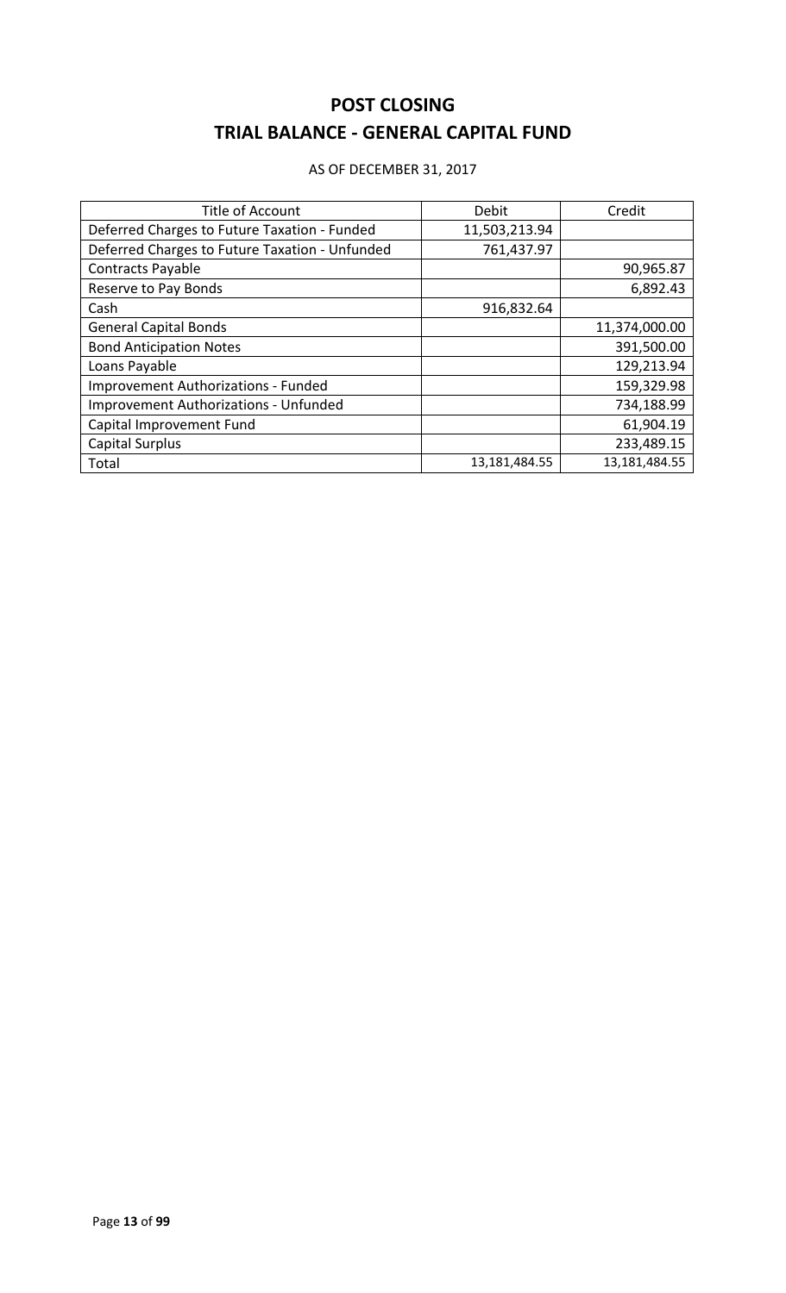# **POST CLOSING TRIAL BALANCE - GENERAL CAPITAL FUND**

#### AS OF DECEMBER 31, 2017

| <b>Title of Account</b>                        | Debit         | Credit        |
|------------------------------------------------|---------------|---------------|
| Deferred Charges to Future Taxation - Funded   | 11,503,213.94 |               |
| Deferred Charges to Future Taxation - Unfunded | 761,437.97    |               |
| Contracts Payable                              |               | 90,965.87     |
| Reserve to Pay Bonds                           |               | 6,892.43      |
| Cash                                           | 916,832.64    |               |
| <b>General Capital Bonds</b>                   |               | 11,374,000.00 |
| <b>Bond Anticipation Notes</b>                 |               | 391,500.00    |
| Loans Payable                                  |               | 129,213.94    |
| <b>Improvement Authorizations - Funded</b>     |               | 159,329.98    |
| <b>Improvement Authorizations - Unfunded</b>   |               | 734,188.99    |
| Capital Improvement Fund                       |               | 61,904.19     |
| <b>Capital Surplus</b>                         |               | 233,489.15    |
| Total                                          | 13,181,484.55 | 13,181,484.55 |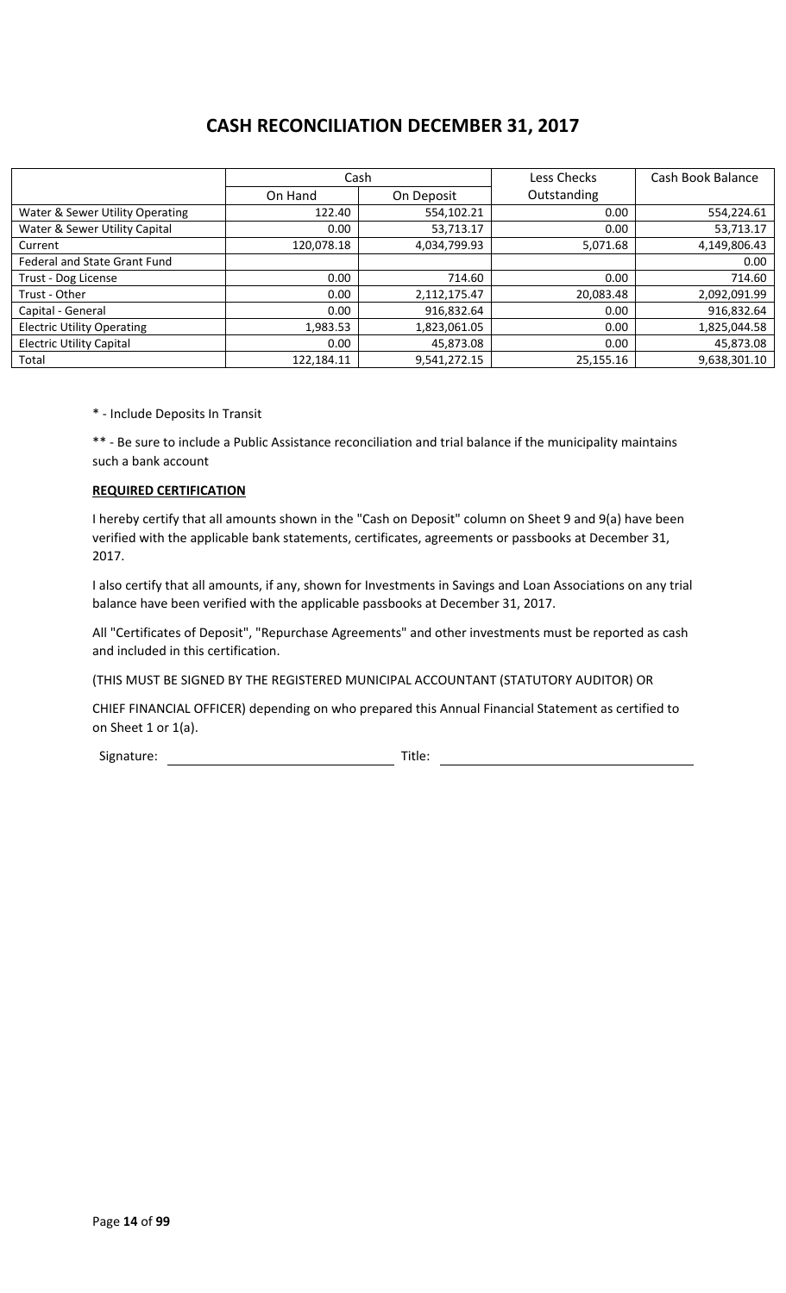# **CASH RECONCILIATION DECEMBER 31, 2017**

|                                     | Cash       |              | Less Checks | Cash Book Balance |
|-------------------------------------|------------|--------------|-------------|-------------------|
|                                     | On Hand    | On Deposit   | Outstanding |                   |
| Water & Sewer Utility Operating     | 122.40     | 554,102.21   | 0.00        | 554,224.61        |
| Water & Sewer Utility Capital       | 0.00       | 53,713.17    | 0.00        | 53,713.17         |
| Current                             | 120,078.18 | 4,034,799.93 | 5,071.68    | 4,149,806.43      |
| <b>Federal and State Grant Fund</b> |            |              |             | 0.00              |
| Trust - Dog License                 | 0.00       | 714.60       | 0.00        | 714.60            |
| Trust - Other                       | 0.00       | 2,112,175.47 | 20,083.48   | 2,092,091.99      |
| Capital - General                   | 0.00       | 916,832.64   | 0.00        | 916,832.64        |
| <b>Electric Utility Operating</b>   | 1,983.53   | 1,823,061.05 | 0.00        | 1,825,044.58      |
| <b>Electric Utility Capital</b>     | 0.00       | 45,873.08    | 0.00        | 45,873.08         |
| Total                               | 122,184.11 | 9,541,272.15 | 25,155.16   | 9,638,301.10      |

\* - Include Deposits In Transit

\*\* - Be sure to include a Public Assistance reconciliation and trial balance if the municipality maintains such a bank account

#### **REQUIRED CERTIFICATION**

I hereby certify that all amounts shown in the "Cash on Deposit" column on Sheet 9 and 9(a) have been verified with the applicable bank statements, certificates, agreements or passbooks at December 31, 2017.

I also certify that all amounts, if any, shown for Investments in Savings and Loan Associations on any trial balance have been verified with the applicable passbooks at December 31, 2017.

All "Certificates of Deposit", "Repurchase Agreements" and other investments must be reported as cash and included in this certification.

(THIS MUST BE SIGNED BY THE REGISTERED MUNICIPAL ACCOUNTANT (STATUTORY AUDITOR) OR

CHIEF FINANCIAL OFFICER) depending on who prepared this Annual Financial Statement as certified to on Sheet 1 or 1(a).

Signature: Title: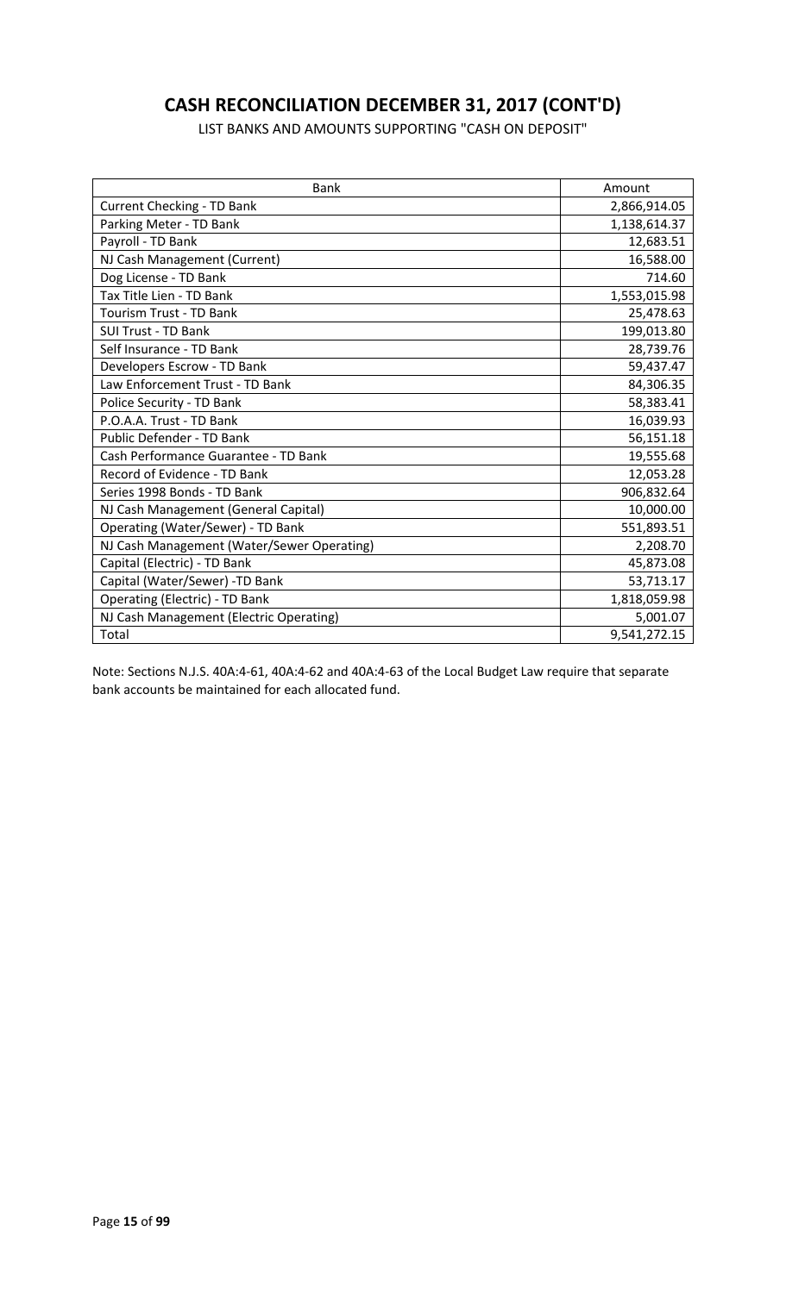# **CASH RECONCILIATION DECEMBER 31, 2017 (CONT'D)**

LIST BANKS AND AMOUNTS SUPPORTING "CASH ON DEPOSIT"

| <b>Bank</b>                                | Amount       |
|--------------------------------------------|--------------|
| <b>Current Checking - TD Bank</b>          | 2,866,914.05 |
| Parking Meter - TD Bank                    | 1,138,614.37 |
| Payroll - TD Bank                          | 12,683.51    |
| NJ Cash Management (Current)               | 16,588.00    |
| Dog License - TD Bank                      | 714.60       |
| Tax Title Lien - TD Bank                   | 1,553,015.98 |
| <b>Tourism Trust - TD Bank</b>             | 25,478.63    |
| <b>SUI Trust - TD Bank</b>                 | 199,013.80   |
| Self Insurance - TD Bank                   | 28,739.76    |
| Developers Escrow - TD Bank                | 59,437.47    |
| Law Enforcement Trust - TD Bank            | 84,306.35    |
| Police Security - TD Bank                  | 58,383.41    |
| P.O.A.A. Trust - TD Bank                   | 16,039.93    |
| Public Defender - TD Bank                  | 56,151.18    |
| Cash Performance Guarantee - TD Bank       | 19,555.68    |
| Record of Evidence - TD Bank               | 12,053.28    |
| Series 1998 Bonds - TD Bank                | 906,832.64   |
| NJ Cash Management (General Capital)       | 10,000.00    |
| Operating (Water/Sewer) - TD Bank          | 551,893.51   |
| NJ Cash Management (Water/Sewer Operating) | 2,208.70     |
| Capital (Electric) - TD Bank               | 45,873.08    |
| Capital (Water/Sewer) -TD Bank             | 53,713.17    |
| Operating (Electric) - TD Bank             | 1,818,059.98 |
| NJ Cash Management (Electric Operating)    | 5,001.07     |
| Total                                      | 9,541,272.15 |

Note: Sections N.J.S. 40A:4-61, 40A:4-62 and 40A:4-63 of the Local Budget Law require that separate bank accounts be maintained for each allocated fund.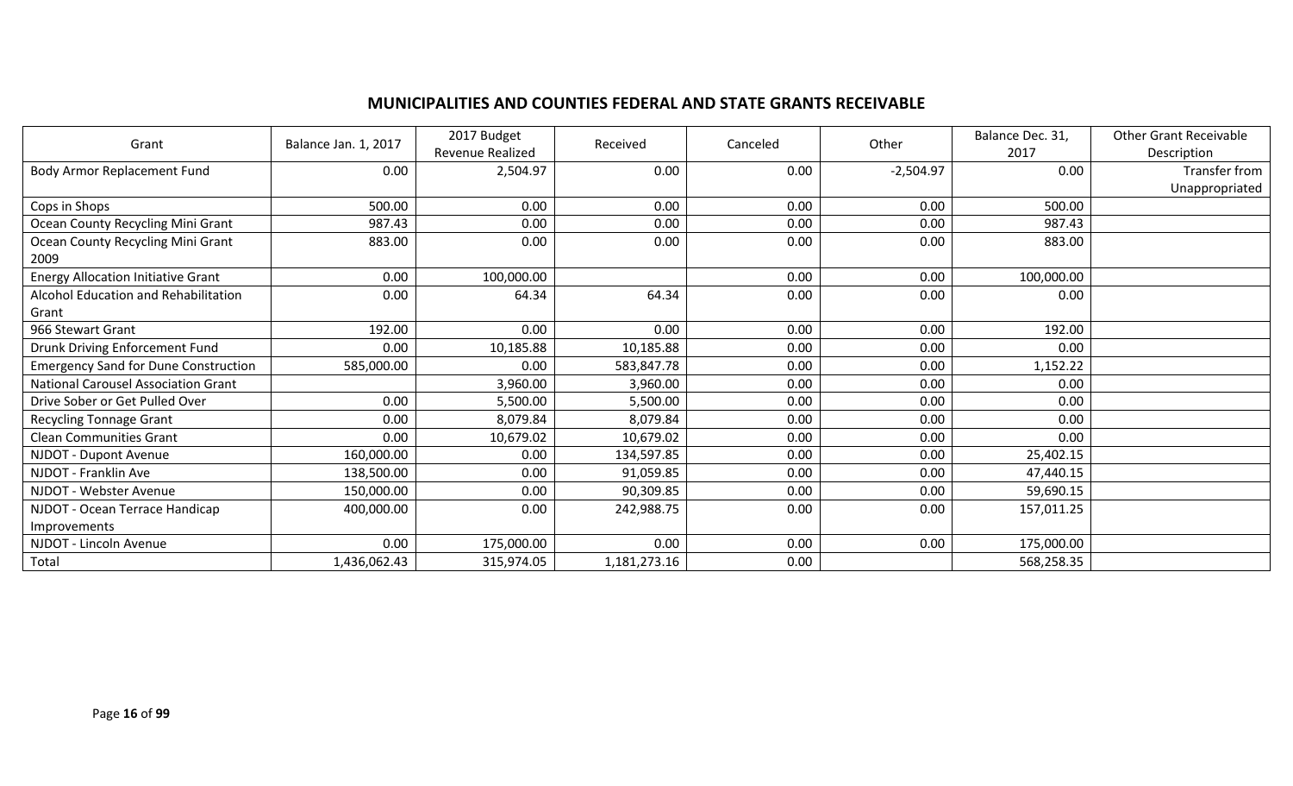## **MUNICIPALITIES AND COUNTIES FEDERAL AND STATE GRANTS RECEIVABLE**

| Grant                                       | Balance Jan. 1, 2017 | 2017 Budget<br>Revenue Realized | Received     | Canceled | Other       | Balance Dec. 31,<br>2017 | <b>Other Grant Receivable</b><br>Description |
|---------------------------------------------|----------------------|---------------------------------|--------------|----------|-------------|--------------------------|----------------------------------------------|
| Body Armor Replacement Fund                 | 0.00                 | 2,504.97                        | 0.00         | 0.00     | $-2,504.97$ | 0.00                     | Transfer from<br>Unappropriated              |
| Cops in Shops                               | 500.00               | 0.00                            | 0.00         | 0.00     | 0.00        | 500.00                   |                                              |
| Ocean County Recycling Mini Grant           | 987.43               | 0.00                            | 0.00         | 0.00     | 0.00        | 987.43                   |                                              |
| Ocean County Recycling Mini Grant<br>2009   | 883.00               | 0.00                            | 0.00         | 0.00     | 0.00        | 883.00                   |                                              |
| <b>Energy Allocation Initiative Grant</b>   | 0.00                 | 100,000.00                      |              | 0.00     | 0.00        | 100,000.00               |                                              |
| Alcohol Education and Rehabilitation        | 0.00                 | 64.34                           | 64.34        | 0.00     | 0.00        | 0.00                     |                                              |
| Grant                                       |                      |                                 |              |          |             |                          |                                              |
| 966 Stewart Grant                           | 192.00               | 0.00                            | 0.00         | 0.00     | 0.00        | 192.00                   |                                              |
| Drunk Driving Enforcement Fund              | 0.00                 | 10,185.88                       | 10,185.88    | 0.00     | 0.00        | 0.00                     |                                              |
| <b>Emergency Sand for Dune Construction</b> | 585,000.00           | 0.00                            | 583,847.78   | 0.00     | 0.00        | 1,152.22                 |                                              |
| <b>National Carousel Association Grant</b>  |                      | 3,960.00                        | 3,960.00     | 0.00     | 0.00        | 0.00                     |                                              |
| Drive Sober or Get Pulled Over              | 0.00                 | 5,500.00                        | 5,500.00     | 0.00     | 0.00        | 0.00                     |                                              |
| <b>Recycling Tonnage Grant</b>              | 0.00                 | 8,079.84                        | 8,079.84     | 0.00     | 0.00        | 0.00                     |                                              |
| <b>Clean Communities Grant</b>              | 0.00                 | 10,679.02                       | 10,679.02    | 0.00     | 0.00        | 0.00                     |                                              |
| NJDOT - Dupont Avenue                       | 160,000.00           | 0.00                            | 134,597.85   | 0.00     | 0.00        | 25,402.15                |                                              |
| NJDOT - Franklin Ave                        | 138,500.00           | 0.00                            | 91,059.85    | 0.00     | 0.00        | 47,440.15                |                                              |
| NJDOT - Webster Avenue                      | 150,000.00           | 0.00                            | 90,309.85    | 0.00     | 0.00        | 59,690.15                |                                              |
| NJDOT - Ocean Terrace Handicap              | 400,000.00           | 0.00                            | 242,988.75   | 0.00     | 0.00        | 157,011.25               |                                              |
| Improvements                                |                      |                                 |              |          |             |                          |                                              |
| NJDOT - Lincoln Avenue                      | 0.00                 | 175,000.00                      | 0.00         | 0.00     | 0.00        | 175,000.00               |                                              |
| Total                                       | 1,436,062.43         | 315,974.05                      | 1,181,273.16 | 0.00     |             | 568,258.35               |                                              |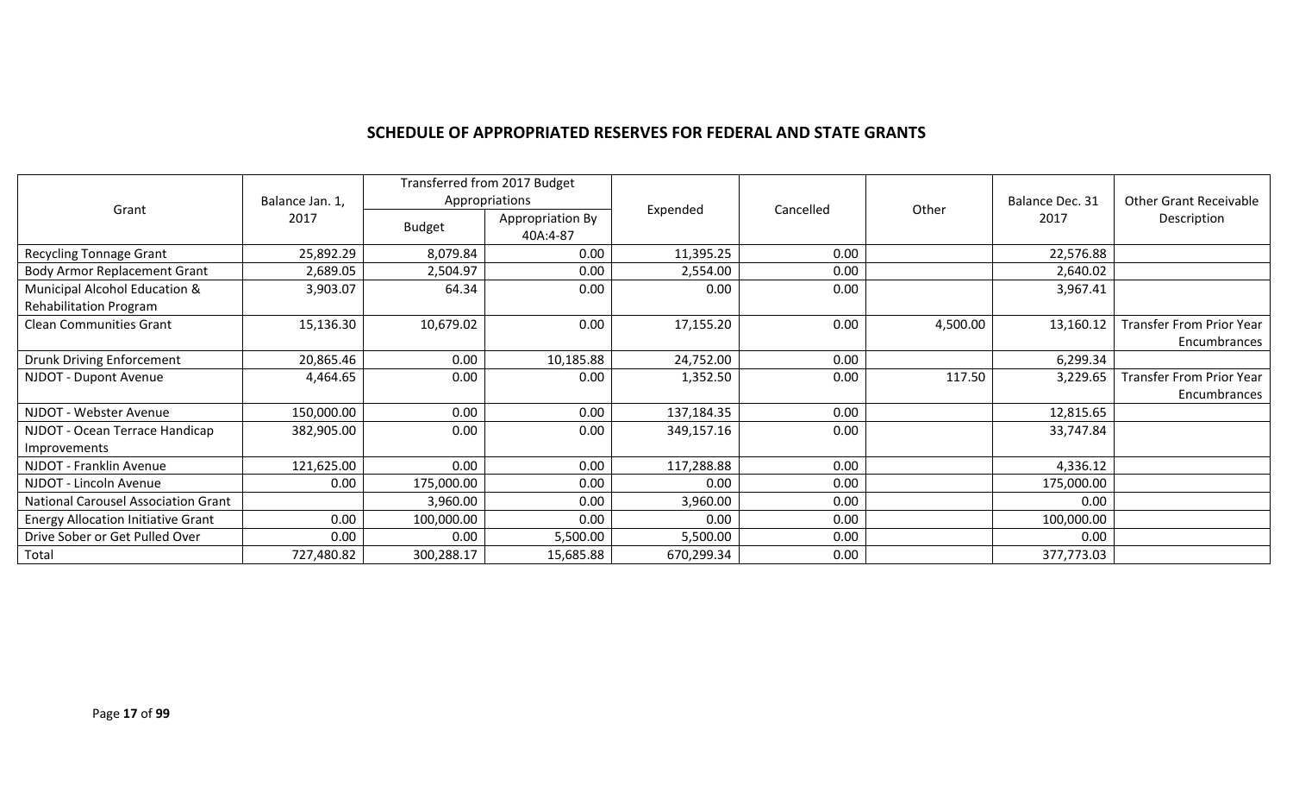#### **SCHEDULE OF APPROPRIATED RESERVES FOR FEDERAL AND STATE GRANTS**

|                                           | Balance Jan. 1, | Transferred from 2017 Budget<br>Appropriations |                              |            |      |                            | Balance Dec. 31 | <b>Other Grant Receivable</b>   |
|-------------------------------------------|-----------------|------------------------------------------------|------------------------------|------------|------|----------------------------|-----------------|---------------------------------|
| Grant                                     | 2017            | <b>Budget</b>                                  | Appropriation By<br>40A:4-87 | Expended   |      | Cancelled<br>Other<br>2017 |                 | Description                     |
| <b>Recycling Tonnage Grant</b>            | 25,892.29       | 8,079.84                                       | 0.00                         | 11,395.25  | 0.00 |                            | 22,576.88       |                                 |
| <b>Body Armor Replacement Grant</b>       | 2,689.05        | 2,504.97                                       | 0.00                         | 2,554.00   | 0.00 |                            | 2,640.02        |                                 |
| Municipal Alcohol Education &             | 3,903.07        | 64.34                                          | 0.00                         | 0.00       | 0.00 |                            | 3,967.41        |                                 |
| Rehabilitation Program                    |                 |                                                |                              |            |      |                            |                 |                                 |
| <b>Clean Communities Grant</b>            | 15,136.30       | 10,679.02                                      | 0.00                         | 17,155.20  | 0.00 | 4,500.00                   | 13,160.12       | <b>Transfer From Prior Year</b> |
|                                           |                 |                                                |                              |            |      |                            |                 | Encumbrances                    |
| <b>Drunk Driving Enforcement</b>          | 20,865.46       | 0.00                                           | 10,185.88                    | 24,752.00  | 0.00 |                            | 6,299.34        |                                 |
| NJDOT - Dupont Avenue                     | 4,464.65        | 0.00                                           | 0.00                         | 1,352.50   | 0.00 | 117.50                     | 3,229.65        | <b>Transfer From Prior Year</b> |
|                                           |                 |                                                |                              |            |      |                            |                 | Encumbrances                    |
| NJDOT - Webster Avenue                    | 150,000.00      | 0.00                                           | 0.00                         | 137,184.35 | 0.00 |                            | 12,815.65       |                                 |
| NJDOT - Ocean Terrace Handicap            | 382,905.00      | 0.00                                           | 0.00                         | 349,157.16 | 0.00 |                            | 33,747.84       |                                 |
| <b>Improvements</b>                       |                 |                                                |                              |            |      |                            |                 |                                 |
| NJDOT - Franklin Avenue                   | 121,625.00      | 0.00                                           | 0.00                         | 117,288.88 | 0.00 |                            | 4,336.12        |                                 |
| NJDOT - Lincoln Avenue                    | 0.00            | 175,000.00                                     | 0.00                         | 0.00       | 0.00 |                            | 175,000.00      |                                 |
| National Carousel Association Grant       |                 | 3,960.00                                       | 0.00                         | 3,960.00   | 0.00 |                            | 0.00            |                                 |
| <b>Energy Allocation Initiative Grant</b> | 0.00            | 100,000.00                                     | 0.00                         | 0.00       | 0.00 |                            | 100,000.00      |                                 |
| Drive Sober or Get Pulled Over            | 0.00            | 0.00                                           | 5,500.00                     | 5,500.00   | 0.00 |                            | 0.00            |                                 |
| Total                                     | 727,480.82      | 300,288.17                                     | 15,685.88                    | 670,299.34 | 0.00 |                            | 377,773.03      |                                 |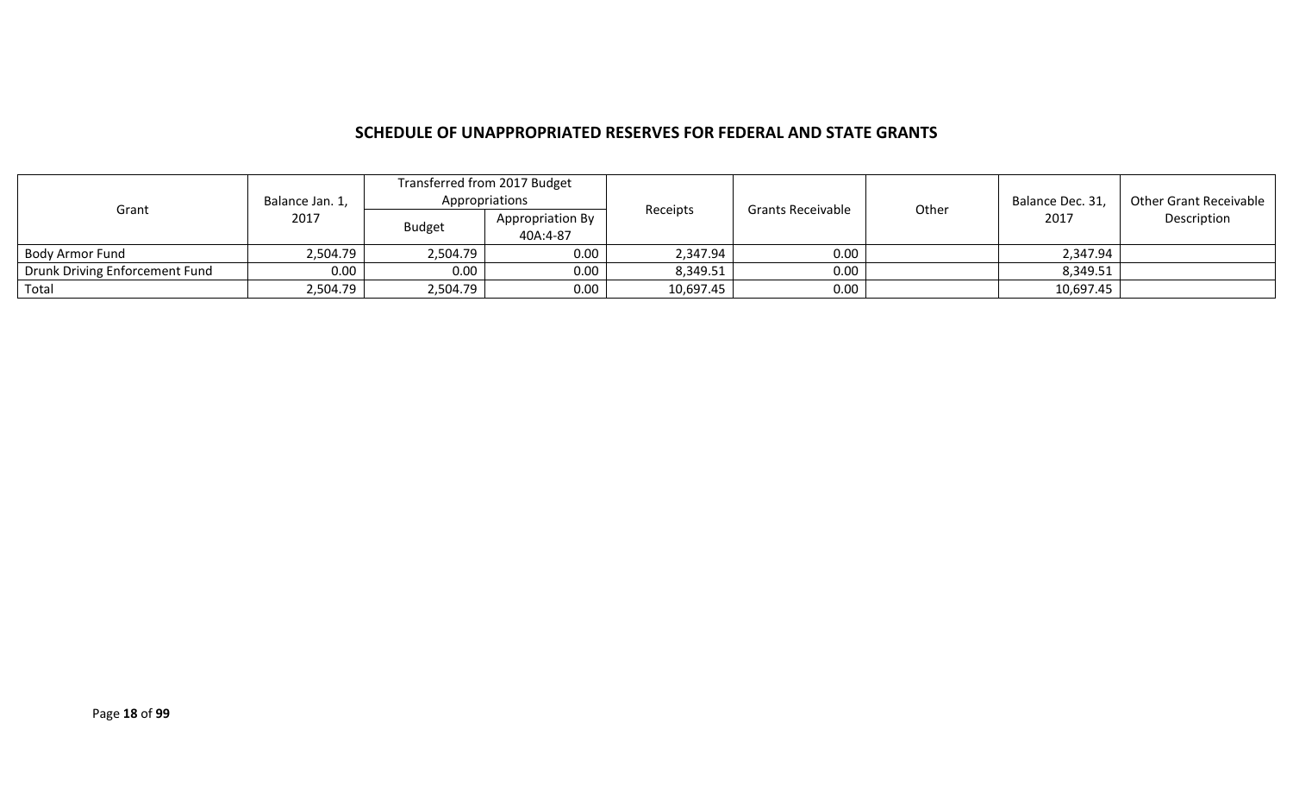#### **SCHEDULE OF UNAPPROPRIATED RESERVES FOR FEDERAL AND STATE GRANTS**

| Grant                          | Balance Jan. 1, | Transferred from 2017 Budget<br>Appropriations |                              |           | Receipts<br><b>Grants Receivable</b> |       | Balance Dec. 31, | Other Grant Receivable |
|--------------------------------|-----------------|------------------------------------------------|------------------------------|-----------|--------------------------------------|-------|------------------|------------------------|
|                                | 2017            | <b>Budget</b>                                  | Appropriation By<br>40A:4-87 |           |                                      | Other | 2017             | Description            |
| Body Armor Fund                | 2,504.79        | 2,504.79                                       | 0.00                         | 2,347.94  | 0.00                                 |       | 2,347.94         |                        |
| Drunk Driving Enforcement Fund | 0.00            | 0.00                                           | 0.00                         | 8,349.51  | 0.00                                 |       | 8,349.51         |                        |
| Total                          | 2,504.79        | 2,504.79                                       | 0.00                         | 10,697.45 | 0.00                                 |       | 10,697.45        |                        |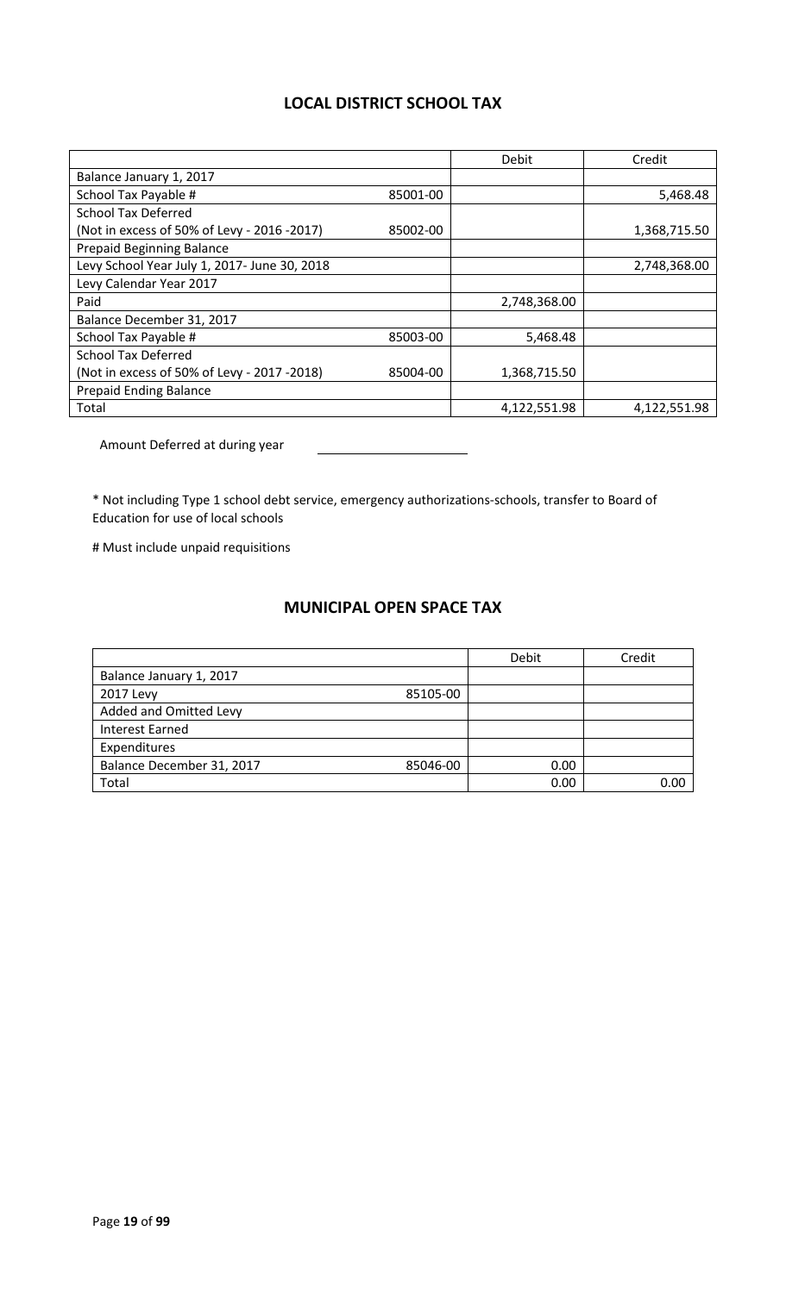## **LOCAL DISTRICT SCHOOL TAX**

|                                              |          | Debit        | Credit       |
|----------------------------------------------|----------|--------------|--------------|
| Balance January 1, 2017                      |          |              |              |
| School Tax Payable #                         | 85001-00 |              | 5,468.48     |
| <b>School Tax Deferred</b>                   |          |              |              |
| (Not in excess of 50% of Levy - 2016 -2017)  | 85002-00 |              | 1,368,715.50 |
| <b>Prepaid Beginning Balance</b>             |          |              |              |
| Levy School Year July 1, 2017- June 30, 2018 |          |              | 2,748,368.00 |
| Levy Calendar Year 2017                      |          |              |              |
| Paid                                         |          | 2,748,368.00 |              |
| Balance December 31, 2017                    |          |              |              |
| School Tax Payable #                         | 85003-00 | 5,468.48     |              |
| <b>School Tax Deferred</b>                   |          |              |              |
| (Not in excess of 50% of Levy - 2017 -2018)  | 85004-00 | 1,368,715.50 |              |
| <b>Prepaid Ending Balance</b>                |          |              |              |
| Total                                        |          | 4,122,551.98 | 4,122,551.98 |

Amount Deferred at during year

\* Not including Type 1 school debt service, emergency authorizations-schools, transfer to Board of Education for use of local schools

# Must include unpaid requisitions

# **MUNICIPAL OPEN SPACE TAX**

|                                       | Debit | Credit |
|---------------------------------------|-------|--------|
| Balance January 1, 2017               |       |        |
| 85105-00<br>2017 Levy                 |       |        |
| Added and Omitted Levy                |       |        |
| <b>Interest Earned</b>                |       |        |
| Expenditures                          |       |        |
| Balance December 31, 2017<br>85046-00 | 0.00  |        |
| Total                                 | 0.00  | റ ററ   |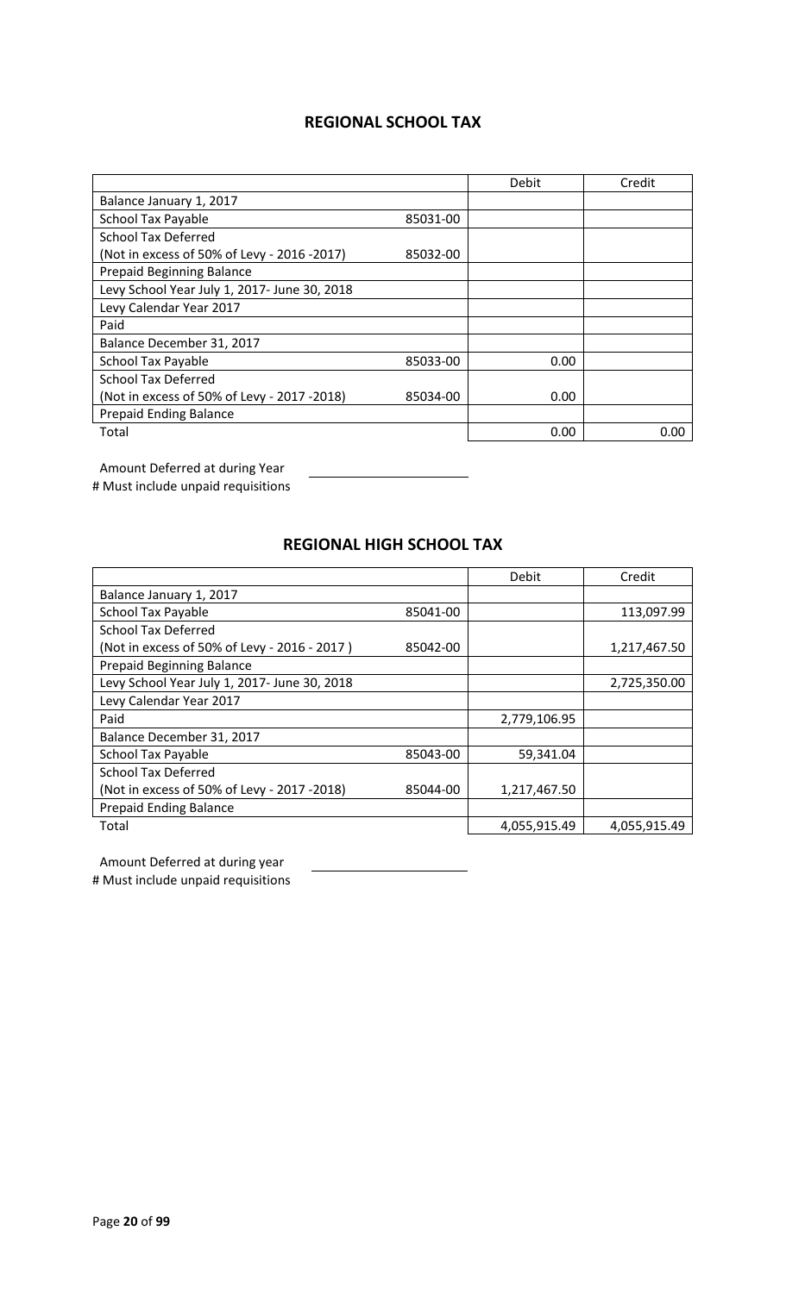## **REGIONAL SCHOOL TAX**

|                                              |          | Debit | Credit |
|----------------------------------------------|----------|-------|--------|
| Balance January 1, 2017                      |          |       |        |
| <b>School Tax Payable</b>                    | 85031-00 |       |        |
| <b>School Tax Deferred</b>                   |          |       |        |
| (Not in excess of 50% of Levy - 2016 -2017)  | 85032-00 |       |        |
| <b>Prepaid Beginning Balance</b>             |          |       |        |
| Levy School Year July 1, 2017- June 30, 2018 |          |       |        |
| Levy Calendar Year 2017                      |          |       |        |
| Paid                                         |          |       |        |
| Balance December 31, 2017                    |          |       |        |
| <b>School Tax Payable</b>                    | 85033-00 | 0.00  |        |
| <b>School Tax Deferred</b>                   |          |       |        |
| (Not in excess of 50% of Levy - 2017 -2018)  | 85034-00 | 0.00  |        |
| <b>Prepaid Ending Balance</b>                |          |       |        |
| Total                                        |          | 0.00  | 0.00   |

Amount Deferred at during Year

# Must include unpaid requisitions

### **REGIONAL HIGH SCHOOL TAX**

|                                              |          | Debit        | Credit       |
|----------------------------------------------|----------|--------------|--------------|
| Balance January 1, 2017                      |          |              |              |
| <b>School Tax Payable</b>                    | 85041-00 |              | 113,097.99   |
| <b>School Tax Deferred</b>                   |          |              |              |
| (Not in excess of 50% of Levy - 2016 - 2017) | 85042-00 |              | 1,217,467.50 |
| <b>Prepaid Beginning Balance</b>             |          |              |              |
| Levy School Year July 1, 2017- June 30, 2018 |          |              | 2,725,350.00 |
| Levy Calendar Year 2017                      |          |              |              |
| Paid                                         |          | 2,779,106.95 |              |
| Balance December 31, 2017                    |          |              |              |
| <b>School Tax Payable</b>                    | 85043-00 | 59,341.04    |              |
| <b>School Tax Deferred</b>                   |          |              |              |
| (Not in excess of 50% of Levy - 2017 -2018)  | 85044-00 | 1,217,467.50 |              |
| <b>Prepaid Ending Balance</b>                |          |              |              |
| Total                                        |          | 4,055,915.49 | 4,055,915.49 |

Amount Deferred at during year

# Must include unpaid requisitions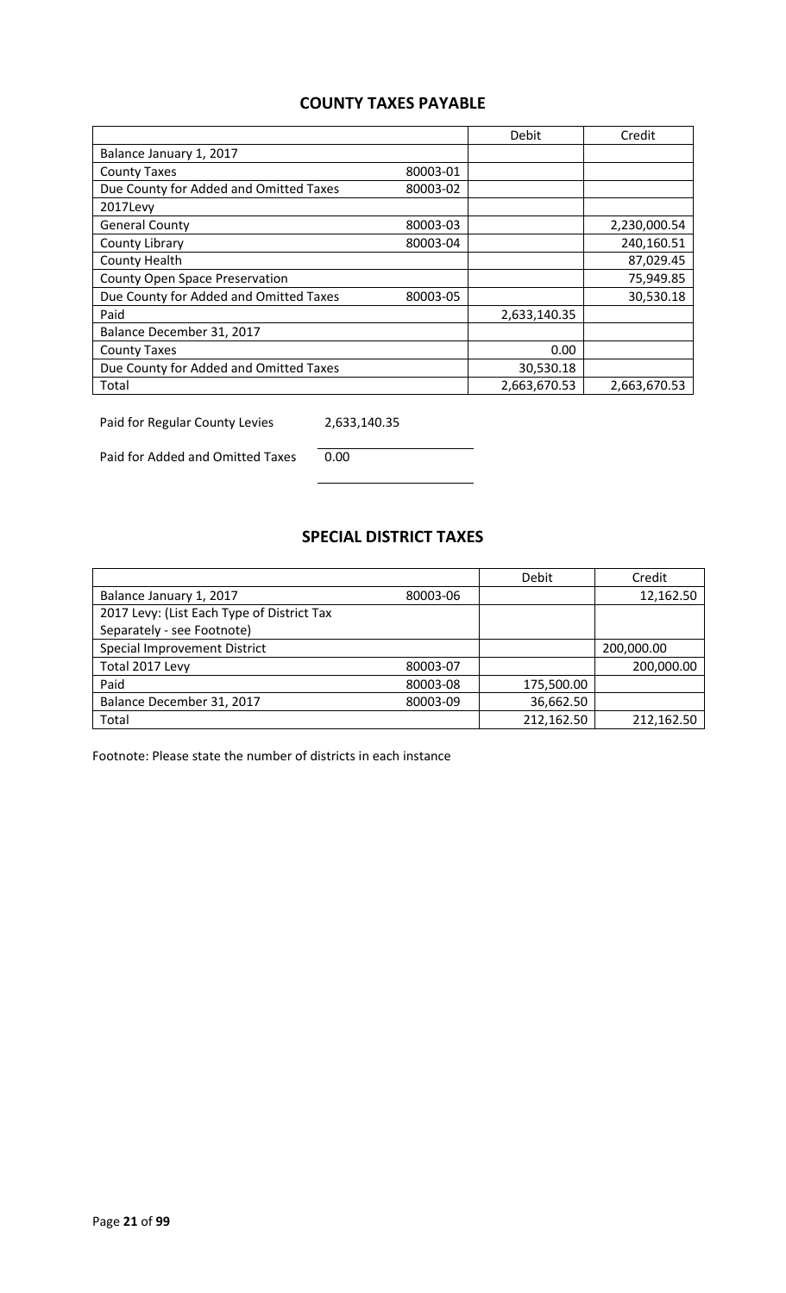## **COUNTY TAXES PAYABLE**

|                                        |          | Debit        | Credit       |
|----------------------------------------|----------|--------------|--------------|
| Balance January 1, 2017                |          |              |              |
| <b>County Taxes</b>                    | 80003-01 |              |              |
| Due County for Added and Omitted Taxes | 80003-02 |              |              |
| 2017Levy                               |          |              |              |
| <b>General County</b>                  | 80003-03 |              | 2,230,000.54 |
| County Library                         | 80003-04 |              | 240,160.51   |
| County Health                          |          |              | 87,029.45    |
| <b>County Open Space Preservation</b>  |          |              | 75,949.85    |
| Due County for Added and Omitted Taxes | 80003-05 |              | 30,530.18    |
| Paid                                   |          | 2,633,140.35 |              |
| Balance December 31, 2017              |          |              |              |
| <b>County Taxes</b>                    |          | 0.00         |              |
| Due County for Added and Omitted Taxes |          | 30,530.18    |              |
| Total                                  |          | 2,663,670.53 | 2,663,670.53 |

Paid for Regular County Levies 2,633,140.35

Paid for Added and Omitted Taxes 0.00

### **SPECIAL DISTRICT TAXES**

|                                            |          | Debit      | Credit     |
|--------------------------------------------|----------|------------|------------|
| Balance January 1, 2017                    | 80003-06 |            | 12,162.50  |
| 2017 Levy: (List Each Type of District Tax |          |            |            |
| Separately - see Footnote)                 |          |            |            |
| Special Improvement District               |          |            | 200,000.00 |
| Total 2017 Levy                            | 80003-07 |            | 200,000.00 |
| Paid                                       | 80003-08 | 175,500.00 |            |
| Balance December 31, 2017                  | 80003-09 | 36,662.50  |            |
| Total                                      |          | 212,162.50 | 212,162.50 |

Footnote: Please state the number of districts in each instance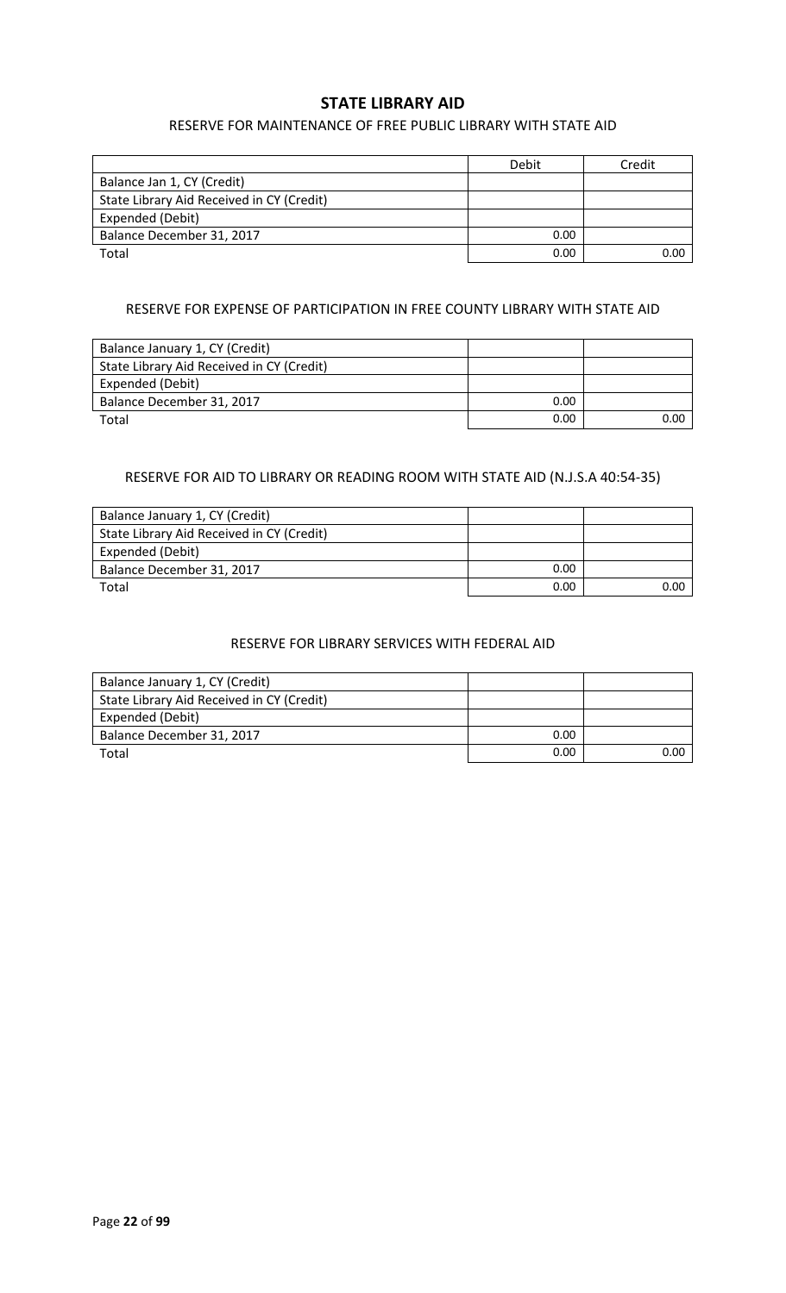#### **STATE LIBRARY AID**

#### RESERVE FOR MAINTENANCE OF FREE PUBLIC LIBRARY WITH STATE AID

|                                           | Debit | Credit |
|-------------------------------------------|-------|--------|
| Balance Jan 1, CY (Credit)                |       |        |
| State Library Aid Received in CY (Credit) |       |        |
| Expended (Debit)                          |       |        |
| Balance December 31, 2017                 | 0.00  |        |
| Total                                     | 0.00  | 0.00   |

#### RESERVE FOR EXPENSE OF PARTICIPATION IN FREE COUNTY LIBRARY WITH STATE AID

| Balance January 1, CY (Credit)            |      |      |
|-------------------------------------------|------|------|
| State Library Aid Received in CY (Credit) |      |      |
| Expended (Debit)                          |      |      |
| Balance December 31, 2017                 | 0.00 |      |
| Total                                     | 0.00 | ი იი |

#### RESERVE FOR AID TO LIBRARY OR READING ROOM WITH STATE AID (N.J.S.A 40:54-35)

| Balance January 1, CY (Credit)            |      |      |
|-------------------------------------------|------|------|
| State Library Aid Received in CY (Credit) |      |      |
| Expended (Debit)                          |      |      |
| Balance December 31, 2017                 | 0.00 |      |
| Total                                     | 0.00 | 0.00 |

#### RESERVE FOR LIBRARY SERVICES WITH FEDERAL AID

| Balance January 1, CY (Credit)            |      |      |
|-------------------------------------------|------|------|
| State Library Aid Received in CY (Credit) |      |      |
| Expended (Debit)                          |      |      |
| Balance December 31, 2017                 | 0.00 |      |
| Total                                     | 0.00 | 0.00 |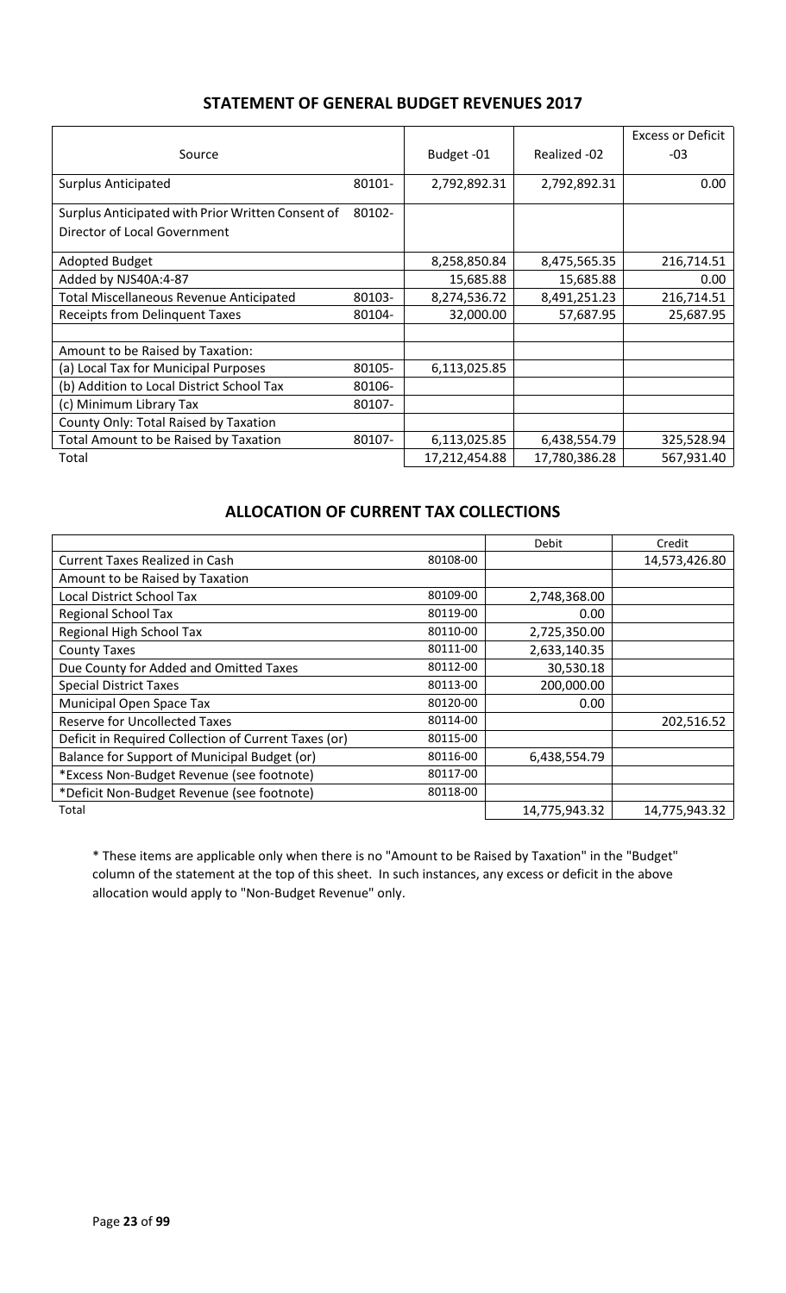### **STATEMENT OF GENERAL BUDGET REVENUES 2017**

|                                                   |        |               |               | <b>Excess or Deficit</b> |
|---------------------------------------------------|--------|---------------|---------------|--------------------------|
| Source                                            |        | Budget-01     | Realized -02  | $-03$                    |
|                                                   |        |               |               |                          |
| <b>Surplus Anticipated</b>                        | 80101- | 2,792,892.31  | 2,792,892.31  | 0.00                     |
| Surplus Anticipated with Prior Written Consent of | 80102- |               |               |                          |
| Director of Local Government                      |        |               |               |                          |
| <b>Adopted Budget</b>                             |        | 8,258,850.84  | 8,475,565.35  | 216,714.51               |
| Added by NJS40A:4-87                              |        | 15,685.88     | 15,685.88     | 0.00                     |
| <b>Total Miscellaneous Revenue Anticipated</b>    | 80103- | 8,274,536.72  | 8,491,251.23  | 216,714.51               |
| <b>Receipts from Delinquent Taxes</b>             | 80104- | 32,000.00     | 57,687.95     | 25,687.95                |
|                                                   |        |               |               |                          |
| Amount to be Raised by Taxation:                  |        |               |               |                          |
| (a) Local Tax for Municipal Purposes              | 80105- | 6,113,025.85  |               |                          |
| (b) Addition to Local District School Tax         | 80106- |               |               |                          |
| (c) Minimum Library Tax                           | 80107- |               |               |                          |
| County Only: Total Raised by Taxation             |        |               |               |                          |
| <b>Total Amount to be Raised by Taxation</b>      | 80107- | 6,113,025.85  | 6,438,554.79  | 325,528.94               |
| Total                                             |        | 17,212,454.88 | 17,780,386.28 | 567,931.40               |

## **ALLOCATION OF CURRENT TAX COLLECTIONS**

|                                                      |          | Debit             | Credit        |
|------------------------------------------------------|----------|-------------------|---------------|
| <b>Current Taxes Realized in Cash</b>                | 80108-00 |                   | 14,573,426.80 |
| Amount to be Raised by Taxation                      |          |                   |               |
| <b>Local District School Tax</b>                     | 80109-00 | 2,748,368.00      |               |
| <b>Regional School Tax</b>                           | 80119-00 | 0.00              |               |
| Regional High School Tax                             | 80110-00 | 2,725,350.00      |               |
| <b>County Taxes</b>                                  | 80111-00 | 2,633,140.35      |               |
| Due County for Added and Omitted Taxes               | 80112-00 | 30,530.18         |               |
| <b>Special District Taxes</b>                        | 80113-00 | 200,000.00        |               |
| Municipal Open Space Tax                             | 80120-00 | 0.00 <sub>1</sub> |               |
| <b>Reserve for Uncollected Taxes</b>                 | 80114-00 |                   | 202,516.52    |
| Deficit in Required Collection of Current Taxes (or) | 80115-00 |                   |               |
| Balance for Support of Municipal Budget (or)         | 80116-00 | 6,438,554.79      |               |
| *Excess Non-Budget Revenue (see footnote)            | 80117-00 |                   |               |
| *Deficit Non-Budget Revenue (see footnote)           | 80118-00 |                   |               |
| Total                                                |          | 14,775,943.32     | 14,775,943.32 |

\* These items are applicable only when there is no "Amount to be Raised by Taxation" in the "Budget" column of the statement at the top of this sheet. In such instances, any excess or deficit in the above allocation would apply to "Non-Budget Revenue" only.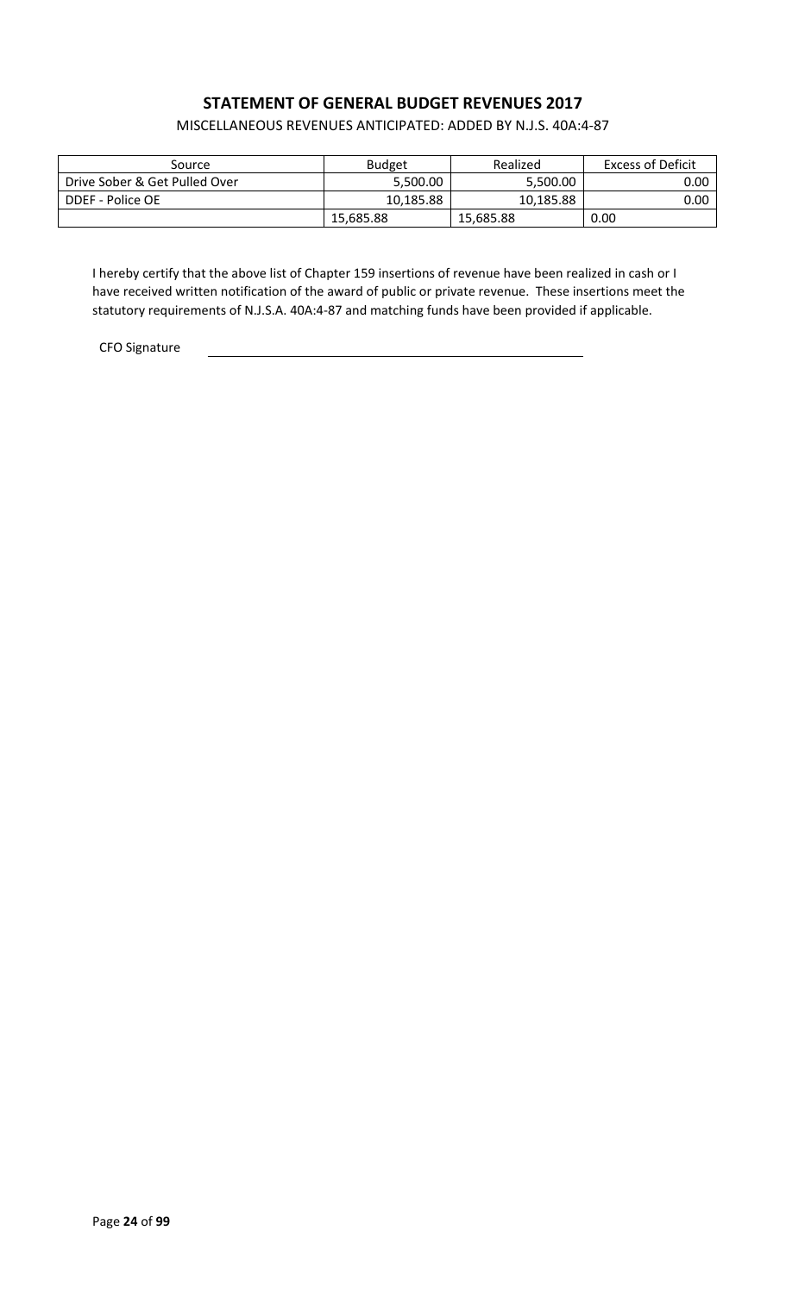## **STATEMENT OF GENERAL BUDGET REVENUES 2017**

MISCELLANEOUS REVENUES ANTICIPATED: ADDED BY N.J.S. 40A:4-87

| Source                        | <b>Budget</b> | Realized  | Excess of Deficit |
|-------------------------------|---------------|-----------|-------------------|
| Drive Sober & Get Pulled Over | 5,500.00      | 5,500.00  | 0.00∣             |
| DDEF - Police OE              | 10,185.88     | 10,185.88 | $0.00\,$ l        |
|                               | 15,685.88     | 15,685.88 | 0.00              |

I hereby certify that the above list of Chapter 159 insertions of revenue have been realized in cash or I have received written notification of the award of public or private revenue. These insertions meet the statutory requirements of N.J.S.A. 40A:4-87 and matching funds have been provided if applicable.

CFO Signature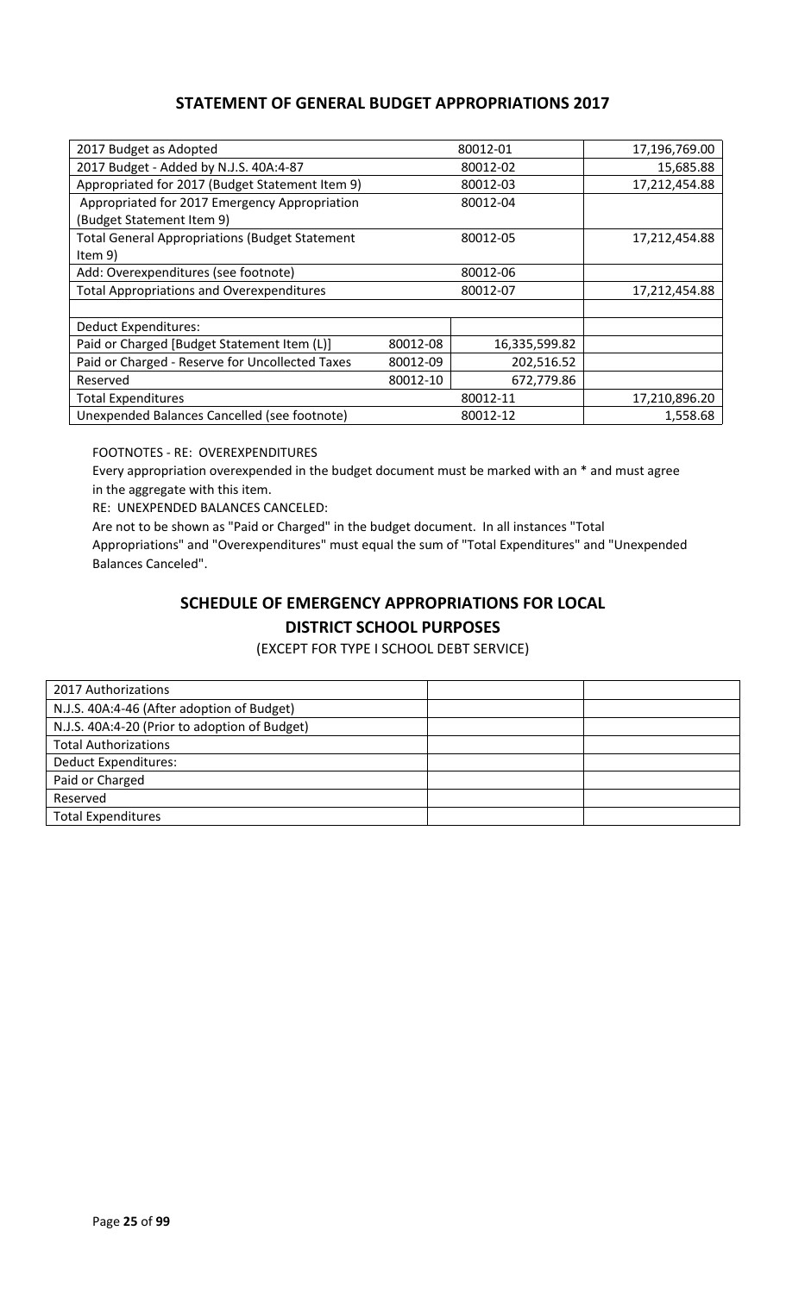### **STATEMENT OF GENERAL BUDGET APPROPRIATIONS 2017**

| 2017 Budget as Adopted                                |          | 80012-01      | 17,196,769.00 |
|-------------------------------------------------------|----------|---------------|---------------|
| 2017 Budget - Added by N.J.S. 40A:4-87                | 80012-02 |               | 15,685.88     |
| Appropriated for 2017 (Budget Statement Item 9)       |          | 80012-03      | 17,212,454.88 |
| Appropriated for 2017 Emergency Appropriation         |          | 80012-04      |               |
| (Budget Statement Item 9)                             |          |               |               |
| <b>Total General Appropriations (Budget Statement</b> |          | 80012-05      | 17,212,454.88 |
| Item 9)                                               |          |               |               |
| Add: Overexpenditures (see footnote)                  |          | 80012-06      |               |
| <b>Total Appropriations and Overexpenditures</b>      | 80012-07 |               | 17,212,454.88 |
|                                                       |          |               |               |
| <b>Deduct Expenditures:</b>                           |          |               |               |
| Paid or Charged [Budget Statement Item (L)]           | 80012-08 | 16,335,599.82 |               |
| Paid or Charged - Reserve for Uncollected Taxes       | 80012-09 | 202,516.52    |               |
| Reserved                                              | 80012-10 | 672,779.86    |               |
| <b>Total Expenditures</b>                             | 80012-11 |               | 17,210,896.20 |
| Unexpended Balances Cancelled (see footnote)          |          | 80012-12      | 1,558.68      |

FOOTNOTES - RE: OVEREXPENDITURES

Every appropriation overexpended in the budget document must be marked with an \* and must agree in the aggregate with this item.

RE: UNEXPENDED BALANCES CANCELED:

Are not to be shown as "Paid or Charged" in the budget document. In all instances "Total Appropriations" and "Overexpenditures" must equal the sum of "Total Expenditures" and "Unexpended Balances Canceled".

## **SCHEDULE OF EMERGENCY APPROPRIATIONS FOR LOCAL DISTRICT SCHOOL PURPOSES**

(EXCEPT FOR TYPE I SCHOOL DEBT SERVICE)

| 2017 Authorizations                           |  |
|-----------------------------------------------|--|
| N.J.S. 40A:4-46 (After adoption of Budget)    |  |
| N.J.S. 40A:4-20 (Prior to adoption of Budget) |  |
| <b>Total Authorizations</b>                   |  |
| <b>Deduct Expenditures:</b>                   |  |
| Paid or Charged                               |  |
| Reserved                                      |  |
| <b>Total Expenditures</b>                     |  |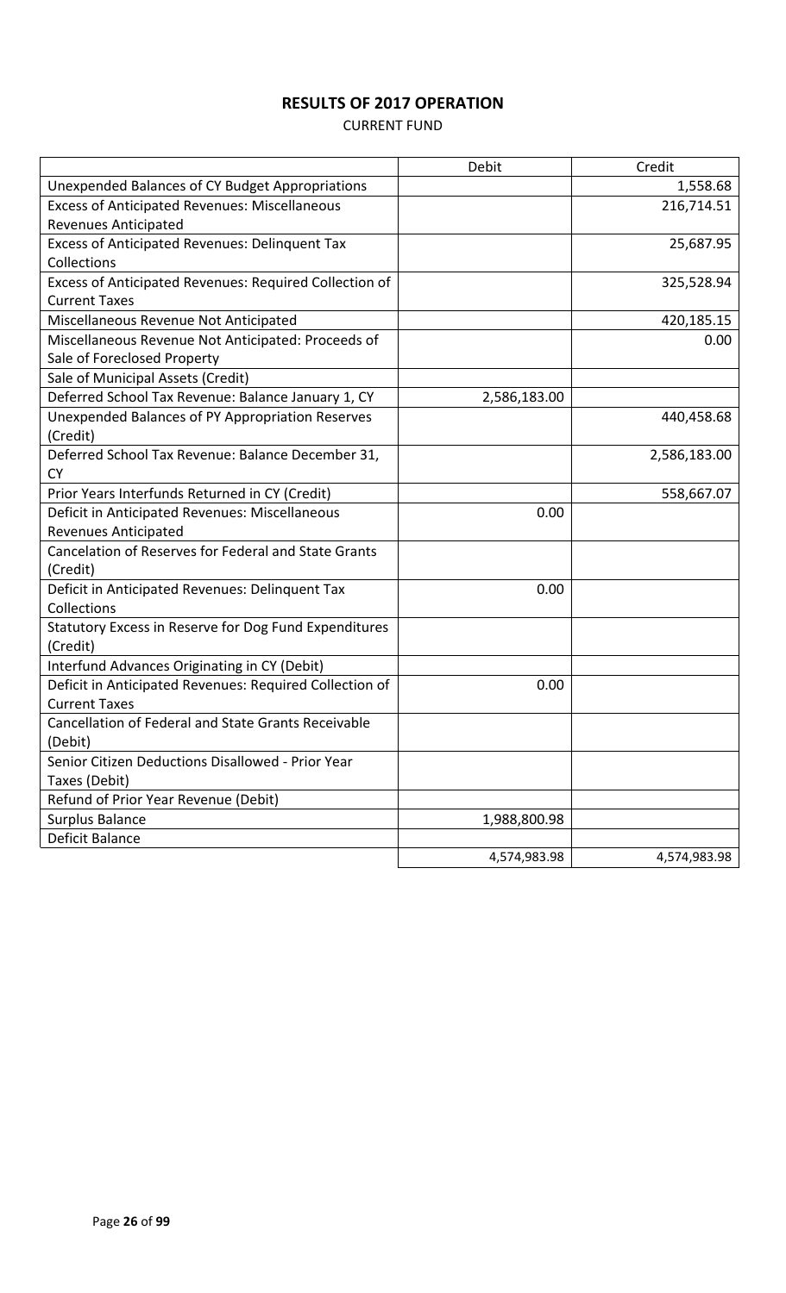# **RESULTS OF 2017 OPERATION**

#### CURRENT FUND

|                                                            | Debit        | Credit       |
|------------------------------------------------------------|--------------|--------------|
| Unexpended Balances of CY Budget Appropriations            |              | 1,558.68     |
| <b>Excess of Anticipated Revenues: Miscellaneous</b>       |              | 216,714.51   |
| <b>Revenues Anticipated</b>                                |              |              |
| Excess of Anticipated Revenues: Delinquent Tax             |              | 25,687.95    |
| Collections                                                |              |              |
| Excess of Anticipated Revenues: Required Collection of     |              | 325,528.94   |
| <b>Current Taxes</b>                                       |              |              |
| Miscellaneous Revenue Not Anticipated                      |              | 420,185.15   |
| Miscellaneous Revenue Not Anticipated: Proceeds of         |              | 0.00         |
| Sale of Foreclosed Property                                |              |              |
| Sale of Municipal Assets (Credit)                          |              |              |
| Deferred School Tax Revenue: Balance January 1, CY         | 2,586,183.00 |              |
| Unexpended Balances of PY Appropriation Reserves           |              | 440,458.68   |
| (Credit)                                                   |              |              |
| Deferred School Tax Revenue: Balance December 31,          |              | 2,586,183.00 |
| <b>CY</b>                                                  |              |              |
| Prior Years Interfunds Returned in CY (Credit)             |              | 558,667.07   |
| Deficit in Anticipated Revenues: Miscellaneous             | 0.00         |              |
| <b>Revenues Anticipated</b>                                |              |              |
| Cancelation of Reserves for Federal and State Grants       |              |              |
| (Credit)                                                   |              |              |
| Deficit in Anticipated Revenues: Delinquent Tax            | 0.00         |              |
| Collections                                                |              |              |
| Statutory Excess in Reserve for Dog Fund Expenditures      |              |              |
| (Credit)                                                   |              |              |
| Interfund Advances Originating in CY (Debit)               |              |              |
| Deficit in Anticipated Revenues: Required Collection of    | 0.00         |              |
| <b>Current Taxes</b>                                       |              |              |
| <b>Cancellation of Federal and State Grants Receivable</b> |              |              |
| (Debit)                                                    |              |              |
| Senior Citizen Deductions Disallowed - Prior Year          |              |              |
| Taxes (Debit)                                              |              |              |
| Refund of Prior Year Revenue (Debit)                       |              |              |
| Surplus Balance                                            | 1,988,800.98 |              |
| Deficit Balance                                            |              |              |
|                                                            | 4,574,983.98 | 4,574,983.98 |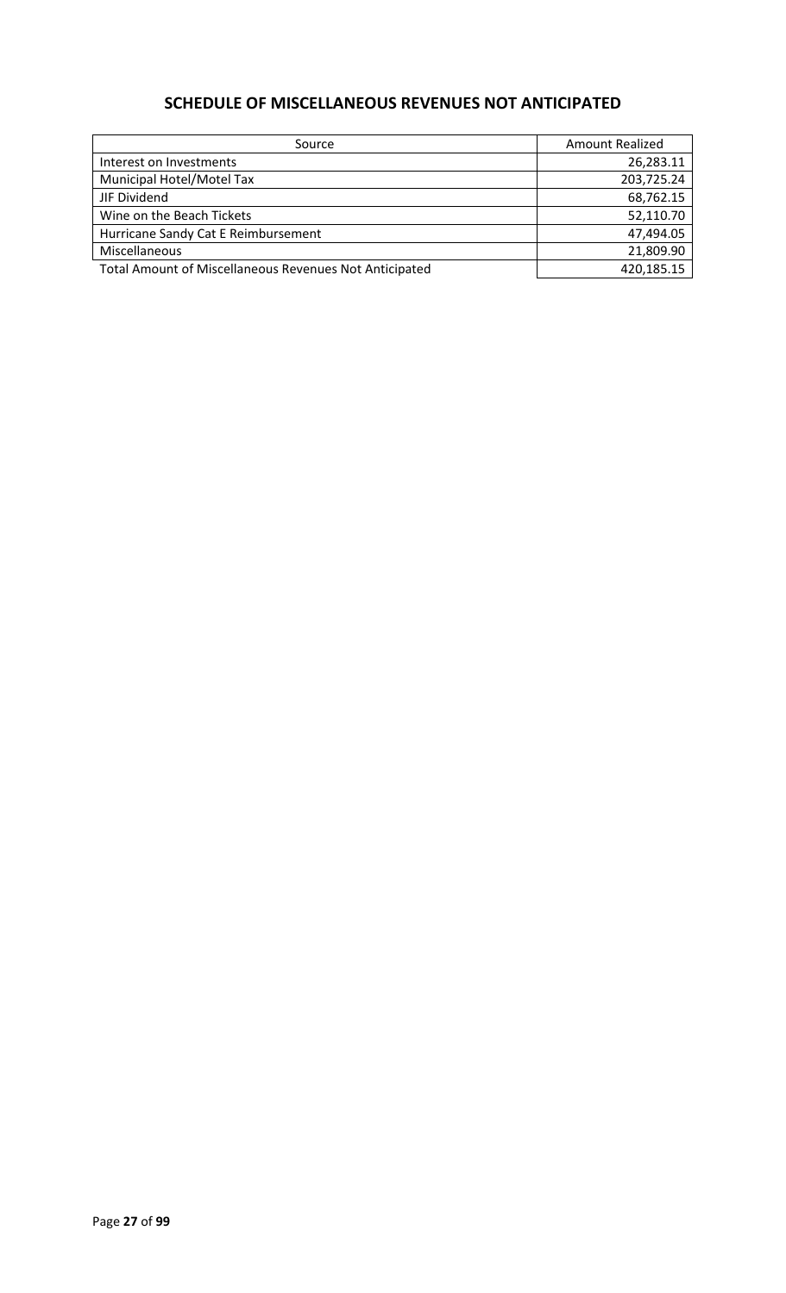# **SCHEDULE OF MISCELLANEOUS REVENUES NOT ANTICIPATED**

| Source                                                        | Amount Realized |
|---------------------------------------------------------------|-----------------|
| Interest on Investments                                       | 26,283.11       |
| Municipal Hotel/Motel Tax                                     | 203,725.24      |
| JIF Dividend                                                  | 68,762.15       |
| Wine on the Beach Tickets                                     | 52,110.70       |
| Hurricane Sandy Cat E Reimbursement                           | 47,494.05       |
| Miscellaneous                                                 | 21,809.90       |
| <b>Total Amount of Miscellaneous Revenues Not Anticipated</b> | 420,185.15      |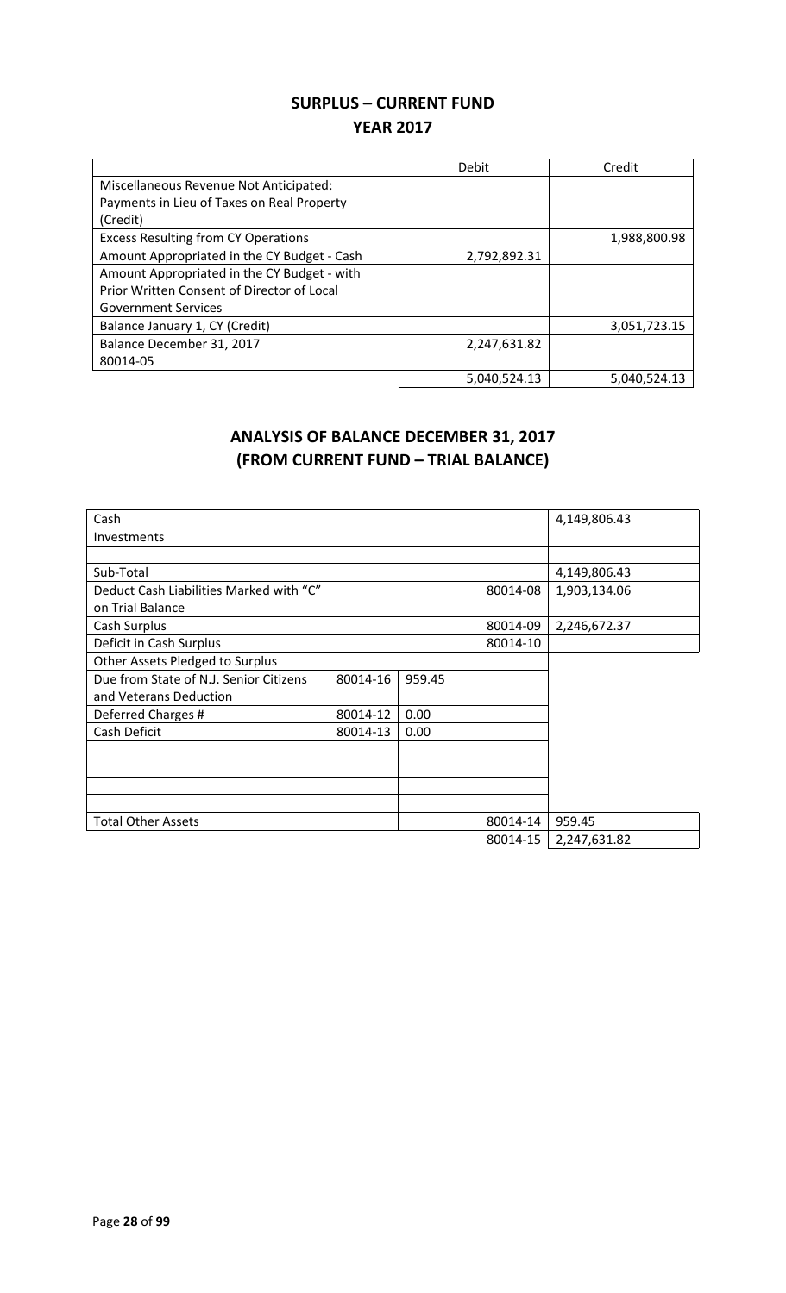## **SURPLUS – CURRENT FUND YEAR 2017**

|                                             | Debit        | Credit       |
|---------------------------------------------|--------------|--------------|
| Miscellaneous Revenue Not Anticipated:      |              |              |
| Payments in Lieu of Taxes on Real Property  |              |              |
| (Credit)                                    |              |              |
| <b>Excess Resulting from CY Operations</b>  |              | 1,988,800.98 |
| Amount Appropriated in the CY Budget - Cash | 2,792,892.31 |              |
| Amount Appropriated in the CY Budget - with |              |              |
| Prior Written Consent of Director of Local  |              |              |
| <b>Government Services</b>                  |              |              |
| Balance January 1, CY (Credit)              |              | 3,051,723.15 |
| Balance December 31, 2017                   | 2,247,631.82 |              |
| 80014-05                                    |              |              |
|                                             | 5,040,524.13 | 5,040,524.13 |

# **ANALYSIS OF BALANCE DECEMBER 31, 2017 (FROM CURRENT FUND – TRIAL BALANCE)**

| Cash                                    |          |        |          | 4,149,806.43 |
|-----------------------------------------|----------|--------|----------|--------------|
| <b>Investments</b>                      |          |        |          |              |
|                                         |          |        |          |              |
| Sub-Total                               |          |        |          | 4,149,806.43 |
| Deduct Cash Liabilities Marked with "C" |          |        | 80014-08 | 1,903,134.06 |
| on Trial Balance                        |          |        |          |              |
| Cash Surplus                            |          |        | 80014-09 | 2,246,672.37 |
| Deficit in Cash Surplus                 |          |        | 80014-10 |              |
| Other Assets Pledged to Surplus         |          |        |          |              |
| Due from State of N.J. Senior Citizens  | 80014-16 | 959.45 |          |              |
| and Veterans Deduction                  |          |        |          |              |
| Deferred Charges #                      | 80014-12 | 0.00   |          |              |
| Cash Deficit                            | 80014-13 | 0.00   |          |              |
|                                         |          |        |          |              |
|                                         |          |        |          |              |
|                                         |          |        |          |              |
|                                         |          |        |          |              |
| <b>Total Other Assets</b>               |          |        | 80014-14 | 959.45       |
|                                         |          |        | 80014-15 | 2,247,631.82 |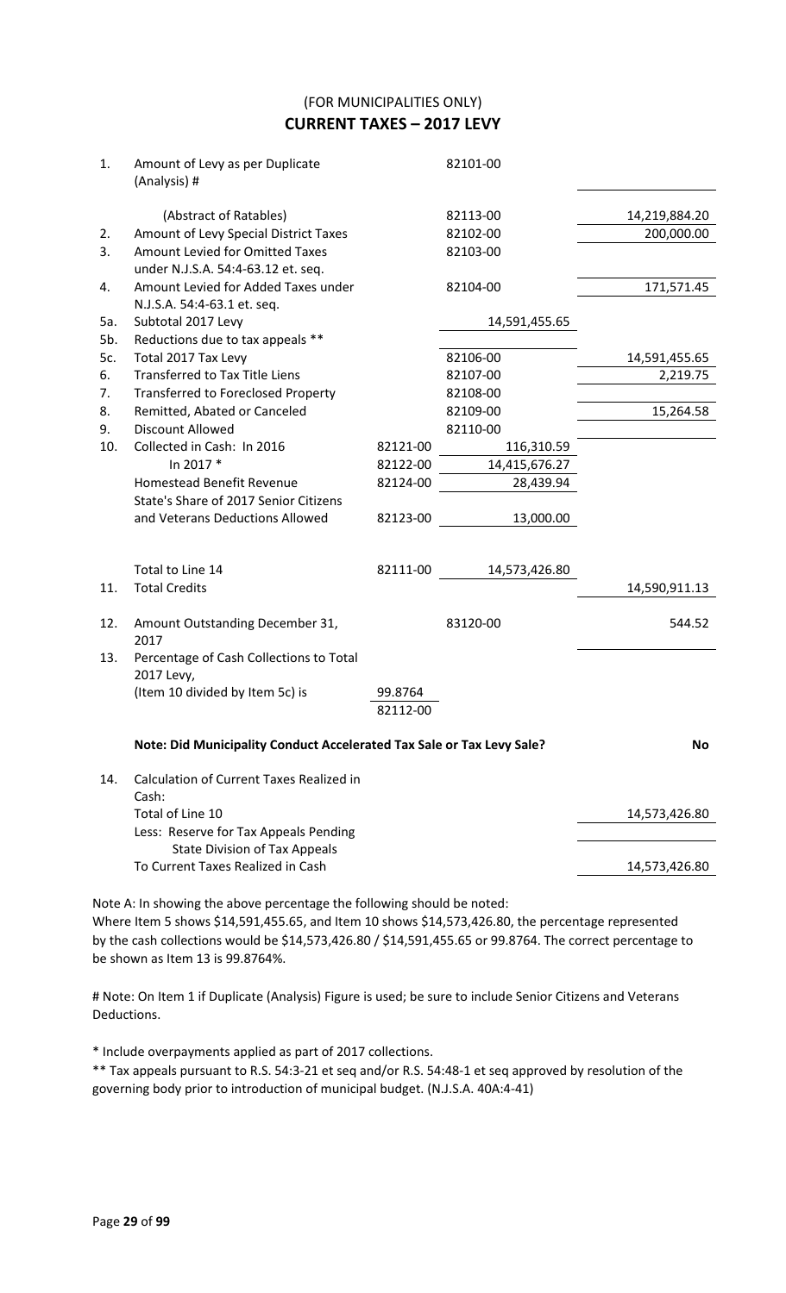(FOR MUNICIPALITIES ONLY) **CURRENT TAXES – 2017 LEVY**

| 1.  | Amount of Levy as per Duplicate<br>(Analysis) #                               |          | 82101-00      |               |
|-----|-------------------------------------------------------------------------------|----------|---------------|---------------|
|     | (Abstract of Ratables)                                                        |          | 82113-00      | 14,219,884.20 |
| 2.  | Amount of Levy Special District Taxes                                         |          | 82102-00      | 200,000.00    |
| 3.  | Amount Levied for Omitted Taxes<br>under N.J.S.A. 54:4-63.12 et. seq.         |          | 82103-00      |               |
| 4.  | Amount Levied for Added Taxes under                                           |          | 82104-00      | 171,571.45    |
|     | N.J.S.A. 54:4-63.1 et. seq.                                                   |          |               |               |
| 5a. | Subtotal 2017 Levy                                                            |          | 14,591,455.65 |               |
| 5b. | Reductions due to tax appeals **                                              |          |               |               |
| 5c. | Total 2017 Tax Levy                                                           |          | 82106-00      | 14,591,455.65 |
| 6.  | <b>Transferred to Tax Title Liens</b>                                         |          | 82107-00      | 2,219.75      |
| 7.  | <b>Transferred to Foreclosed Property</b>                                     |          | 82108-00      |               |
| 8.  | Remitted, Abated or Canceled                                                  |          | 82109-00      | 15,264.58     |
| 9.  | <b>Discount Allowed</b>                                                       |          | 82110-00      |               |
| 10. | Collected in Cash: In 2016                                                    | 82121-00 | 116,310.59    |               |
|     | In 2017 *                                                                     | 82122-00 | 14,415,676.27 |               |
|     | <b>Homestead Benefit Revenue</b>                                              | 82124-00 | 28,439.94     |               |
|     | State's Share of 2017 Senior Citizens                                         |          |               |               |
|     | and Veterans Deductions Allowed                                               | 82123-00 | 13,000.00     |               |
|     | Total to Line 14                                                              | 82111-00 | 14,573,426.80 |               |
| 11. | <b>Total Credits</b>                                                          |          |               | 14,590,911.13 |
|     |                                                                               |          |               |               |
| 12. | Amount Outstanding December 31,<br>2017                                       |          | 83120-00      | 544.52        |
| 13. | Percentage of Cash Collections to Total<br>2017 Levy,                         |          |               |               |
|     | (Item 10 divided by Item 5c) is                                               | 99.8764  |               |               |
|     |                                                                               | 82112-00 |               |               |
|     | Note: Did Municipality Conduct Accelerated Tax Sale or Tax Levy Sale?         |          |               | No            |
| 14. | <b>Calculation of Current Taxes Realized in</b>                               |          |               |               |
|     | Cash:<br>Total of Line 10                                                     |          |               |               |
|     |                                                                               |          |               | 14,573,426.80 |
|     | Less: Reserve for Tax Appeals Pending<br><b>State Division of Tax Appeals</b> |          |               |               |
|     | To Current Taxes Realized in Cash                                             |          |               | 14,573,426.80 |
|     |                                                                               |          |               |               |

Note A: In showing the above percentage the following should be noted: Where Item 5 shows \$14,591,455.65, and Item 10 shows \$14,573,426.80, the percentage represented by the cash collections would be \$14,573,426.80 / \$14,591,455.65 or 99.8764. The correct percentage to be shown as Item 13 is 99.8764%.

# Note: On Item 1 if Duplicate (Analysis) Figure is used; be sure to include Senior Citizens and Veterans Deductions.

\* Include overpayments applied as part of 2017 collections.

\*\* Tax appeals pursuant to R.S. 54:3-21 et seq and/or R.S. 54:48-1 et seq approved by resolution of the governing body prior to introduction of municipal budget. (N.J.S.A. 40A:4-41)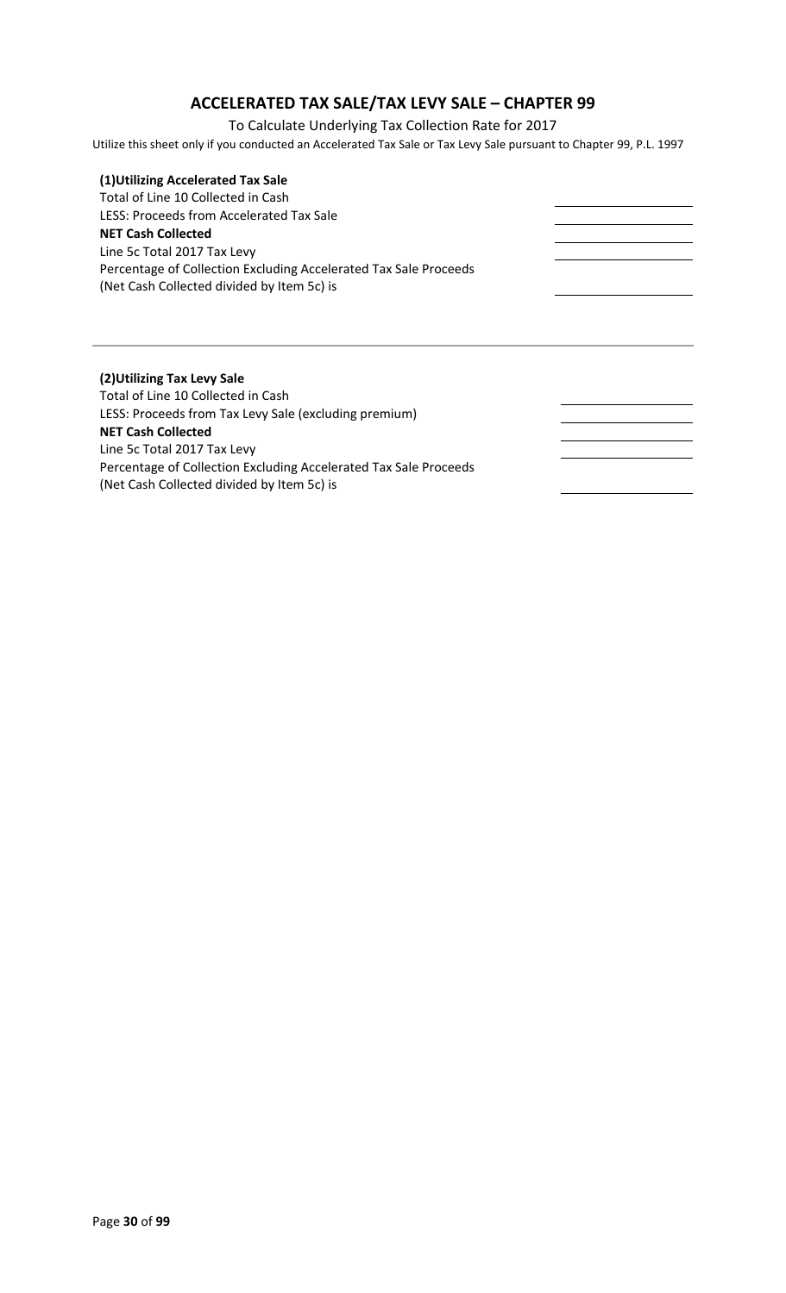# **ACCELERATED TAX SALE/TAX LEVY SALE – CHAPTER 99**

To Calculate Underlying Tax Collection Rate for 2017

Utilize this sheet only if you conducted an Accelerated Tax Sale or Tax Levy Sale pursuant to Chapter 99, P.L. 1997

| (1) Utilizing Accelerated Tax Sale                               |  |
|------------------------------------------------------------------|--|
| Total of Line 10 Collected in Cash                               |  |
| LESS: Proceeds from Accelerated Tax Sale                         |  |
| <b>NET Cash Collected</b>                                        |  |
| Line 5c Total 2017 Tax Levy                                      |  |
| Percentage of Collection Excluding Accelerated Tax Sale Proceeds |  |
| (Net Cash Collected divided by Item 5c) is                       |  |
|                                                                  |  |
|                                                                  |  |
|                                                                  |  |
|                                                                  |  |
|                                                                  |  |
| (2) Utilizing Tax Levy Sale                                      |  |
| Total of Line 10 Collected in Cash                               |  |
| LESS: Proceeds from Tax Levy Sale (excluding premium)            |  |
| <b>NET Cash Collected</b>                                        |  |
| Line 5c Total 2017 Tax Levy                                      |  |
| Percentage of Collection Excluding Accelerated Tax Sale Proceeds |  |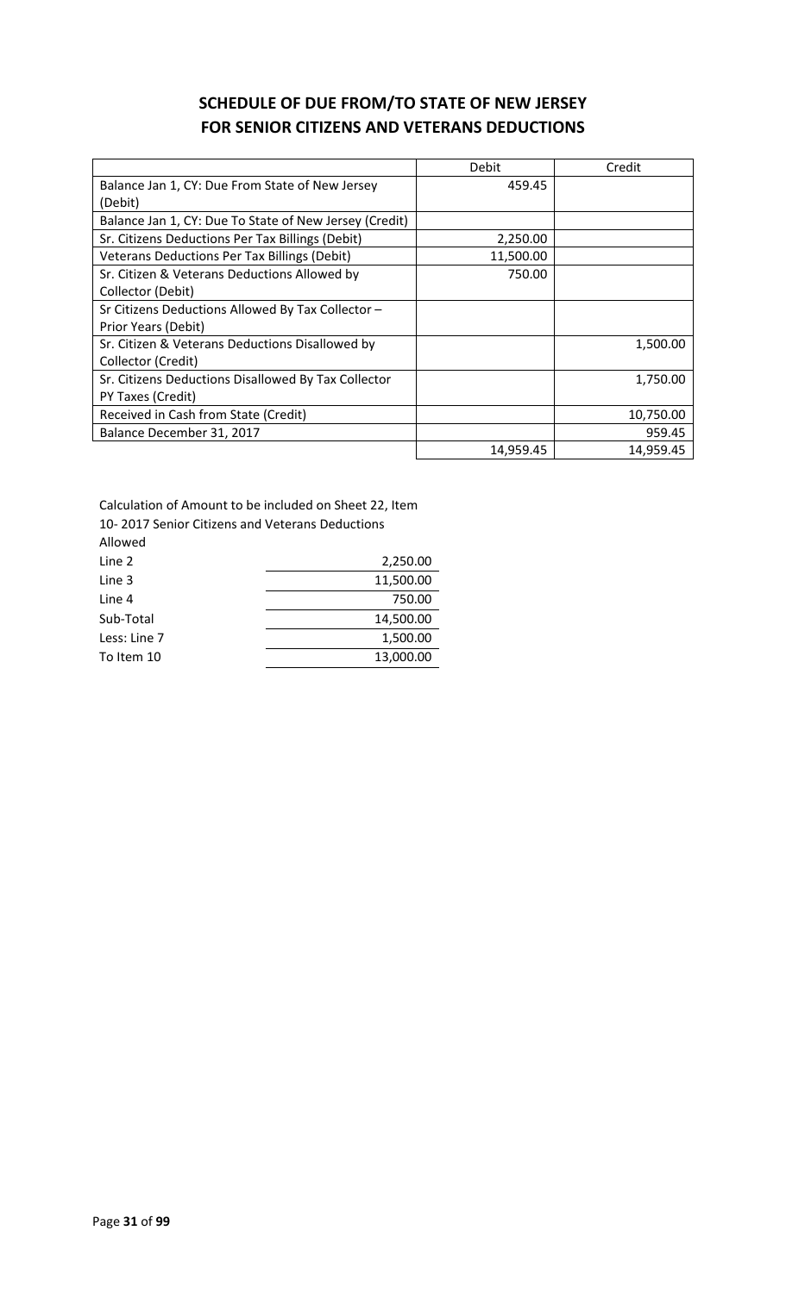# **SCHEDULE OF DUE FROM/TO STATE OF NEW JERSEY FOR SENIOR CITIZENS AND VETERANS DEDUCTIONS**

|                                                        | Debit     | Credit    |
|--------------------------------------------------------|-----------|-----------|
| Balance Jan 1, CY: Due From State of New Jersey        | 459.45    |           |
| (Debit)                                                |           |           |
| Balance Jan 1, CY: Due To State of New Jersey (Credit) |           |           |
| Sr. Citizens Deductions Per Tax Billings (Debit)       | 2,250.00  |           |
| <b>Veterans Deductions Per Tax Billings (Debit)</b>    | 11,500.00 |           |
| Sr. Citizen & Veterans Deductions Allowed by           | 750.00    |           |
| Collector (Debit)                                      |           |           |
| Sr Citizens Deductions Allowed By Tax Collector -      |           |           |
| Prior Years (Debit)                                    |           |           |
| Sr. Citizen & Veterans Deductions Disallowed by        |           | 1,500.00  |
| Collector (Credit)                                     |           |           |
| Sr. Citizens Deductions Disallowed By Tax Collector    |           | 1,750.00  |
| PY Taxes (Credit)                                      |           |           |
| Received in Cash from State (Credit)                   |           | 10,750.00 |
| Balance December 31, 2017                              |           | 959.45    |
|                                                        | 14,959.45 | 14,959.45 |

Calculation of Amount to be included on Sheet 22, Item

10- 2017 Senior Citizens and Veterans Deductions

| Allowed      |           |
|--------------|-----------|
| Line 2       | 2,250.00  |
| Line 3       | 11,500.00 |
| Line 4       | 750.00    |
| Sub-Total    | 14,500.00 |
| Less: Line 7 | 1,500.00  |
| To Item 10   | 13,000.00 |
|              |           |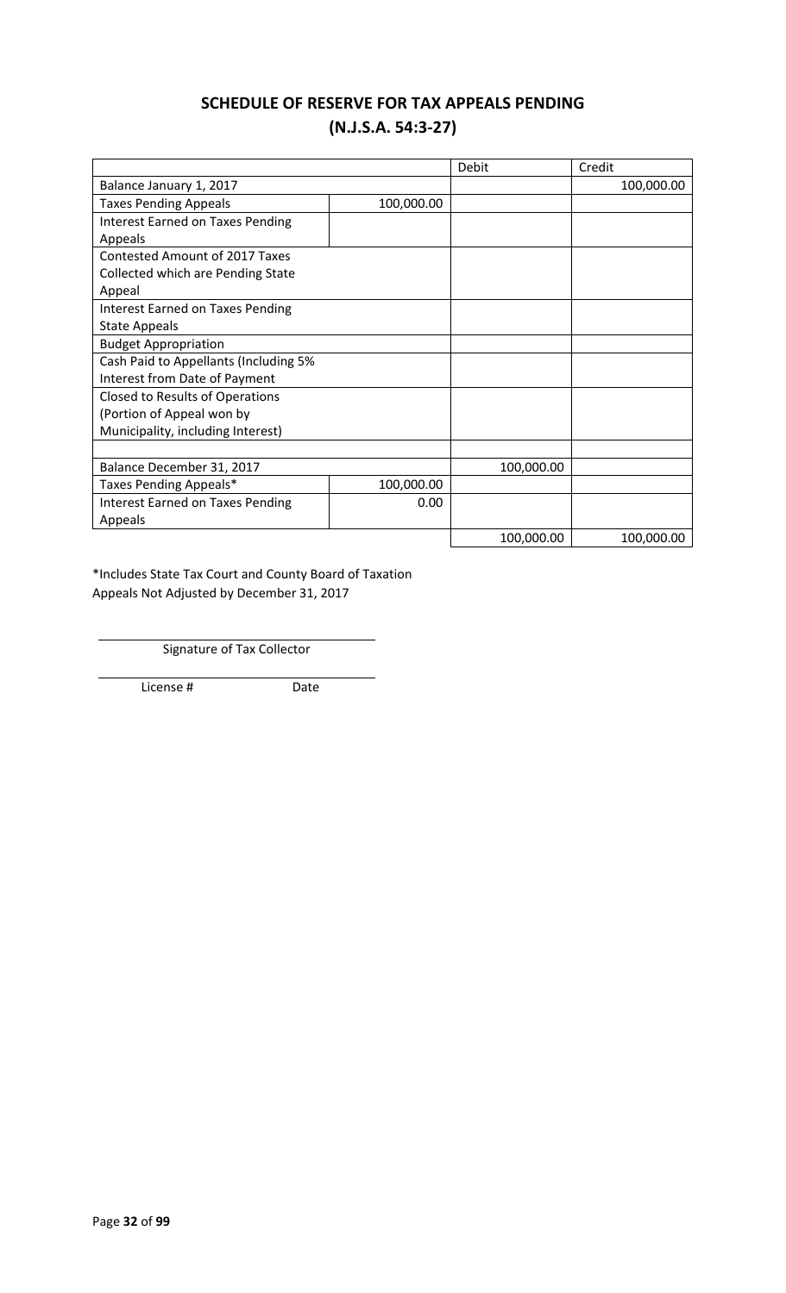# **SCHEDULE OF RESERVE FOR TAX APPEALS PENDING (N.J.S.A. 54:3-27)**

|                                         |            | Debit      | Credit     |
|-----------------------------------------|------------|------------|------------|
| Balance January 1, 2017                 |            |            | 100,000.00 |
| <b>Taxes Pending Appeals</b>            | 100,000.00 |            |            |
| <b>Interest Earned on Taxes Pending</b> |            |            |            |
| Appeals                                 |            |            |            |
| <b>Contested Amount of 2017 Taxes</b>   |            |            |            |
| Collected which are Pending State       |            |            |            |
| Appeal                                  |            |            |            |
| Interest Earned on Taxes Pending        |            |            |            |
| <b>State Appeals</b>                    |            |            |            |
| <b>Budget Appropriation</b>             |            |            |            |
| Cash Paid to Appellants (Including 5%   |            |            |            |
| Interest from Date of Payment           |            |            |            |
| Closed to Results of Operations         |            |            |            |
| (Portion of Appeal won by               |            |            |            |
| Municipality, including Interest)       |            |            |            |
|                                         |            |            |            |
| Balance December 31, 2017               |            | 100,000.00 |            |
| Taxes Pending Appeals*                  | 100,000.00 |            |            |
| Interest Earned on Taxes Pending        | 0.00       |            |            |
| Appeals                                 |            |            |            |
|                                         |            | 100,000.00 | 100,000.00 |

\*Includes State Tax Court and County Board of Taxation Appeals Not Adjusted by December 31, 2017

Signature of Tax Collector

License # Date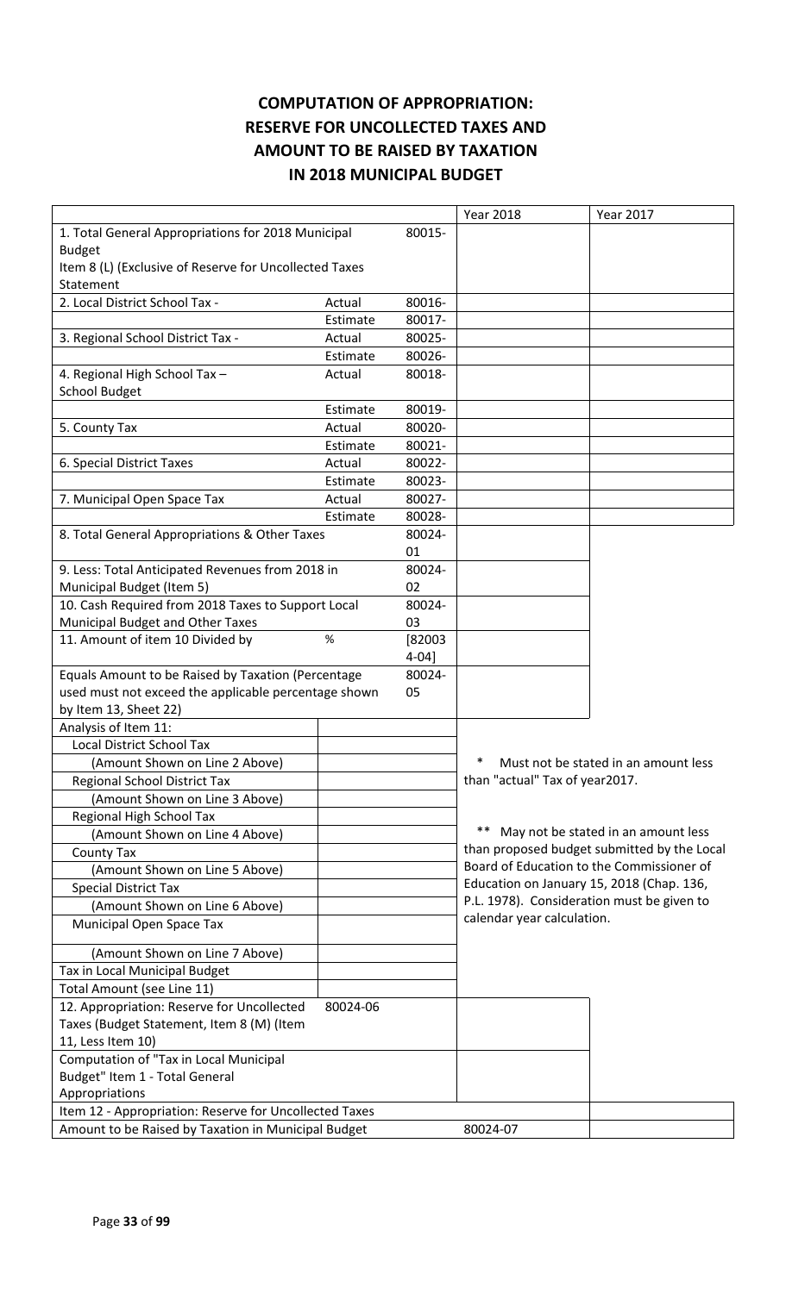# **COMPUTATION OF APPROPRIATION: RESERVE FOR UNCOLLECTED TAXES AND AMOUNT TO BE RAISED BY TAXATION IN 2018 MUNICIPAL BUDGET**

|                                                        |          |            | <b>Year 2018</b>                           | <b>Year 2017</b>                            |
|--------------------------------------------------------|----------|------------|--------------------------------------------|---------------------------------------------|
| 1. Total General Appropriations for 2018 Municipal     |          | 80015-     |                                            |                                             |
| <b>Budget</b>                                          |          |            |                                            |                                             |
| Item 8 (L) (Exclusive of Reserve for Uncollected Taxes |          |            |                                            |                                             |
| Statement                                              |          |            |                                            |                                             |
| 2. Local District School Tax -                         | Actual   | 80016-     |                                            |                                             |
|                                                        | Estimate | 80017-     |                                            |                                             |
| 3. Regional School District Tax -                      | Actual   | 80025-     |                                            |                                             |
|                                                        | Estimate | 80026-     |                                            |                                             |
| 4. Regional High School Tax -                          | Actual   | 80018-     |                                            |                                             |
| <b>School Budget</b>                                   |          |            |                                            |                                             |
|                                                        | Estimate | 80019-     |                                            |                                             |
| 5. County Tax                                          | Actual   | 80020-     |                                            |                                             |
|                                                        | Estimate | 80021-     |                                            |                                             |
| 6. Special District Taxes                              | Actual   | 80022-     |                                            |                                             |
|                                                        | Estimate | 80023-     |                                            |                                             |
| 7. Municipal Open Space Tax                            | Actual   | 80027-     |                                            |                                             |
|                                                        | Estimate | 80028-     |                                            |                                             |
| 8. Total General Appropriations & Other Taxes          |          | 80024-     |                                            |                                             |
|                                                        |          | 01         |                                            |                                             |
| 9. Less: Total Anticipated Revenues from 2018 in       |          | 80024-     |                                            |                                             |
| Municipal Budget (Item 5)                              |          | 02         |                                            |                                             |
| 10. Cash Required from 2018 Taxes to Support Local     |          | 80024-     |                                            |                                             |
| Municipal Budget and Other Taxes                       |          | 03         |                                            |                                             |
| 11. Amount of item 10 Divided by                       | $\%$     | [82003]    |                                            |                                             |
|                                                        |          | $4 - 04$ ] |                                            |                                             |
| Equals Amount to be Raised by Taxation (Percentage     |          | 80024-     |                                            |                                             |
| used must not exceed the applicable percentage shown   |          | 05         |                                            |                                             |
| by Item 13, Sheet 22)                                  |          |            |                                            |                                             |
| Analysis of Item 11:                                   |          |            |                                            |                                             |
| <b>Local District School Tax</b>                       |          |            |                                            |                                             |
| (Amount Shown on Line 2 Above)                         |          |            |                                            | Must not be stated in an amount less        |
| Regional School District Tax                           |          |            | than "actual" Tax of year2017.             |                                             |
| (Amount Shown on Line 3 Above)                         |          |            |                                            |                                             |
|                                                        |          |            |                                            |                                             |
| Regional High School Tax                               |          |            |                                            | ** May not be stated in an amount less      |
| (Amount Shown on Line 4 Above)                         |          |            |                                            | than proposed budget submitted by the Local |
| County Tax                                             |          |            |                                            | Board of Education to the Commissioner of   |
| (Amount Shown on Line 5 Above)                         |          |            | Education on January 15, 2018 (Chap. 136,  |                                             |
| <b>Special District Tax</b>                            |          |            | P.L. 1978). Consideration must be given to |                                             |
| (Amount Shown on Line 6 Above)                         |          |            | calendar year calculation.                 |                                             |
| Municipal Open Space Tax                               |          |            |                                            |                                             |
| (Amount Shown on Line 7 Above)                         |          |            |                                            |                                             |
| Tax in Local Municipal Budget                          |          |            |                                            |                                             |
| Total Amount (see Line 11)                             |          |            |                                            |                                             |
| 12. Appropriation: Reserve for Uncollected             | 80024-06 |            |                                            |                                             |
| Taxes (Budget Statement, Item 8 (M) (Item              |          |            |                                            |                                             |
| 11, Less Item 10)                                      |          |            |                                            |                                             |
| Computation of "Tax in Local Municipal                 |          |            |                                            |                                             |
| Budget" Item 1 - Total General                         |          |            |                                            |                                             |
| Appropriations                                         |          |            |                                            |                                             |
| Item 12 - Appropriation: Reserve for Uncollected Taxes |          |            |                                            |                                             |
| Amount to be Raised by Taxation in Municipal Budget    |          |            | 80024-07                                   |                                             |
|                                                        |          |            |                                            |                                             |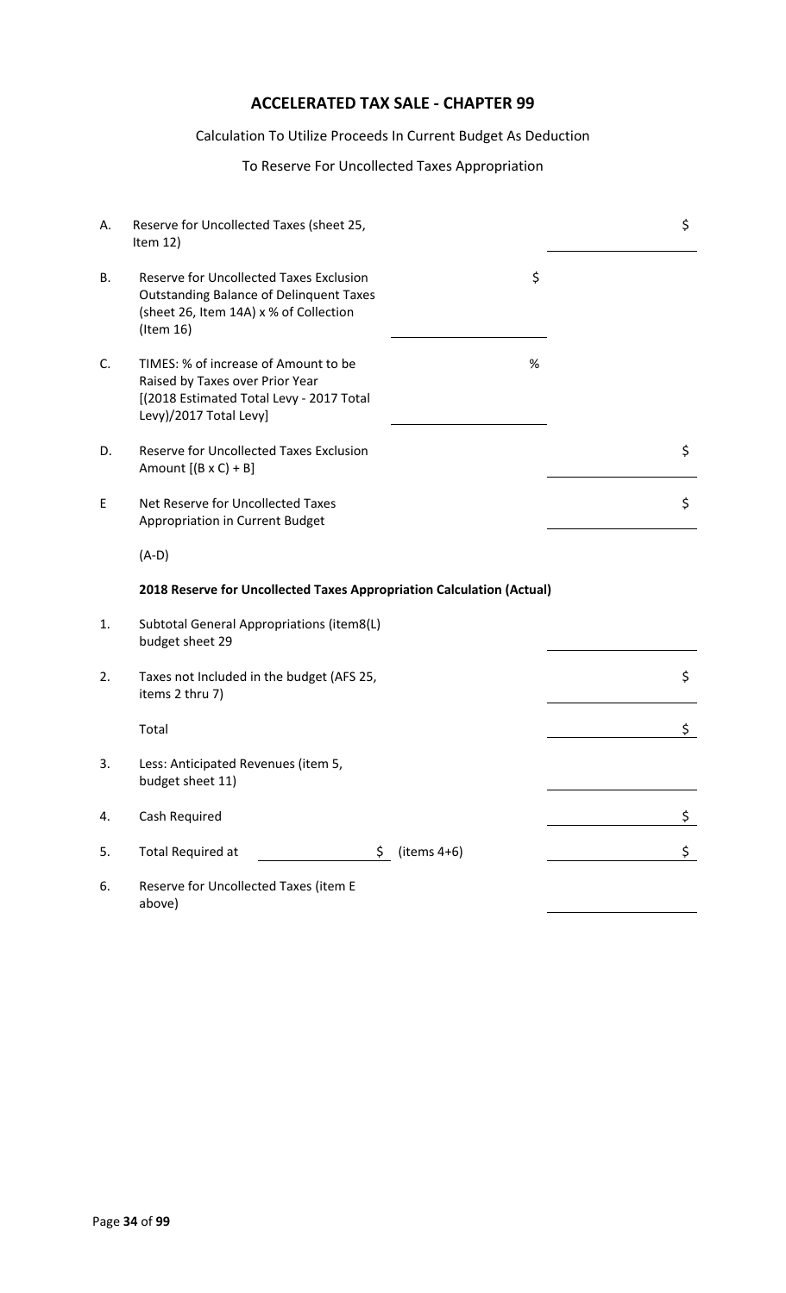# **ACCELERATED TAX SALE - CHAPTER 99**

#### Calculation To Utilize Proceeds In Current Budget As Deduction

#### To Reserve For Uncollected Taxes Appropriation

| А. | Reserve for Uncollected Taxes (sheet 25,<br>Item $12)$                                                                                                  |                 | \$ |
|----|---------------------------------------------------------------------------------------------------------------------------------------------------------|-----------------|----|
| В. | <b>Reserve for Uncollected Taxes Exclusion</b><br><b>Outstanding Balance of Delinquent Taxes</b><br>(sheet 26, Item 14A) x % of Collection<br>(Item 16) | \$              |    |
| C. | TIMES: % of increase of Amount to be<br>Raised by Taxes over Prior Year<br>[(2018 Estimated Total Levy - 2017 Total<br>Levy)/2017 Total Levy]           | $\%$            |    |
| D. | <b>Reserve for Uncollected Taxes Exclusion</b><br>Amount $[(B \times C) + B]$                                                                           |                 | \$ |
| E  | Net Reserve for Uncollected Taxes<br>Appropriation in Current Budget                                                                                    |                 | \$ |
|    | $(A-D)$                                                                                                                                                 |                 |    |
|    | 2018 Reserve for Uncollected Taxes Appropriation Calculation (Actual)                                                                                   |                 |    |
| 1. | Subtotal General Appropriations (item8(L)<br>budget sheet 29                                                                                            |                 |    |
| 2. | Taxes not Included in the budget (AFS 25,<br>items 2 thru 7)                                                                                            |                 | \$ |
|    | Total                                                                                                                                                   |                 | \$ |
| 3. | Less: Anticipated Revenues (item 5,<br>budget sheet 11)                                                                                                 |                 |    |
| 4. | Cash Required                                                                                                                                           |                 | \$ |
| 5. | <b>Total Required at</b>                                                                                                                                | $$$ (items 4+6) | \$ |
| 6. | Reserve for Uncollected Taxes (item E<br>above)                                                                                                         |                 |    |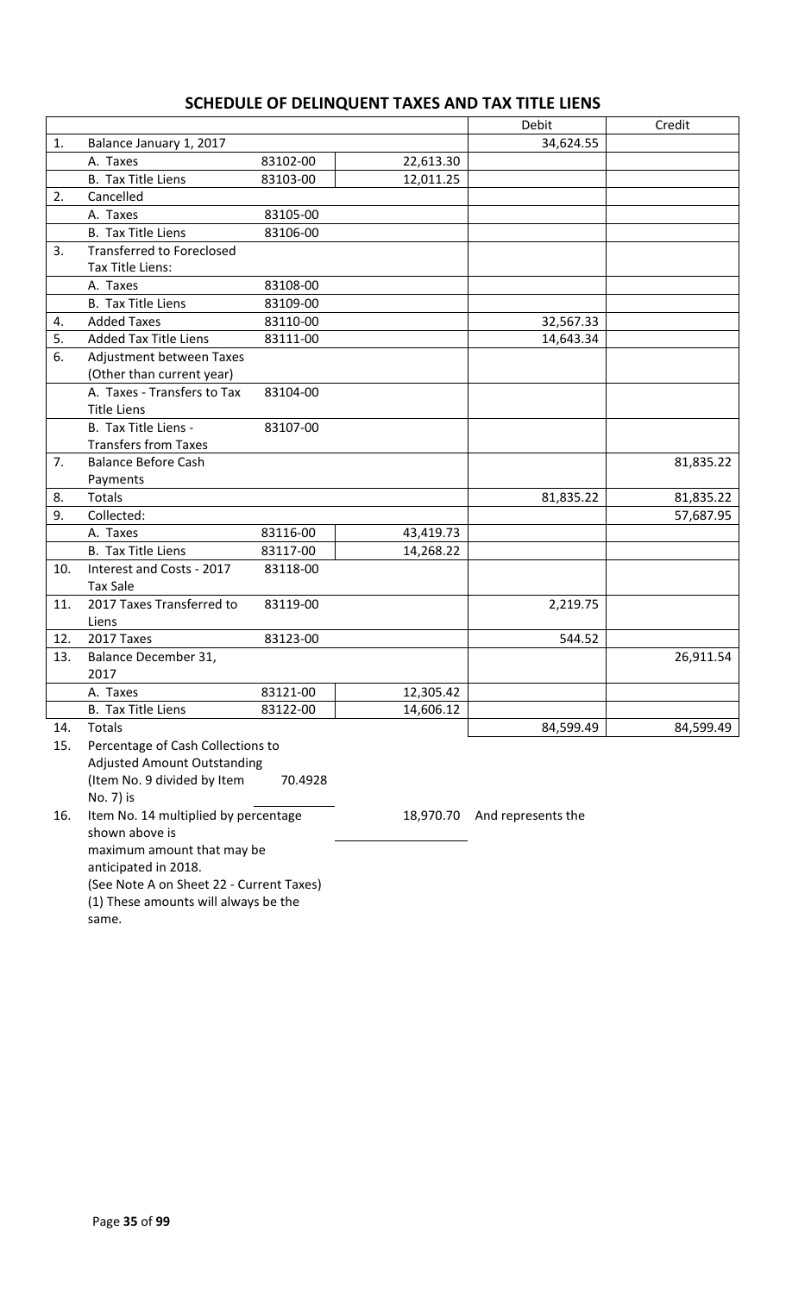# **SCHEDULE OF DELINQUENT TAXES AND TAX TITLE LIENS**

|     |                                    |          |           | Debit     | Credit    |
|-----|------------------------------------|----------|-----------|-----------|-----------|
| 1.  | Balance January 1, 2017            |          |           | 34,624.55 |           |
|     | A. Taxes                           | 83102-00 | 22,613.30 |           |           |
|     | <b>B.</b> Tax Title Liens          | 83103-00 | 12,011.25 |           |           |
| 2.  | Cancelled                          |          |           |           |           |
|     | A. Taxes                           | 83105-00 |           |           |           |
|     | <b>B.</b> Tax Title Liens          | 83106-00 |           |           |           |
| 3.  | <b>Transferred to Foreclosed</b>   |          |           |           |           |
|     | Tax Title Liens:                   |          |           |           |           |
|     | A. Taxes                           | 83108-00 |           |           |           |
|     | <b>B.</b> Tax Title Liens          | 83109-00 |           |           |           |
| 4.  | <b>Added Taxes</b>                 | 83110-00 |           | 32,567.33 |           |
| 5.  | <b>Added Tax Title Liens</b>       | 83111-00 |           | 14,643.34 |           |
| 6.  | Adjustment between Taxes           |          |           |           |           |
|     | (Other than current year)          |          |           |           |           |
|     | A. Taxes - Transfers to Tax        | 83104-00 |           |           |           |
|     | <b>Title Liens</b>                 |          |           |           |           |
|     | B. Tax Title Liens -               | 83107-00 |           |           |           |
|     | <b>Transfers from Taxes</b>        |          |           |           |           |
| 7.  | <b>Balance Before Cash</b>         |          |           |           | 81,835.22 |
|     | Payments                           |          |           |           |           |
| 8.  | <b>Totals</b>                      |          |           | 81,835.22 | 81,835.22 |
| 9.  | Collected:                         |          |           |           | 57,687.95 |
|     | A. Taxes                           | 83116-00 | 43,419.73 |           |           |
|     | <b>B.</b> Tax Title Liens          | 83117-00 | 14,268.22 |           |           |
| 10. | Interest and Costs - 2017          | 83118-00 |           |           |           |
|     | <b>Tax Sale</b>                    |          |           |           |           |
| 11. | 2017 Taxes Transferred to          | 83119-00 |           | 2,219.75  |           |
|     | Liens                              |          |           |           |           |
| 12. | 2017 Taxes                         | 83123-00 |           | 544.52    |           |
| 13. | Balance December 31,               |          |           |           | 26,911.54 |
|     | 2017                               |          |           |           |           |
|     | A. Taxes                           | 83121-00 | 12,305.42 |           |           |
|     | B. Tax Title Liens                 | 83122-00 | 14,606.12 |           |           |
| 14. | Totals                             |          |           | 84,599.49 | 84,599.49 |
| 15. | Percentage of Cash Collections to  |          |           |           |           |
|     | <b>Adjusted Amount Outstanding</b> |          |           |           |           |
|     | (Item No. 9 divided by Item        | 70.4928  |           |           |           |
|     | No. 7) is                          |          |           |           |           |

16. Item No. 14 multiplied by percentage shown above is maximum amount that may be anticipated in 2018. (See Note A on Sheet 22 - Current Taxes) (1) These amounts will always be the same.

18,970.70 And represents the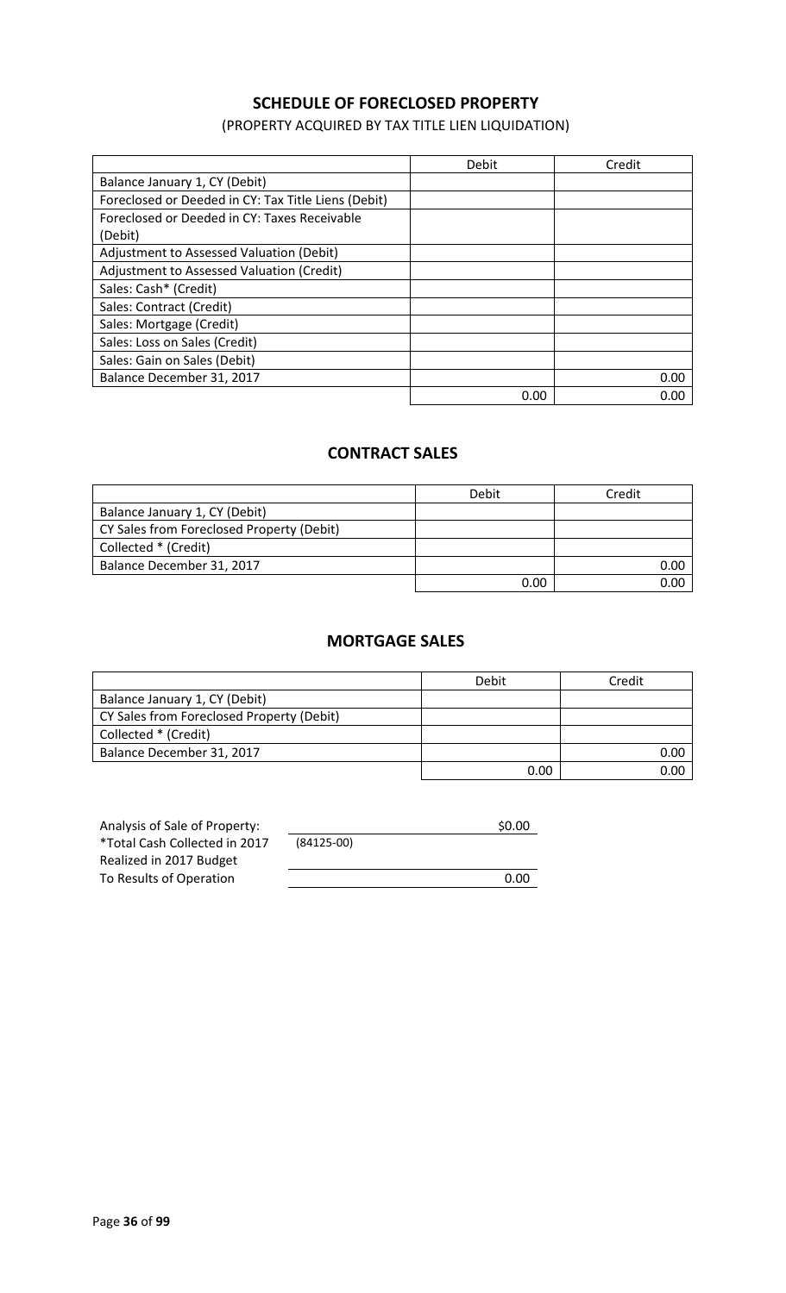## **SCHEDULE OF FORECLOSED PROPERTY**

(PROPERTY ACQUIRED BY TAX TITLE LIEN LIQUIDATION)

|                                                     | Debit | Credit |
|-----------------------------------------------------|-------|--------|
| Balance January 1, CY (Debit)                       |       |        |
| Foreclosed or Deeded in CY: Tax Title Liens (Debit) |       |        |
| Foreclosed or Deeded in CY: Taxes Receivable        |       |        |
| (Debit)                                             |       |        |
| Adjustment to Assessed Valuation (Debit)            |       |        |
| Adjustment to Assessed Valuation (Credit)           |       |        |
| Sales: Cash* (Credit)                               |       |        |
| Sales: Contract (Credit)                            |       |        |
| Sales: Mortgage (Credit)                            |       |        |
| Sales: Loss on Sales (Credit)                       |       |        |
| Sales: Gain on Sales (Debit)                        |       |        |
| Balance December 31, 2017                           |       | 0.00   |
|                                                     | 0.00  | 0.00   |

## **CONTRACT SALES**

|                                           | Debit | Credit |
|-------------------------------------------|-------|--------|
| Balance January 1, CY (Debit)             |       |        |
| CY Sales from Foreclosed Property (Debit) |       |        |
| Collected * (Credit)                      |       |        |
| Balance December 31, 2017                 |       | 0.00   |
|                                           | 0.00  | ገ በበ   |

#### **MORTGAGE SALES**

|                                           | Debit | Credit |
|-------------------------------------------|-------|--------|
| Balance January 1, CY (Debit)             |       |        |
| CY Sales from Foreclosed Property (Debit) |       |        |
| Collected * (Credit)                      |       |        |
| Balance December 31, 2017                 |       | 0.00   |
|                                           | 0.00  | 0.00   |

| Analysis of Sale of Property: |              | \$0.00 |
|-------------------------------|--------------|--------|
| *Total Cash Collected in 2017 | $(84125-00)$ |        |
| Realized in 2017 Budget       |              |        |
| To Results of Operation       |              | 0.00   |
|                               |              |        |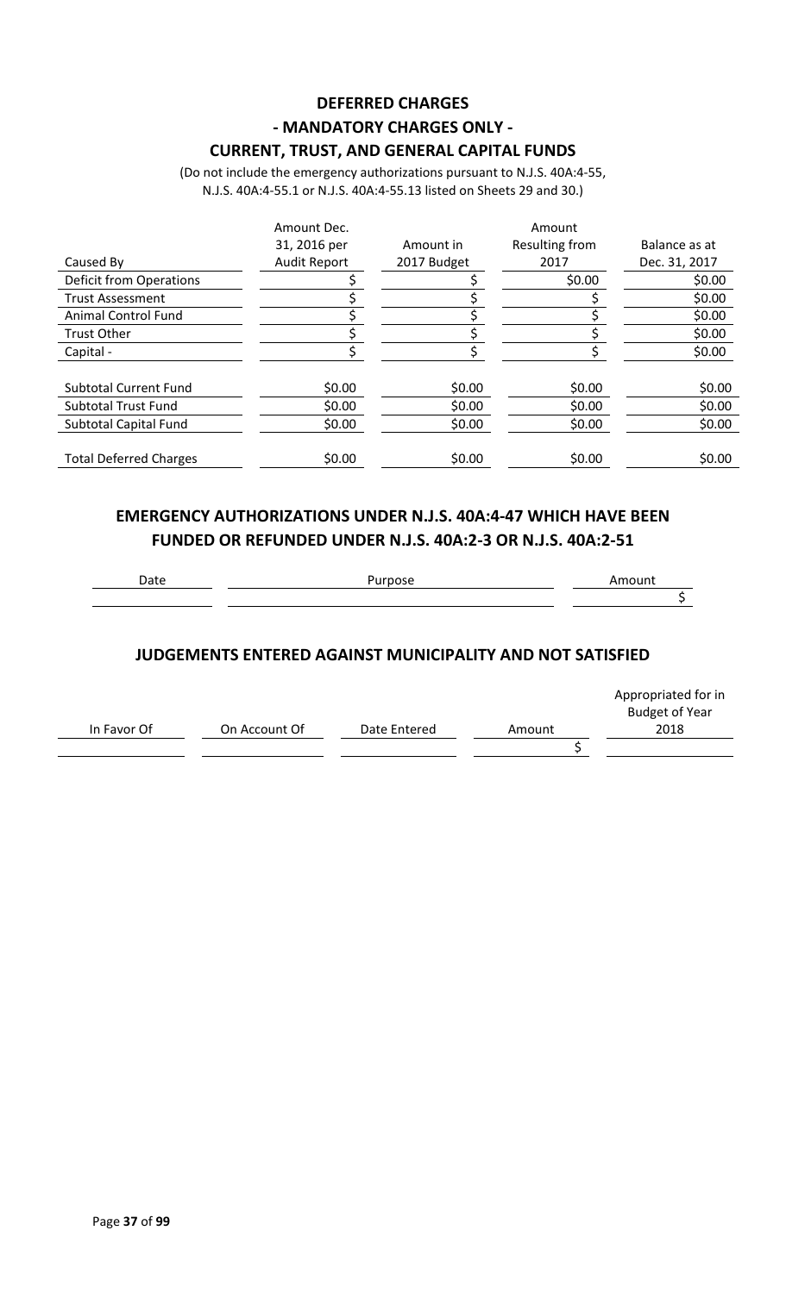# **DEFERRED CHARGES - MANDATORY CHARGES ONLY -**

**CURRENT, TRUST, AND GENERAL CAPITAL FUNDS**

(Do not include the emergency authorizations pursuant to N.J.S. 40A:4-55, N.J.S. 40A:4-55.1 or N.J.S. 40A:4-55.13 listed on Sheets 29 and 30.)

|                                | Amount Dec.         |             | Amount         |               |
|--------------------------------|---------------------|-------------|----------------|---------------|
|                                | 31, 2016 per        | Amount in   | Resulting from | Balance as at |
| Caused By                      | <b>Audit Report</b> | 2017 Budget | 2017           | Dec. 31, 2017 |
| <b>Deficit from Operations</b> |                     |             | \$0.00         | \$0.00        |
| <b>Trust Assessment</b>        |                     |             |                | \$0.00        |
| <b>Animal Control Fund</b>     |                     |             |                | \$0.00        |
| <b>Trust Other</b>             |                     |             |                | \$0.00        |
| Capital -                      |                     |             |                | \$0.00        |
| <b>Subtotal Current Fund</b>   | \$0.00              | \$0.00      | \$0.00         | \$0.00        |
| <b>Subtotal Trust Fund</b>     | \$0.00              | \$0.00      | \$0.00         | \$0.00        |
| Subtotal Capital Fund          | \$0.00              | \$0.00      | \$0.00         | \$0.00        |
|                                |                     |             |                |               |
| <b>Total Deferred Charges</b>  | \$0.00              | \$0.00      | \$0.00         | \$0.00        |

### **EMERGENCY AUTHORIZATIONS UNDER N.J.S. 40A:4-47 WHICH HAVE BEEN FUNDED OR REFUNDED UNDER N.J.S. 40A:2-3 OR N.J.S. 40A:2-51**

### **JUDGEMENTS ENTERED AGAINST MUNICIPALITY AND NOT SATISFIED**

|             |               |              |        | Appropriated for in<br><b>Budget of Year</b> |
|-------------|---------------|--------------|--------|----------------------------------------------|
| In Favor Of | On Account Of | Date Entered | Amount | 2018                                         |
|             |               |              |        |                                              |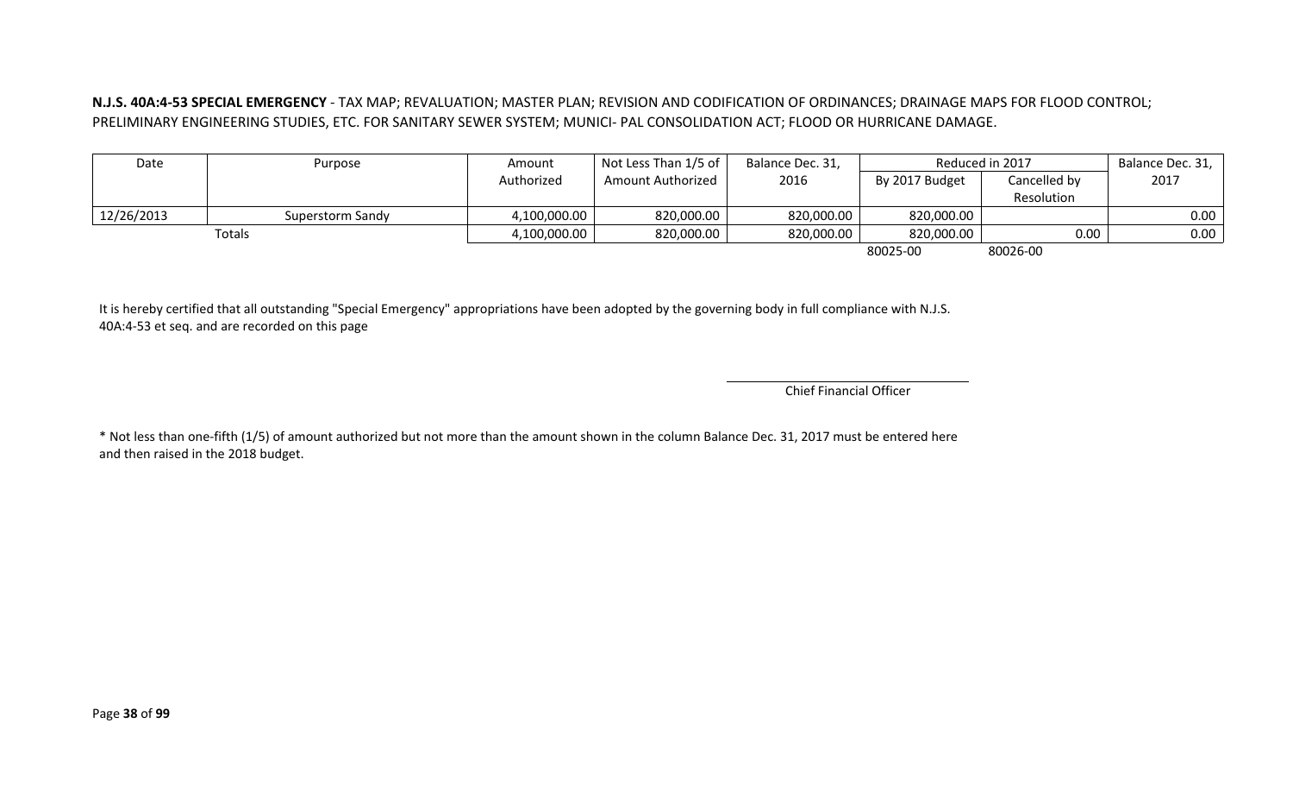#### **N.J.S. 40A:4-53 SPECIAL EMERGENCY** - TAX MAP; REVALUATION; MASTER PLAN; REVISION AND CODIFICATION OF ORDINANCES; DRAINAGE MAPS FOR FLOOD CONTROL; PRELIMINARY ENGINEERING STUDIES, ETC. FOR SANITARY SEWER SYSTEM; MUNICI- PAL CONSOLIDATION ACT; FLOOD OR HURRICANE DAMAGE.

|            | Purpose          | Amount       | $'$ Not Less Than 1/5 of $\vert$ | Balance Dec. 31, |                | Reduced in 2017 | Balance Dec. 31, |
|------------|------------------|--------------|----------------------------------|------------------|----------------|-----------------|------------------|
|            |                  | Authorized   | Amount Authorized                | 2016             | By 2017 Budget | Cancelled by    | 2017             |
|            |                  |              |                                  |                  |                | Resolution      |                  |
| 12/26/2013 | Superstorm Sandy | 4,100,000.00 | 820,000.00                       | 820,000.00       | 820,000.00     |                 | $0.00$ $ $       |
|            | Totals           | 4,100,000.00 | 820,000.00                       | 820,000.00       | 820,000.00     | 0.00            | 0.00             |

80025-00 80026-00

It is hereby certified that all outstanding "Special Emergency" appropriations have been adopted by the governing body in full compliance with N.J.S. 40A:4-53 et seq. and are recorded on this page

Chief Financial Officer

\* Not less than one-fifth (1/5) of amount authorized but not more than the amount shown in the column Balance Dec. 31, 2017 must be entered here and then raised in the 2018 budget.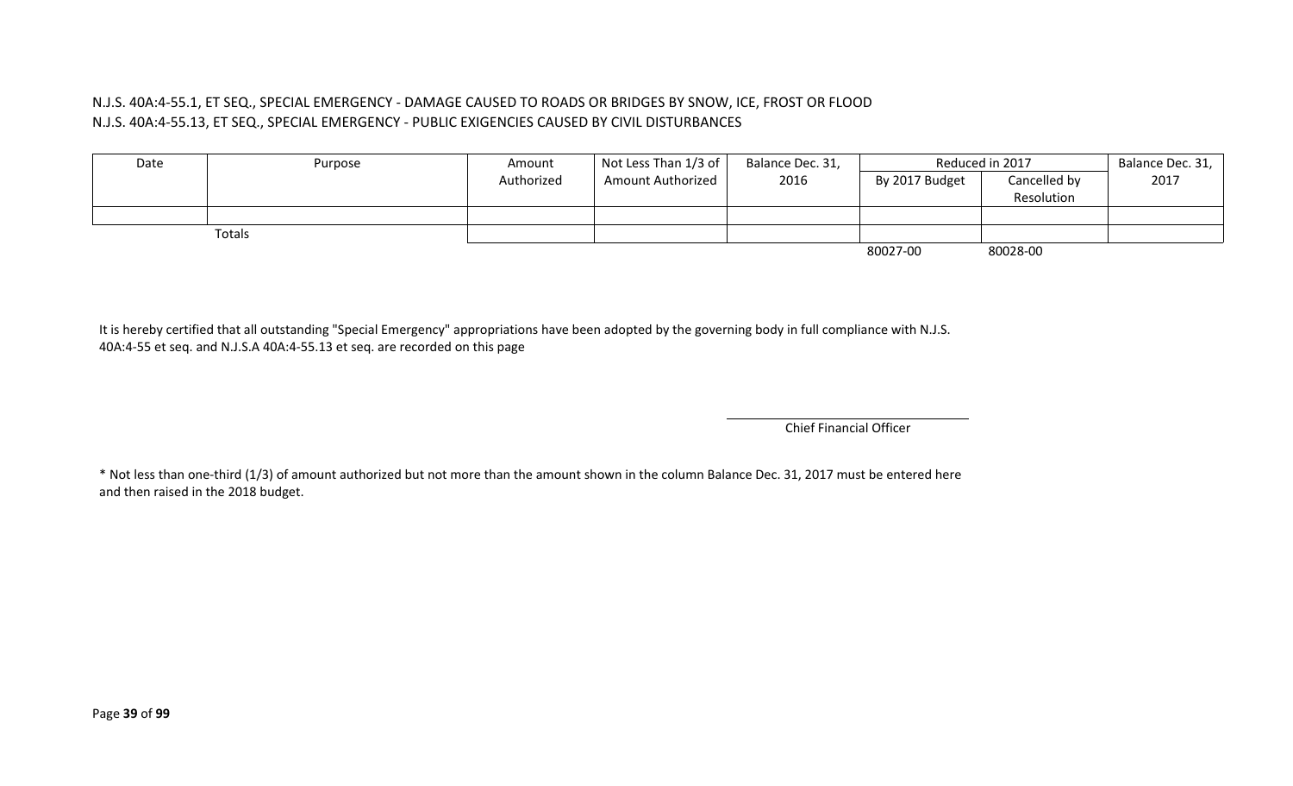#### N.J.S. 40A:4-55.1, ET SEQ., SPECIAL EMERGENCY - DAMAGE CAUSED TO ROADS OR BRIDGES BY SNOW, ICE, FROST OR FLOOD N.J.S. 40A:4-55.13, ET SEQ., SPECIAL EMERGENCY - PUBLIC EXIGENCIES CAUSED BY CIVIL DISTURBANCES

| Date | Purpose | Amount     | Not Less Than $1/3$ of $ $ | Balance Dec. 31, |                | Reduced in 2017 | Balance Dec. 31, |
|------|---------|------------|----------------------------|------------------|----------------|-----------------|------------------|
|      |         | Authorized | <b>Amount Authorized</b>   | 2016             | By 2017 Budget | Cancelled by    | 2017             |
|      |         |            |                            |                  |                | Resolution      |                  |
|      |         |            |                            |                  |                |                 |                  |
|      | Totals  |            |                            |                  |                |                 |                  |
|      |         |            |                            |                  | 80027-00       | 80028-00        |                  |

It is hereby certified that all outstanding "Special Emergency" appropriations have been adopted by the governing body in full compliance with N.J.S. 40A:4-55 et seq. and N.J.S.A 40A:4-55.13 et seq. are recorded on this page

Chief Financial Officer

\* Not less than one-third (1/3) of amount authorized but not more than the amount shown in the column Balance Dec. 31, 2017 must be entered here and then raised in the 2018 budget.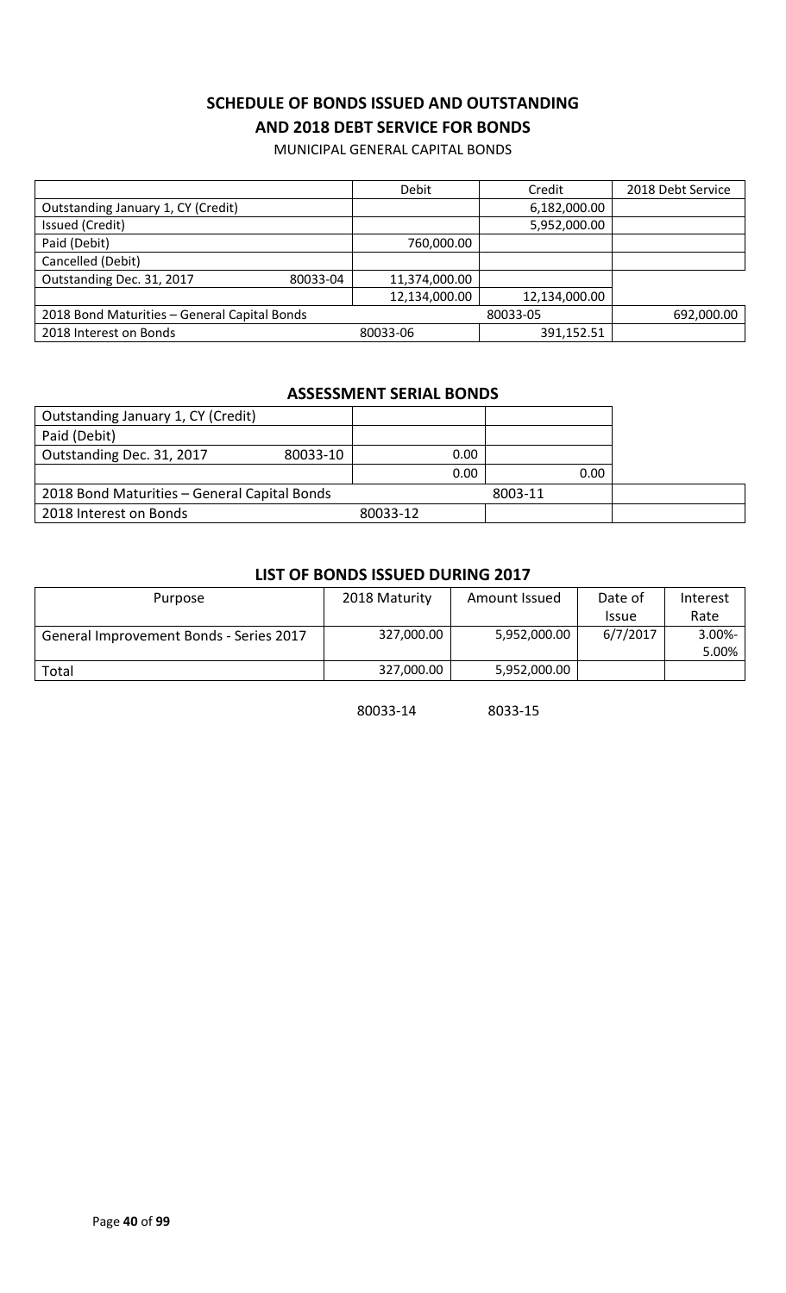### **SCHEDULE OF BONDS ISSUED AND OUTSTANDING AND 2018 DEBT SERVICE FOR BONDS**

MUNICIPAL GENERAL CAPITAL BONDS

|                                              | Debit         | Credit        | 2018 Debt Service |
|----------------------------------------------|---------------|---------------|-------------------|
| Outstanding January 1, CY (Credit)           |               | 6,182,000.00  |                   |
| Issued (Credit)                              |               | 5,952,000.00  |                   |
| Paid (Debit)                                 | 760,000.00    |               |                   |
| Cancelled (Debit)                            |               |               |                   |
| Outstanding Dec. 31, 2017<br>80033-04        | 11,374,000.00 |               |                   |
|                                              | 12,134,000.00 | 12,134,000.00 |                   |
| 2018 Bond Maturities - General Capital Bonds |               | 80033-05      | 692,000.00        |
| 2018 Interest on Bonds                       | 80033-06      | 391,152.51    |                   |

#### **ASSESSMENT SERIAL BONDS**

| Outstanding January 1, CY (Credit)           |          |          |         |  |
|----------------------------------------------|----------|----------|---------|--|
| Paid (Debit)                                 |          |          |         |  |
| Outstanding Dec. 31, 2017                    | 80033-10 | 0.00     |         |  |
|                                              |          | 0.00     | 0.00    |  |
| 2018 Bond Maturities - General Capital Bonds |          |          | 8003-11 |  |
| 2018 Interest on Bonds                       |          | 80033-12 |         |  |

#### **LIST OF BONDS ISSUED DURING 2017**

| Purpose                                 | 2018 Maturity | Amount Issued | Date of      | Interest   |
|-----------------------------------------|---------------|---------------|--------------|------------|
|                                         |               |               | <b>Issue</b> | Rate       |
| General Improvement Bonds - Series 2017 | 327,000.00    | 5,952,000.00  | 6/7/2017     | $3.00\% -$ |
|                                         |               |               |              | 5.00%      |
| Total                                   | 327,000.00    | 5,952,000.00  |              |            |

80033-14 8033-15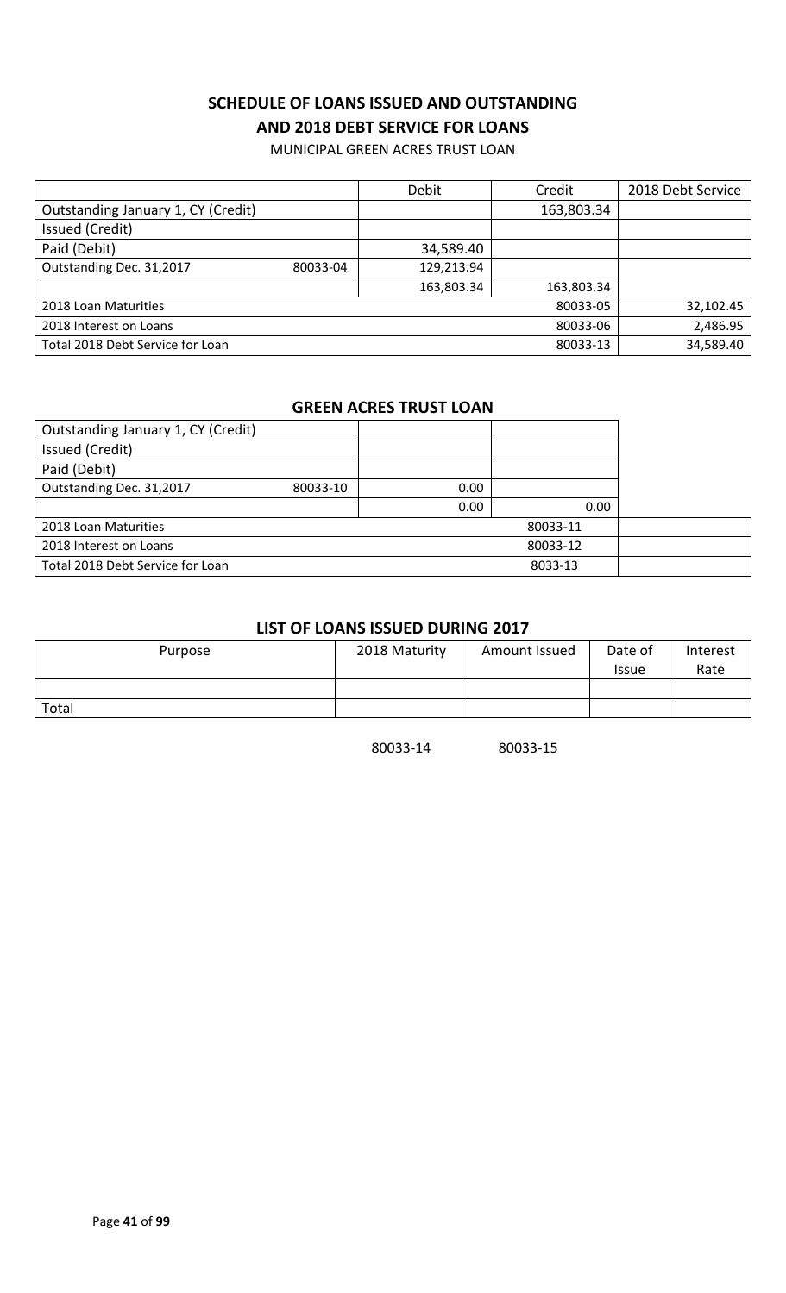### **SCHEDULE OF LOANS ISSUED AND OUTSTANDING AND 2018 DEBT SERVICE FOR LOANS**

MUNICIPAL GREEN ACRES TRUST LOAN

|                                    |          | Debit      | Credit     | 2018 Debt Service |
|------------------------------------|----------|------------|------------|-------------------|
| Outstanding January 1, CY (Credit) |          |            | 163,803.34 |                   |
| Issued (Credit)                    |          |            |            |                   |
| Paid (Debit)                       |          | 34,589.40  |            |                   |
| Outstanding Dec. 31,2017           | 80033-04 | 129,213.94 |            |                   |
|                                    |          | 163,803.34 | 163,803.34 |                   |
| 2018 Loan Maturities               |          |            | 80033-05   | 32,102.45         |
| 2018 Interest on Loans             |          |            | 80033-06   | 2,486.95          |
| Total 2018 Debt Service for Loan   |          |            | 80033-13   | 34,589.40         |

#### **GREEN ACRES TRUST LOAN**

| Outstanding January 1, CY (Credit) |          |                   |          |  |
|------------------------------------|----------|-------------------|----------|--|
| Issued (Credit)                    |          |                   |          |  |
| Paid (Debit)                       |          |                   |          |  |
| Outstanding Dec. 31,2017           | 80033-10 | 0.00 <sub>1</sub> |          |  |
|                                    |          | 0.00              | 0.00     |  |
| 2018 Loan Maturities               |          |                   | 80033-11 |  |
| 2018 Interest on Loans             |          |                   | 80033-12 |  |
| Total 2018 Debt Service for Loan   |          |                   | 8033-13  |  |

### **LIST OF LOANS ISSUED DURING 2017**

| Purpose | 2018 Maturity | Amount Issued | Date of<br><b>Issue</b> | Interest<br>Rate |
|---------|---------------|---------------|-------------------------|------------------|
|         |               |               |                         |                  |
| Total   |               |               |                         |                  |

80033-14 80033-15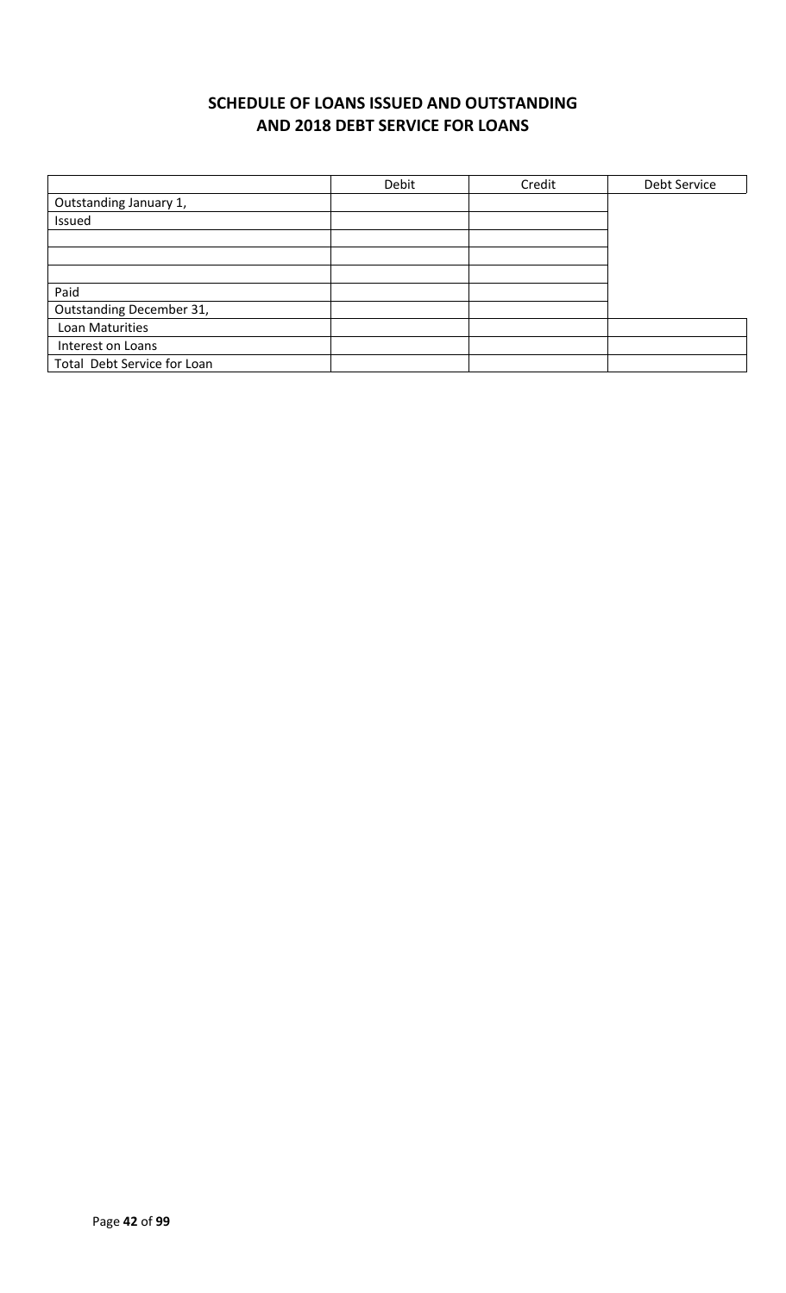### **SCHEDULE OF LOANS ISSUED AND OUTSTANDING AND 2018 DEBT SERVICE FOR LOANS**

|                             | Debit | Credit | Debt Service |
|-----------------------------|-------|--------|--------------|
| Outstanding January 1,      |       |        |              |
| Issued                      |       |        |              |
|                             |       |        |              |
|                             |       |        |              |
|                             |       |        |              |
| Paid                        |       |        |              |
| Outstanding December 31,    |       |        |              |
| Loan Maturities             |       |        |              |
| Interest on Loans           |       |        |              |
| Total Debt Service for Loan |       |        |              |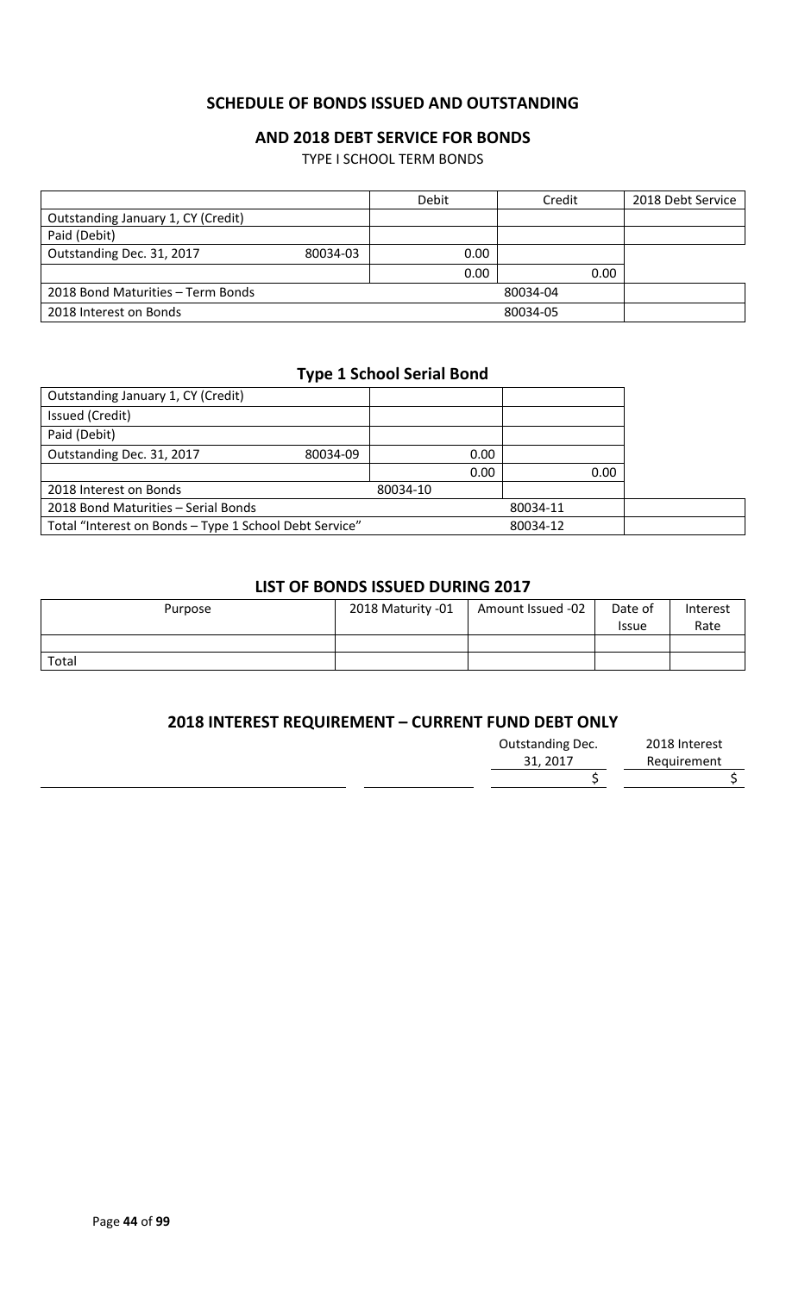#### **SCHEDULE OF BONDS ISSUED AND OUTSTANDING**

#### **AND 2018 DEBT SERVICE FOR BONDS**

TYPE I SCHOOL TERM BONDS

|                                    |          | Debit | Credit   | 2018 Debt Service |
|------------------------------------|----------|-------|----------|-------------------|
| Outstanding January 1, CY (Credit) |          |       |          |                   |
| Paid (Debit)                       |          |       |          |                   |
| Outstanding Dec. 31, 2017          | 80034-03 | 0.00  |          |                   |
|                                    |          | 0.00  | 0.00     |                   |
| 2018 Bond Maturities – Term Bonds  |          |       | 80034-04 |                   |
| 2018 Interest on Bonds             |          |       | 80034-05 |                   |

#### **Type 1 School Serial Bond**

| Outstanding January 1, CY (Credit)                     |          |          |      |          |      |  |
|--------------------------------------------------------|----------|----------|------|----------|------|--|
| Issued (Credit)                                        |          |          |      |          |      |  |
| Paid (Debit)                                           |          |          |      |          |      |  |
| Outstanding Dec. 31, 2017                              | 80034-09 |          | 0.00 |          |      |  |
|                                                        |          |          | 0.00 |          | 0.00 |  |
| 2018 Interest on Bonds                                 |          | 80034-10 |      |          |      |  |
| 2018 Bond Maturities - Serial Bonds                    |          |          |      | 80034-11 |      |  |
| Total "Interest on Bonds - Type 1 School Debt Service" |          |          |      | 80034-12 |      |  |

#### **LIST OF BONDS ISSUED DURING 2017**

| Purpose | 2018 Maturity -01 | Amount Issued -02 | Date of<br><b>Issue</b> | Interest<br>Rate |
|---------|-------------------|-------------------|-------------------------|------------------|
|         |                   |                   |                         |                  |
| Total   |                   |                   |                         |                  |

#### **2018 INTEREST REQUIREMENT – CURRENT FUND DEBT ONLY**

| Outstanding Dec. | 2018 Interest |
|------------------|---------------|
| 31, 2017         | Requirement   |
|                  |               |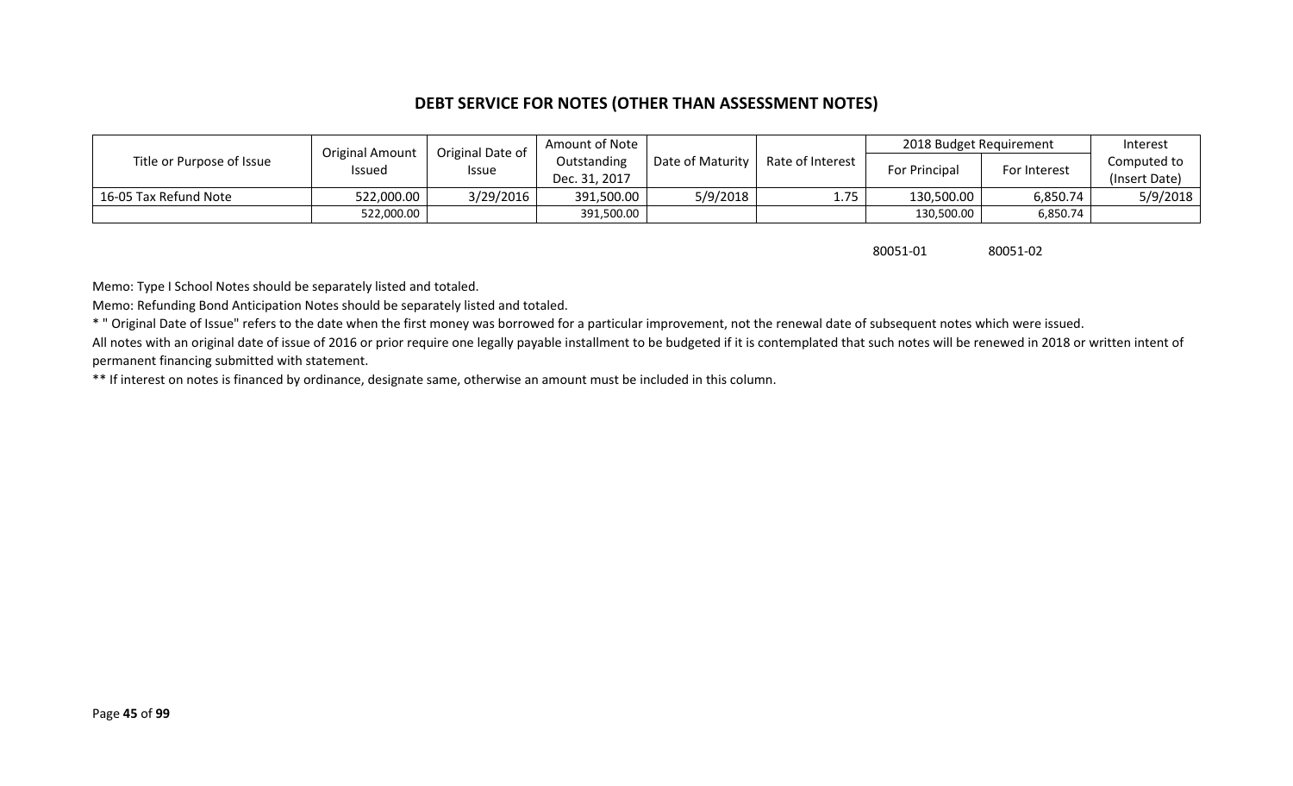#### **DEBT SERVICE FOR NOTES (OTHER THAN ASSESSMENT NOTES)**

|                           |                                         |                                  | Amount of Note |                  |                  | 2018 Budget Requirement |              | Interest      |
|---------------------------|-----------------------------------------|----------------------------------|----------------|------------------|------------------|-------------------------|--------------|---------------|
| Title or Purpose of Issue | <b>Original Amount</b><br><b>Issued</b> | Original Date of<br><b>Issue</b> | Outstanding    | Date of Maturity | Rate of Interest | For Principal           | For Interest | Computed to   |
|                           |                                         |                                  | Dec. 31, 2017  |                  |                  |                         |              | (Insert Date) |
| 16-05 Tax Refund Note     | 522,000.00                              | 3/29/2016                        | 391,500.00     | 5/9/2018         | 1.75             | 130,500.00              | 6,850.74     | 5/9/2018      |
|                           | 522,000.00                              |                                  | 391,500.00     |                  |                  | 130,500.00              | 6,850.74     |               |

80051-01 80051-02

Memo: Type I School Notes should be separately listed and totaled.

Memo: Refunding Bond Anticipation Notes should be separately listed and totaled.

\* " Original Date of Issue" refers to the date when the first money was borrowed for a particular improvement, not the renewal date of subsequent notes which were issued.

All notes with an original date of issue of 2016 or prior require one legally payable installment to be budgeted if it is contemplated that such notes will be renewed in 2018 or written intent of permanent financing submitted with statement.

\*\* If interest on notes is financed by ordinance, designate same, otherwise an amount must be included in this column.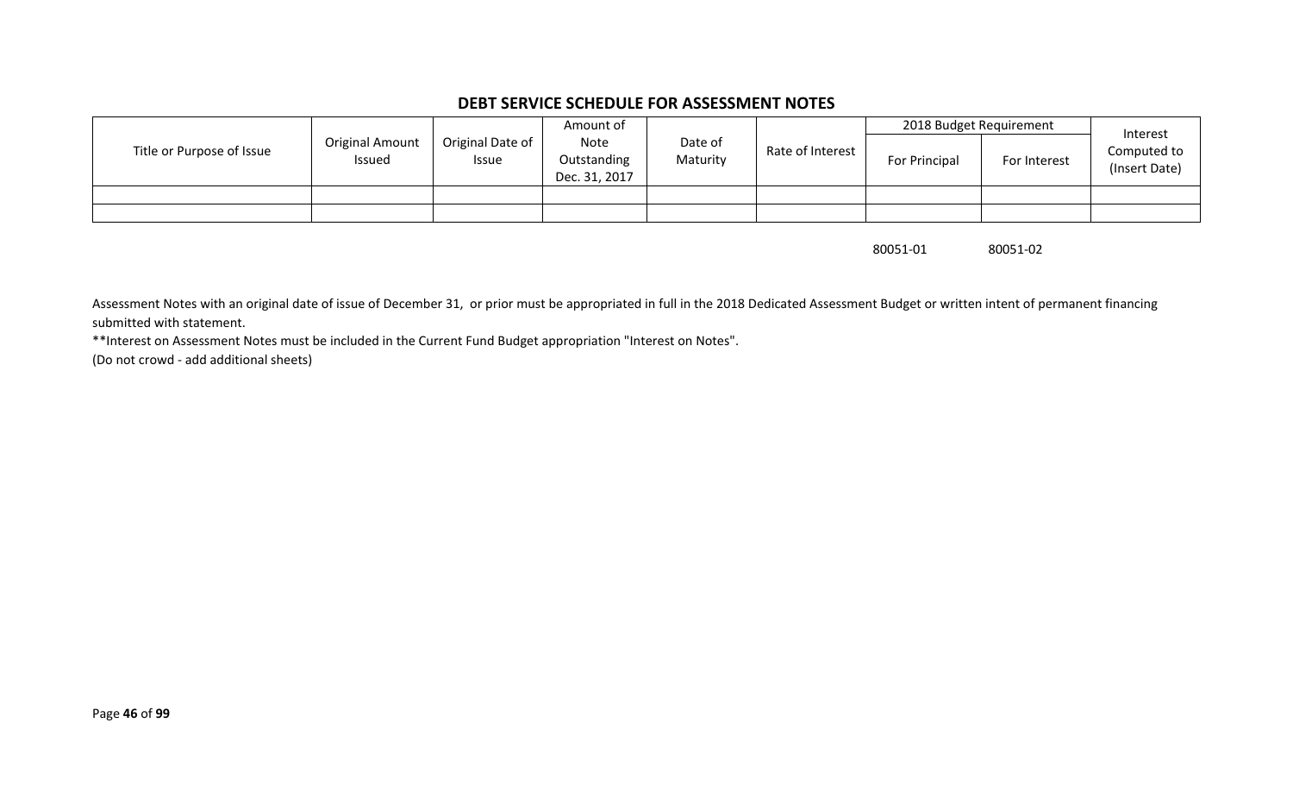#### **DEBT SERVICE SCHEDULE FOR ASSESSMENT NOTES**

|                           |                           |                           | Amount of                            |                     |                  | 2018 Budget Requirement |              | Interest                     |
|---------------------------|---------------------------|---------------------------|--------------------------------------|---------------------|------------------|-------------------------|--------------|------------------------------|
| Title or Purpose of Issue | Original Amount<br>Issued | Original Date of<br>Issue | Note<br>Outstanding<br>Dec. 31, 2017 | Date of<br>Maturity | Rate of Interest | For Principal           | For Interest | Computed to<br>(Insert Date) |
|                           |                           |                           |                                      |                     |                  |                         |              |                              |
|                           |                           |                           |                                      |                     |                  |                         |              |                              |

80051-01 80051-02

Assessment Notes with an original date of issue of December 31, or prior must be appropriated in full in the 2018 Dedicated Assessment Budget or written intent of permanent financing submitted with statement.

\*\*Interest on Assessment Notes must be included in the Current Fund Budget appropriation "Interest on Notes".

(Do not crowd - add additional sheets)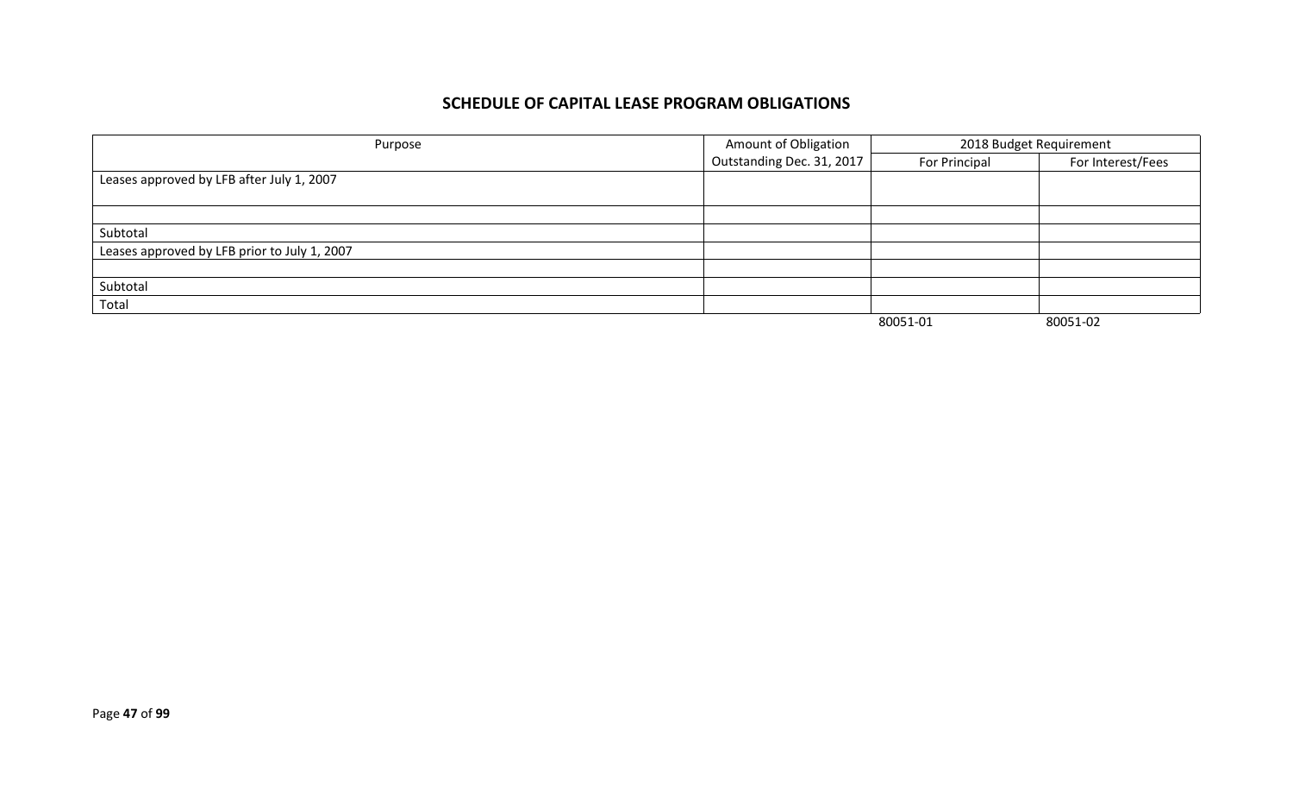#### **SCHEDULE OF CAPITAL LEASE PROGRAM OBLIGATIONS**

| Purpose                                      | Amount of Obligation      | 2018 Budget Requirement |                   |
|----------------------------------------------|---------------------------|-------------------------|-------------------|
|                                              | Outstanding Dec. 31, 2017 | For Principal           | For Interest/Fees |
| Leases approved by LFB after July 1, 2007    |                           |                         |                   |
|                                              |                           |                         |                   |
|                                              |                           |                         |                   |
| Subtotal                                     |                           |                         |                   |
| Leases approved by LFB prior to July 1, 2007 |                           |                         |                   |
|                                              |                           |                         |                   |
| Subtotal                                     |                           |                         |                   |
| Total                                        |                           |                         |                   |
|                                              |                           | 80051-01                | 80051-02          |

Page **47** of **99**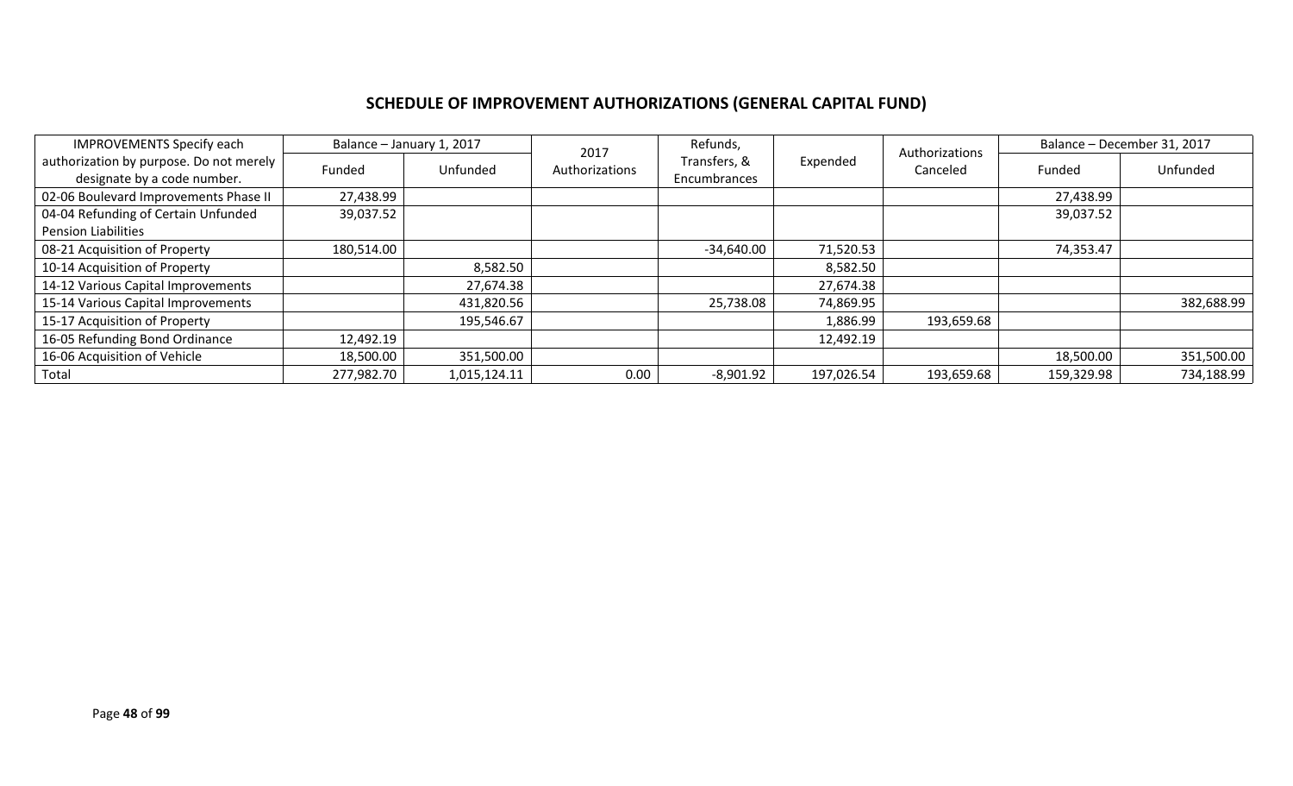# **SCHEDULE OF IMPROVEMENT AUTHORIZATIONS (GENERAL CAPITAL FUND)**

| <b>IMPROVEMENTS Specify each</b>                                       | Balance - January 1, 2017 |              | 2017           | Refunds,                     |            | Authorizations |            | Balance - December 31, 2017 |
|------------------------------------------------------------------------|---------------------------|--------------|----------------|------------------------------|------------|----------------|------------|-----------------------------|
| authorization by purpose. Do not merely<br>designate by a code number. | Funded                    | Unfunded     | Authorizations | Transfers, &<br>Encumbrances | Expended   | Canceled       | Funded     | Unfunded                    |
| 02-06 Boulevard Improvements Phase II                                  | 27,438.99                 |              |                |                              |            |                | 27,438.99  |                             |
| 04-04 Refunding of Certain Unfunded                                    | 39,037.52                 |              |                |                              |            |                | 39,037.52  |                             |
| <b>Pension Liabilities</b>                                             |                           |              |                |                              |            |                |            |                             |
| 08-21 Acquisition of Property                                          | 180,514.00                |              |                | $-34,640.00$                 | 71,520.53  |                | 74,353.47  |                             |
| 10-14 Acquisition of Property                                          |                           | 8,582.50     |                |                              | 8,582.50   |                |            |                             |
| 14-12 Various Capital Improvements                                     |                           | 27,674.38    |                |                              | 27,674.38  |                |            |                             |
| 15-14 Various Capital Improvements                                     |                           | 431,820.56   |                | 25,738.08                    | 74,869.95  |                |            | 382,688.99                  |
| 15-17 Acquisition of Property                                          |                           | 195,546.67   |                |                              | 1,886.99   | 193,659.68     |            |                             |
| 16-05 Refunding Bond Ordinance                                         | 12,492.19                 |              |                |                              | 12,492.19  |                |            |                             |
| 16-06 Acquisition of Vehicle                                           | 18,500.00                 | 351,500.00   |                |                              |            |                | 18,500.00  | 351,500.00                  |
| Total                                                                  | 277,982.70                | 1,015,124.11 | 0.00           | $-8,901.92$                  | 197,026.54 | 193,659.68     | 159,329.98 | 734,188.99                  |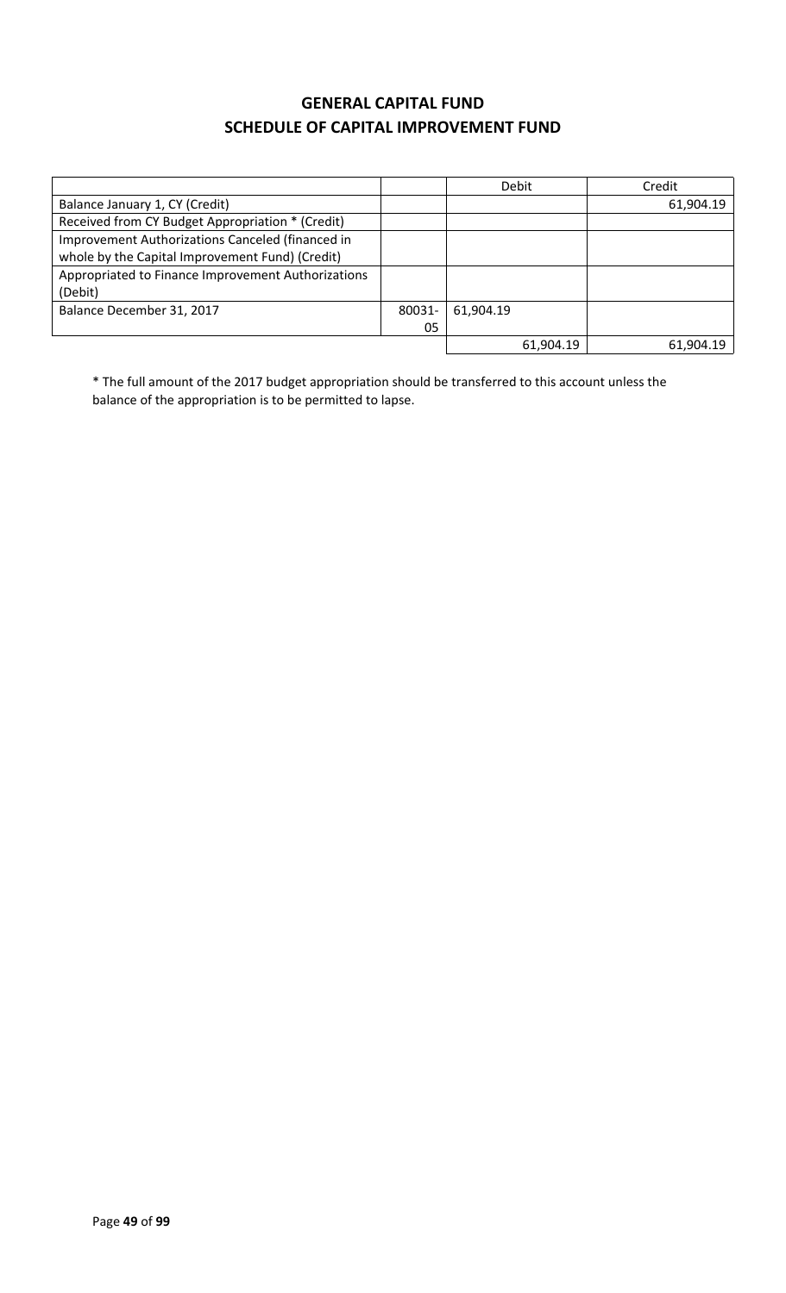### **GENERAL CAPITAL FUND SCHEDULE OF CAPITAL IMPROVEMENT FUND**

|                                                    |        | Debit     | Credit    |
|----------------------------------------------------|--------|-----------|-----------|
| Balance January 1, CY (Credit)                     |        |           | 61,904.19 |
| Received from CY Budget Appropriation * (Credit)   |        |           |           |
| Improvement Authorizations Canceled (financed in   |        |           |           |
| whole by the Capital Improvement Fund) (Credit)    |        |           |           |
| Appropriated to Finance Improvement Authorizations |        |           |           |
| (Debit)                                            |        |           |           |
| Balance December 31, 2017                          | 80031- | 61,904.19 |           |
|                                                    | 05     |           |           |
|                                                    |        | 61,904.19 | 61,904.19 |

\* The full amount of the 2017 budget appropriation should be transferred to this account unless the balance of the appropriation is to be permitted to lapse.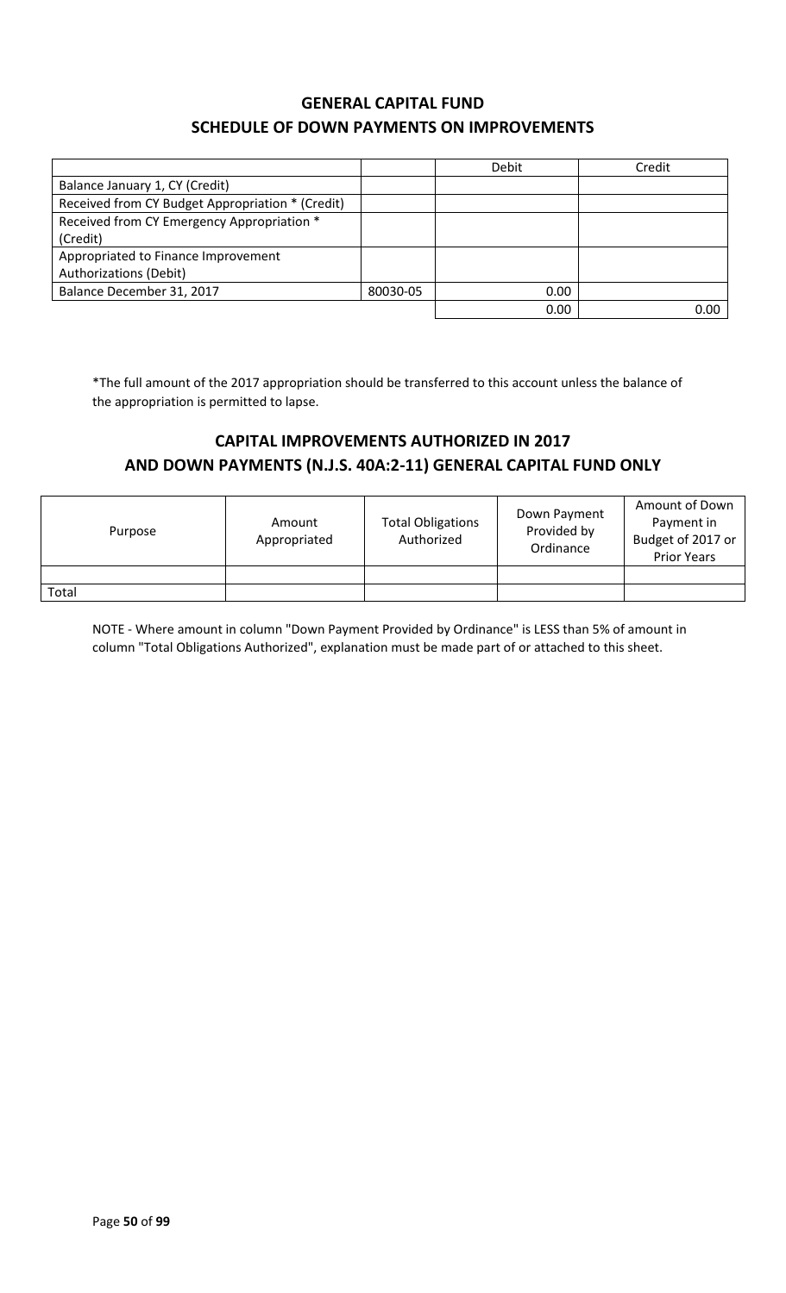### **GENERAL CAPITAL FUND SCHEDULE OF DOWN PAYMENTS ON IMPROVEMENTS**

|                                                  |          | Debit | Credit |
|--------------------------------------------------|----------|-------|--------|
| Balance January 1, CY (Credit)                   |          |       |        |
| Received from CY Budget Appropriation * (Credit) |          |       |        |
| Received from CY Emergency Appropriation *       |          |       |        |
| (Credit)                                         |          |       |        |
| Appropriated to Finance Improvement              |          |       |        |
| <b>Authorizations (Debit)</b>                    |          |       |        |
| Balance December 31, 2017                        | 80030-05 | 0.00  |        |
|                                                  |          | 0.00  | 0.00   |

\*The full amount of the 2017 appropriation should be transferred to this account unless the balance of the appropriation is permitted to lapse.

### **CAPITAL IMPROVEMENTS AUTHORIZED IN 2017 AND DOWN PAYMENTS (N.J.S. 40A:2-11) GENERAL CAPITAL FUND ONLY**

| Purpose | Amount<br>Appropriated | <b>Total Obligations</b><br>Authorized | Down Payment<br>Provided by<br>Ordinance | Amount of Down<br>Payment in<br>Budget of 2017 or<br><b>Prior Years</b> |
|---------|------------------------|----------------------------------------|------------------------------------------|-------------------------------------------------------------------------|
|         |                        |                                        |                                          |                                                                         |
| Total   |                        |                                        |                                          |                                                                         |

NOTE - Where amount in column "Down Payment Provided by Ordinance" is LESS than 5% of amount in column "Total Obligations Authorized", explanation must be made part of or attached to this sheet.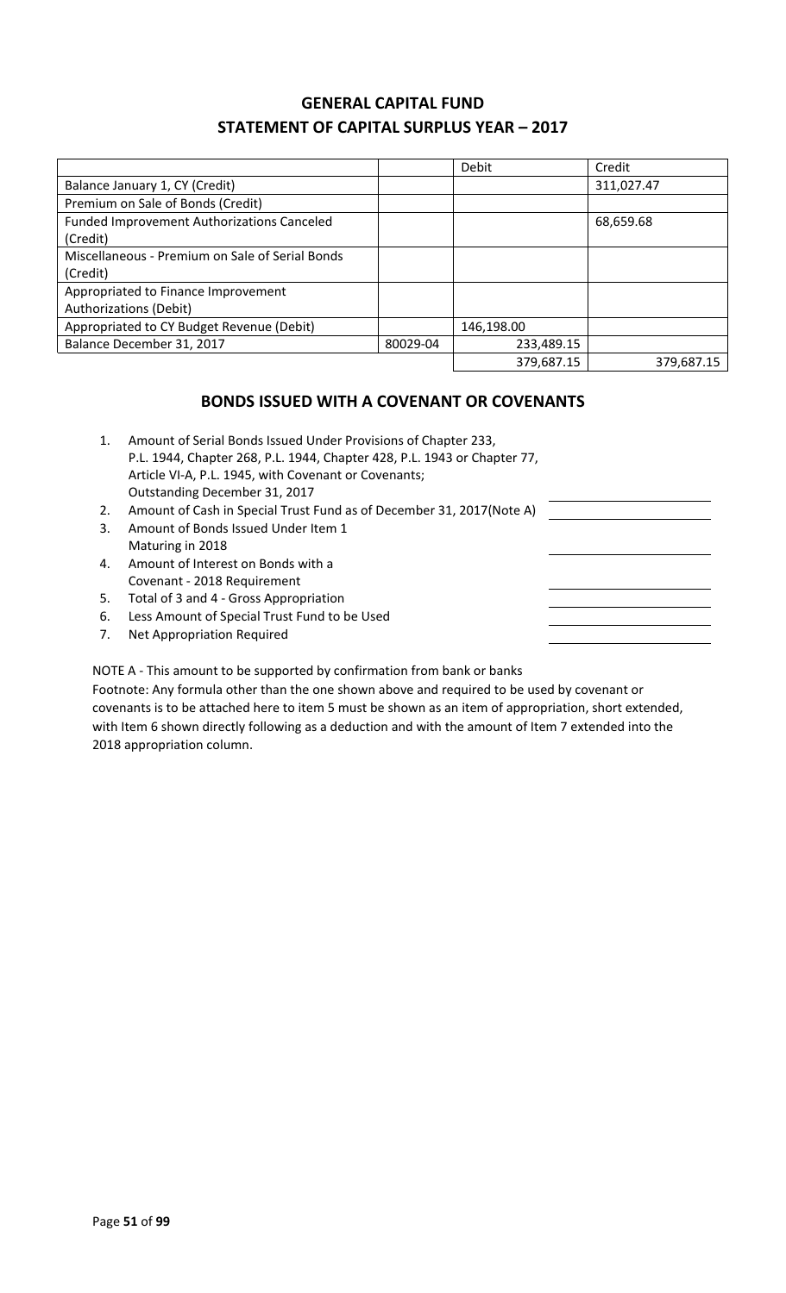### **GENERAL CAPITAL FUND STATEMENT OF CAPITAL SURPLUS YEAR – 2017**

|                                                               |          | Debit      | Credit     |
|---------------------------------------------------------------|----------|------------|------------|
| Balance January 1, CY (Credit)                                |          |            | 311,027.47 |
| Premium on Sale of Bonds (Credit)                             |          |            |            |
| <b>Funded Improvement Authorizations Canceled</b><br>(Credit) |          |            | 68,659.68  |
| Miscellaneous - Premium on Sale of Serial Bonds<br>(Credit)   |          |            |            |
| Appropriated to Finance Improvement<br>Authorizations (Debit) |          |            |            |
| Appropriated to CY Budget Revenue (Debit)                     |          | 146,198.00 |            |
| Balance December 31, 2017                                     | 80029-04 | 233,489.15 |            |
|                                                               |          | 379,687.15 | 379.687.15 |

### **BONDS ISSUED WITH A COVENANT OR COVENANTS**

| 1. | Amount of Serial Bonds Issued Under Provisions of Chapter 233,<br>P.L. 1944, Chapter 268, P.L. 1944, Chapter 428, P.L. 1943 or Chapter 77,<br>Article VI-A, P.L. 1945, with Covenant or Covenants;<br>Outstanding December 31, 2017 |  |
|----|-------------------------------------------------------------------------------------------------------------------------------------------------------------------------------------------------------------------------------------|--|
| 2. | Amount of Cash in Special Trust Fund as of December 31, 2017(Note A)                                                                                                                                                                |  |
| 3. | Amount of Bonds Issued Under Item 1                                                                                                                                                                                                 |  |
|    | Maturing in 2018                                                                                                                                                                                                                    |  |
| 4. | Amount of Interest on Bonds with a                                                                                                                                                                                                  |  |
|    | Covenant - 2018 Requirement                                                                                                                                                                                                         |  |
| 5. | Total of 3 and 4 - Gross Appropriation                                                                                                                                                                                              |  |
| 6. | Less Amount of Special Trust Fund to be Used                                                                                                                                                                                        |  |
| 7. | Net Appropriation Required                                                                                                                                                                                                          |  |
|    |                                                                                                                                                                                                                                     |  |

NOTE A - This amount to be supported by confirmation from bank or banks

Footnote: Any formula other than the one shown above and required to be used by covenant or covenants is to be attached here to item 5 must be shown as an item of appropriation, short extended, with Item 6 shown directly following as a deduction and with the amount of Item 7 extended into the 2018 appropriation column.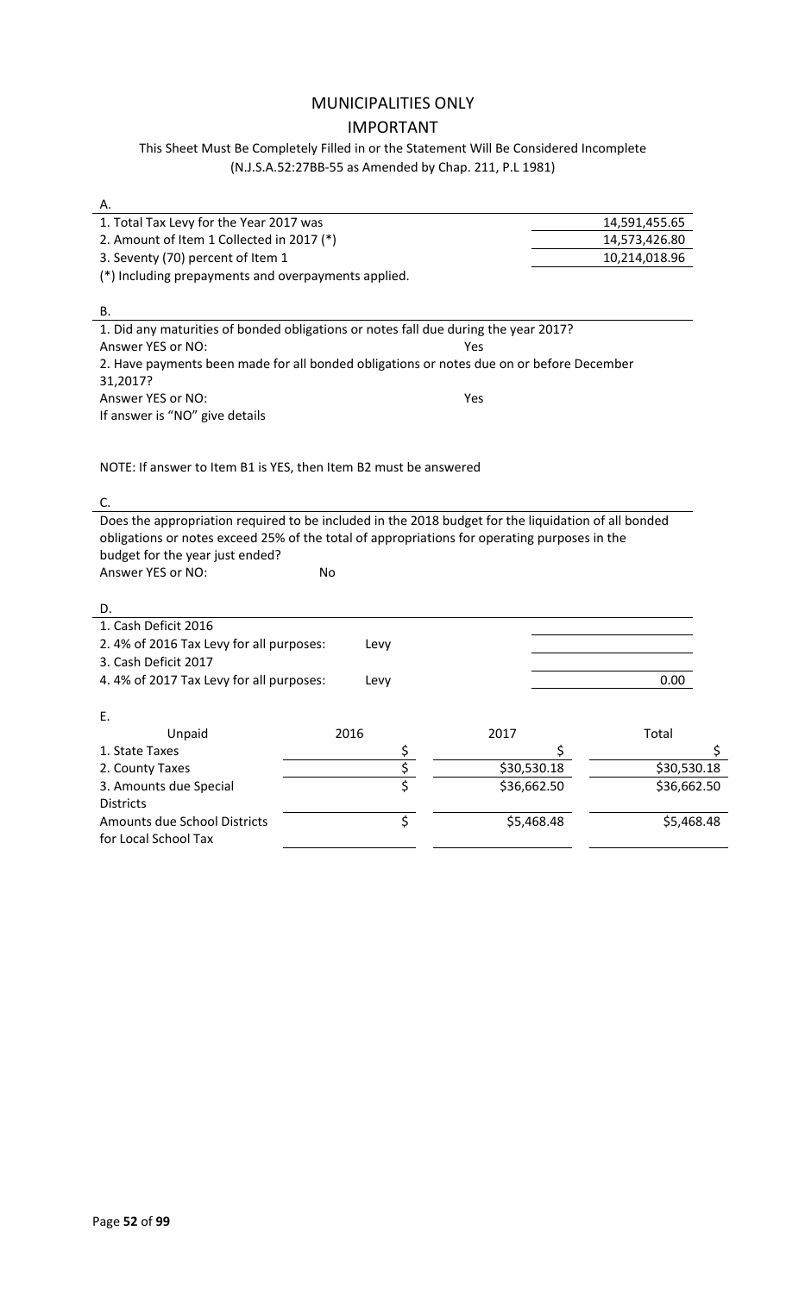### MUNICIPALITIES ONLY IMPORTANT

This Sheet Must Be Completely Filled in or the Statement Will Be Considered Incomplete (N.J.S.A.52:27BB-55 as Amended by Chap. 211, P.L 1981)

| А.                                                                                                  |      |                |             |               |
|-----------------------------------------------------------------------------------------------------|------|----------------|-------------|---------------|
| 1. Total Tax Levy for the Year 2017 was                                                             |      |                |             | 14,591,455.65 |
| 2. Amount of Item 1 Collected in 2017 (*)                                                           |      |                |             | 14,573,426.80 |
| 3. Seventy (70) percent of Item 1                                                                   |      |                |             | 10,214,018.96 |
| (*) Including prepayments and overpayments applied.                                                 |      |                |             |               |
|                                                                                                     |      |                |             |               |
| В.                                                                                                  |      |                |             |               |
| 1. Did any maturities of bonded obligations or notes fall due during the year 2017?                 |      |                |             |               |
| Answer YES or NO:                                                                                   |      |                | Yes         |               |
| 2. Have payments been made for all bonded obligations or notes due on or before December            |      |                |             |               |
| 31,2017?                                                                                            |      |                |             |               |
| Answer YES or NO:                                                                                   |      |                | Yes         |               |
| If answer is "NO" give details                                                                      |      |                |             |               |
|                                                                                                     |      |                |             |               |
|                                                                                                     |      |                |             |               |
| NOTE: If answer to Item B1 is YES, then Item B2 must be answered                                    |      |                |             |               |
|                                                                                                     |      |                |             |               |
| C.                                                                                                  |      |                |             |               |
| Does the appropriation required to be included in the 2018 budget for the liquidation of all bonded |      |                |             |               |
| obligations or notes exceed 25% of the total of appropriations for operating purposes in the        |      |                |             |               |
| budget for the year just ended?                                                                     |      |                |             |               |
| Answer YES or NO:                                                                                   | No   |                |             |               |
|                                                                                                     |      |                |             |               |
| D.                                                                                                  |      |                |             |               |
| 1. Cash Deficit 2016                                                                                |      |                |             |               |
| 2.4% of 2016 Tax Levy for all purposes:                                                             | Levy |                |             |               |
| 3. Cash Deficit 2017                                                                                |      |                |             |               |
| 4.4% of 2017 Tax Levy for all purposes:                                                             | Levy |                |             | 0.00          |
|                                                                                                     |      |                |             |               |
| Е.                                                                                                  |      |                |             |               |
| Unpaid                                                                                              | 2016 |                | 2017        | Total         |
| 1. State Taxes                                                                                      |      | \$<br>\$<br>\$ | \$          | \$            |
| 2. County Taxes                                                                                     |      |                | \$30,530.18 | \$30,530.18   |
| 3. Amounts due Special                                                                              |      |                | \$36,662.50 | \$36,662.50   |
| <b>Districts</b>                                                                                    |      |                |             |               |
| <b>Amounts due School Districts</b>                                                                 |      | \$             | \$5,468.48  | \$5,468.48    |
| for Local School Tax                                                                                |      |                |             |               |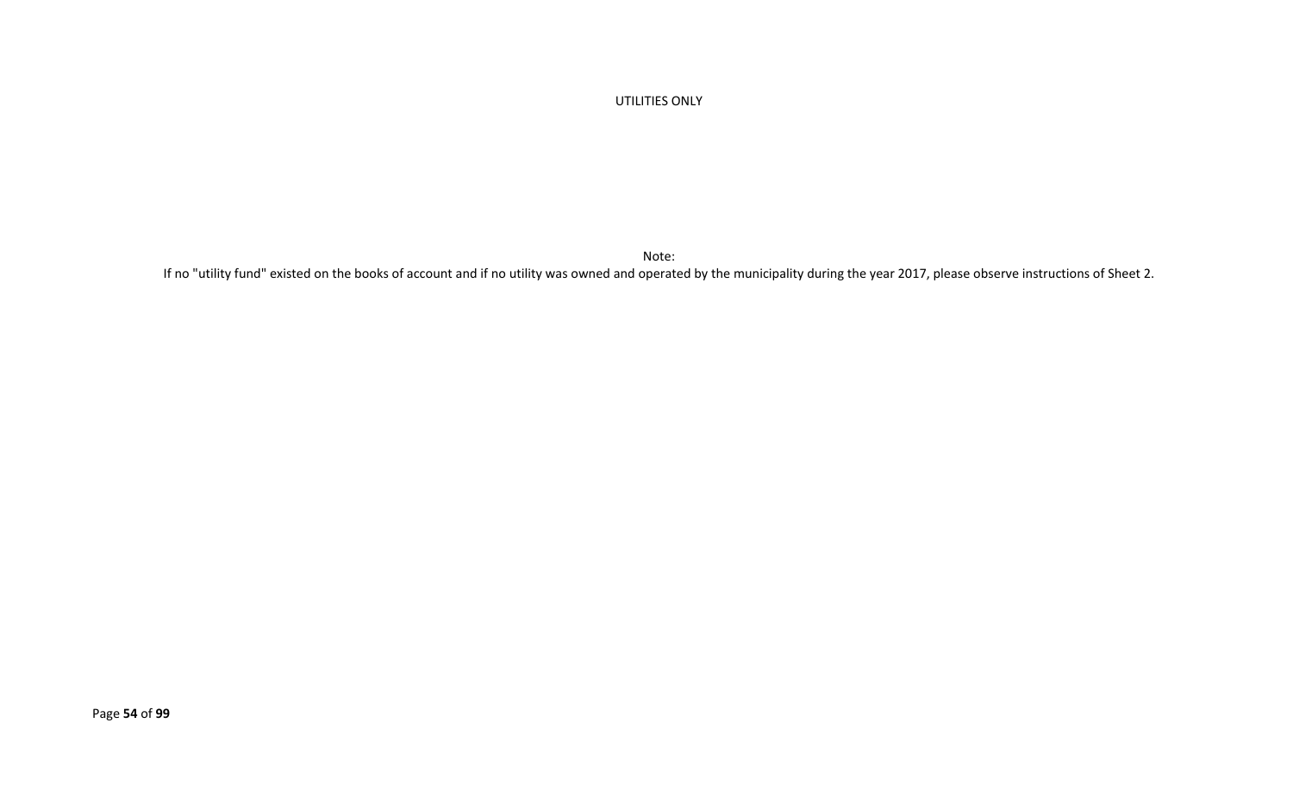#### UTILITIES ONLY

Note:

If no "utility fund" existed on the books of account and if no utility was owned and operated by the municipality during the year 2017, please observe instructions of Sheet 2.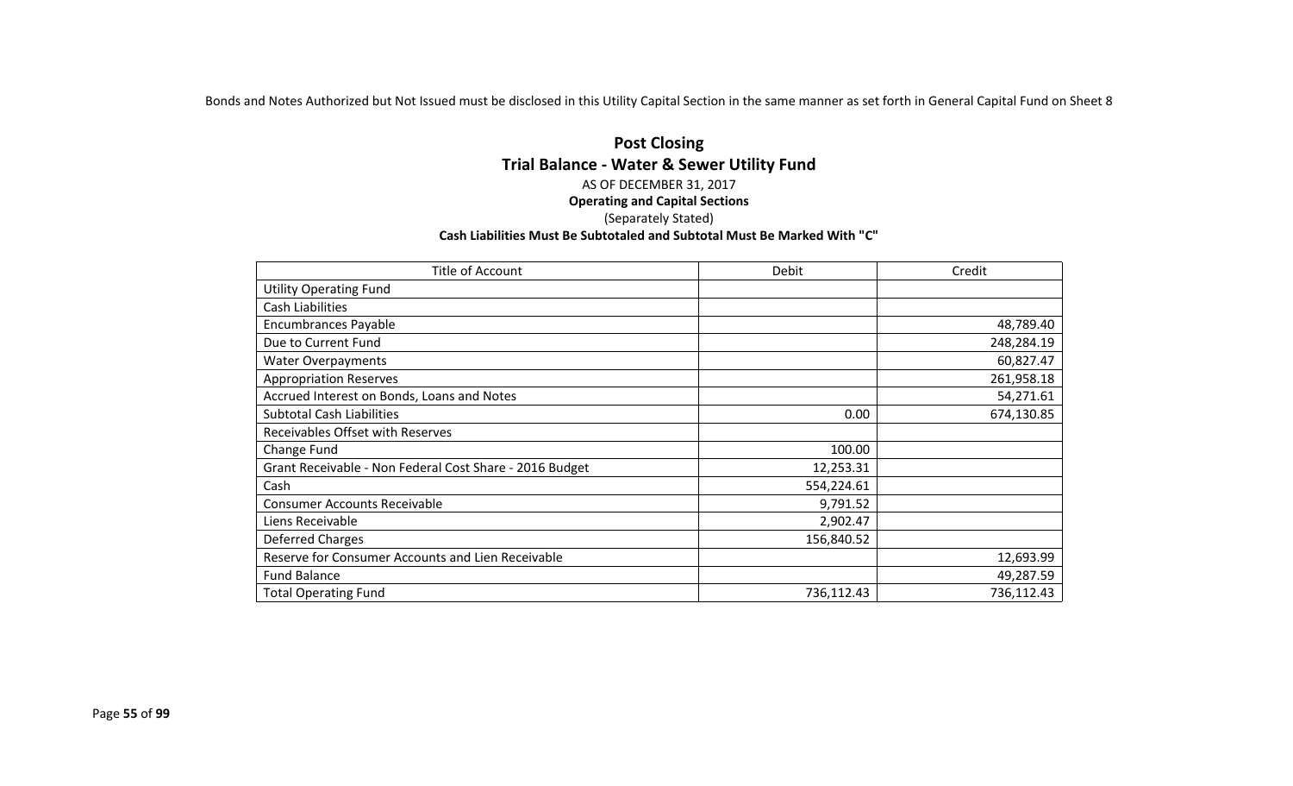Bonds and Notes Authorized but Not Issued must be disclosed in this Utility Capital Section in the same manner as set forth in General Capital Fund on Sheet 8

#### **Post Closing Trial Balance - Water & Sewer Utility Fund** AS OF DECEMBER 31, 2017 **Operating and Capital Sections** (Separately Stated) **Cash Liabilities Must Be Subtotaled and Subtotal Must Be Marked With "C"**

| Title of Account                                        | Debit      | Credit     |
|---------------------------------------------------------|------------|------------|
| <b>Utility Operating Fund</b>                           |            |            |
| Cash Liabilities                                        |            |            |
| <b>Encumbrances Payable</b>                             |            | 48,789.40  |
| Due to Current Fund                                     |            | 248,284.19 |
| <b>Water Overpayments</b>                               |            | 60,827.47  |
| <b>Appropriation Reserves</b>                           |            | 261,958.18 |
| Accrued Interest on Bonds, Loans and Notes              |            | 54,271.61  |
| <b>Subtotal Cash Liabilities</b>                        | 0.00       | 674,130.85 |
| Receivables Offset with Reserves                        |            |            |
| Change Fund                                             | 100.00     |            |
| Grant Receivable - Non Federal Cost Share - 2016 Budget | 12,253.31  |            |
| Cash                                                    | 554,224.61 |            |
| <b>Consumer Accounts Receivable</b>                     | 9,791.52   |            |
| Liens Receivable                                        | 2,902.47   |            |
| Deferred Charges                                        | 156,840.52 |            |
| Reserve for Consumer Accounts and Lien Receivable       |            | 12,693.99  |
| <b>Fund Balance</b>                                     |            | 49,287.59  |
| <b>Total Operating Fund</b>                             | 736,112.43 | 736,112.43 |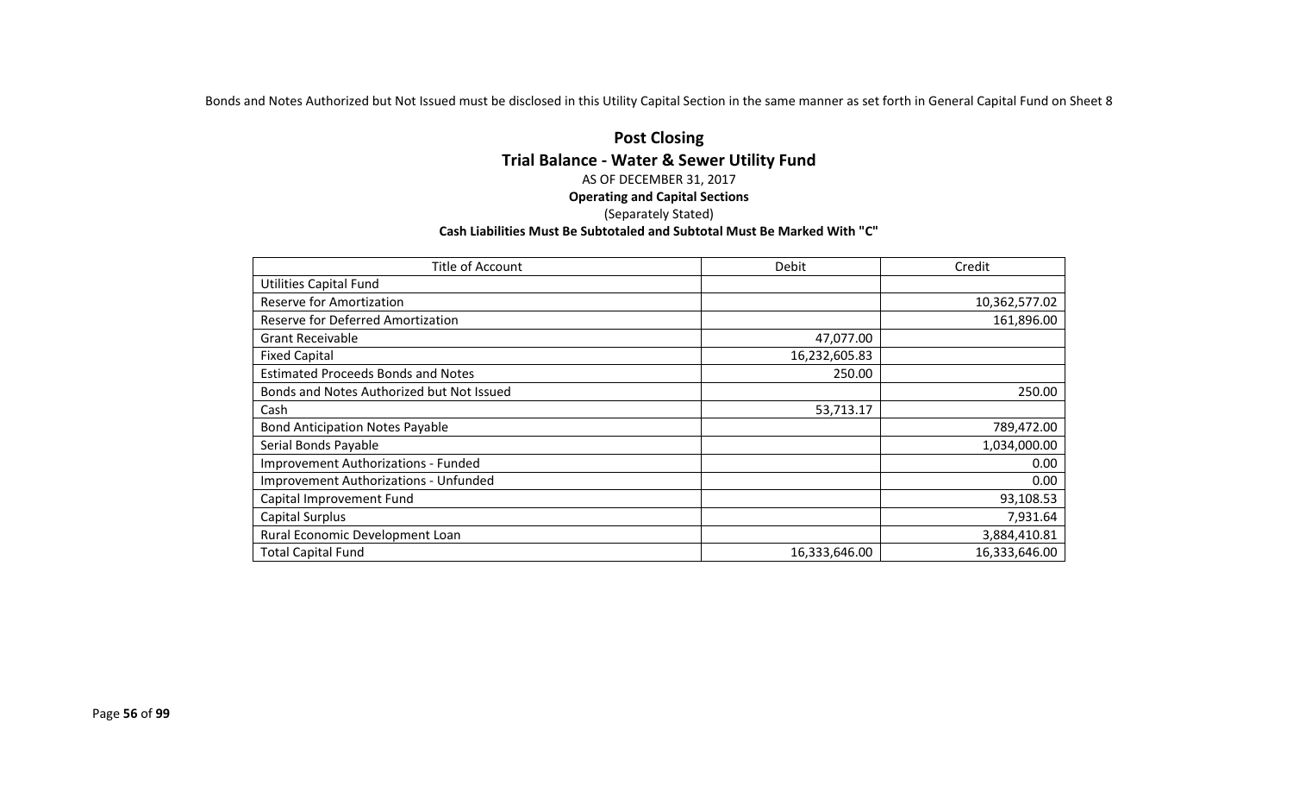Bonds and Notes Authorized but Not Issued must be disclosed in this Utility Capital Section in the same manner as set forth in General Capital Fund on Sheet 8

#### **Post Closing Trial Balance - Water & Sewer Utility Fund** AS OF DECEMBER 31, 2017 **Operating and Capital Sections** (Separately Stated) **Cash Liabilities Must Be Subtotaled and Subtotal Must Be Marked With "C"**

| Title of Account                             | Debit         | Credit        |
|----------------------------------------------|---------------|---------------|
| <b>Utilities Capital Fund</b>                |               |               |
| Reserve for Amortization                     |               | 10,362,577.02 |
| Reserve for Deferred Amortization            |               | 161,896.00    |
| <b>Grant Receivable</b>                      | 47,077.00     |               |
| <b>Fixed Capital</b>                         | 16,232,605.83 |               |
| <b>Estimated Proceeds Bonds and Notes</b>    | 250.00        |               |
| Bonds and Notes Authorized but Not Issued    |               | 250.00        |
| Cash                                         | 53,713.17     |               |
| <b>Bond Anticipation Notes Payable</b>       |               | 789,472.00    |
| Serial Bonds Payable                         |               | 1,034,000.00  |
| Improvement Authorizations - Funded          |               | 0.00          |
| <b>Improvement Authorizations - Unfunded</b> |               | 0.00          |
| Capital Improvement Fund                     |               | 93,108.53     |
| <b>Capital Surplus</b>                       |               | 7,931.64      |
| Rural Economic Development Loan              |               | 3,884,410.81  |
| <b>Total Capital Fund</b>                    | 16,333,646.00 | 16,333,646.00 |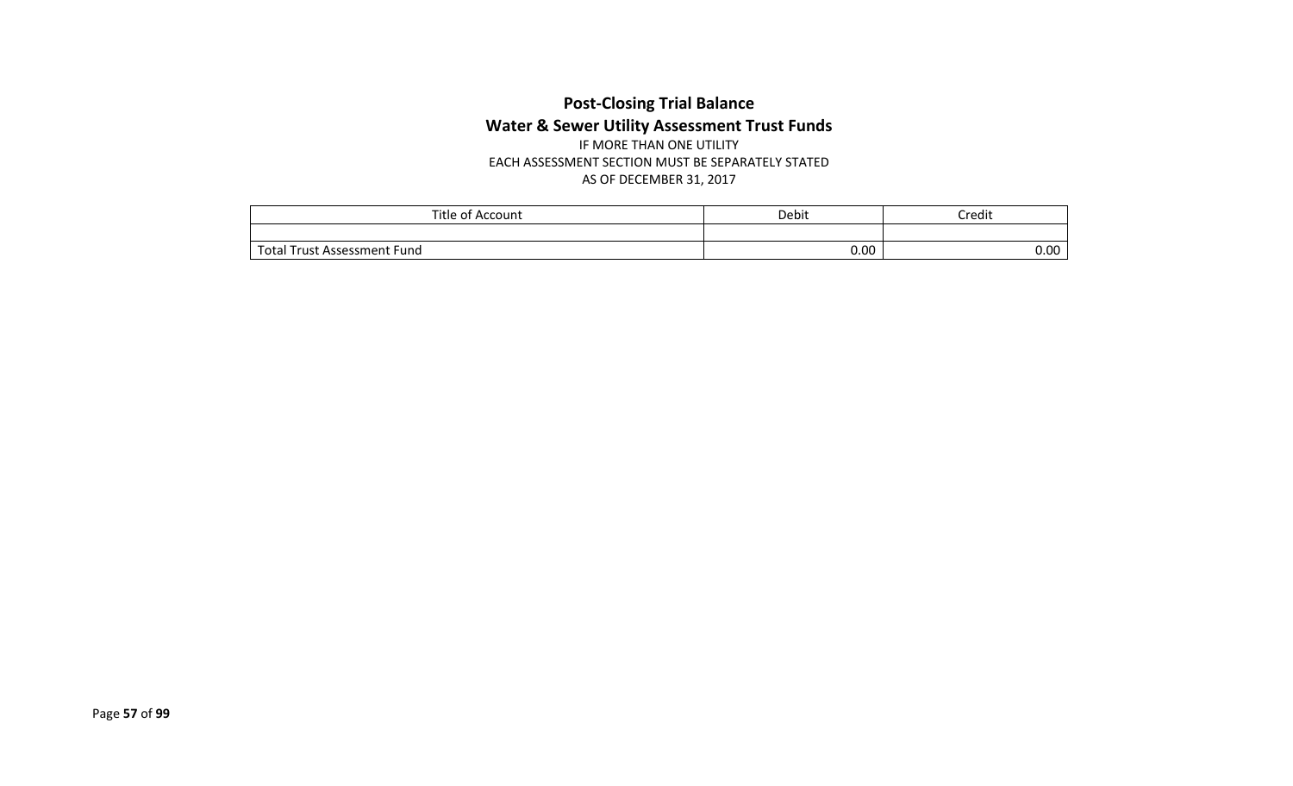### **Post-Closing Trial Balance Water & Sewer Utility Assessment Trust Funds** IF MORE THAN ONE UTILITY

EACH ASSESSMENT SECTION MUST BE SEPARATELY STATED AS OF DECEMBER 31, 2017

| Title of .<br>`Account         | Debit | Credit |
|--------------------------------|-------|--------|
|                                |       |        |
| Trust Assessment Fund<br>Total | 0.00  | 0.00   |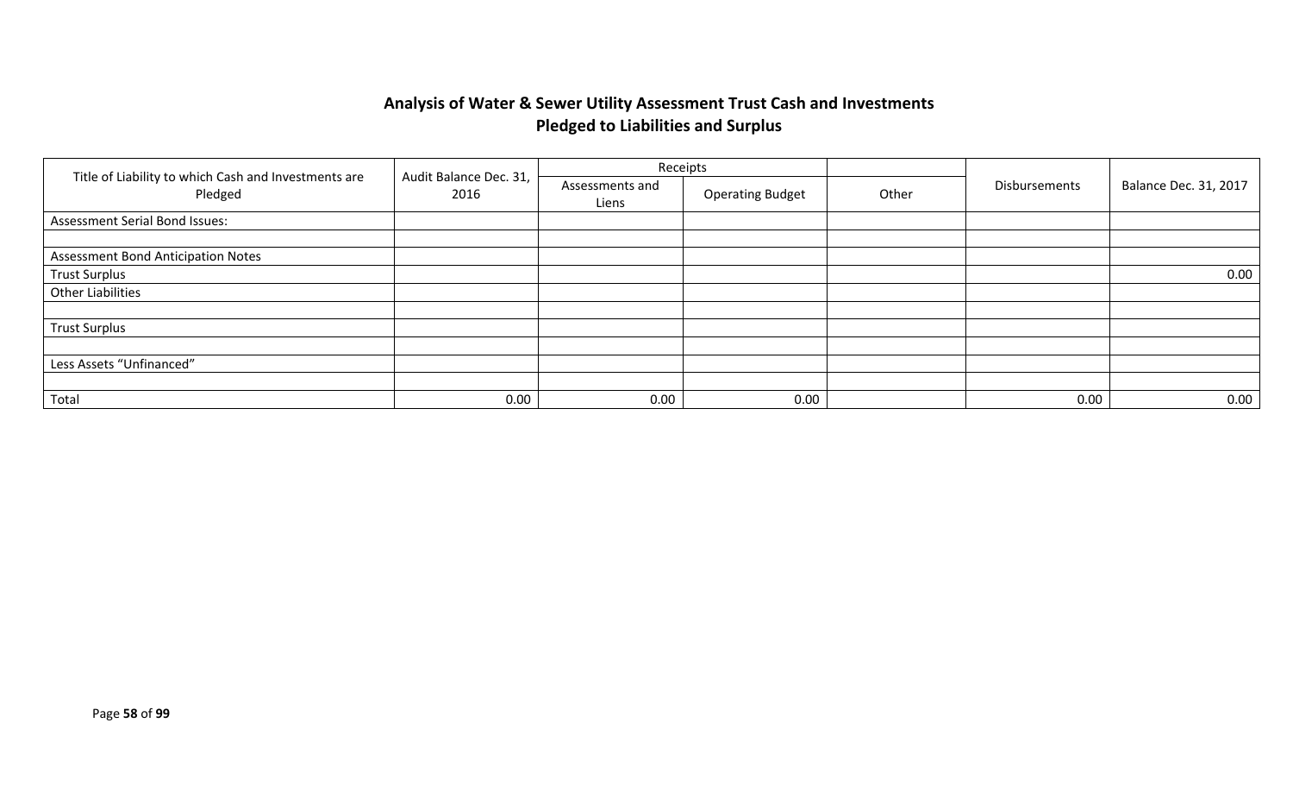## **Analysis of Water & Sewer Utility Assessment Trust Cash and Investments Pledged to Liabilities and Surplus**

|                                                                 |                                | Receipts                 |                         |       |               |                       |
|-----------------------------------------------------------------|--------------------------------|--------------------------|-------------------------|-------|---------------|-----------------------|
| Title of Liability to which Cash and Investments are<br>Pledged | Audit Balance Dec. 31,<br>2016 | Assessments and<br>Liens | <b>Operating Budget</b> | Other | Disbursements | Balance Dec. 31, 2017 |
| Assessment Serial Bond Issues:                                  |                                |                          |                         |       |               |                       |
|                                                                 |                                |                          |                         |       |               |                       |
| <b>Assessment Bond Anticipation Notes</b>                       |                                |                          |                         |       |               |                       |
| <b>Trust Surplus</b>                                            |                                |                          |                         |       |               | 0.00                  |
| <b>Other Liabilities</b>                                        |                                |                          |                         |       |               |                       |
|                                                                 |                                |                          |                         |       |               |                       |
| <b>Trust Surplus</b>                                            |                                |                          |                         |       |               |                       |
|                                                                 |                                |                          |                         |       |               |                       |
| Less Assets "Unfinanced"                                        |                                |                          |                         |       |               |                       |
|                                                                 |                                |                          |                         |       |               |                       |
| Total                                                           | 0.00                           | 0.00                     | 0.00                    |       | 0.00          | 0.00                  |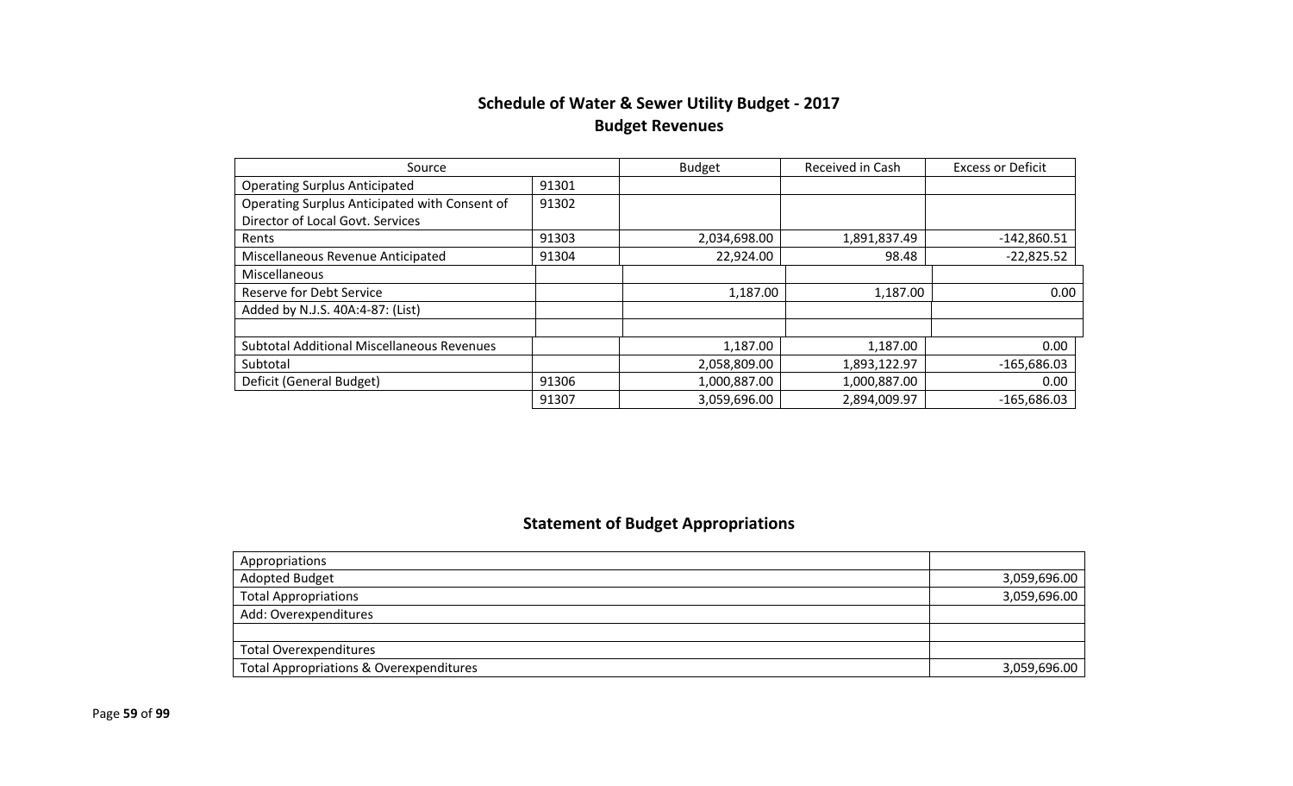## **Schedule of Water & Sewer Utility Budget - 2017 Budget Revenues**

| Source                                            |       | <b>Budget</b> | Received in Cash | <b>Excess or Deficit</b> |
|---------------------------------------------------|-------|---------------|------------------|--------------------------|
| <b>Operating Surplus Anticipated</b>              | 91301 |               |                  |                          |
| Operating Surplus Anticipated with Consent of     | 91302 |               |                  |                          |
| Director of Local Govt. Services                  |       |               |                  |                          |
| Rents                                             | 91303 | 2,034,698.00  | 1,891,837.49     | $-142,860.51$            |
| Miscellaneous Revenue Anticipated                 | 91304 | 22,924.00     | 98.48            | $-22,825.52$             |
| Miscellaneous                                     |       |               |                  |                          |
| <b>Reserve for Debt Service</b>                   |       | 1,187.00      | 1,187.00         | 0.00                     |
| Added by N.J.S. 40A:4-87: (List)                  |       |               |                  |                          |
|                                                   |       |               |                  |                          |
| <b>Subtotal Additional Miscellaneous Revenues</b> |       | 1,187.00      | 1,187.00         | 0.00                     |
| Subtotal                                          |       | 2,058,809.00  | 1,893,122.97     | $-165,686.03$            |
| Deficit (General Budget)                          | 91306 | 1,000,887.00  | 1,000,887.00     | 0.00                     |
|                                                   | 91307 | 3,059,696.00  | 2,894,009.97     | $-165,686.03$            |

## **Statement of Budget Appropriations**

| Appropriations                          |              |
|-----------------------------------------|--------------|
| Adopted Budget                          | 3,059,696.00 |
| <b>Total Appropriations</b>             | 3,059,696.00 |
| Add: Overexpenditures                   |              |
|                                         |              |
| <b>Total Overexpenditures</b>           |              |
| Total Appropriations & Overexpenditures | 3,059,696.00 |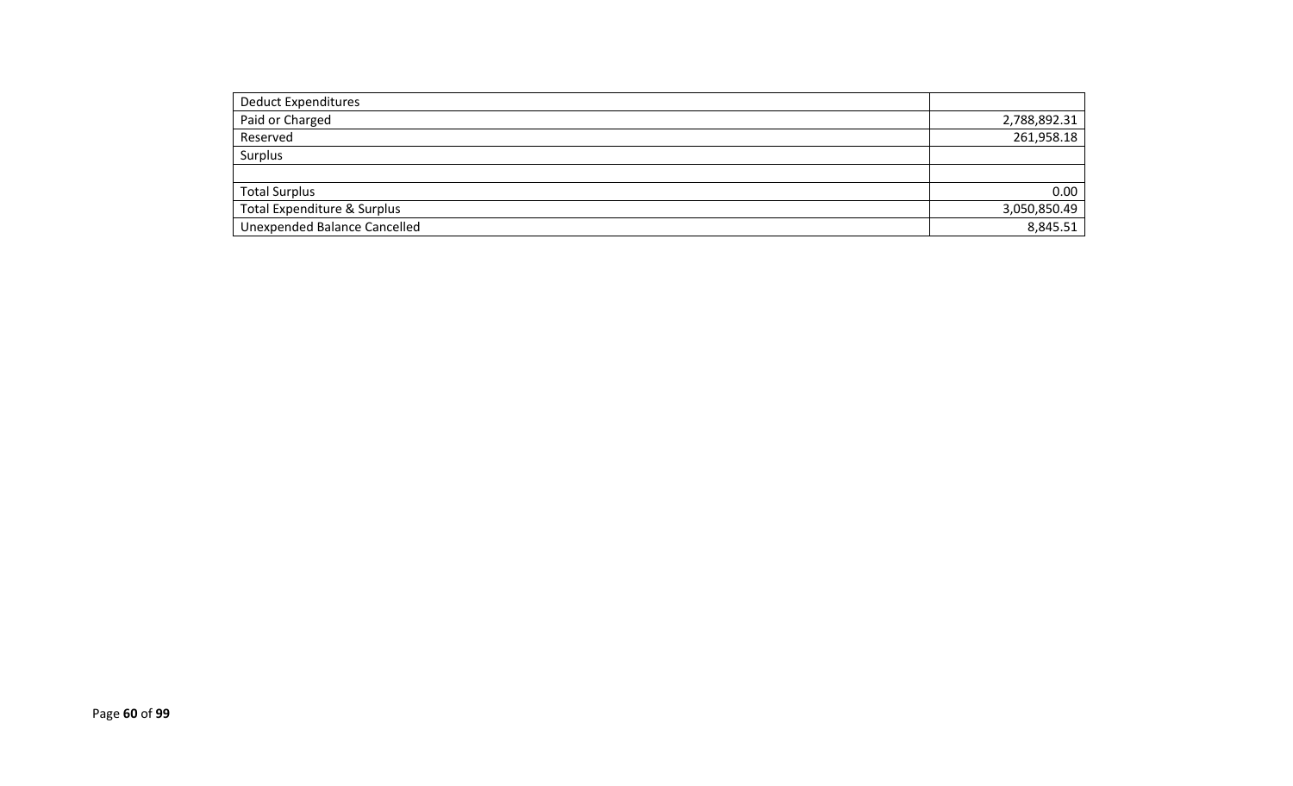| <b>Deduct Expenditures</b>          |              |
|-------------------------------------|--------------|
| Paid or Charged                     | 2,788,892.31 |
| Reserved                            | 261,958.18   |
| Surplus                             |              |
|                                     |              |
| <b>Total Surplus</b>                | 0.00         |
| Total Expenditure & Surplus         | 3,050,850.49 |
| <b>Unexpended Balance Cancelled</b> | 8,845.51     |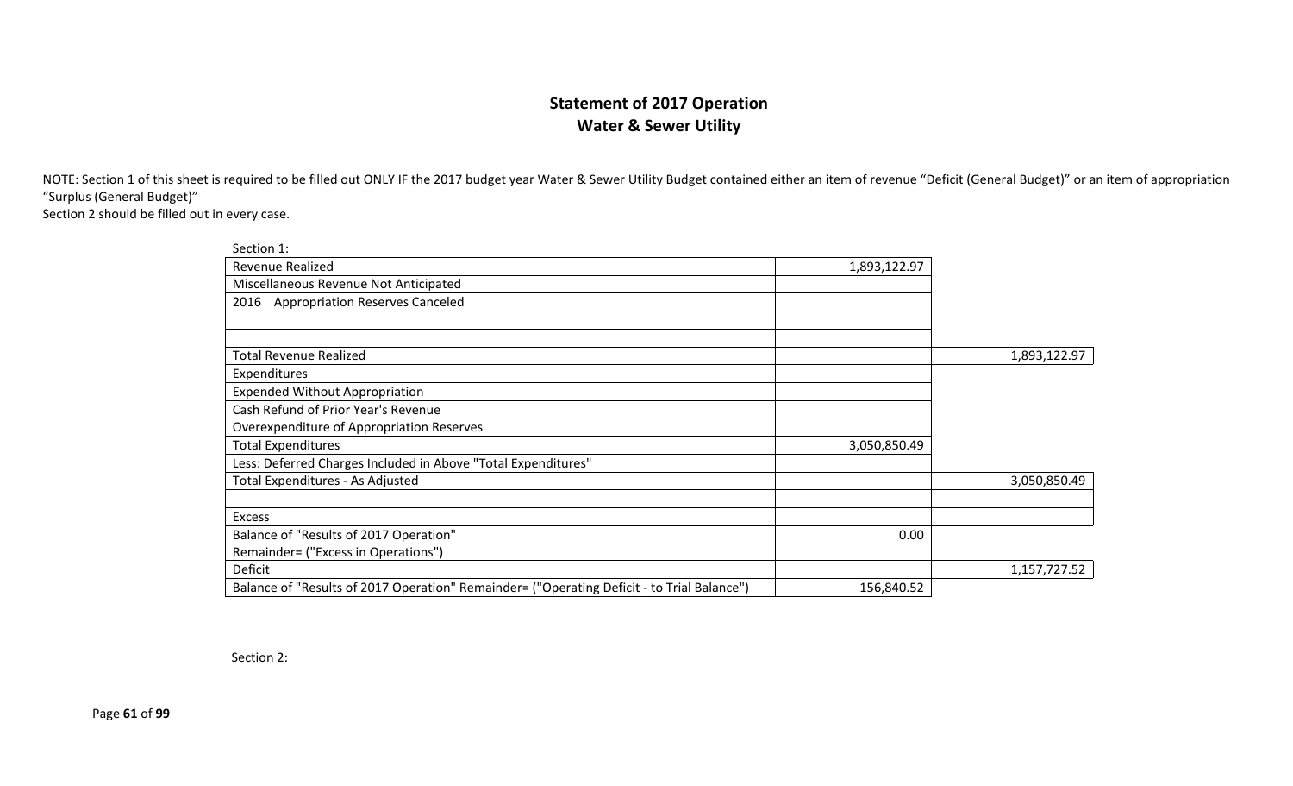### **Statement of 2017 Operation Water & Sewer Utility**

NOTE: Section 1 of this sheet is required to be filled out ONLY IF the 2017 budget year Water & Sewer Utility Budget contained either an item of revenue "Deficit (General Budget)" or an item of appropriation "Surplus (General Budget)"

Section 2 should be filled out in every case.

| Section 1:                                                                                 |              |              |
|--------------------------------------------------------------------------------------------|--------------|--------------|
| Revenue Realized                                                                           | 1,893,122.97 |              |
| Miscellaneous Revenue Not Anticipated                                                      |              |              |
| 2016 Appropriation Reserves Canceled                                                       |              |              |
|                                                                                            |              |              |
|                                                                                            |              |              |
| <b>Total Revenue Realized</b>                                                              |              | 1,893,122.97 |
| Expenditures                                                                               |              |              |
| <b>Expended Without Appropriation</b>                                                      |              |              |
| Cash Refund of Prior Year's Revenue                                                        |              |              |
| Overexpenditure of Appropriation Reserves                                                  |              |              |
| <b>Total Expenditures</b>                                                                  | 3,050,850.49 |              |
| Less: Deferred Charges Included in Above "Total Expenditures"                              |              |              |
| Total Expenditures - As Adjusted                                                           |              | 3,050,850.49 |
|                                                                                            |              |              |
| Excess                                                                                     |              |              |
| Balance of "Results of 2017 Operation"                                                     | 0.00         |              |
| Remainder= ("Excess in Operations")                                                        |              |              |
| Deficit                                                                                    |              | 1,157,727.52 |
| Balance of "Results of 2017 Operation" Remainder= ("Operating Deficit - to Trial Balance") | 156,840.52   |              |

Section 2:

Page **61** of **99**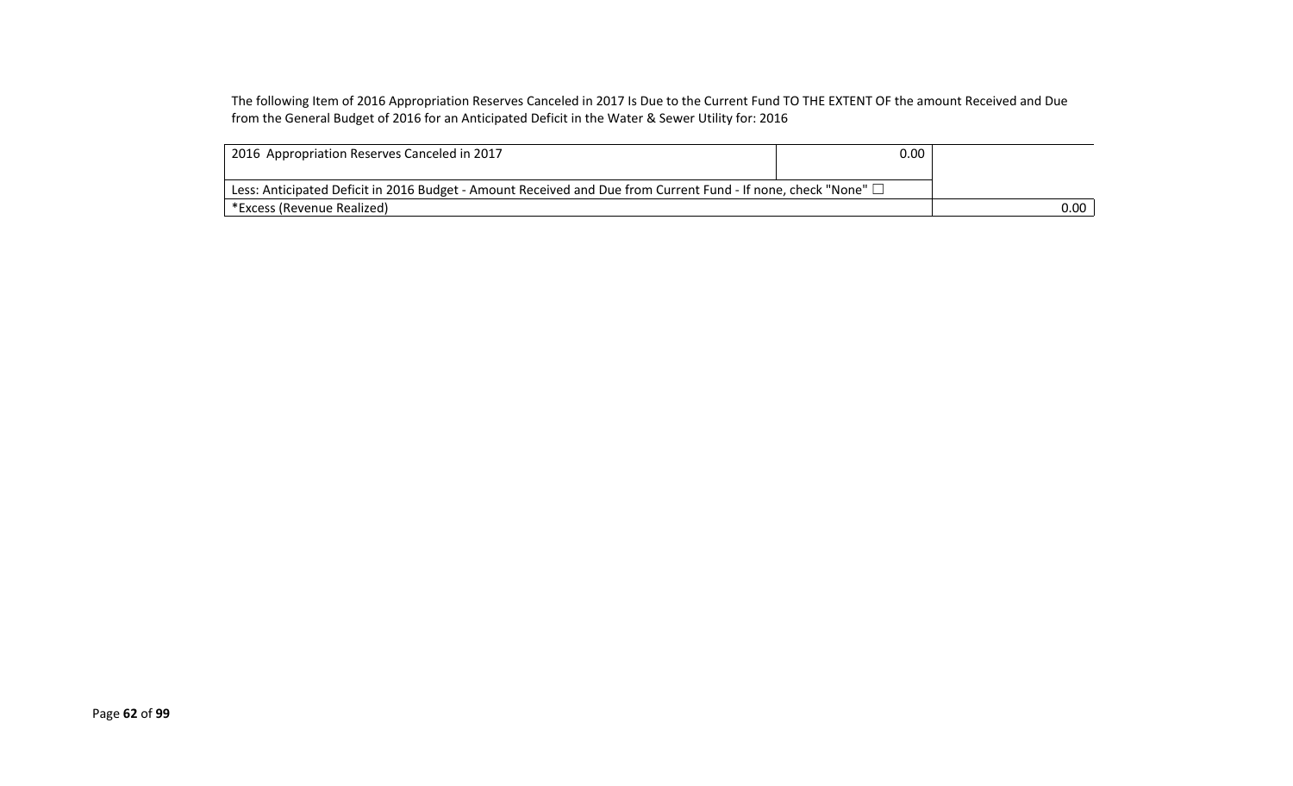The following Item of 2016 Appropriation Reserves Canceled in 2017 Is Due to the Current Fund TO THE EXTENT OF the amount Received and Due from the General Budget of 2016 for an Anticipated Deficit in the Water & Sewer Utility for: 2016

| 2016 Appropriation Reserves Canceled in 2017                                                                        | 0.00 |          |
|---------------------------------------------------------------------------------------------------------------------|------|----------|
| Less: Anticipated Deficit in 2016 Budget - Amount Received and Due from Current Fund - If none, check "None" $\Box$ |      |          |
| * *Excess (Revenue Realized)                                                                                        |      | $0.00\,$ |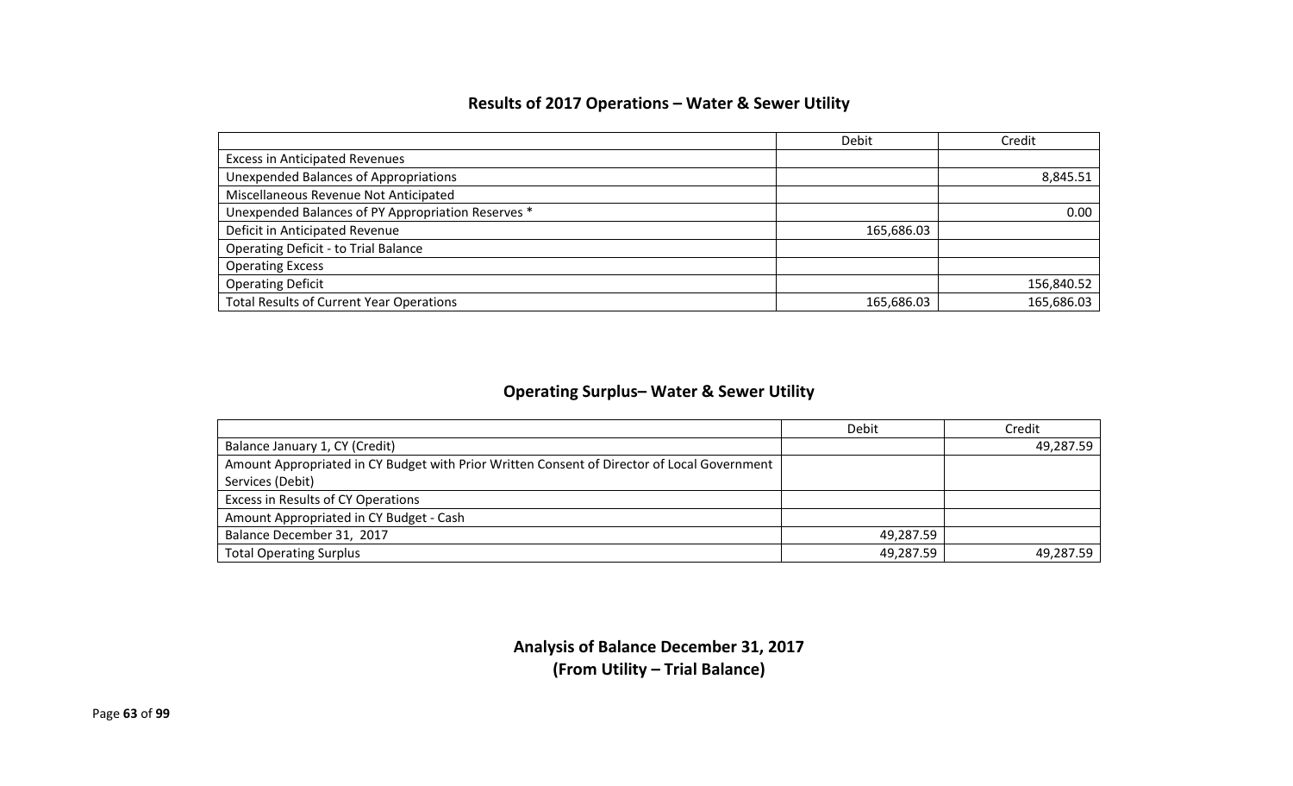### **Results of 2017 Operations – Water & Sewer Utility**

|                                                    | Debit      | Credit     |
|----------------------------------------------------|------------|------------|
| <b>Excess in Anticipated Revenues</b>              |            |            |
| <b>Unexpended Balances of Appropriations</b>       |            | 8,845.51   |
| Miscellaneous Revenue Not Anticipated              |            |            |
| Unexpended Balances of PY Appropriation Reserves * |            | 0.00       |
| Deficit in Anticipated Revenue                     | 165,686.03 |            |
| <b>Operating Deficit - to Trial Balance</b>        |            |            |
| <b>Operating Excess</b>                            |            |            |
| <b>Operating Deficit</b>                           |            | 156,840.52 |
| <b>Total Results of Current Year Operations</b>    | 165,686.03 | 165,686.03 |

### **Operating Surplus– Water & Sewer Utility**

|                                                                                             | Debit     | Credit    |
|---------------------------------------------------------------------------------------------|-----------|-----------|
| Balance January 1, CY (Credit)                                                              |           | 49,287.59 |
| Amount Appropriated in CY Budget with Prior Written Consent of Director of Local Government |           |           |
| Services (Debit)                                                                            |           |           |
| Excess in Results of CY Operations                                                          |           |           |
| Amount Appropriated in CY Budget - Cash                                                     |           |           |
| Balance December 31, 2017                                                                   | 49,287.59 |           |
| <b>Total Operating Surplus</b>                                                              | 49,287.59 | 49,287.59 |

**Analysis of Balance December 31, 2017 (From Utility – Trial Balance)**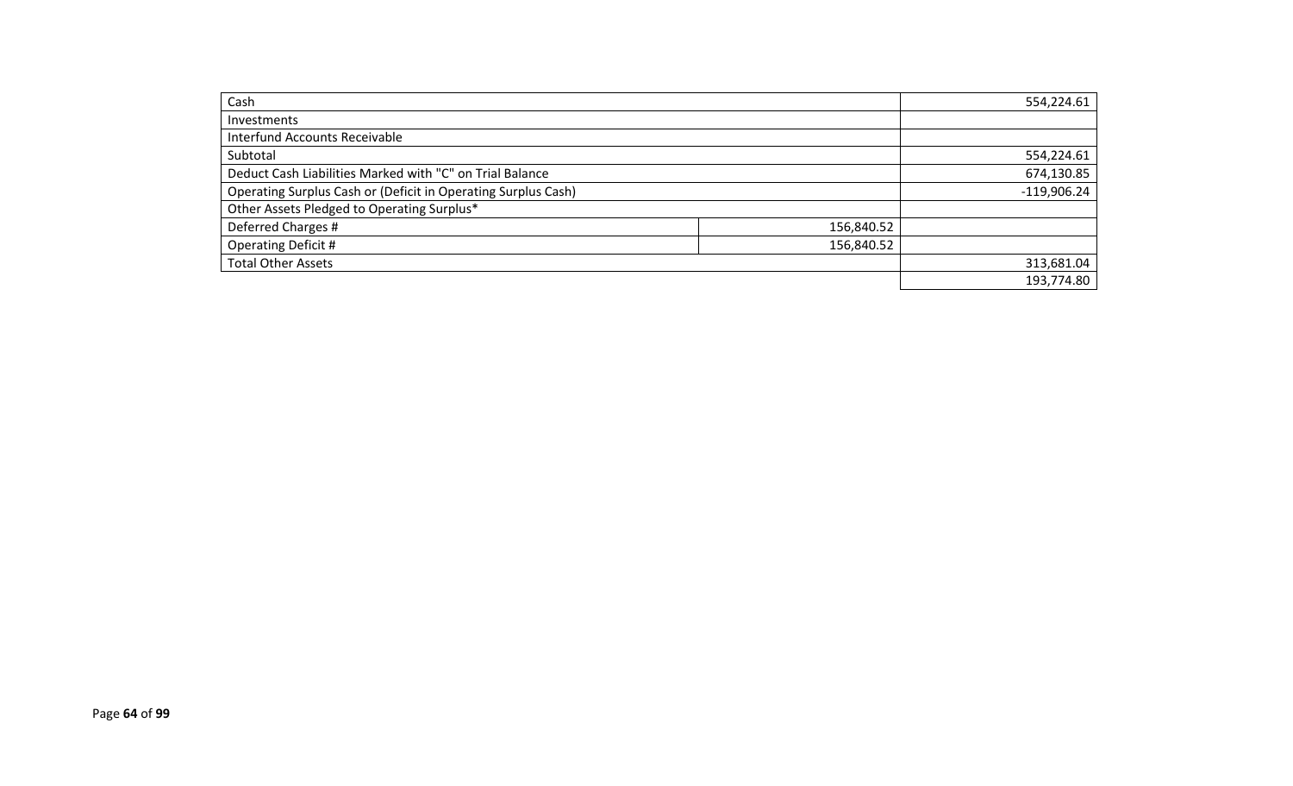| Cash                                                          |            | 554,224.61    |
|---------------------------------------------------------------|------------|---------------|
| Investments                                                   |            |               |
| Interfund Accounts Receivable                                 |            |               |
| Subtotal                                                      |            | 554,224.61    |
| Deduct Cash Liabilities Marked with "C" on Trial Balance      |            | 674,130.85    |
| Operating Surplus Cash or (Deficit in Operating Surplus Cash) |            | $-119,906.24$ |
| Other Assets Pledged to Operating Surplus*                    |            |               |
| Deferred Charges #                                            | 156,840.52 |               |
| <b>Operating Deficit #</b>                                    | 156,840.52 |               |
| <b>Total Other Assets</b>                                     |            | 313,681.04    |
|                                                               |            | 193,774.80    |
|                                                               |            |               |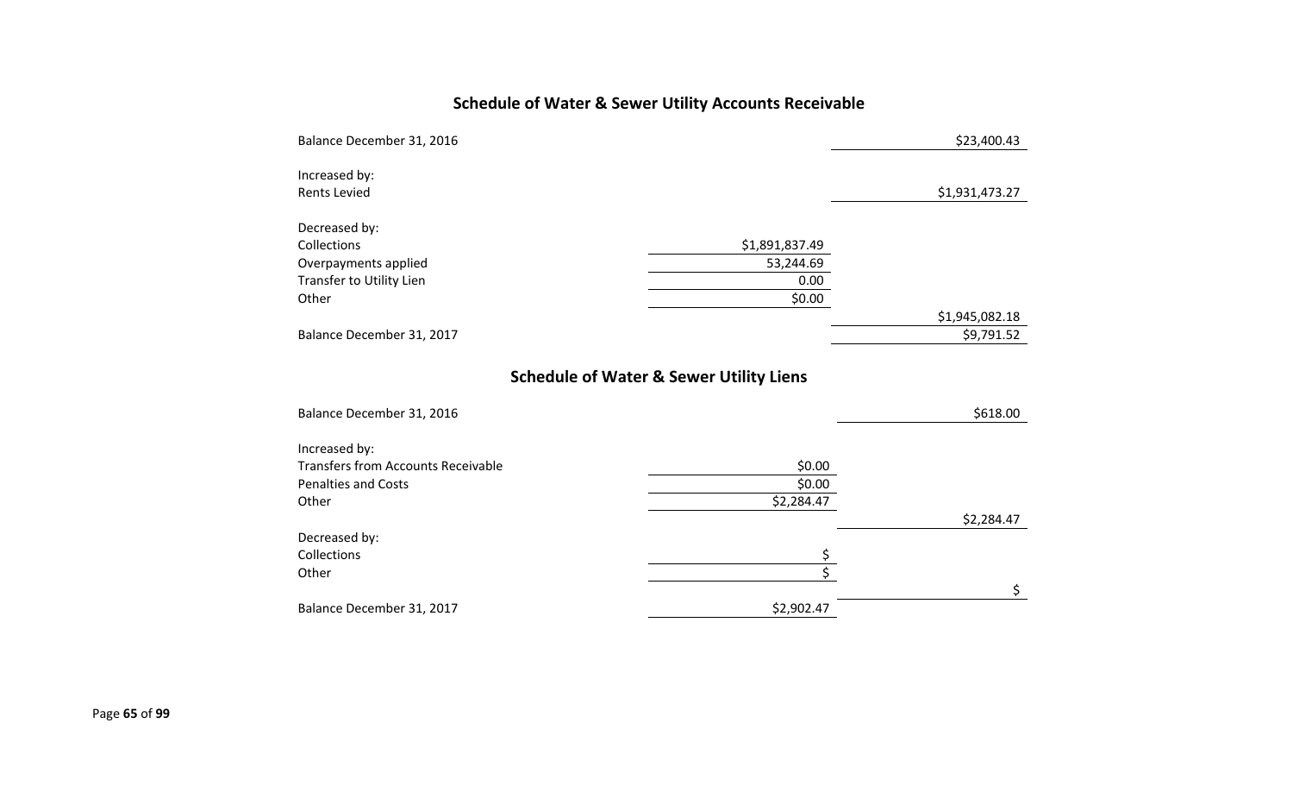# **Schedule of Water & Sewer Utility Accounts Receivable**

| Balance December 31, 2016 |                | \$23,400.43    |
|---------------------------|----------------|----------------|
| Increased by:             |                |                |
| <b>Rents Levied</b>       |                | \$1,931,473.27 |
| Decreased by:             |                |                |
| Collections               | \$1,891,837.49 |                |
| Overpayments applied      | 53,244.69      |                |
| Transfer to Utility Lien  | 0.00           |                |
| Other                     | \$0.00         |                |
|                           |                | \$1,945,082.18 |
| Balance December 31, 2017 |                | \$9,791.52     |
|                           |                |                |
|                           |                |                |

## **Schedule of Water & Sewer Utility Liens**

| Balance December 31, 2016                 |            | \$618.00   |
|-------------------------------------------|------------|------------|
| Increased by:                             |            |            |
| <b>Transfers from Accounts Receivable</b> | \$0.00     |            |
| <b>Penalties and Costs</b>                | \$0.00     |            |
| Other                                     | \$2,284.47 |            |
|                                           |            | \$2,284.47 |
| Decreased by:                             |            |            |
| Collections                               |            |            |
| Other                                     |            |            |
|                                           |            |            |
| Balance December 31, 2017                 | \$2,902.47 |            |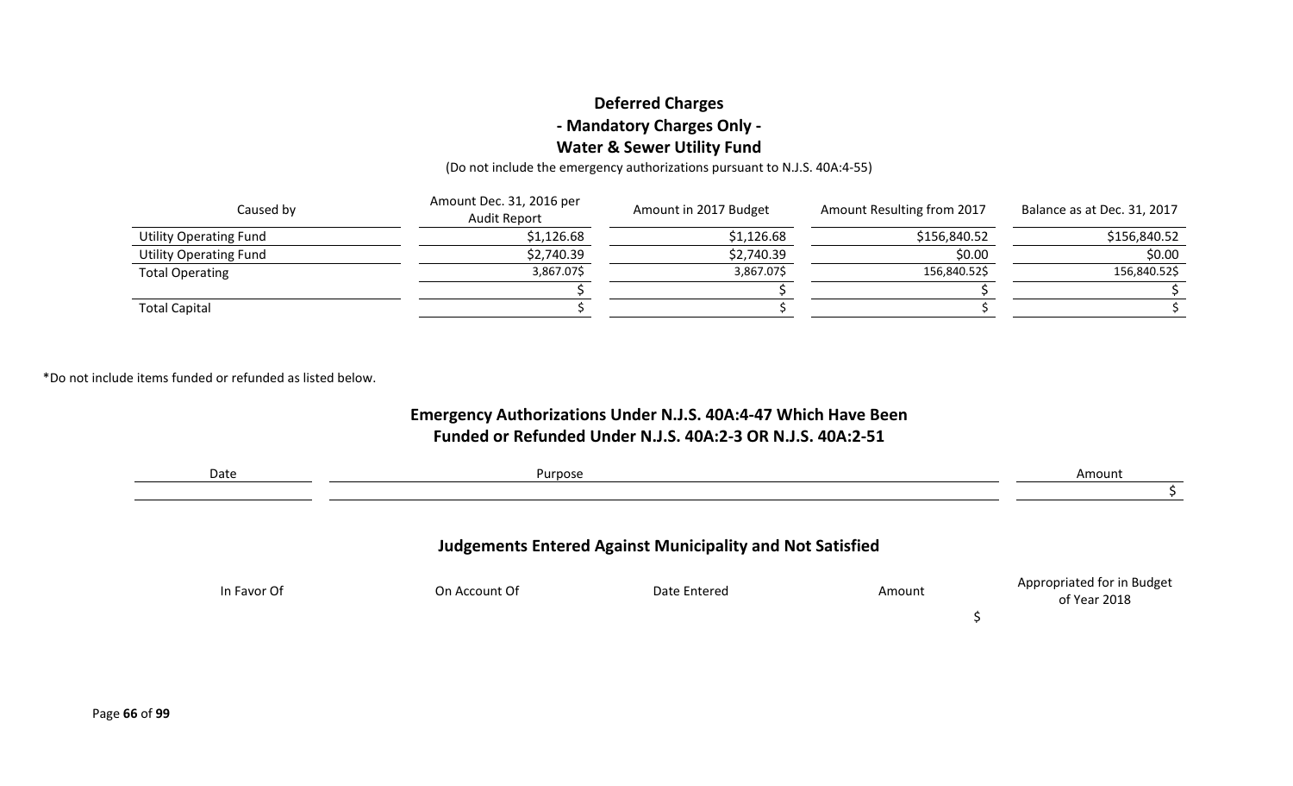### **Deferred Charges - Mandatory Charges Only - Water & Sewer Utility Fund**

(Do not include the emergency authorizations pursuant to N.J.S. 40A:4-55)

| Caused by                     | Amount Dec. 31, 2016 per<br><b>Audit Report</b> | Amount in 2017 Budget | Amount Resulting from 2017 | Balance as at Dec. 31, 2017 |
|-------------------------------|-------------------------------------------------|-----------------------|----------------------------|-----------------------------|
| <b>Utility Operating Fund</b> | \$1,126.68                                      | \$1,126.68            | \$156,840.52               | \$156,840.52                |
| <b>Utility Operating Fund</b> | \$2,740.39                                      | \$2,740.39            | \$0.00                     | \$0.00                      |
| <b>Total Operating</b>        | 3,867.07\$                                      | 3,867.07\$            | 156,840.52\$               | 156,840.52\$                |
|                               |                                                 |                       |                            |                             |
| <b>Total Capital</b>          |                                                 |                       |                            |                             |

\*Do not include items funded or refunded as listed below.

### **Emergency Authorizations Under N.J.S. 40A:4-47 Which Have Been Funded or Refunded Under N.J.S. 40A:2-3 OR N.J.S. 40A:2-51**

| Date        | Purpose       |                                                                  |        | Amount                                     |
|-------------|---------------|------------------------------------------------------------------|--------|--------------------------------------------|
|             |               | <b>Judgements Entered Against Municipality and Not Satisfied</b> |        |                                            |
| In Favor Of | On Account Of | Date Entered                                                     | Amount | Appropriated for in Budget<br>of Year 2018 |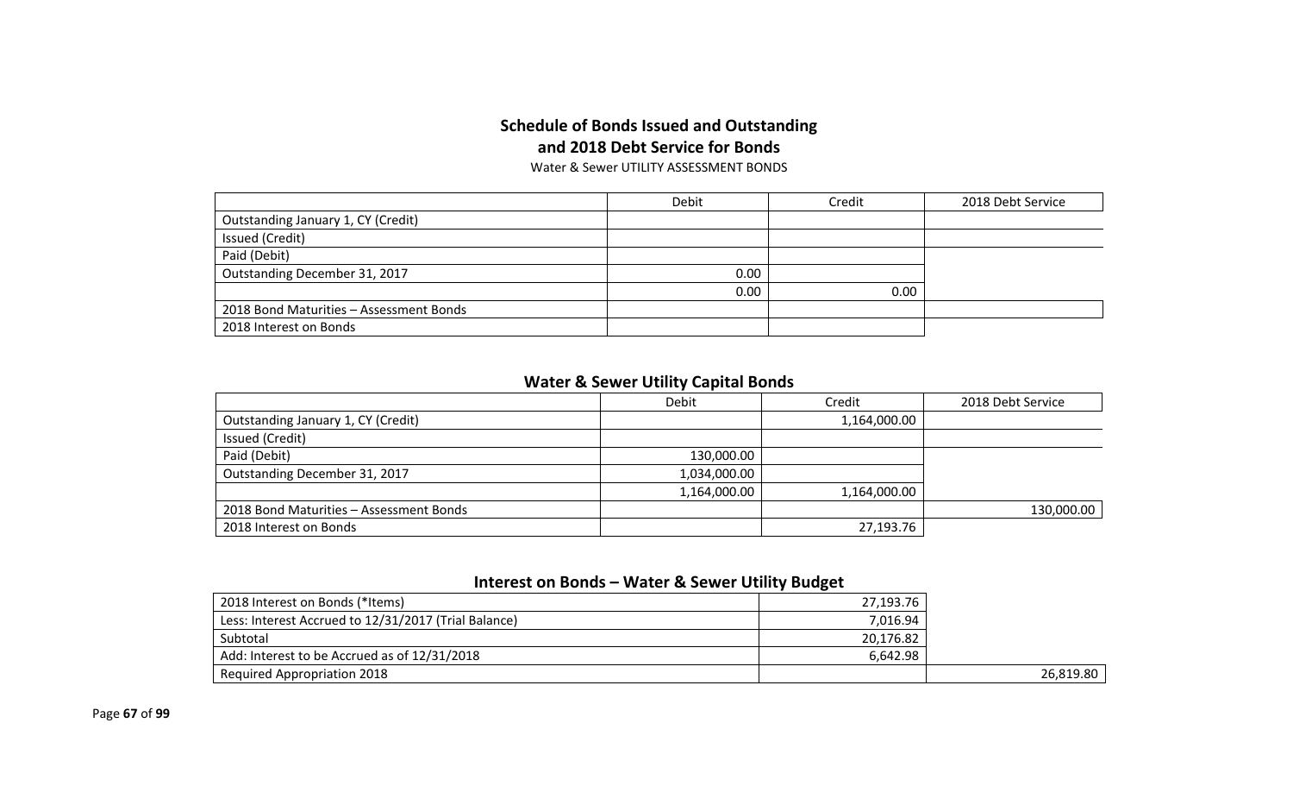### **Schedule of Bonds Issued and Outstanding and 2018 Debt Service for Bonds**

Water & Sewer UTILITY ASSESSMENT BONDS

|                                         | Debit<br>Credit |      | 2018 Debt Service |
|-----------------------------------------|-----------------|------|-------------------|
| Outstanding January 1, CY (Credit)      |                 |      |                   |
| Issued (Credit)                         |                 |      |                   |
| Paid (Debit)                            |                 |      |                   |
| Outstanding December 31, 2017           | 0.00            |      |                   |
|                                         | 0.00            | 0.00 |                   |
| 2018 Bond Maturities - Assessment Bonds |                 |      |                   |
| 2018 Interest on Bonds                  |                 |      |                   |

### **Water & Sewer Utility Capital Bonds**

|                                         | Debit        | Credit       | 2018 Debt Service |
|-----------------------------------------|--------------|--------------|-------------------|
| Outstanding January 1, CY (Credit)      |              | 1,164,000.00 |                   |
| Issued (Credit)                         |              |              |                   |
| Paid (Debit)                            | 130,000.00   |              |                   |
| Outstanding December 31, 2017           | 1,034,000.00 |              |                   |
|                                         | 1,164,000.00 | 1,164,000.00 |                   |
| 2018 Bond Maturities - Assessment Bonds |              |              | 130,000.00        |
| 2018 Interest on Bonds                  |              | 27,193.76    |                   |

### **Interest on Bonds – Water & Sewer Utility Budget**

| 2018 Interest on Bonds (*Items)                      | 27,193.76 |           |
|------------------------------------------------------|-----------|-----------|
| Less: Interest Accrued to 12/31/2017 (Trial Balance) | 7,016.94  |           |
| Subtotal                                             | 20,176.82 |           |
| Add: Interest to be Accrued as of 12/31/2018         | 6.642.98  |           |
| <b>Required Appropriation 2018</b>                   |           | 26.819.80 |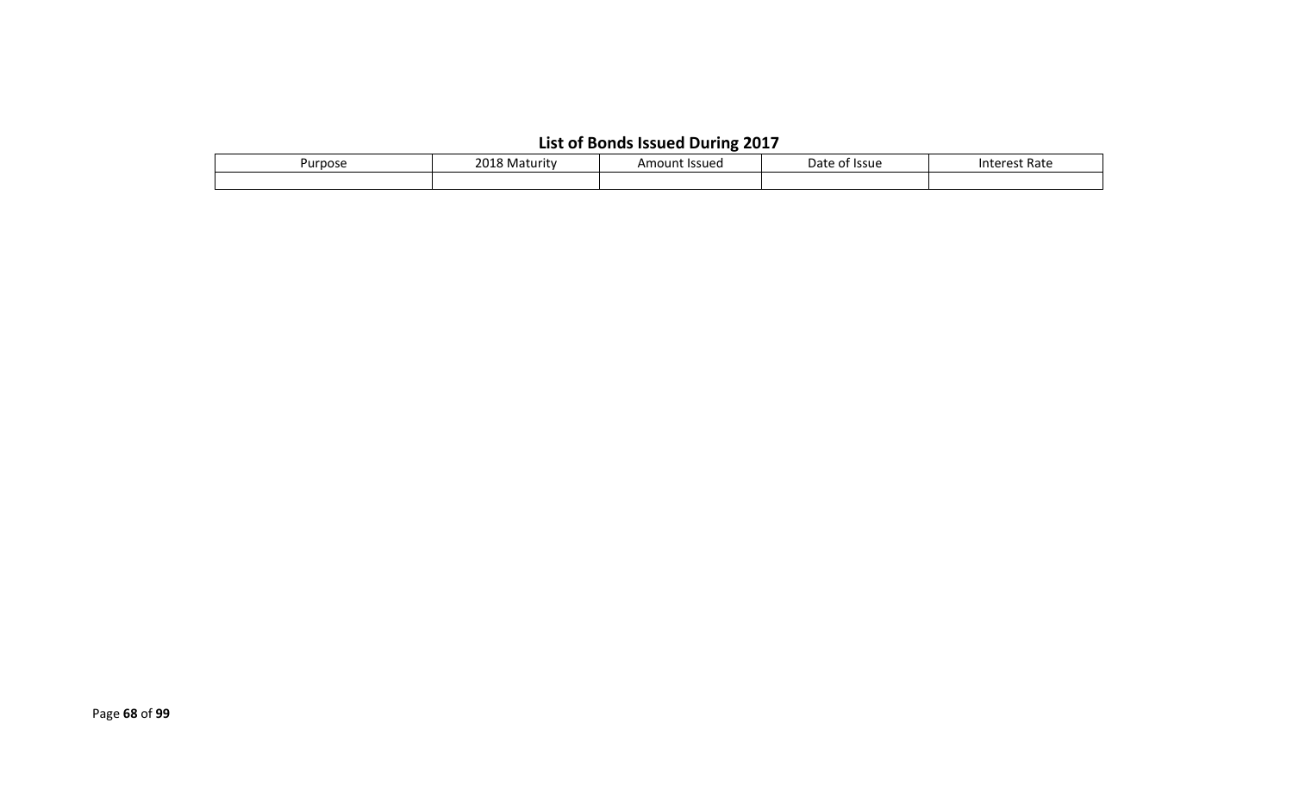# **List of Bonds Issued During 2017**

| Purpose | 2010<br>18 Maturity |  | <sup>.</sup> Issue<br>Date<br>ΩL | Rate<br>ρς<br>inte<br>. . |
|---------|---------------------|--|----------------------------------|---------------------------|
|         |                     |  |                                  |                           |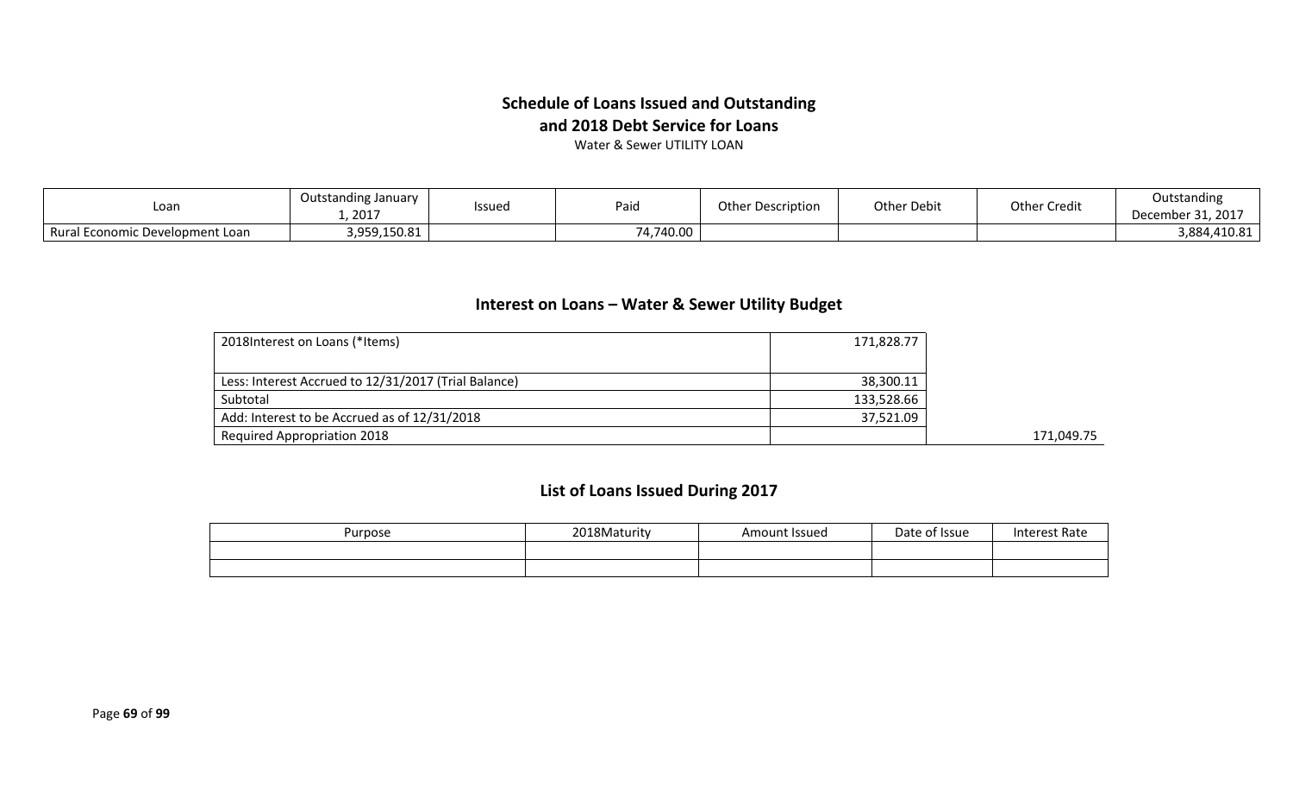### **Schedule of Loans Issued and Outstanding and 2018 Debt Service for Loans**

Water & Sewer UTILITY LOAN

| Loan                            | Outstanding January<br>2017 | Issued | Paid      | <b>Other Description</b> | Other Debit | Other Credit | Outstanding<br>December 31, 2017 |
|---------------------------------|-----------------------------|--------|-----------|--------------------------|-------------|--------------|----------------------------------|
| Rural Economic Development Loan | 3,959,150.81                |        | 74,740.00 |                          |             |              | 3,884,410.81                     |

### **Interest on Loans – Water & Sewer Utility Budget**

| 2018 Interest on Loans (*Items)                      | 171,828.77 |            |
|------------------------------------------------------|------------|------------|
|                                                      |            |            |
| Less: Interest Accrued to 12/31/2017 (Trial Balance) | 38,300.11  |            |
| Subtotal                                             | 133,528.66 |            |
| Add: Interest to be Accrued as of 12/31/2018         | 37,521.09  |            |
| <b>Required Appropriation 2018</b>                   |            | 171.049.75 |

## **List of Loans Issued During 2017**

| Purpose | 2018Maturity | Amount Issued | Date of Issue | Interest Rate |
|---------|--------------|---------------|---------------|---------------|
|         |              |               |               |               |
|         |              |               |               |               |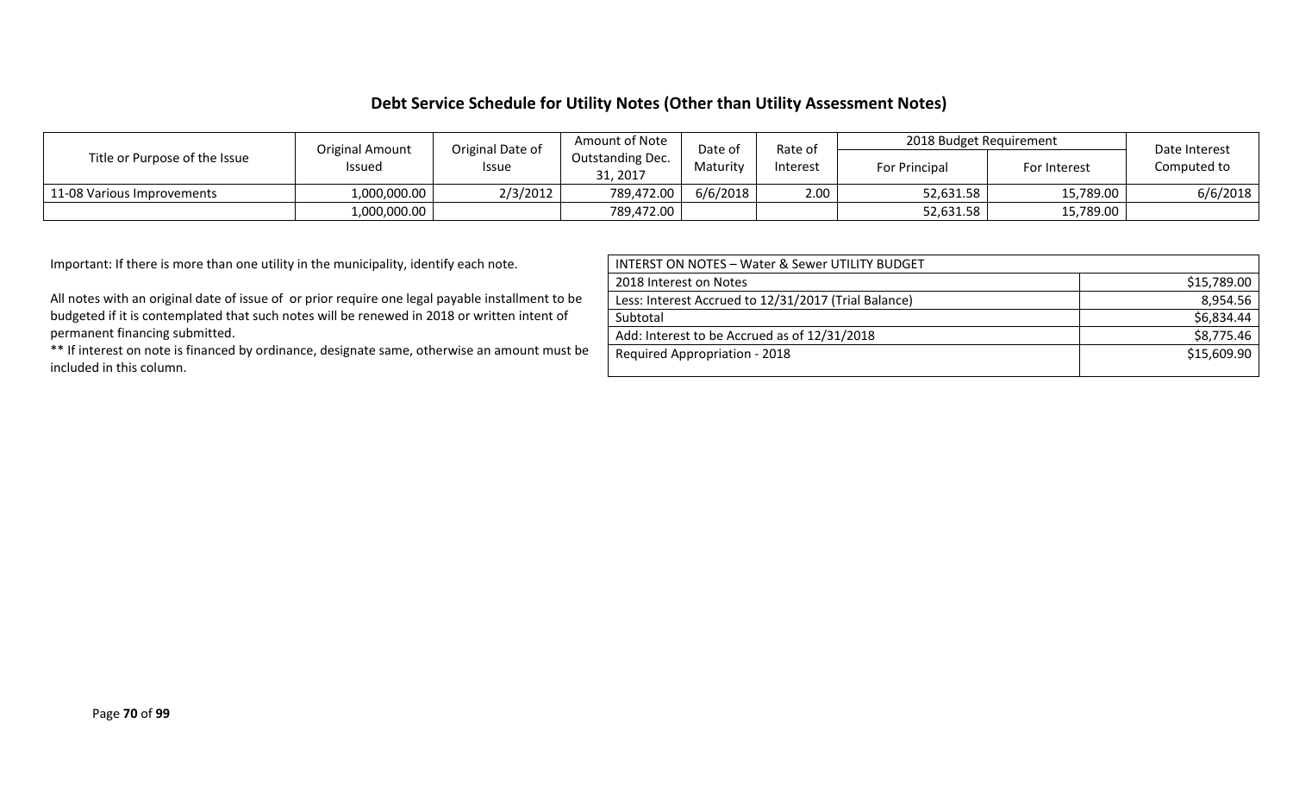#### **Debt Service Schedule for Utility Notes (Other than Utility Assessment Notes)**

| Title or Purpose of the Issue | Original Date of<br><b>Original Amount</b><br><b>Issued</b><br><b>Issue</b> |          | Amount of Note<br>Outstanding Dec.<br>31, 2017 | Date of<br>Maturity | Rate of<br>Interest | 2018 Budget Requirement |              | Date Interest |
|-------------------------------|-----------------------------------------------------------------------------|----------|------------------------------------------------|---------------------|---------------------|-------------------------|--------------|---------------|
|                               |                                                                             |          |                                                |                     |                     | For Principal           | For Interest | Computed to   |
| 11-08 Various Improvements    | 1,000,000.00                                                                | 2/3/2012 | 789,472.00                                     | 6/6/2018            | 2.00                | 52,631.58               | 15,789.00    | 6/6/2018      |
|                               | 1,000,000.00                                                                |          | 789,472.00                                     |                     |                     | 52,631.58               | 15,789.00    |               |

Important: If there is more than one utility in the municipality, identify each note.

All notes with an original date of issue of or prior require one legal payable installment to be budgeted if it is contemplated that such notes will be renewed in 2018 or written intent of permanent financing submitted.

\*\* If interest on note is financed by ordinance, designate same, otherwise an amount must be included in this column.

| <b>INTERST ON NOTES - Water &amp; Sewer UTILITY BUDGET</b> |             |
|------------------------------------------------------------|-------------|
| 2018 Interest on Notes                                     | \$15,789.00 |
| Less: Interest Accrued to 12/31/2017 (Trial Balance)       | 8,954.56    |
| Subtotal                                                   | \$6,834.44  |
| Add: Interest to be Accrued as of 12/31/2018               | \$8,775.46  |
| <b>Required Appropriation - 2018</b>                       | \$15,609.90 |
|                                                            |             |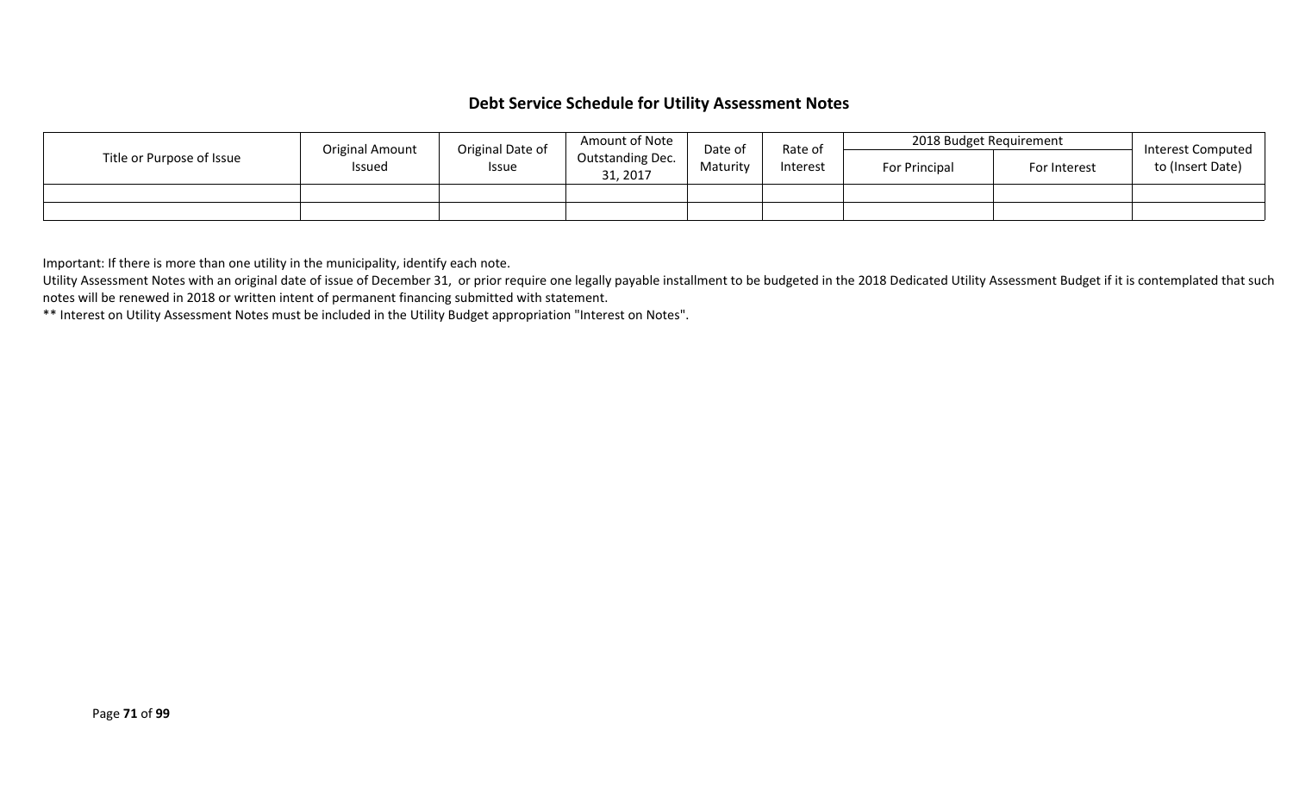#### **Debt Service Schedule for Utility Assessment Notes**

| Title or Purpose of Issue | Original Date of<br>Original Amount<br><b>Issued</b><br><b>Issue</b> |                              | Amount of Note | Date of  | Rate of              | 2018 Budget Requirement |  | Interest Computed<br>to (Insert Date) |
|---------------------------|----------------------------------------------------------------------|------------------------------|----------------|----------|----------------------|-------------------------|--|---------------------------------------|
|                           |                                                                      | Outstanding Dec.<br>31, 2017 | Maturity       | Interest | <b>For Principal</b> | For Interest            |  |                                       |
|                           |                                                                      |                              |                |          |                      |                         |  |                                       |
|                           |                                                                      |                              |                |          |                      |                         |  |                                       |

Important: If there is more than one utility in the municipality, identify each note.

Utility Assessment Notes with an original date of issue of December 31, or prior require one legally payable installment to be budgeted in the 2018 Dedicated Utility Assessment Budget if it is contemplated that such notes will be renewed in 2018 or written intent of permanent financing submitted with statement.

\*\* Interest on Utility Assessment Notes must be included in the Utility Budget appropriation "Interest on Notes".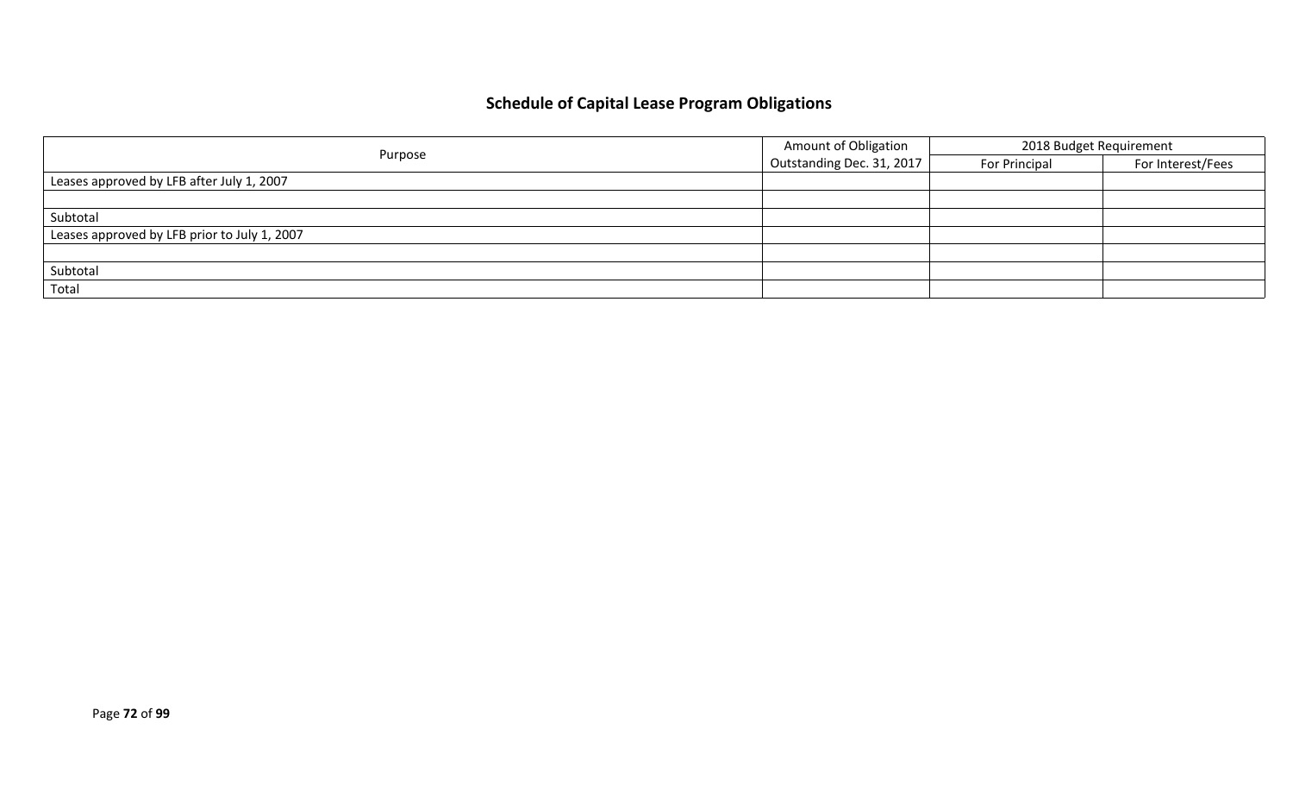# **Schedule of Capital Lease Program Obligations**

|                                              | <b>Amount of Obligation</b> | 2018 Budget Requirement |                   |  |
|----------------------------------------------|-----------------------------|-------------------------|-------------------|--|
| Purpose                                      | Outstanding Dec. 31, 2017   | For Principal           | For Interest/Fees |  |
| Leases approved by LFB after July 1, 2007    |                             |                         |                   |  |
|                                              |                             |                         |                   |  |
| Subtotal                                     |                             |                         |                   |  |
| Leases approved by LFB prior to July 1, 2007 |                             |                         |                   |  |
|                                              |                             |                         |                   |  |
| Subtotal                                     |                             |                         |                   |  |
| Total                                        |                             |                         |                   |  |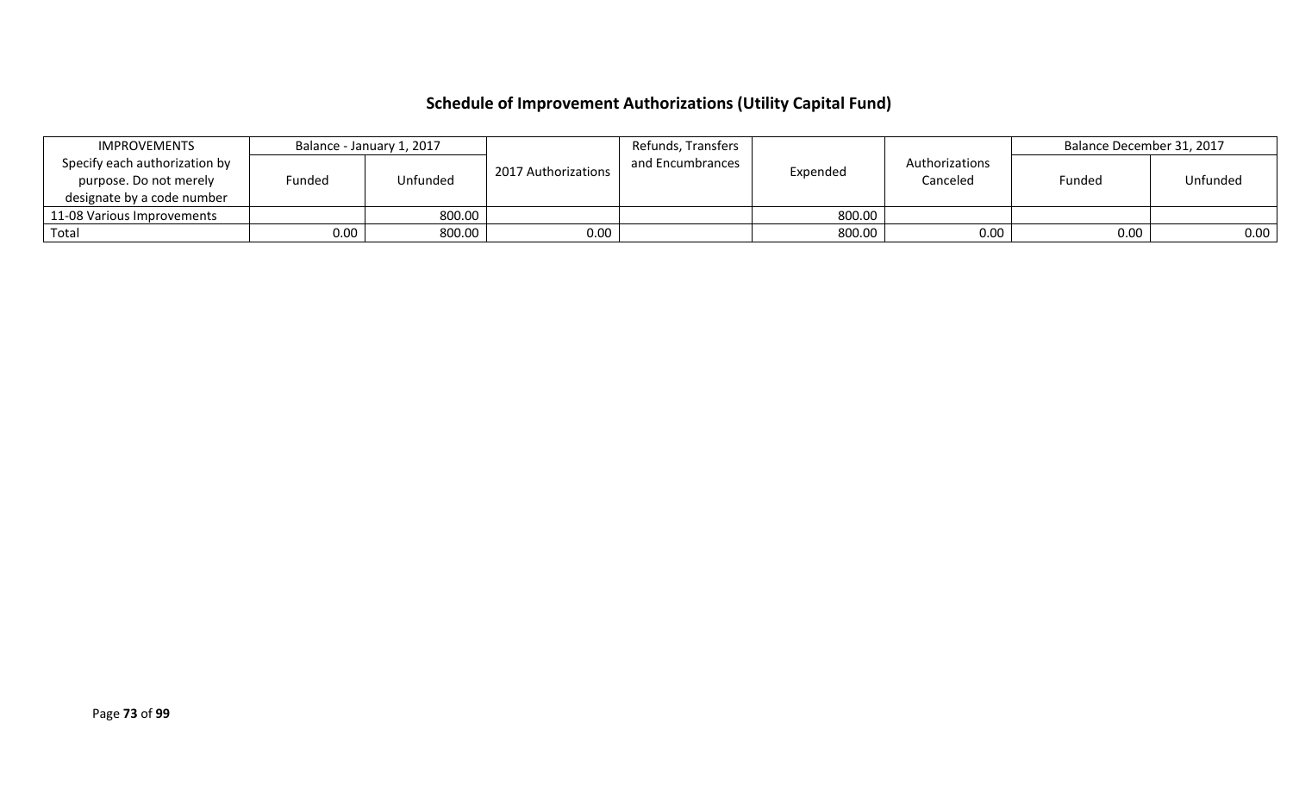# **Schedule of Improvement Authorizations (Utility Capital Fund)**

| IMPROVEMENTS                  |        | Balance - January 1, 2017 |                     | Refunds, Transfers |          |                | Balance December 31, 2017 |          |
|-------------------------------|--------|---------------------------|---------------------|--------------------|----------|----------------|---------------------------|----------|
| Specify each authorization by |        |                           | 2017 Authorizations | and Encumbrances   | Expended | Authorizations |                           |          |
| purpose. Do not merely        | Funded | Unfunded                  |                     |                    |          | Canceled       | Funded                    | Unfunded |
| designate by a code number    |        |                           |                     |                    |          |                |                           |          |
| 11-08 Various Improvements    |        | 800.00                    |                     |                    | 800.00   |                |                           |          |
| Total                         | 0.00   | 800.00                    | 0.00                |                    | 800.00   | 0.00           | 0.00                      | 0.00     |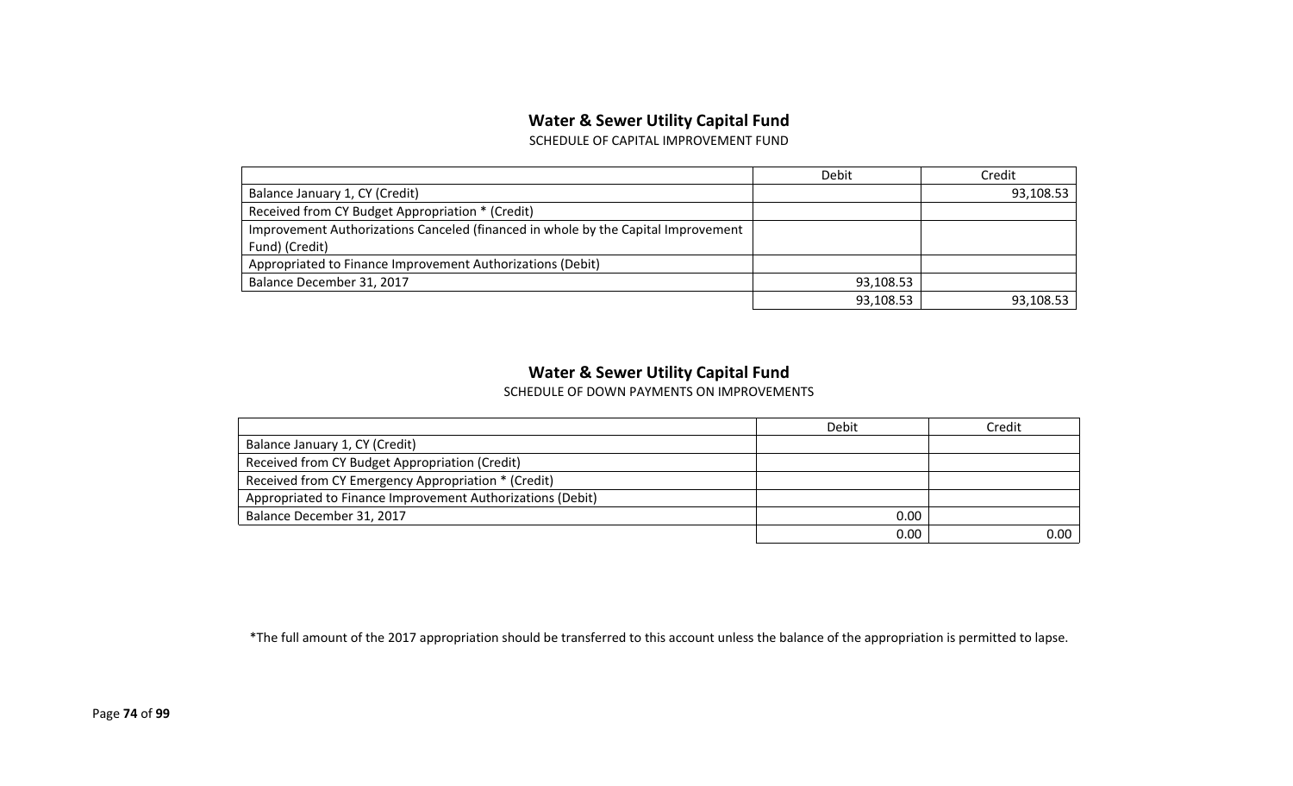## **Water & Sewer Utility Capital Fund**

SCHEDULE OF CAPITAL IMPROVEMENT FUND

|                                                                                   | Debit     | Credit    |
|-----------------------------------------------------------------------------------|-----------|-----------|
| Balance January 1, CY (Credit)                                                    |           | 93,108.53 |
| Received from CY Budget Appropriation * (Credit)                                  |           |           |
| Improvement Authorizations Canceled (financed in whole by the Capital Improvement |           |           |
| Fund) (Credit)                                                                    |           |           |
| Appropriated to Finance Improvement Authorizations (Debit)                        |           |           |
| Balance December 31, 2017                                                         | 93,108.53 |           |
|                                                                                   | 93,108.53 | 93,108.53 |

#### **Water & Sewer Utility Capital Fund**

SCHEDULE OF DOWN PAYMENTS ON IMPROVEMENTS

|                                                            | Debit    | Credit |
|------------------------------------------------------------|----------|--------|
| Balance January 1, CY (Credit)                             |          |        |
| Received from CY Budget Appropriation (Credit)             |          |        |
| Received from CY Emergency Appropriation * (Credit)        |          |        |
| Appropriated to Finance Improvement Authorizations (Debit) |          |        |
| Balance December 31, 2017                                  | 0.00     |        |
|                                                            | $0.00\,$ | 0.00   |

\*The full amount of the 2017 appropriation should be transferred to this account unless the balance of the appropriation is permitted to lapse.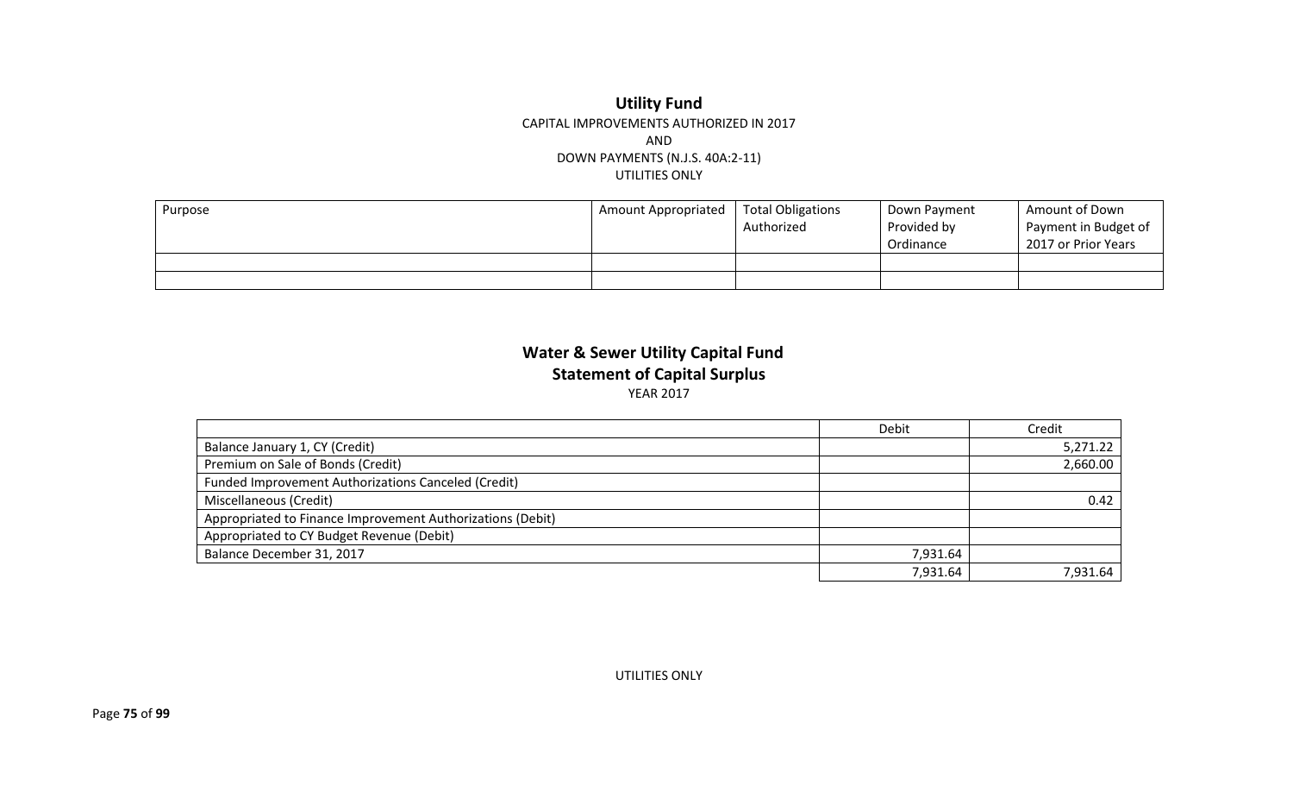#### **Utility Fund** CAPITAL IMPROVEMENTS AUTHORIZED IN 2017 AND DOWN PAYMENTS (N.J.S. 40A:2-11) UTILITIES ONLY

| Purpose | Amount Appropriated | <b>Total Obligations</b><br>Authorized | Down Payment<br>Provided by<br>Ordinance | Amount of Down<br>Payment in Budget of<br>2017 or Prior Years |
|---------|---------------------|----------------------------------------|------------------------------------------|---------------------------------------------------------------|
|         |                     |                                        |                                          |                                                               |
|         |                     |                                        |                                          |                                                               |

### **Water & Sewer Utility Capital Fund Statement of Capital Surplus** YEAR 2017

|                                                            | Debit    | Credit   |
|------------------------------------------------------------|----------|----------|
| Balance January 1, CY (Credit)                             |          | 5,271.22 |
| Premium on Sale of Bonds (Credit)                          |          | 2,660.00 |
| Funded Improvement Authorizations Canceled (Credit)        |          |          |
| Miscellaneous (Credit)                                     |          | 0.42     |
| Appropriated to Finance Improvement Authorizations (Debit) |          |          |
| Appropriated to CY Budget Revenue (Debit)                  |          |          |
| Balance December 31, 2017                                  | 7,931.64 |          |
|                                                            | 7,931.64 | 7,931.64 |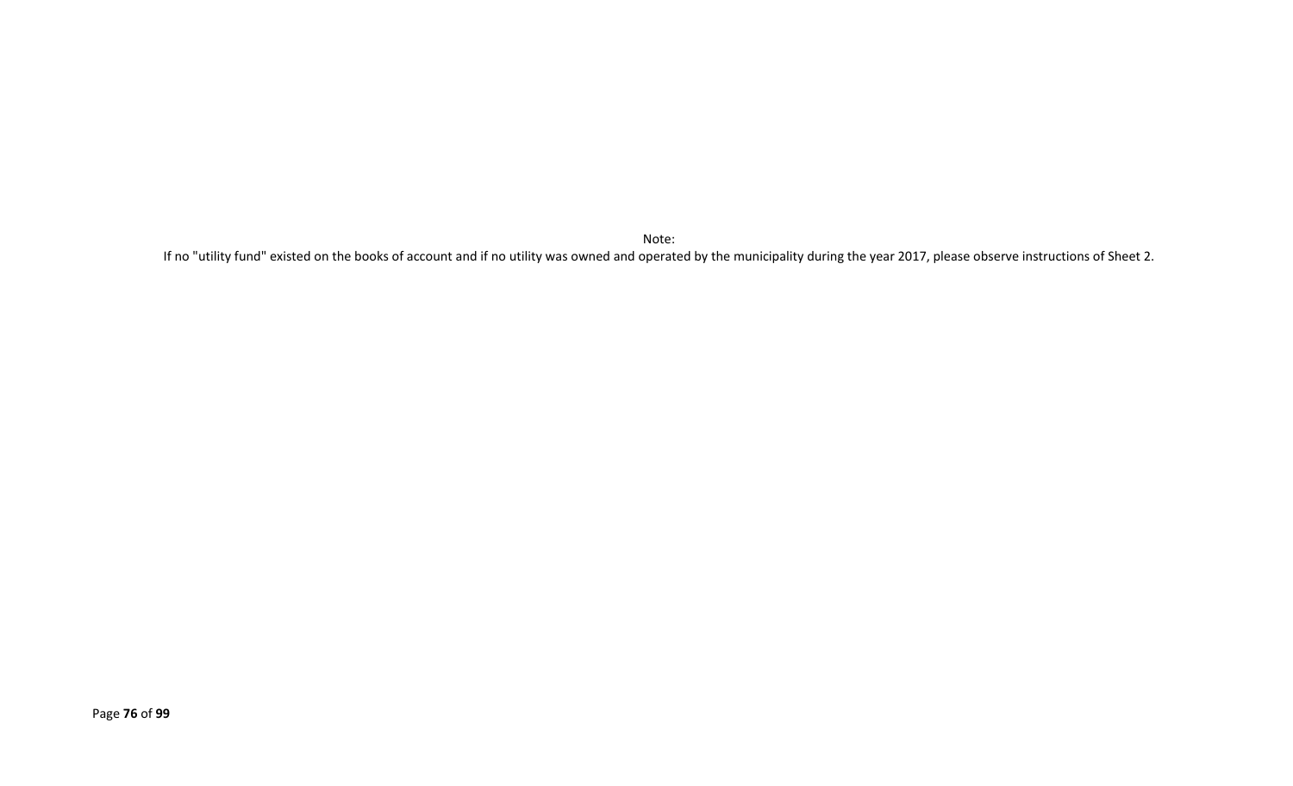Note:

If no "utility fund" existed on the books of account and if no utility was owned and operated by the municipality during the year 2017, please observe instructions of Sheet 2.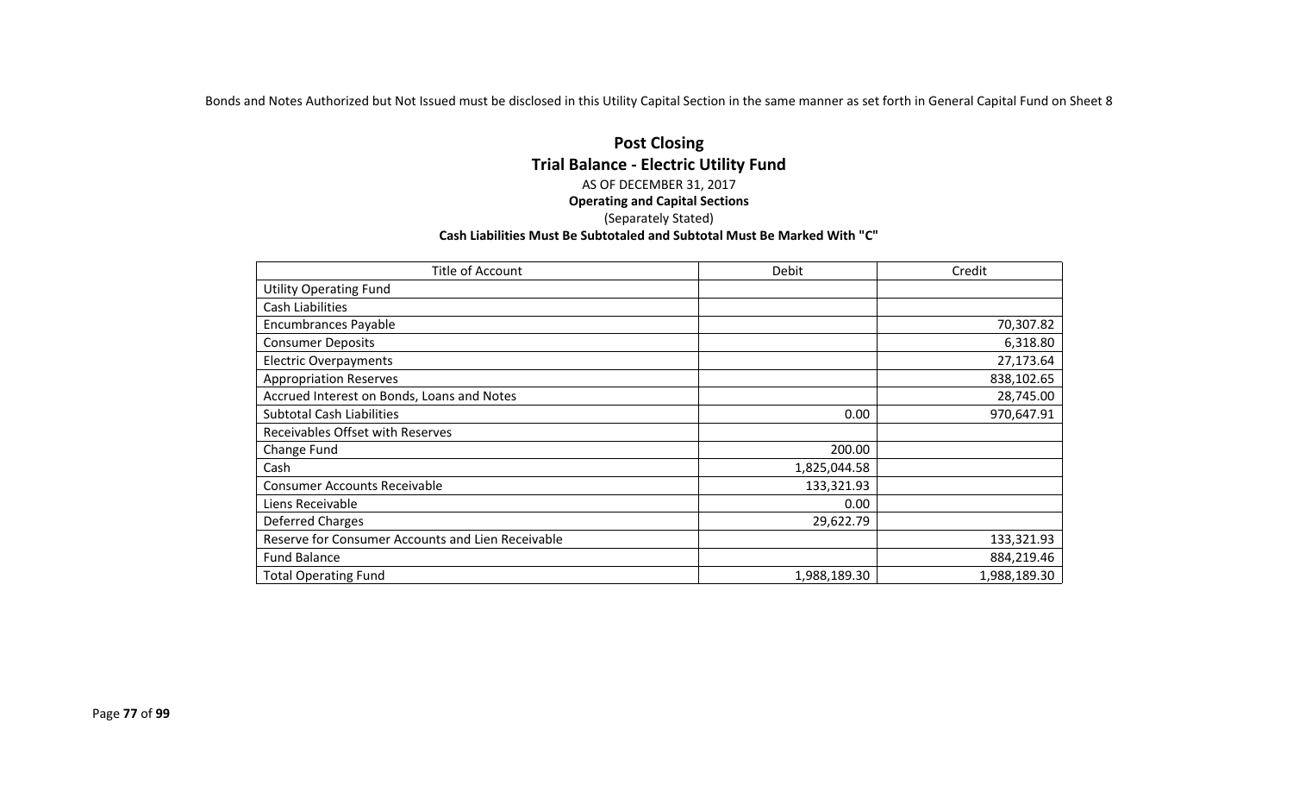Bonds and Notes Authorized but Not Issued must be disclosed in this Utility Capital Section in the same manner as set forth in General Capital Fund on Sheet 8

#### **Post Closing Trial Balance - Electric Utility Fund** AS OF DECEMBER 31, 2017 **Operating and Capital Sections** (Separately Stated) **Cash Liabilities Must Be Subtotaled and Subtotal Must Be Marked With "C"**

| Title of Account                                  | Debit        | Credit       |
|---------------------------------------------------|--------------|--------------|
| <b>Utility Operating Fund</b>                     |              |              |
| <b>Cash Liabilities</b>                           |              |              |
| <b>Encumbrances Payable</b>                       |              | 70,307.82    |
| <b>Consumer Deposits</b>                          |              | 6,318.80     |
| <b>Electric Overpayments</b>                      |              | 27,173.64    |
| <b>Appropriation Reserves</b>                     |              | 838,102.65   |
| Accrued Interest on Bonds, Loans and Notes        |              | 28,745.00    |
| <b>Subtotal Cash Liabilities</b>                  | 0.00         | 970,647.91   |
| Receivables Offset with Reserves                  |              |              |
| Change Fund                                       | 200.00       |              |
| Cash                                              | 1,825,044.58 |              |
| <b>Consumer Accounts Receivable</b>               | 133,321.93   |              |
| Liens Receivable                                  | 0.00         |              |
| Deferred Charges                                  | 29,622.79    |              |
| Reserve for Consumer Accounts and Lien Receivable |              | 133,321.93   |
| <b>Fund Balance</b>                               |              | 884,219.46   |
| <b>Total Operating Fund</b>                       | 1,988,189.30 | 1,988,189.30 |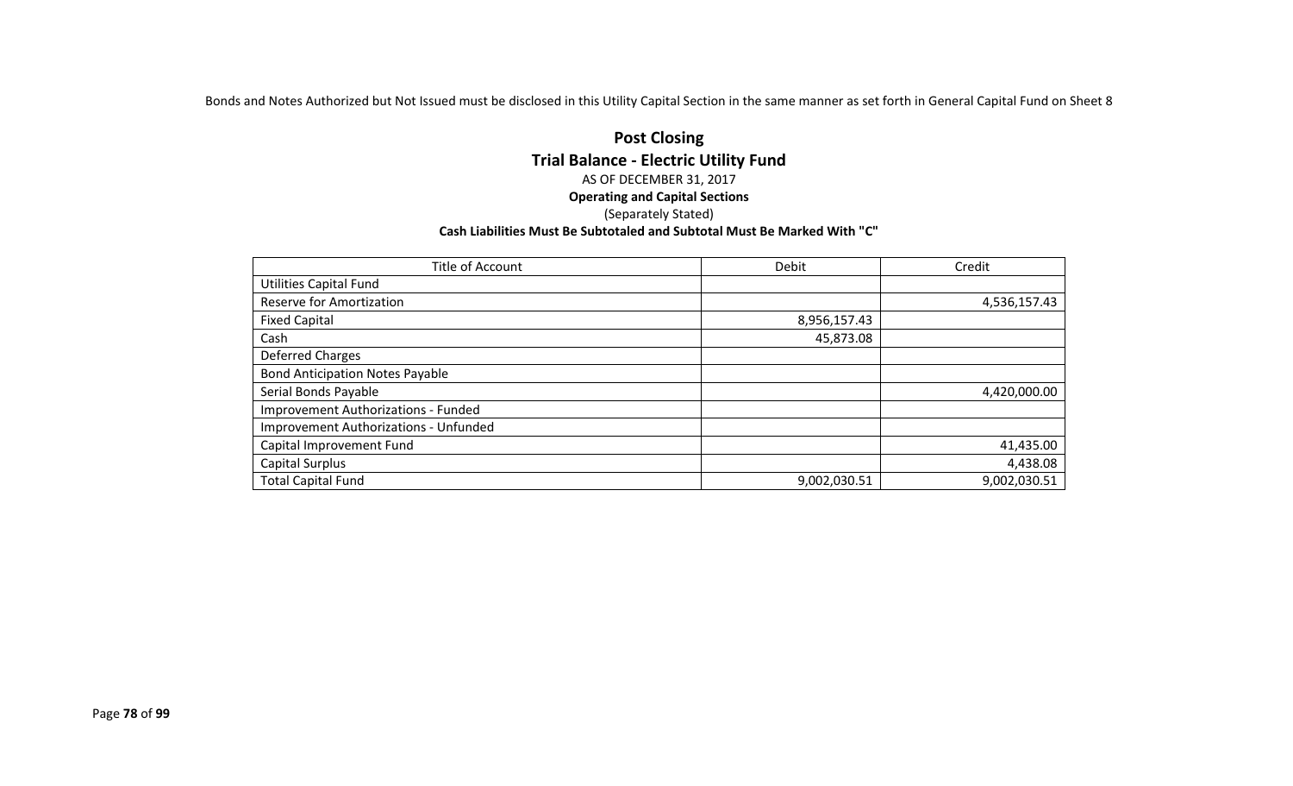Bonds and Notes Authorized but Not Issued must be disclosed in this Utility Capital Section in the same manner as set forth in General Capital Fund on Sheet 8

#### **Post Closing Trial Balance - Electric Utility Fund** AS OF DECEMBER 31, 2017 **Operating and Capital Sections** (Separately Stated) **Cash Liabilities Must Be Subtotaled and Subtotal Must Be Marked With "C"**

| Title of Account                       | <b>Debit</b> | Credit       |
|----------------------------------------|--------------|--------------|
| <b>Utilities Capital Fund</b>          |              |              |
| <b>Reserve for Amortization</b>        |              | 4,536,157.43 |
| <b>Fixed Capital</b>                   | 8,956,157.43 |              |
| Cash                                   | 45,873.08    |              |
| Deferred Charges                       |              |              |
| <b>Bond Anticipation Notes Payable</b> |              |              |
| Serial Bonds Payable                   |              | 4,420,000.00 |
| Improvement Authorizations - Funded    |              |              |
| Improvement Authorizations - Unfunded  |              |              |
| Capital Improvement Fund               |              | 41,435.00    |
| Capital Surplus                        |              | 4,438.08     |
| <b>Total Capital Fund</b>              | 9,002,030.51 | 9,002,030.51 |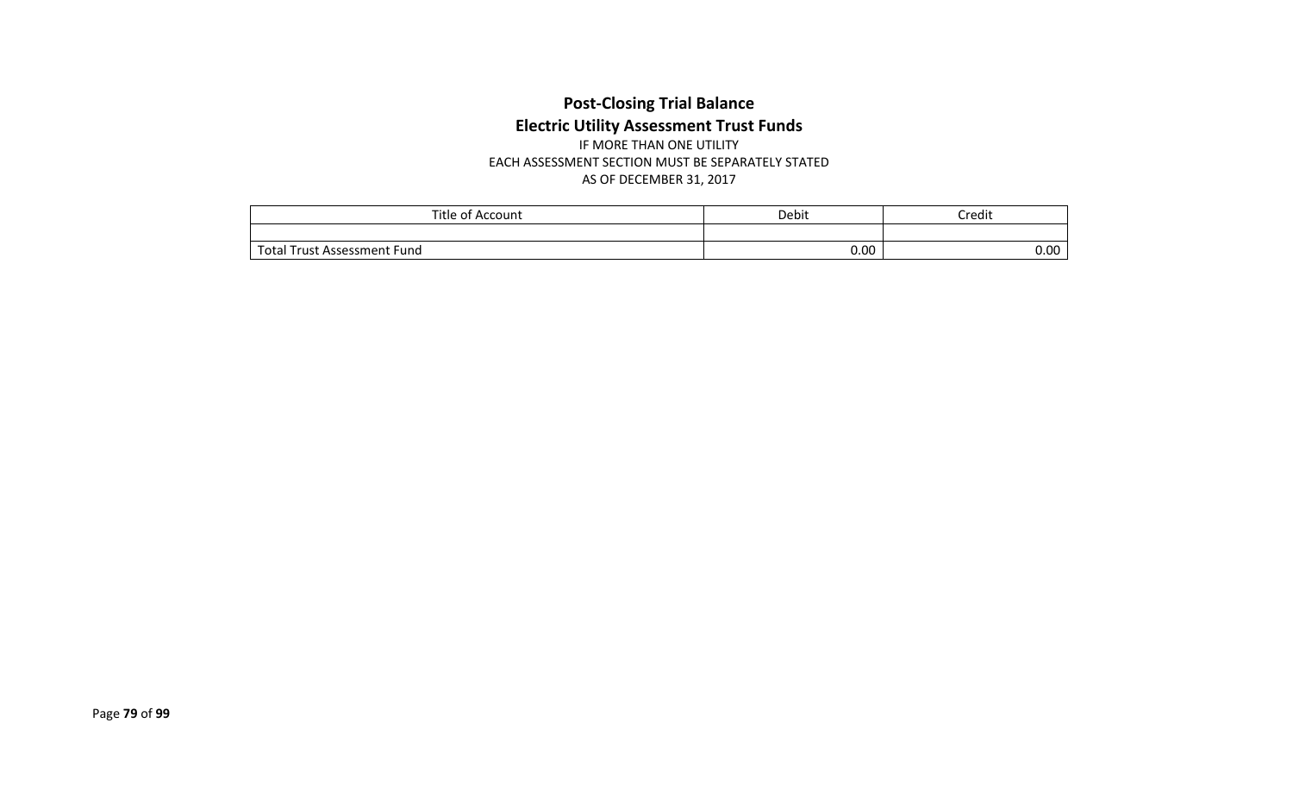## **Post-Closing Trial Balance Electric Utility Assessment Trust Funds** IF MORE THAN ONE UTILITY

EACH ASSESSMENT SECTION MUST BE SEPARATELY STATED AS OF DECEMBER 31, 2017

| Title<br>e of Account            | Debit | Credit |
|----------------------------------|-------|--------|
|                                  |       |        |
| rotal<br>l Trust Assessment Fund | 0.00  | 0.00   |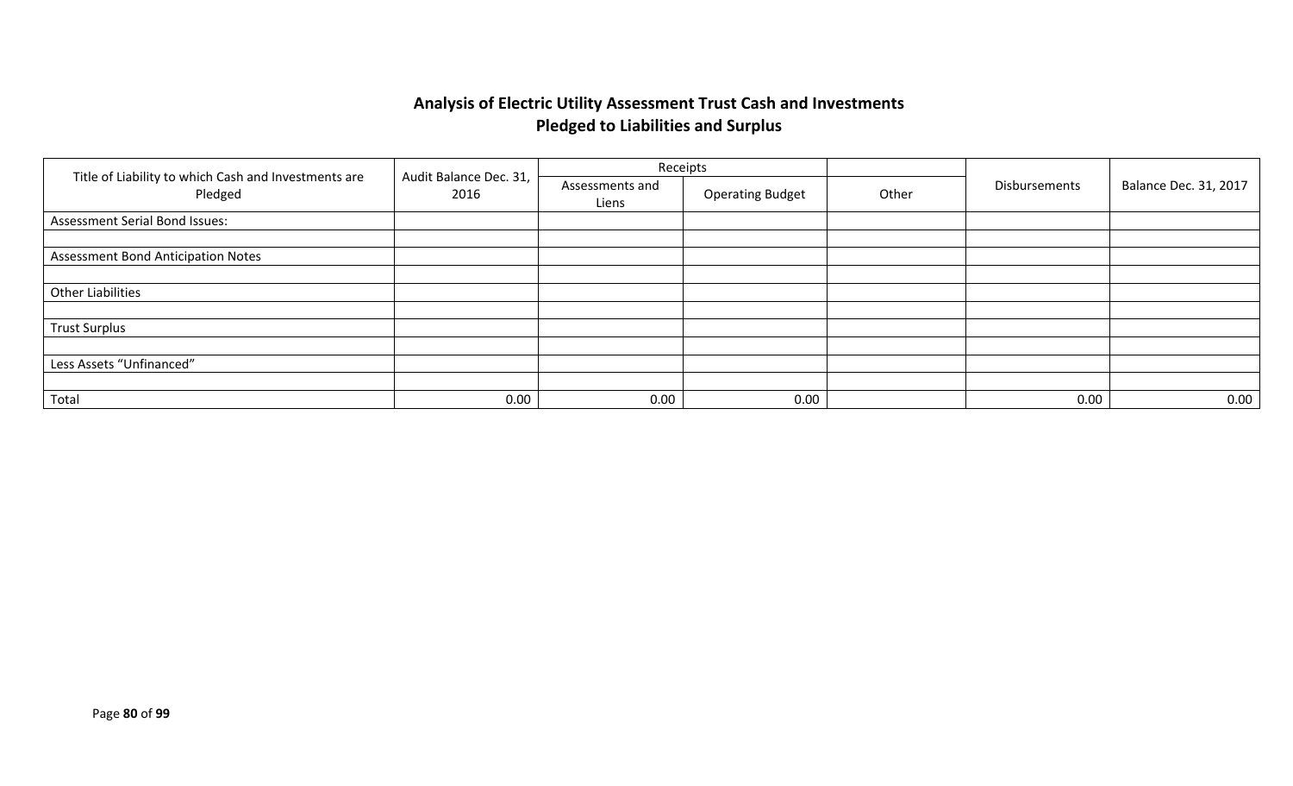## **Analysis of Electric Utility Assessment Trust Cash and Investments Pledged to Liabilities and Surplus**

|                                                                 |                                |                          | Receipts                |       |               |                              |
|-----------------------------------------------------------------|--------------------------------|--------------------------|-------------------------|-------|---------------|------------------------------|
| Title of Liability to which Cash and Investments are<br>Pledged | Audit Balance Dec. 31,<br>2016 | Assessments and<br>Liens | <b>Operating Budget</b> | Other | Disbursements | <b>Balance Dec. 31, 2017</b> |
| Assessment Serial Bond Issues:                                  |                                |                          |                         |       |               |                              |
|                                                                 |                                |                          |                         |       |               |                              |
| <b>Assessment Bond Anticipation Notes</b>                       |                                |                          |                         |       |               |                              |
|                                                                 |                                |                          |                         |       |               |                              |
| <b>Other Liabilities</b>                                        |                                |                          |                         |       |               |                              |
|                                                                 |                                |                          |                         |       |               |                              |
| <b>Trust Surplus</b>                                            |                                |                          |                         |       |               |                              |
|                                                                 |                                |                          |                         |       |               |                              |
| Less Assets "Unfinanced"                                        |                                |                          |                         |       |               |                              |
|                                                                 |                                |                          |                         |       |               |                              |
| Total                                                           | 0.00                           | 0.00                     | 0.00                    |       | 0.00          | 0.00                         |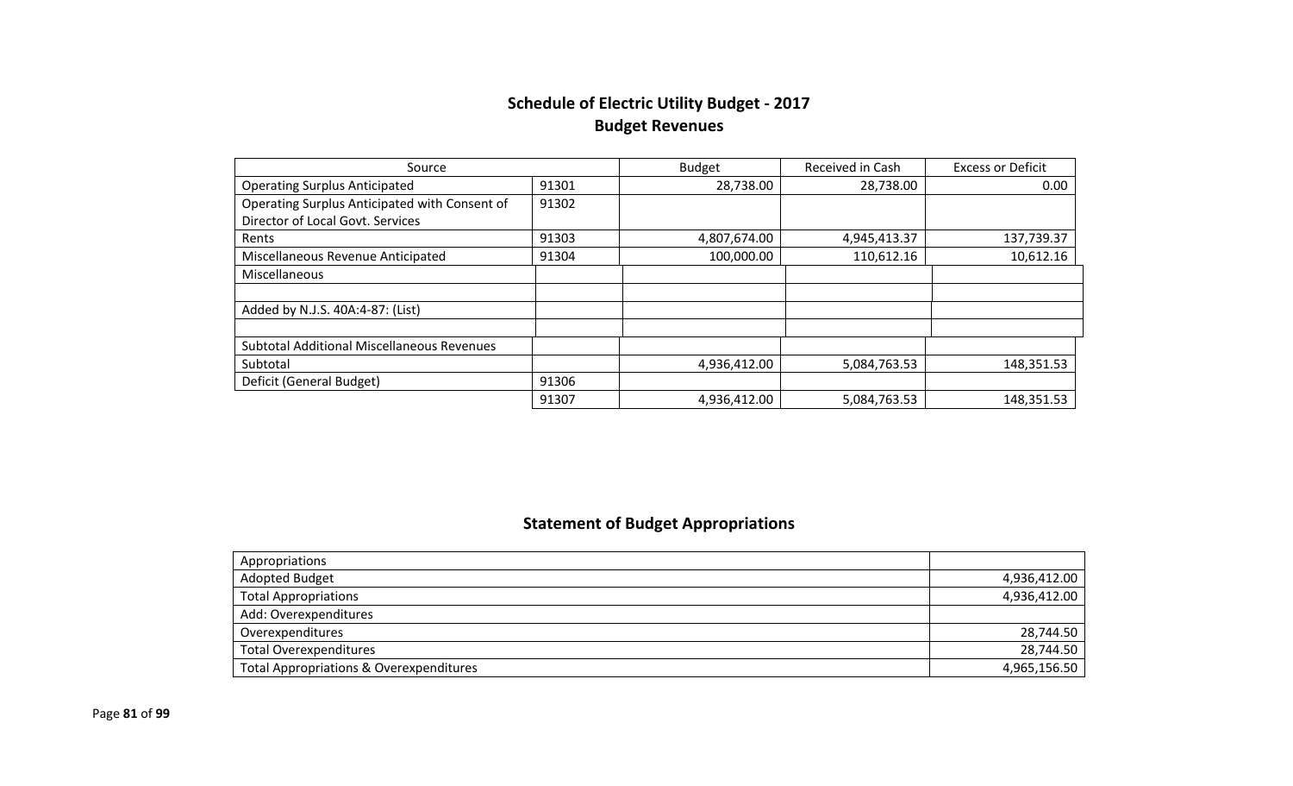## **Schedule of Electric Utility Budget - 2017 Budget Revenues**

| Source                                            |       | <b>Budget</b> | Received in Cash | <b>Excess or Deficit</b> |
|---------------------------------------------------|-------|---------------|------------------|--------------------------|
| <b>Operating Surplus Anticipated</b>              | 91301 | 28,738.00     | 28,738.00        | 0.00                     |
| Operating Surplus Anticipated with Consent of     | 91302 |               |                  |                          |
| Director of Local Govt. Services                  |       |               |                  |                          |
| Rents                                             | 91303 | 4,807,674.00  | 4,945,413.37     | 137,739.37               |
| Miscellaneous Revenue Anticipated                 | 91304 | 100,000.00    | 110,612.16       | 10,612.16                |
| Miscellaneous                                     |       |               |                  |                          |
|                                                   |       |               |                  |                          |
| Added by N.J.S. 40A:4-87: (List)                  |       |               |                  |                          |
|                                                   |       |               |                  |                          |
| <b>Subtotal Additional Miscellaneous Revenues</b> |       |               |                  |                          |
| Subtotal                                          |       | 4,936,412.00  | 5,084,763.53     | 148,351.53               |
| Deficit (General Budget)                          | 91306 |               |                  |                          |
|                                                   | 91307 | 4,936,412.00  | 5,084,763.53     | 148,351.53               |

## **Statement of Budget Appropriations**

| Appropriations                          |              |
|-----------------------------------------|--------------|
| <b>Adopted Budget</b>                   | 4,936,412.00 |
| <b>Total Appropriations</b>             | 4,936,412.00 |
| Add: Overexpenditures                   |              |
| Overexpenditures                        | 28,744.50    |
| <b>Total Overexpenditures</b>           | 28,744.50    |
| Total Appropriations & Overexpenditures | 4,965,156.50 |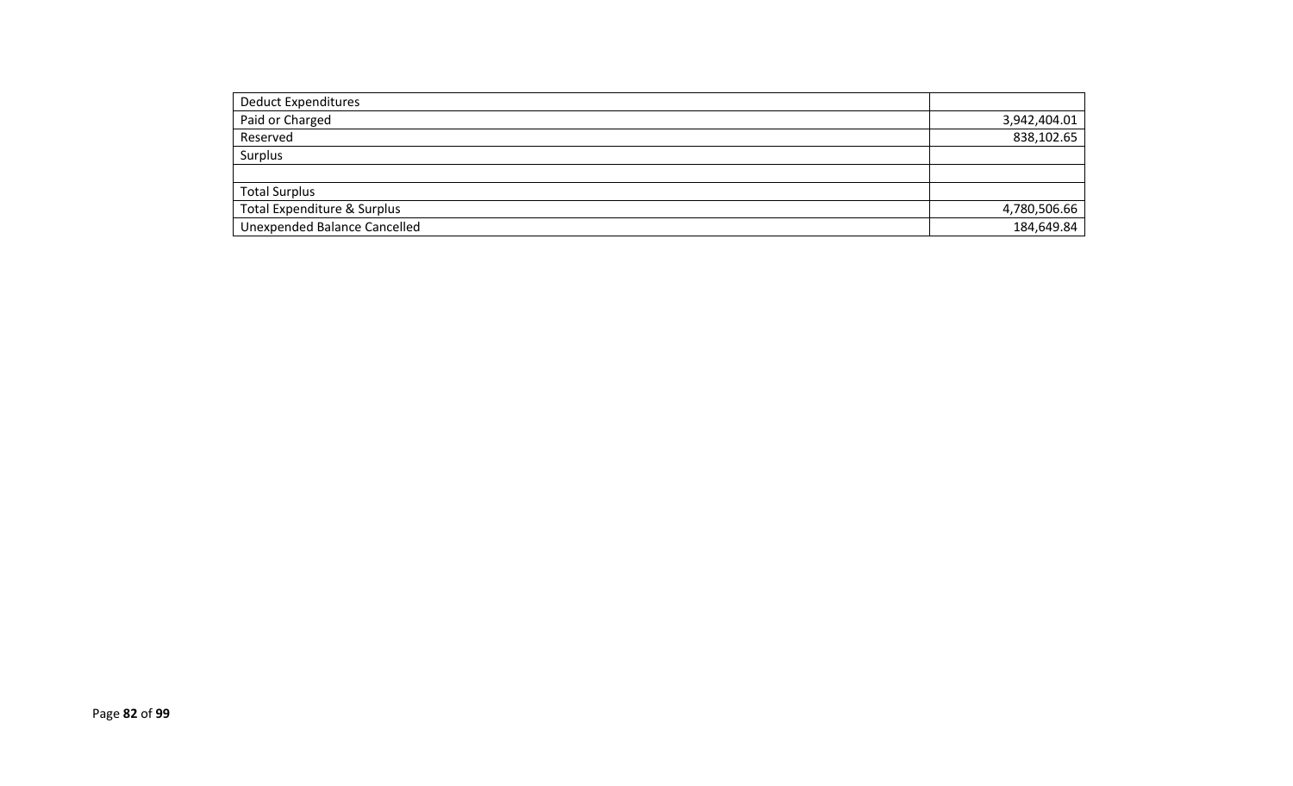| <b>Deduct Expenditures</b>             |              |
|----------------------------------------|--------------|
| Paid or Charged                        | 3,942,404.01 |
| Reserved                               | 838,102.65   |
| Surplus                                |              |
|                                        |              |
| <b>Total Surplus</b>                   |              |
| <b>Total Expenditure &amp; Surplus</b> | 4,780,506.66 |
| <b>Unexpended Balance Cancelled</b>    | 184,649.84   |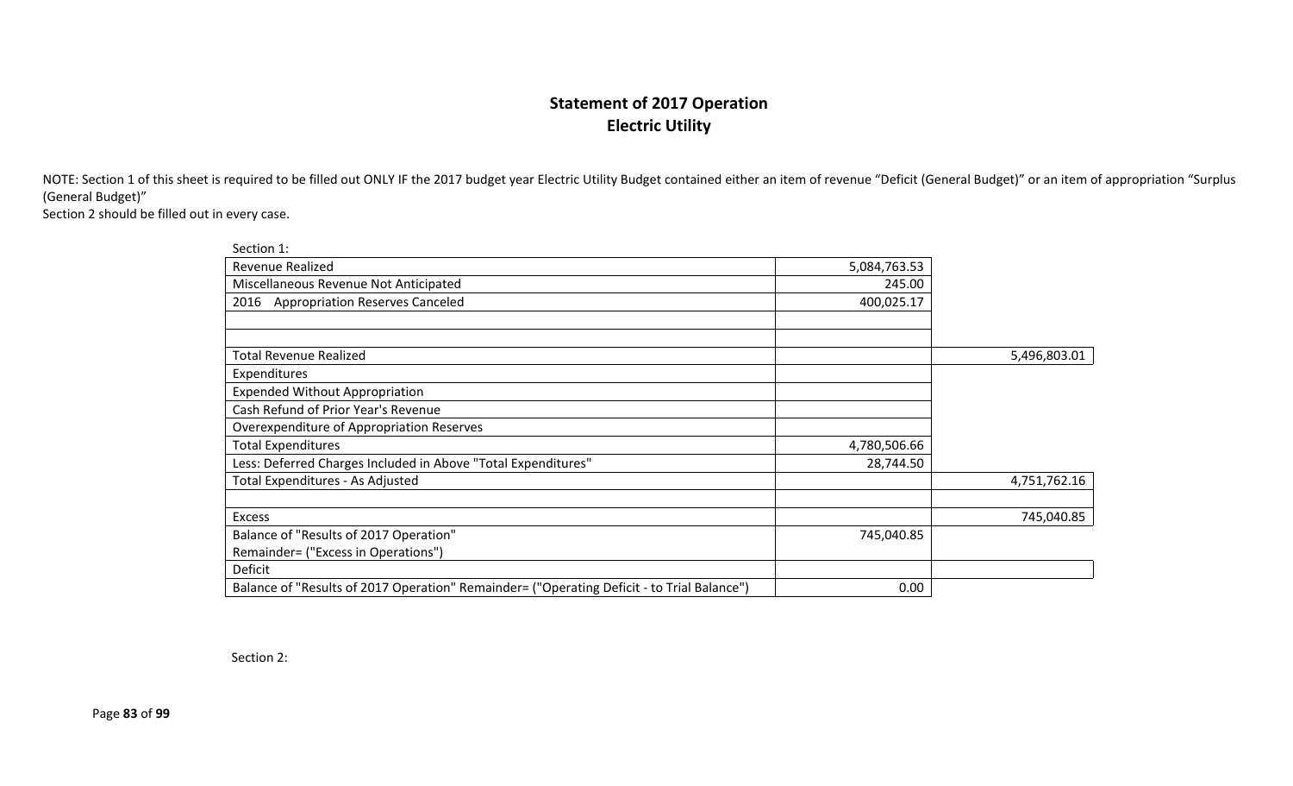## **Statement of 2017 Operation Electric Utility**

NOTE: Section 1 of this sheet is required to be filled out ONLY IF the 2017 budget year Electric Utility Budget contained either an item of revenue "Deficit (General Budget)" or an item of appropriation "Surplus (General Budget)"

Section 2 should be filled out in every case.

| Section 1:                                                                                 |              |              |
|--------------------------------------------------------------------------------------------|--------------|--------------|
| <b>Revenue Realized</b>                                                                    | 5,084,763.53 |              |
| Miscellaneous Revenue Not Anticipated                                                      | 245.00       |              |
| 2016 Appropriation Reserves Canceled                                                       | 400,025.17   |              |
|                                                                                            |              |              |
| <b>Total Revenue Realized</b>                                                              |              | 5,496,803.01 |
| Expenditures                                                                               |              |              |
| <b>Expended Without Appropriation</b>                                                      |              |              |
| Cash Refund of Prior Year's Revenue                                                        |              |              |
| Overexpenditure of Appropriation Reserves                                                  |              |              |
| <b>Total Expenditures</b>                                                                  | 4,780,506.66 |              |
| Less: Deferred Charges Included in Above "Total Expenditures"                              | 28,744.50    |              |
| Total Expenditures - As Adjusted                                                           |              | 4,751,762.16 |
| <b>Excess</b>                                                                              |              | 745,040.85   |
| Balance of "Results of 2017 Operation"                                                     | 745,040.85   |              |
| Remainder= ("Excess in Operations")                                                        |              |              |
| Deficit                                                                                    |              |              |
| Balance of "Results of 2017 Operation" Remainder= ("Operating Deficit - to Trial Balance") | 0.00         |              |

Section 2:

Page **83** of **99**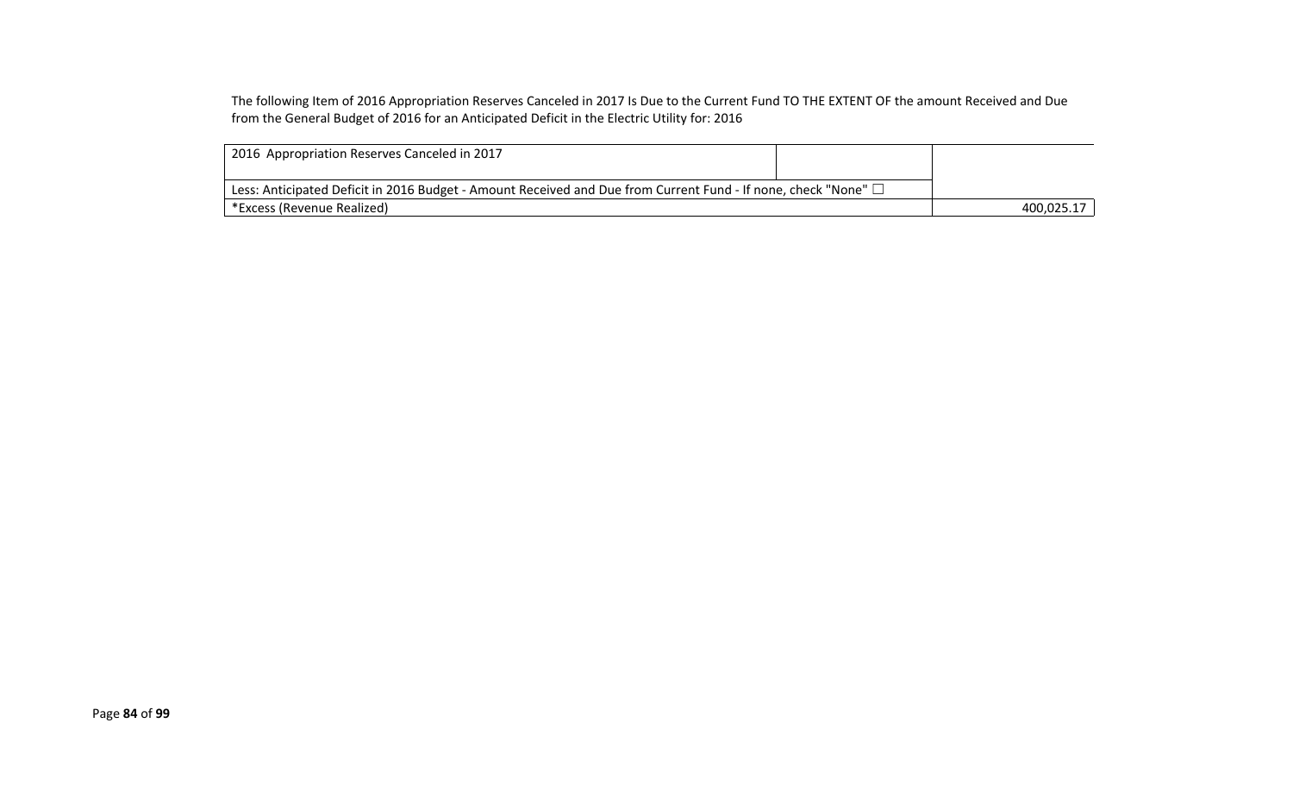The following Item of 2016 Appropriation Reserves Canceled in 2017 Is Due to the Current Fund TO THE EXTENT OF the amount Received and Due from the General Budget of 2016 for an Anticipated Deficit in the Electric Utility for: 2016

| 2016 Appropriation Reserves Canceled in 2017                                                                        |            |
|---------------------------------------------------------------------------------------------------------------------|------------|
| Less: Anticipated Deficit in 2016 Budget - Amount Received and Due from Current Fund - If none, check "None" $\Box$ |            |
| *Excess (Revenue Realized)                                                                                          | 400.025.17 |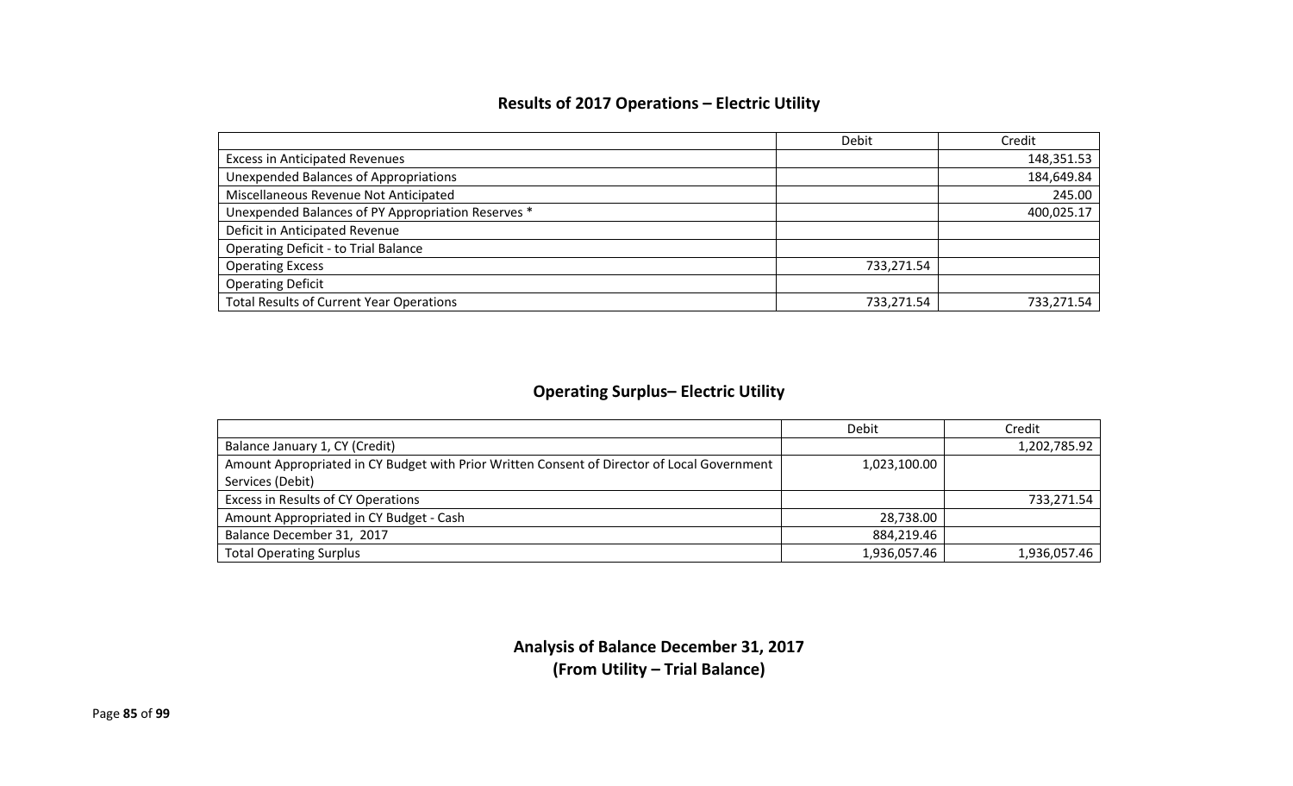## **Results of 2017 Operations – Electric Utility**

|                                                    | Debit      | Credit     |
|----------------------------------------------------|------------|------------|
| <b>Excess in Anticipated Revenues</b>              |            | 148,351.53 |
| <b>Unexpended Balances of Appropriations</b>       |            | 184,649.84 |
| Miscellaneous Revenue Not Anticipated              |            | 245.00     |
| Unexpended Balances of PY Appropriation Reserves * |            | 400,025.17 |
| Deficit in Anticipated Revenue                     |            |            |
| <b>Operating Deficit - to Trial Balance</b>        |            |            |
| <b>Operating Excess</b>                            | 733,271.54 |            |
| <b>Operating Deficit</b>                           |            |            |
| <b>Total Results of Current Year Operations</b>    | 733.271.54 | 733,271.54 |

## **Operating Surplus– Electric Utility**

|                                                                                             | Debit        | Credit       |
|---------------------------------------------------------------------------------------------|--------------|--------------|
| Balance January 1, CY (Credit)                                                              |              | 1,202,785.92 |
| Amount Appropriated in CY Budget with Prior Written Consent of Director of Local Government | 1,023,100.00 |              |
| Services (Debit)                                                                            |              |              |
| Excess in Results of CY Operations                                                          |              | 733,271.54   |
| Amount Appropriated in CY Budget - Cash                                                     | 28,738.00    |              |
| Balance December 31, 2017                                                                   | 884,219.46   |              |
| <b>Total Operating Surplus</b>                                                              | 1,936,057.46 | 1,936,057.46 |

**Analysis of Balance December 31, 2017 (From Utility – Trial Balance)**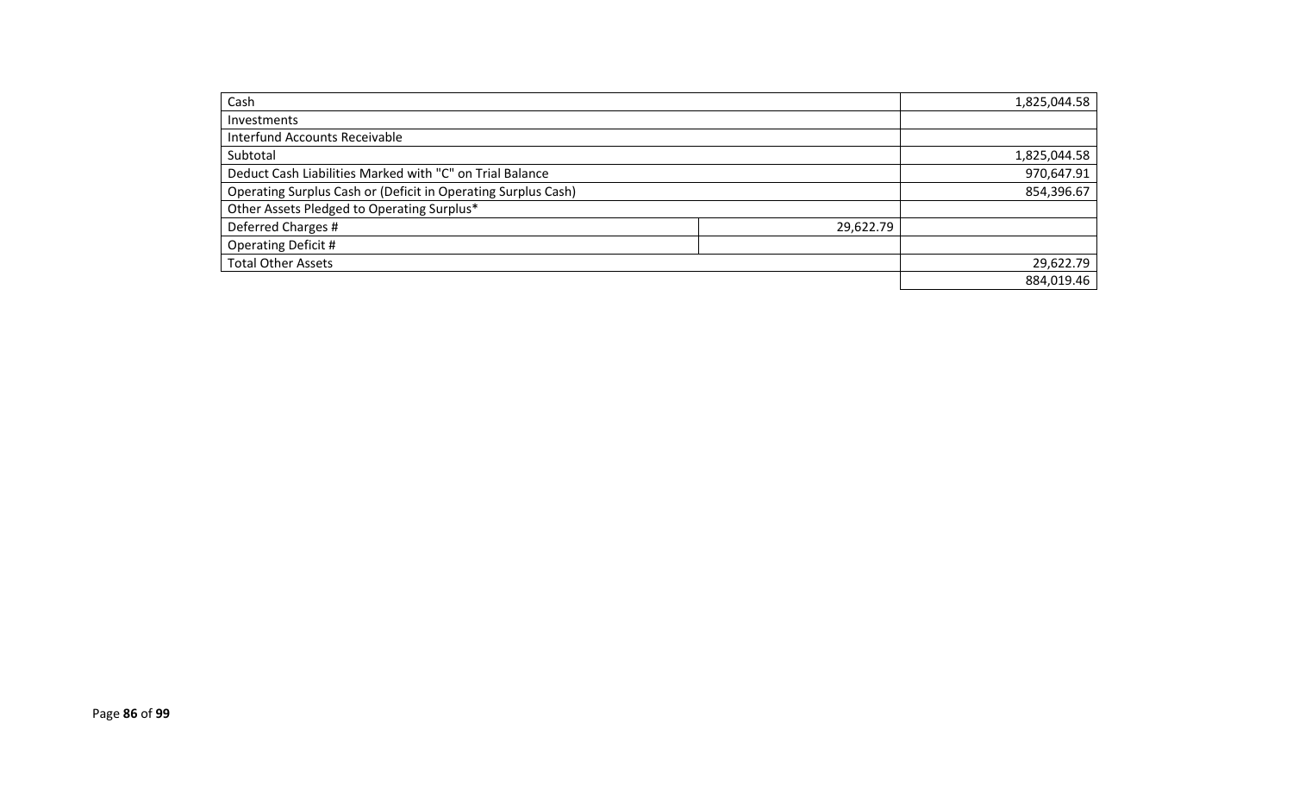| Cash                                                          |           | 1,825,044.58 |
|---------------------------------------------------------------|-----------|--------------|
| <b>Investments</b>                                            |           |              |
| <b>Interfund Accounts Receivable</b>                          |           |              |
| Subtotal                                                      |           | 1,825,044.58 |
| Deduct Cash Liabilities Marked with "C" on Trial Balance      |           | 970,647.91   |
| Operating Surplus Cash or (Deficit in Operating Surplus Cash) |           | 854,396.67   |
| Other Assets Pledged to Operating Surplus*                    |           |              |
| Deferred Charges #                                            | 29,622.79 |              |
| <b>Operating Deficit #</b>                                    |           |              |
| <b>Total Other Assets</b>                                     |           | 29,622.79    |
|                                                               |           | 884,019.46   |
|                                                               |           |              |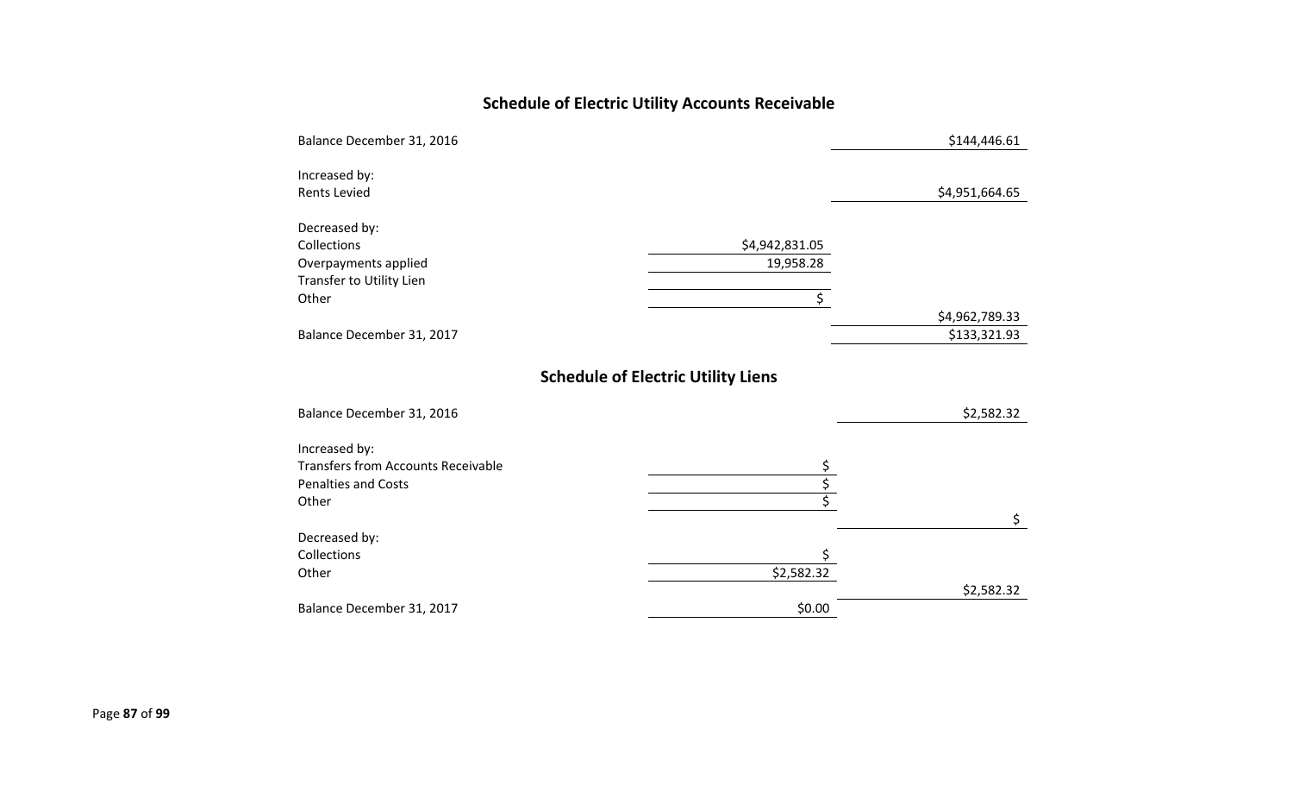# **Schedule of Electric Utility Accounts Receivable**

|                                           | \$144,446.61                   |
|-------------------------------------------|--------------------------------|
|                                           |                                |
|                                           | \$4,951,664.65                 |
|                                           |                                |
| \$4,942,831.05                            |                                |
| 19,958.28                                 |                                |
|                                           |                                |
|                                           |                                |
|                                           | \$4,962,789.33<br>\$133,321.93 |
|                                           |                                |
| <b>Schedule of Electric Utility Liens</b> |                                |
|                                           | \$2,582.32                     |
|                                           |                                |
|                                           |                                |
|                                           |                                |
|                                           |                                |
|                                           | \$                             |
|                                           |                                |
|                                           |                                |
|                                           | \$2,582.32                     |
| \$0.00                                    |                                |
|                                           | \$<br>\$2,582.32               |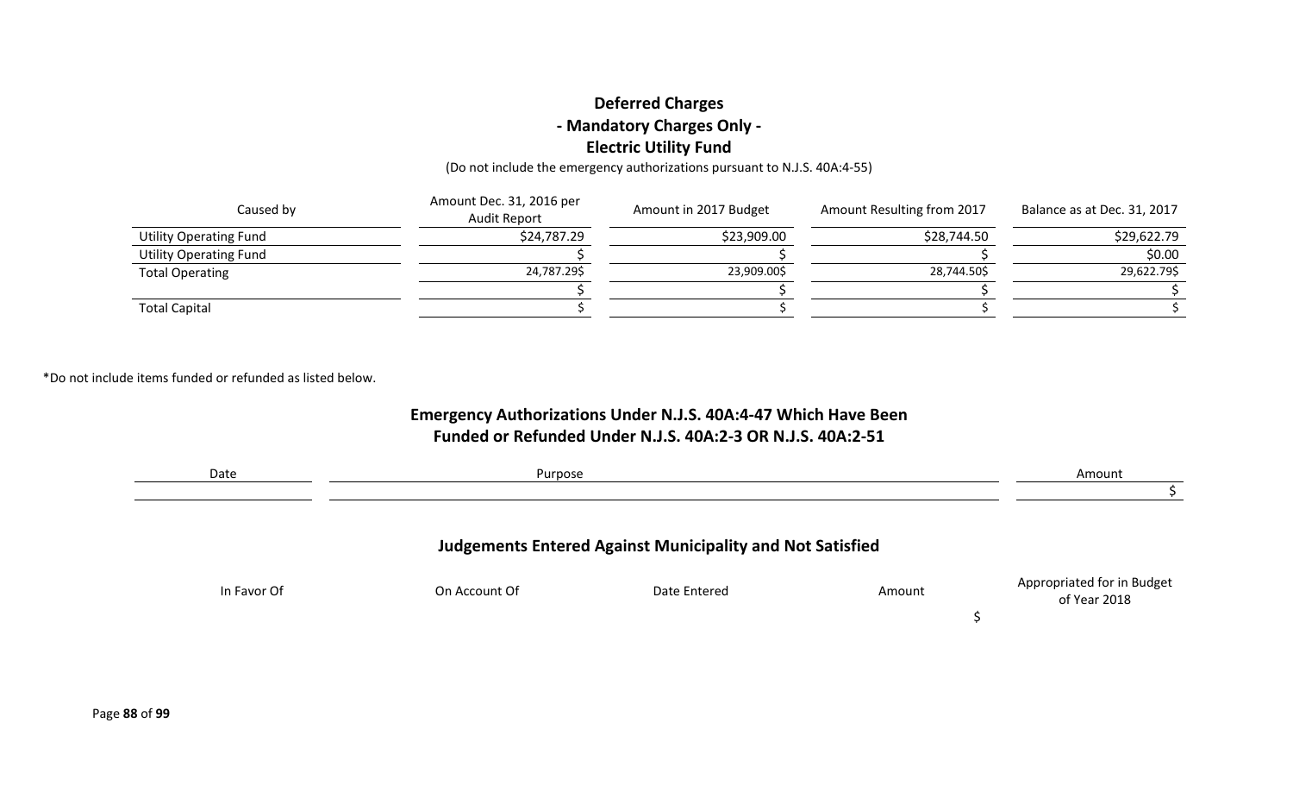### **Deferred Charges - Mandatory Charges Only - Electric Utility Fund**

(Do not include the emergency authorizations pursuant to N.J.S. 40A:4-55)

| Caused by                     | Amount Dec. 31, 2016 per<br>Audit Report | Amount in 2017 Budget | Amount Resulting from 2017 | Balance as at Dec. 31, 2017 |
|-------------------------------|------------------------------------------|-----------------------|----------------------------|-----------------------------|
| <b>Utility Operating Fund</b> | \$24,787.29                              | \$23,909.00           | \$28,744.50                | \$29,622.79                 |
| <b>Utility Operating Fund</b> |                                          |                       |                            | \$0.00                      |
| <b>Total Operating</b>        | 24,787.29\$                              | 23,909.00\$           | 28,744.50\$                | 29,622.79\$                 |
|                               |                                          |                       |                            |                             |
| <b>Total Capital</b>          |                                          |                       |                            |                             |

\*Do not include items funded or refunded as listed below.

### **Emergency Authorizations Under N.J.S. 40A:4-47 Which Have Been Funded or Refunded Under N.J.S. 40A:2-3 OR N.J.S. 40A:2-51**

| Date        | Purpose       |                                                                  |        | Amount                                     |
|-------------|---------------|------------------------------------------------------------------|--------|--------------------------------------------|
|             |               | <b>Judgements Entered Against Municipality and Not Satisfied</b> |        |                                            |
| In Favor Of | On Account Of | Date Entered                                                     | Amount | Appropriated for in Budget<br>of Year 2018 |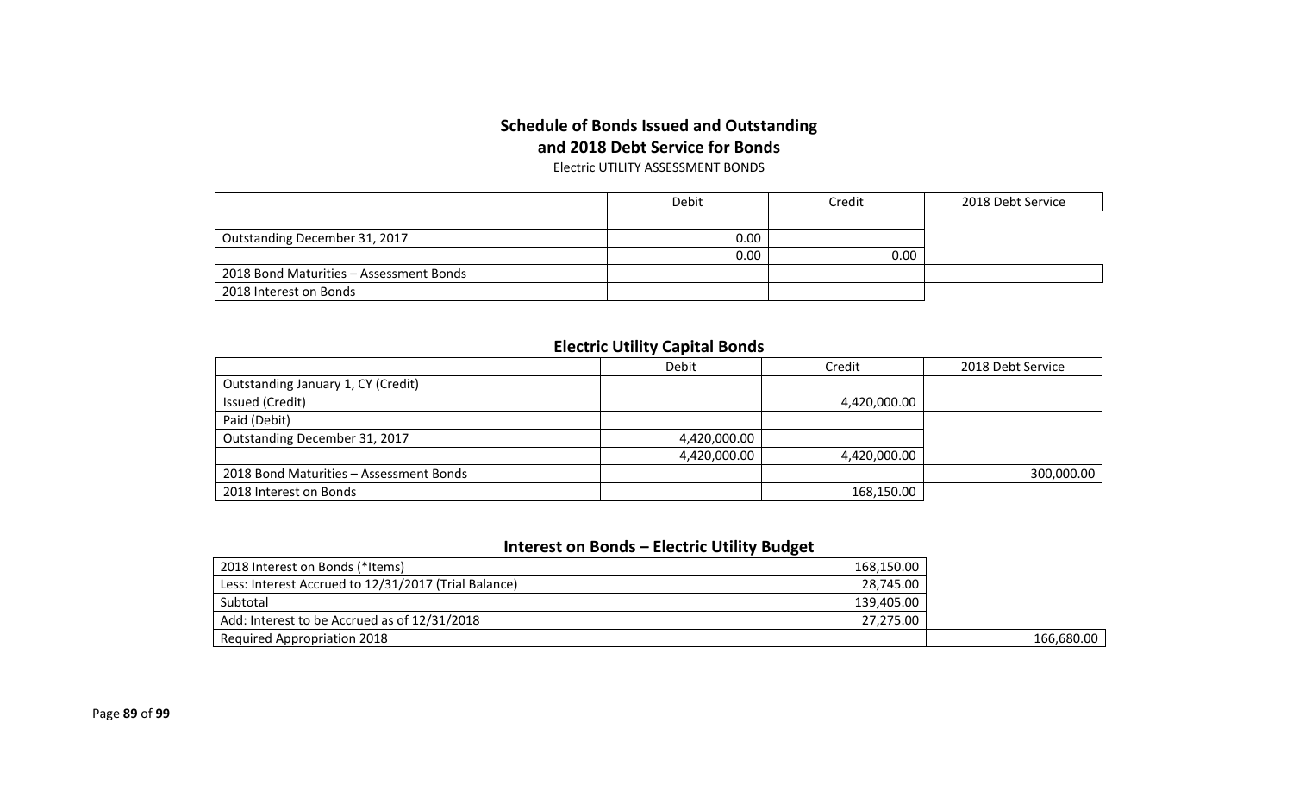#### **Schedule of Bonds Issued and Outstanding and 2018 Debt Service for Bonds** Electric UTILITY ASSESSMENT BONDS

|                                         | Debit | Credit | 2018 Debt Service |
|-----------------------------------------|-------|--------|-------------------|
|                                         |       |        |                   |
| Outstanding December 31, 2017           | 0.00  |        |                   |
|                                         | 0.00  | 0.00   |                   |
| 2018 Bond Maturities - Assessment Bonds |       |        |                   |
| 2018 Interest on Bonds                  |       |        |                   |

#### **Electric Utility Capital Bonds**

|                                         | Debit        | Credit       | 2018 Debt Service |
|-----------------------------------------|--------------|--------------|-------------------|
| Outstanding January 1, CY (Credit)      |              |              |                   |
| Issued (Credit)                         |              | 4,420,000.00 |                   |
| Paid (Debit)                            |              |              |                   |
| Outstanding December 31, 2017           | 4,420,000.00 |              |                   |
|                                         | 4,420,000.00 | 4,420,000.00 |                   |
| 2018 Bond Maturities - Assessment Bonds |              |              | 300,000.00        |
| 2018 Interest on Bonds                  |              | 168,150.00   |                   |

## **Interest on Bonds – Electric Utility Budget**

| 2018 Interest on Bonds (*Items)                      | 168,150.00 |            |
|------------------------------------------------------|------------|------------|
| Less: Interest Accrued to 12/31/2017 (Trial Balance) | 28,745.00  |            |
| Subtotal                                             | 139,405.00 |            |
| Add: Interest to be Accrued as of 12/31/2018         | 27.275.00  |            |
| <b>Required Appropriation 2018</b>                   |            | 166,680.00 |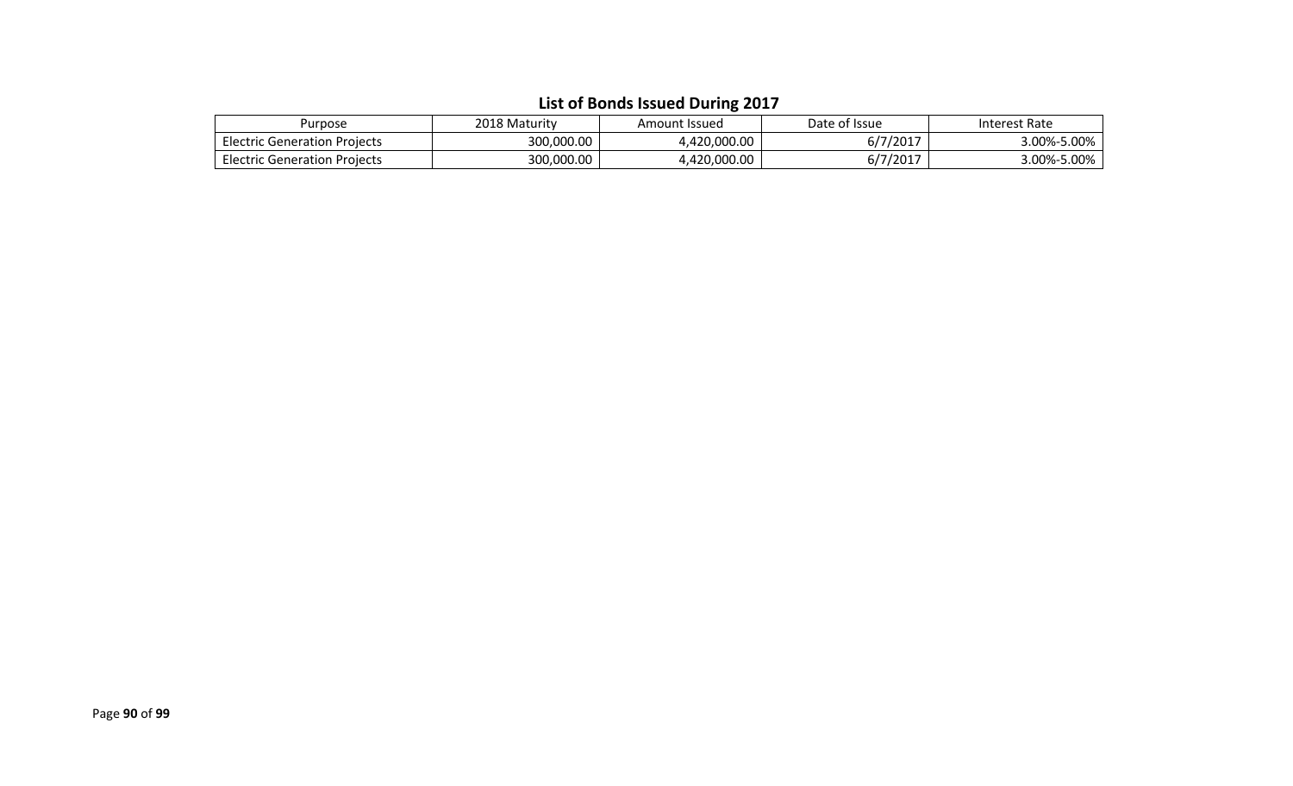| Purpose                             | 2018 Maturity | Amount Issued | Date of Issue | Interest Rate |
|-------------------------------------|---------------|---------------|---------------|---------------|
| <b>Electric Generation Projects</b> | 300,000.00    | 4,420,000.00  | 6/7/2017      | 3.00%-5.00%   |
| <b>Electric Generation Projects</b> | 300,000.00    | 4,420,000.00  | 6/7/2017      | 3.00%-5.00%   |

#### **List of Bonds Issued During 2017**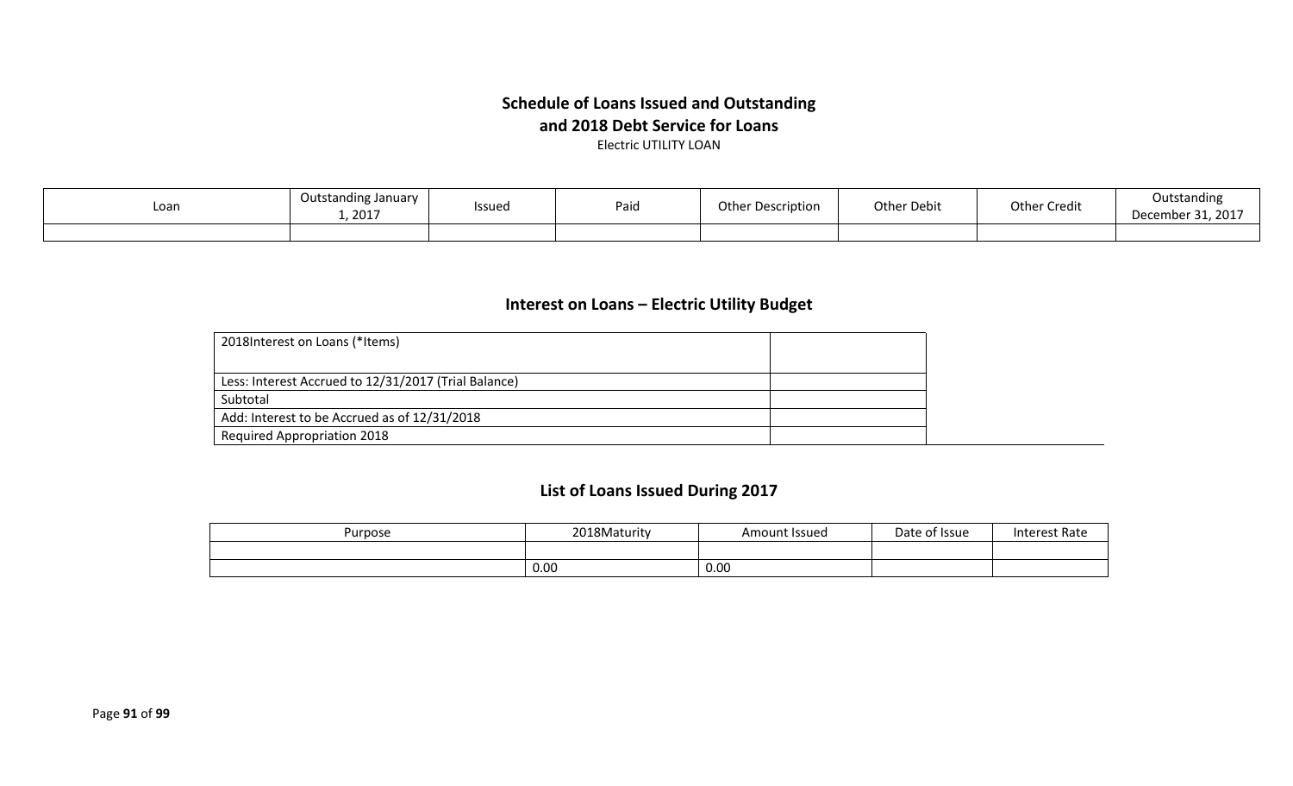#### **Schedule of Loans Issued and Outstanding and 2018 Debt Service for Loans** Electric UTILITY LOAN

Loan Dutstanding January<br>1, 2017 nding January | Issued | Paid | Other Description | Other Debit | Other Credit | Outstanding<br>1, 2017 1.9917 | December 31, 2017 December 31, 2017

#### **Interest on Loans – Electric Utility Budget**

| 2018 Interest on Loans (*Items)                      |  |
|------------------------------------------------------|--|
|                                                      |  |
| Less: Interest Accrued to 12/31/2017 (Trial Balance) |  |
| Subtotal                                             |  |
| Add: Interest to be Accrued as of 12/31/2018         |  |
| <b>Required Appropriation 2018</b>                   |  |

## **List of Loans Issued During 2017**

| Purpose | <sup>2</sup> 018Maturity | Amount Issued | Date of Issue | <b>Interest Rate</b> |
|---------|--------------------------|---------------|---------------|----------------------|
|         |                          |               |               |                      |
|         | 0.00                     | 0.00          |               |                      |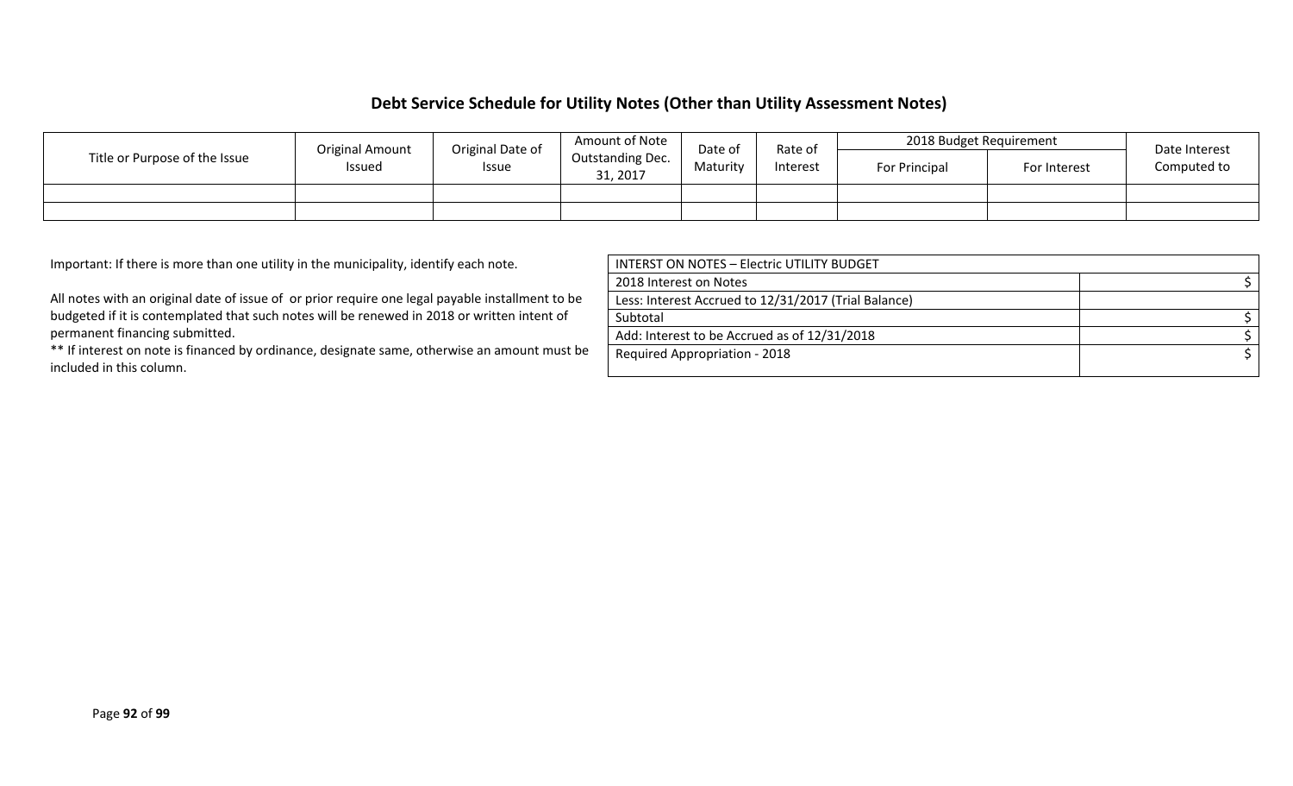#### **Debt Service Schedule for Utility Notes (Other than Utility Assessment Notes)**

|                               | Amount of Note<br>Original Date of<br><b>Original Amount</b><br>Rate of<br>Date of |              | 2018 Budget Requirement             |          | Date Interest |  |  |               |              |             |
|-------------------------------|------------------------------------------------------------------------------------|--------------|-------------------------------------|----------|---------------|--|--|---------------|--------------|-------------|
| Title or Purpose of the Issue | Issued                                                                             | <b>Issue</b> | <b>Outstanding Dec.</b><br>31, 2017 | Maturity | Interest      |  |  | For Principal | For Interest | Computed to |
|                               |                                                                                    |              |                                     |          |               |  |  |               |              |             |
|                               |                                                                                    |              |                                     |          |               |  |  |               |              |             |

Important: If there is more than one utility in the municipality, identify each note.

All notes with an original date of issue of or prior require one legal payable installment to be budgeted if it is contemplated that such notes will be renewed in 2018 or written intent of permanent financing submitted.

\*\* If interest on note is financed by ordinance, designate same, otherwise an amount must be included in this column.

| <b>INTERST ON NOTES - Electric UTILITY BUDGET</b>    |  |
|------------------------------------------------------|--|
| 2018 Interest on Notes                               |  |
| Less: Interest Accrued to 12/31/2017 (Trial Balance) |  |
| Subtotal                                             |  |
| Add: Interest to be Accrued as of 12/31/2018         |  |
| <b>Required Appropriation - 2018</b>                 |  |
|                                                      |  |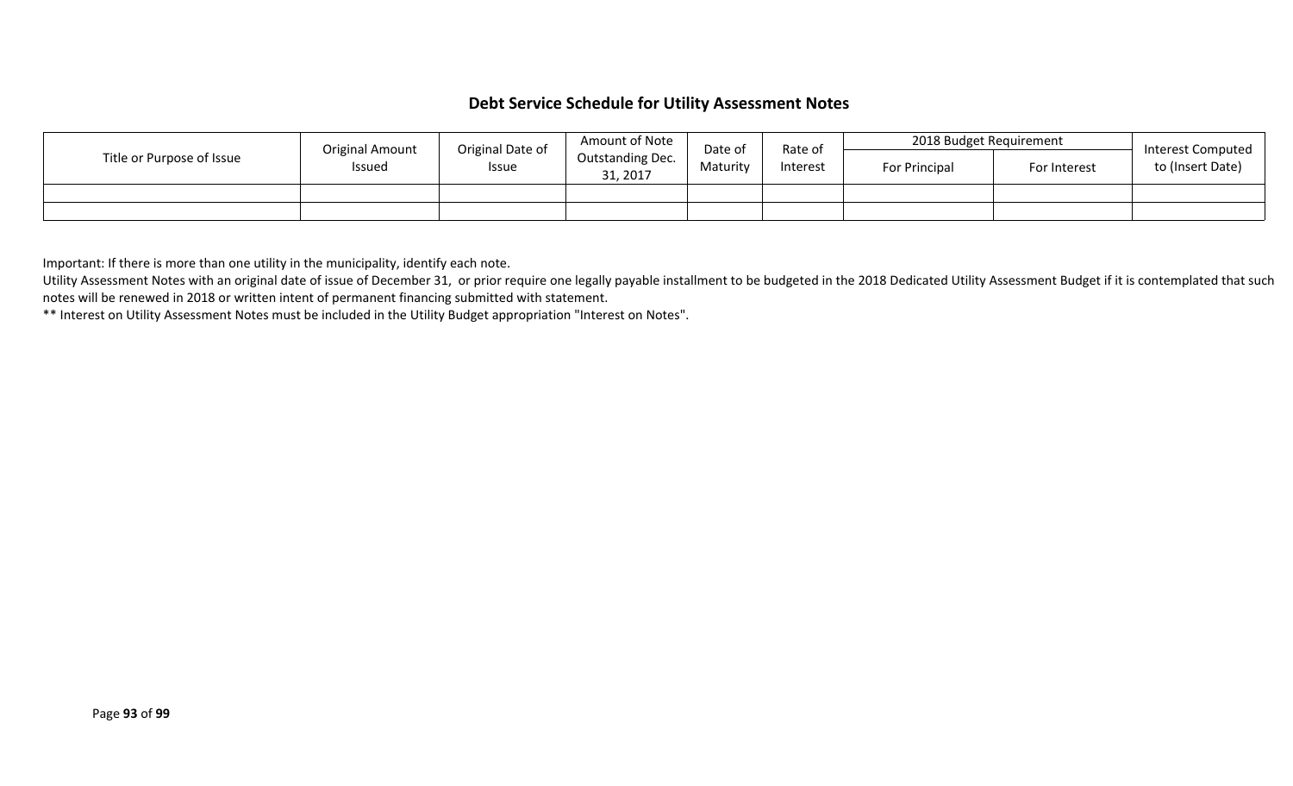#### **Debt Service Schedule for Utility Assessment Notes**

|                           | Original Date of<br><b>Original Amount</b> |       | Amount of Note               | Date of<br>Rate of   |  | 2018 Budget Requirement |              | Interest Computed |
|---------------------------|--------------------------------------------|-------|------------------------------|----------------------|--|-------------------------|--------------|-------------------|
| Title or Purpose of Issue | <b>Issued</b>                              | Issue | Outstanding Dec.<br>31, 2017 | Interest<br>Maturity |  | <b>For Principal</b>    | For Interest | to (Insert Date)  |
|                           |                                            |       |                              |                      |  |                         |              |                   |
|                           |                                            |       |                              |                      |  |                         |              |                   |

Important: If there is more than one utility in the municipality, identify each note.

Utility Assessment Notes with an original date of issue of December 31, or prior require one legally payable installment to be budgeted in the 2018 Dedicated Utility Assessment Budget if it is contemplated that such notes will be renewed in 2018 or written intent of permanent financing submitted with statement.

\*\* Interest on Utility Assessment Notes must be included in the Utility Budget appropriation "Interest on Notes".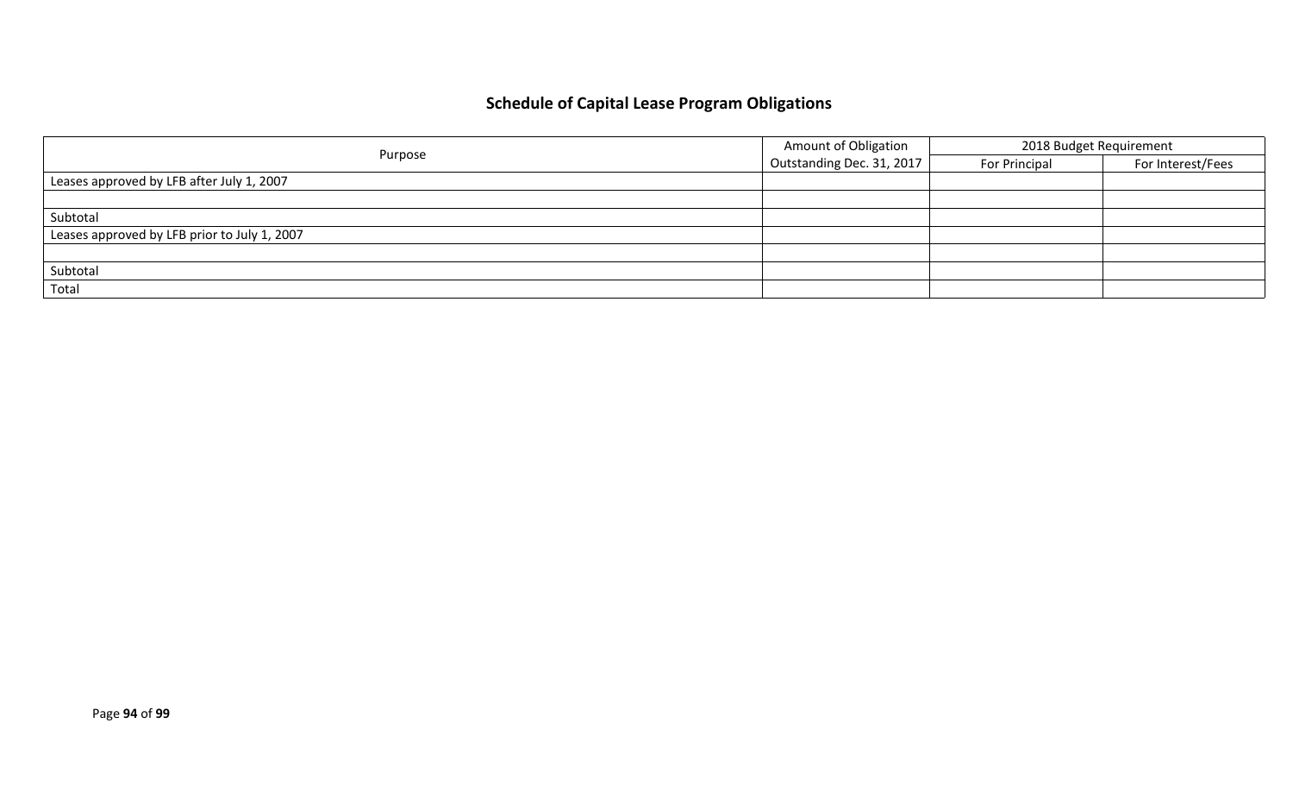# **Schedule of Capital Lease Program Obligations**

|                                              | <b>Amount of Obligation</b> | 2018 Budget Requirement |                   |  |
|----------------------------------------------|-----------------------------|-------------------------|-------------------|--|
| Purpose                                      | Outstanding Dec. 31, 2017   | For Principal           | For Interest/Fees |  |
| Leases approved by LFB after July 1, 2007    |                             |                         |                   |  |
|                                              |                             |                         |                   |  |
| Subtotal                                     |                             |                         |                   |  |
| Leases approved by LFB prior to July 1, 2007 |                             |                         |                   |  |
|                                              |                             |                         |                   |  |
| Subtotal                                     |                             |                         |                   |  |
| Total                                        |                             |                         |                   |  |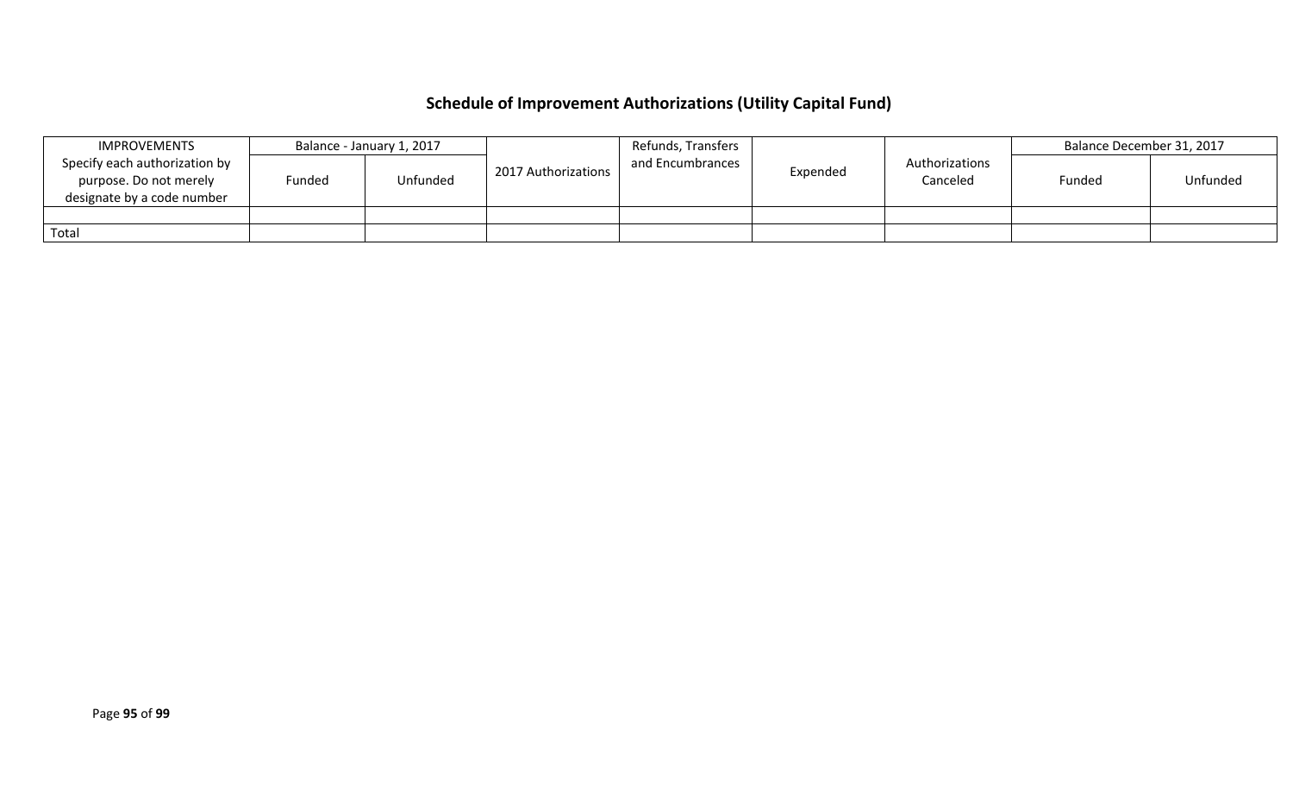# **Schedule of Improvement Authorizations (Utility Capital Fund)**

|       | <b>IMPROVEMENTS</b>                                                                   |        | Balance - January 1, 2017 |                     | Refunds, Transfers |          |                            | Balance December 31, 2017 |          |
|-------|---------------------------------------------------------------------------------------|--------|---------------------------|---------------------|--------------------|----------|----------------------------|---------------------------|----------|
|       | Specify each authorization by<br>purpose. Do not merely<br>designate by a code number | Funded | Unfunded                  | 2017 Authorizations | and Encumbrances   | Expended | Authorizations<br>Canceled | Funded                    | Unfunded |
|       |                                                                                       |        |                           |                     |                    |          |                            |                           |          |
| Total |                                                                                       |        |                           |                     |                    |          |                            |                           |          |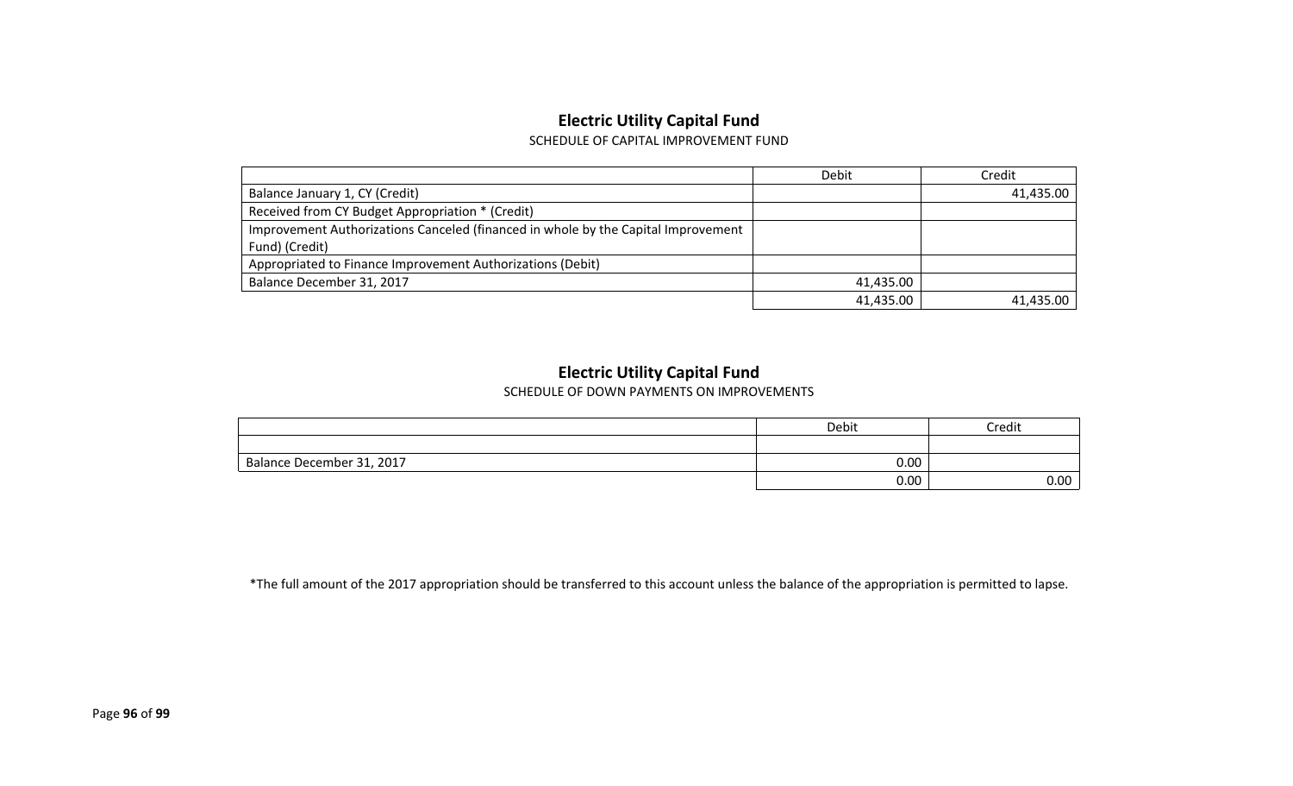## **Electric Utility Capital Fund**

SCHEDULE OF CAPITAL IMPROVEMENT FUND

|                                                                                   | Debit     | Credit    |
|-----------------------------------------------------------------------------------|-----------|-----------|
| Balance January 1, CY (Credit)                                                    |           | 41,435.00 |
| Received from CY Budget Appropriation * (Credit)                                  |           |           |
| Improvement Authorizations Canceled (financed in whole by the Capital Improvement |           |           |
| Fund) (Credit)                                                                    |           |           |
| Appropriated to Finance Improvement Authorizations (Debit)                        |           |           |
| Balance December 31, 2017                                                         | 41,435.00 |           |
|                                                                                   | 41,435.00 | 41.435.00 |

#### **Electric Utility Capital Fund**

SCHEDULE OF DOWN PAYMENTS ON IMPROVEMENTS

|                           | Debit | credit |
|---------------------------|-------|--------|
|                           |       |        |
| Balance December 31, 2017 | 0.00  |        |
|                           | 0.00  | 0.00   |

\*The full amount of the 2017 appropriation should be transferred to this account unless the balance of the appropriation is permitted to lapse.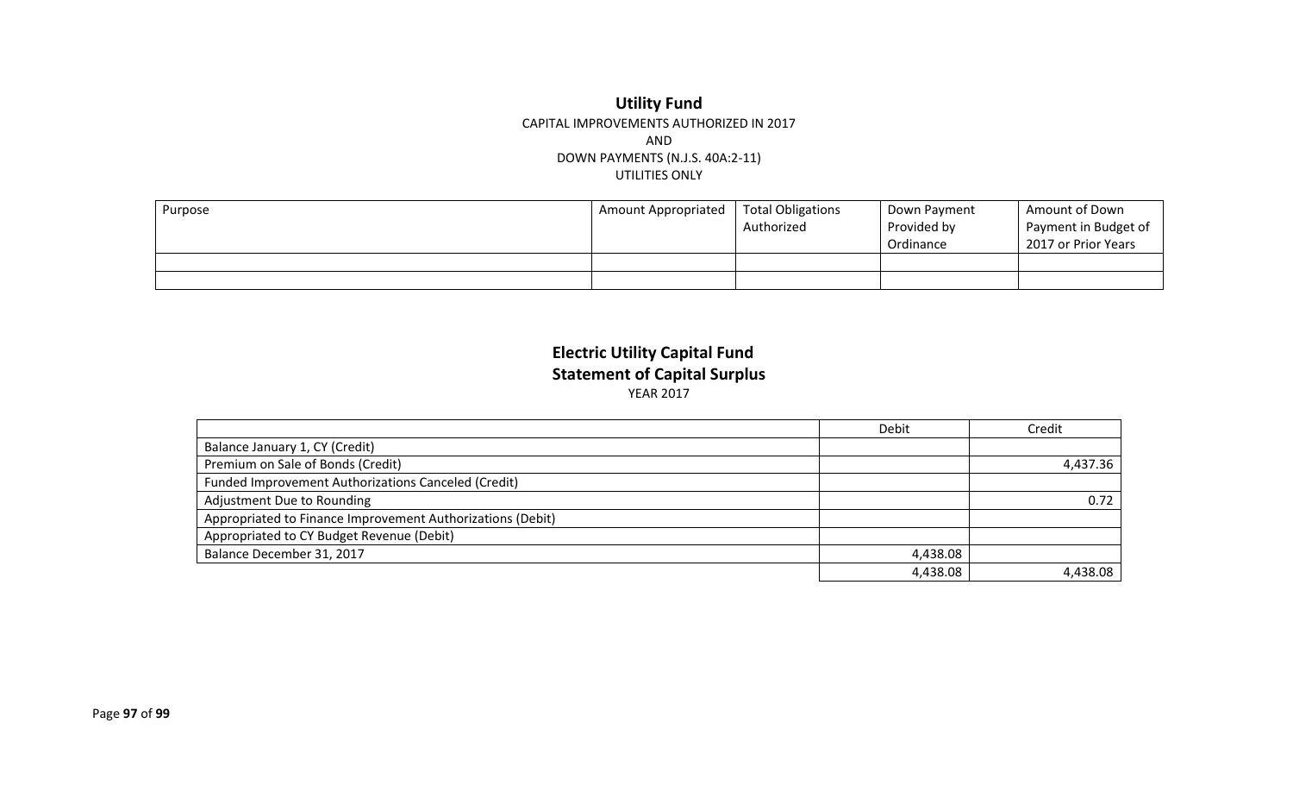#### **Utility Fund** CAPITAL IMPROVEMENTS AUTHORIZED IN 2017 AND DOWN PAYMENTS (N.J.S. 40A:2-11) UTILITIES ONLY

| Purpose | <b>Amount Appropriated</b> | Total Obligations<br>Authorized | Down Payment<br>Provided by<br>Ordinance | Amount of Down<br>Payment in Budget of<br>2017 or Prior Years |
|---------|----------------------------|---------------------------------|------------------------------------------|---------------------------------------------------------------|
|         |                            |                                 |                                          |                                                               |
|         |                            |                                 |                                          |                                                               |

### **Electric Utility Capital Fund Statement of Capital Surplus** YEAR 2017

|                                                            | Debit    | Credit   |
|------------------------------------------------------------|----------|----------|
| Balance January 1, CY (Credit)                             |          |          |
| Premium on Sale of Bonds (Credit)                          |          | 4,437.36 |
| <b>Funded Improvement Authorizations Canceled (Credit)</b> |          |          |
| Adjustment Due to Rounding                                 |          | 0.72     |
| Appropriated to Finance Improvement Authorizations (Debit) |          |          |
| Appropriated to CY Budget Revenue (Debit)                  |          |          |
| Balance December 31, 2017                                  | 4,438.08 |          |
|                                                            | 4,438.08 | 4.438.08 |